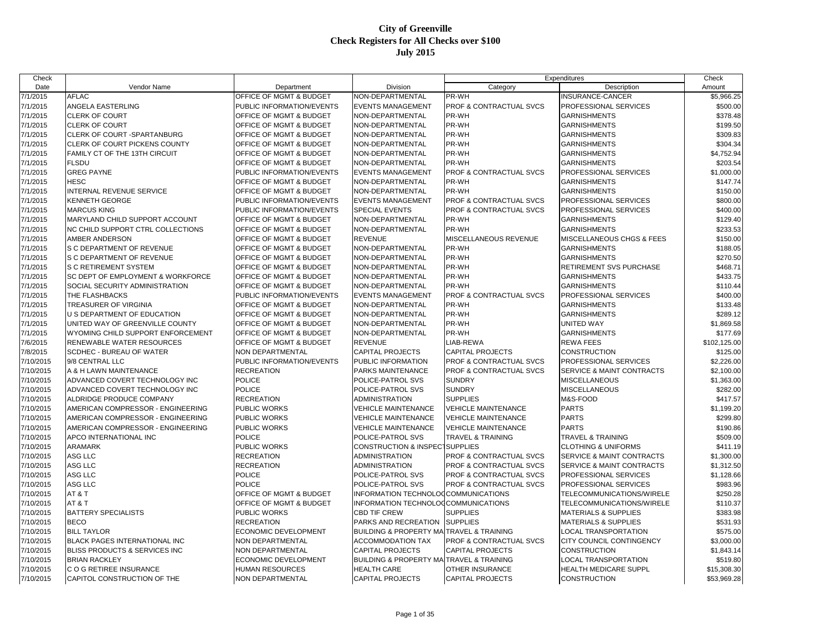| Check     |                                      |                                    |                                           |                                    | Expenditures                         | Check        |
|-----------|--------------------------------------|------------------------------------|-------------------------------------------|------------------------------------|--------------------------------------|--------------|
| Date      | Vendor Name                          | Department                         | Division                                  | Category                           | Description                          | Amount       |
| 7/1/2015  | <b>AFLAC</b>                         | OFFICE OF MGMT & BUDGET            | NON-DEPARTMENTAL                          | PR-WH                              | INSURANCE-CANCER                     | \$5,966.25   |
| 7/1/2015  | ANGELA EASTERLING                    | PUBLIC INFORMATION/EVENTS          | <b>EVENTS MANAGEMENT</b>                  | PROF & CONTRACTUAL SVCS            | PROFESSIONAL SERVICES                | \$500.00     |
| 7/1/2015  | <b>CLERK OF COURT</b>                | OFFICE OF MGMT & BUDGET            | NON-DEPARTMENTAL                          | PR-WH                              | <b>GARNISHMENTS</b>                  | \$378.48     |
| 7/1/2015  | <b>CLERK OF COURT</b>                | OFFICE OF MGMT & BUDGET            | NON-DEPARTMENTAL                          | PR-WH                              | <b>GARNISHMENTS</b>                  | \$199.50     |
| 7/1/2015  | CLERK OF COURT - SPARTANBURG         | <b>OFFICE OF MGMT &amp; BUDGET</b> | NON-DEPARTMENTAL                          | PR-WH                              | <b>GARNISHMENTS</b>                  | \$309.83     |
| 7/1/2015  | CLERK OF COURT PICKENS COUNTY        | OFFICE OF MGMT & BUDGET            | NON-DEPARTMENTAL                          | PR-WH                              | <b>GARNISHMENTS</b>                  | \$304.34     |
| 7/1/2015  | FAMILY CT OF THE 13TH CIRCUIT        | OFFICE OF MGMT & BUDGET            | NON-DEPARTMENTAL                          | PR-WH                              | <b>GARNISHMENTS</b>                  | \$4,752.94   |
| 7/1/2015  | <b>FLSDU</b>                         | OFFICE OF MGMT & BUDGET            | NON-DEPARTMENTAL                          | PR-WH                              | <b>GARNISHMENTS</b>                  | \$203.54     |
| 7/1/2015  | <b>GREG PAYNE</b>                    | PUBLIC INFORMATION/EVENTS          | <b>EVENTS MANAGEMENT</b>                  | PROF & CONTRACTUAL SVCS            | PROFESSIONAL SERVICES                | \$1,000.00   |
| 7/1/2015  | HESC                                 | OFFICE OF MGMT & BUDGET            | NON-DEPARTMENTAL                          | PR-WH                              | <b>GARNISHMENTS</b>                  | \$147.74     |
| 7/1/2015  | INTERNAL REVENUE SERVICE             | OFFICE OF MGMT & BUDGET            | NON-DEPARTMENTAL                          | PR-WH                              | <b>GARNISHMENTS</b>                  | \$150.00     |
| 7/1/2015  | KENNETH GEORGE                       | PUBLIC INFORMATION/EVENTS          | <b>EVENTS MANAGEMENT</b>                  | PROF & CONTRACTUAL SVCS            | PROFESSIONAL SERVICES                | \$800.00     |
| 7/1/2015  | <b>MARCUS KING</b>                   | PUBLIC INFORMATION/EVENTS          | <b>SPECIAL EVENTS</b>                     | PROF & CONTRACTUAL SVCS            | PROFESSIONAL SERVICES                | \$400.00     |
| 7/1/2015  | MARYLAND CHILD SUPPORT ACCOUNT       | OFFICE OF MGMT & BUDGET            | NON-DEPARTMENTAL                          | PR-WH                              | <b>GARNISHMENTS</b>                  | \$129.40     |
| 7/1/2015  | NC CHILD SUPPORT CTRL COLLECTIONS    | OFFICE OF MGMT & BUDGET            | NON-DEPARTMENTAL                          | PR-WH                              | <b>GARNISHMENTS</b>                  | \$233.53     |
| 7/1/2015  | AMBER ANDERSON                       | OFFICE OF MGMT & BUDGET            | <b>REVENUE</b>                            | MISCELLANEOUS REVENUE              | <b>MISCELLANEOUS CHGS &amp; FEES</b> | \$150.00     |
| 7/1/2015  | S C DEPARTMENT OF REVENUE            | OFFICE OF MGMT & BUDGET            | NON-DEPARTMENTAL                          | PR-WH                              | <b>GARNISHMENTS</b>                  | \$188.05     |
| 7/1/2015  | S C DEPARTMENT OF REVENUE            | OFFICE OF MGMT & BUDGET            | NON-DEPARTMENTAL                          | PR-WH                              | <b>GARNISHMENTS</b>                  | \$270.50     |
| 7/1/2015  | <b>S C RETIREMENT SYSTEM</b>         | OFFICE OF MGMT & BUDGET            | NON-DEPARTMENTAL                          | PR-WH                              | RETIREMENT SVS PURCHASE              | \$468.71     |
| 7/1/2015  | SC DEPT OF EMPLOYMENT & WORKFORCE    | <b>OFFICE OF MGMT &amp; BUDGET</b> | NON-DEPARTMENTAL                          | PR-WH                              | <b>GARNISHMENTS</b>                  | \$433.75     |
| 7/1/2015  | SOCIAL SECURITY ADMINISTRATION       | OFFICE OF MGMT & BUDGET            | NON-DEPARTMENTAL                          | PR-WH                              | <b>GARNISHMENTS</b>                  | \$110.44     |
| 7/1/2015  | THE FLASHBACKS                       | PUBLIC INFORMATION/EVENTS          | <b>EVENTS MANAGEMENT</b>                  | <b>PROF &amp; CONTRACTUAL SVCS</b> | PROFESSIONAL SERVICES                | \$400.00     |
| 7/1/2015  | TREASURER OF VIRGINIA                | OFFICE OF MGMT & BUDGET            | NON-DEPARTMENTAL                          | PR-WH                              | <b>GARNISHMENTS</b>                  | \$133.48     |
| 7/1/2015  | U S DEPARTMENT OF EDUCATION          | OFFICE OF MGMT & BUDGET            | NON-DEPARTMENTAL                          | PR-WH                              | <b>GARNISHMENTS</b>                  | \$289.12     |
| 7/1/2015  | UNITED WAY OF GREENVILLE COUNTY      | OFFICE OF MGMT & BUDGET            | NON-DEPARTMENTAL                          | PR-WH                              | <b>UNITED WAY</b>                    | \$1,869.58   |
| 7/1/2015  | WYOMING CHILD SUPPORT ENFORCEMENT    | OFFICE OF MGMT & BUDGET            | NON-DEPARTMENTAL                          | PR-WH                              | <b>GARNISHMENTS</b>                  | \$177.69     |
| 7/6/2015  | RENEWABLE WATER RESOURCES            | OFFICE OF MGMT & BUDGET            | <b>REVENUE</b>                            | LIAB-REWA                          | <b>REWA FEES</b>                     | \$102,125.00 |
| 7/8/2015  | SCDHEC - BUREAU OF WATER             | NON DEPARTMENTAL                   | <b>CAPITAL PROJECTS</b>                   | <b>CAPITAL PROJECTS</b>            | <b>CONSTRUCTION</b>                  | \$125.00     |
| 7/10/2015 | 9/8 CENTRAL LLC                      | PUBLIC INFORMATION/EVENTS          | PUBLIC INFORMATION                        | PROF & CONTRACTUAL SVCS            | PROFESSIONAL SERVICES                | \$2,226.00   |
| 7/10/2015 | A & H LAWN MAINTENANCE               | <b>RECREATION</b>                  | PARKS MAINTENANCE                         | PROF & CONTRACTUAL SVCS            | SERVICE & MAINT CONTRACTS            | \$2,100.00   |
| 7/10/2015 | ADVANCED COVERT TECHNOLOGY INC       | <b>POLICE</b>                      | POLICE-PATROL SVS                         | <b>SUNDRY</b>                      | <b>MISCELLANEOUS</b>                 | \$1,363.00   |
| 7/10/2015 | ADVANCED COVERT TECHNOLOGY INC       | POLICE                             | POLICE-PATROL SVS                         | <b>SUNDRY</b>                      | <b>MISCELLANEOUS</b>                 | \$282.00     |
| 7/10/2015 | ALDRIDGE PRODUCE COMPANY             | <b>RECREATION</b>                  | <b>ADMINISTRATION</b>                     | <b>SUPPLIES</b>                    | M&S-FOOD                             | \$417.57     |
| 7/10/2015 | AMERICAN COMPRESSOR - ENGINEERING    | PUBLIC WORKS                       | <b>VEHICLE MAINTENANCE</b>                | <b>VEHICLE MAINTENANCE</b>         | <b>PARTS</b>                         | \$1,199.20   |
| 7/10/2015 | AMERICAN COMPRESSOR - ENGINEERING    | PUBLIC WORKS                       | <b>VEHICLE MAINTENANCE</b>                | VEHICLE MAINTENANCE                | <b>PARTS</b>                         | \$299.80     |
| 7/10/2015 | AMERICAN COMPRESSOR - ENGINEERING    | <b>PUBLIC WORKS</b>                | <b>VEHICLE MAINTENANCE</b>                | <b>VEHICLE MAINTENANCE</b>         | <b>PARTS</b>                         | \$190.86     |
| 7/10/2015 | APCO INTERNATIONAL INC               | <b>POLICE</b>                      | POLICE-PATROL SVS                         | TRAVEL & TRAINING                  | <b>TRAVEL &amp; TRAINING</b>         | \$509.00     |
| 7/10/2015 | ARAMARK                              | PUBLIC WORKS                       | <b>CONSTRUCTION &amp; INSPECTSUPPLIES</b> |                                    | <b>CLOTHING &amp; UNIFORMS</b>       | \$411.19     |
| 7/10/2015 | ASG LLC                              | <b>RECREATION</b>                  | <b>ADMINISTRATION</b>                     | PROF & CONTRACTUAL SVCS            | SERVICE & MAINT CONTRACTS            | \$1,300.00   |
| 7/10/2015 | ASG LLC                              | <b>RECREATION</b>                  | <b>ADMINISTRATION</b>                     | PROF & CONTRACTUAL SVCS            | SERVICE & MAINT CONTRACTS            | \$1,312.50   |
| 7/10/2015 | ASG LLC                              | <b>POLICE</b>                      | POLICE-PATROL SVS                         | PROF & CONTRACTUAL SVCS            | PROFESSIONAL SERVICES                | \$1,128.66   |
| 7/10/2015 | ASG LLC                              | <b>POLICE</b>                      | POLICE-PATROL SVS                         | PROF & CONTRACTUAL SVCS            | PROFESSIONAL SERVICES                | \$983.96     |
| 7/10/2015 | AT&T                                 | OFFICE OF MGMT & BUDGET            | INFORMATION TECHNOLOGCOMMUNICATIONS       |                                    | TELECOMMUNICATIONS/WIRELE            | \$250.28     |
| 7/10/2015 | AT&T                                 | OFFICE OF MGMT & BUDGET            | INFORMATION TECHNOLOGCOMMUNICATIONS       |                                    | TELECOMMUNICATIONS/WIRELE            | \$110.37     |
| 7/10/2015 | <b>BATTERY SPECIALISTS</b>           | PUBLIC WORKS                       | <b>CBD TIF CREW</b>                       | <b>SUPPLIES</b>                    | <b>MATERIALS &amp; SUPPLIES</b>      | \$383.98     |
| 7/10/2015 | <b>BECO</b>                          | <b>RECREATION</b>                  | PARKS AND RECREATION                      | <b>SUPPLIES</b>                    | <b>MATERIALS &amp; SUPPLIES</b>      | \$531.93     |
| 7/10/2015 | <b>BILL TAYLOR</b>                   | ECONOMIC DEVELOPMENT               | <b>BUILDING &amp; PROPERTY MA</b>         | <b>TRAVEL &amp; TRAINING</b>       | LOCAL TRANSPORTATION                 | \$575.00     |
| 7/10/2015 | <b>BLACK PAGES INTERNATIONAL INC</b> | NON DEPARTMENTAL                   | <b>ACCOMMODATION TAX</b>                  | <b>PROF &amp; CONTRACTUAL SVCS</b> | CITY COUNCIL CONTINGENCY             | \$3,000.00   |
| 7/10/2015 | BLISS PRODUCTS & SERVICES INC        | <b>NON DEPARTMENTAL</b>            | <b>CAPITAL PROJECTS</b>                   | <b>CAPITAL PROJECTS</b>            | <b>CONSTRUCTION</b>                  | \$1,843.14   |
| 7/10/2015 | <b>BRIAN RACKLEY</b>                 | ECONOMIC DEVELOPMENT               | <b>BUILDING &amp; PROPERTY MA</b>         | <b>TRAVEL &amp; TRAINING</b>       | LOCAL TRANSPORTATION                 | \$519.80     |
| 7/10/2015 | C O G RETIREE INSURANCE              | <b>HUMAN RESOURCES</b>             | <b>HEALTH CARE</b>                        | OTHER INSURANCE                    | <b>HEALTH MEDICARE SUPPL</b>         | \$15,308.30  |
| 7/10/2015 | CAPITOL CONSTRUCTION OF THE          | <b>NON DEPARTMENTAL</b>            | <b>CAPITAL PROJECTS</b>                   | <b>CAPITAL PROJECTS</b>            | <b>CONSTRUCTION</b>                  | \$53,969.28  |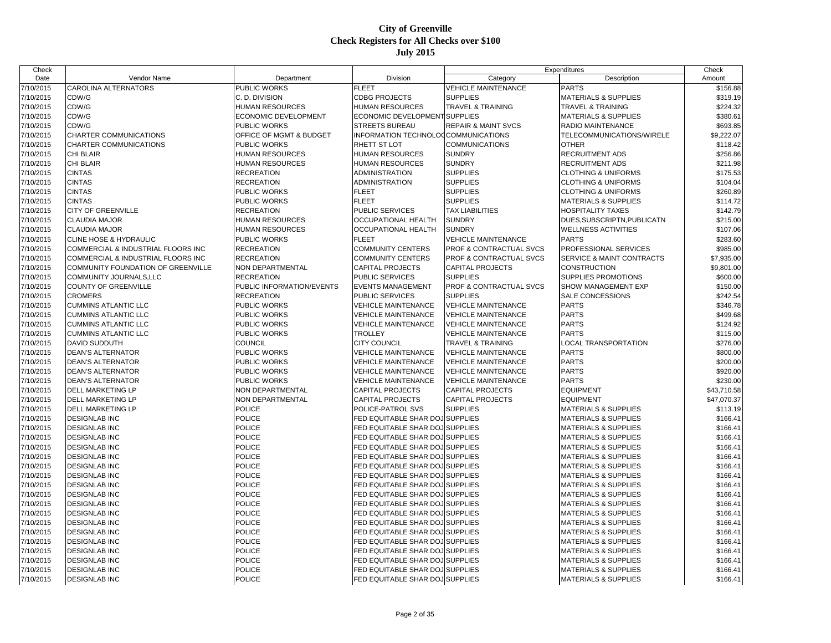| Check                  |                                              |                           |                                     |                                | Expenditures                    | Check                |
|------------------------|----------------------------------------------|---------------------------|-------------------------------------|--------------------------------|---------------------------------|----------------------|
| Date                   | Vendor Name                                  | Department                | Division                            | Category                       | Description                     | Amount               |
| 7/10/2015              | CAROLINA ALTERNATORS                         | PUBLIC WORKS              | <b>FLEET</b>                        | <b>VEHICLE MAINTENANCE</b>     | <b>PARTS</b>                    | \$156.88             |
| 7/10/2015              | CDW/G                                        | C. D. DIVISION            | <b>CDBG PROJECTS</b>                | <b>SUPPLIES</b>                | <b>MATERIALS &amp; SUPPLIES</b> | \$319.19             |
| 7/10/2015              | CDW/G                                        | <b>HUMAN RESOURCES</b>    | HUMAN RESOURCES                     | TRAVEL & TRAINING              | <b>TRAVEL &amp; TRAINING</b>    | \$224.32             |
| 7/10/2015              | CDW/G                                        | ECONOMIC DEVELOPMENT      | ECONOMIC DEVELOPMENT SUPPLIES       |                                | <b>MATERIALS &amp; SUPPLIES</b> | \$380.61             |
| 7/10/2015              | CDW/G                                        | PUBLIC WORKS              | STREETS BUREAU                      | <b>REPAIR &amp; MAINT SVCS</b> | RADIO MAINTENANCE               | \$693.85             |
| 7/10/2015              | CHARTER COMMUNICATIONS                       | OFFICE OF MGMT & BUDGET   | INFORMATION TECHNOLOGCOMMUNICATIONS |                                | TELECOMMUNICATIONS/WIRELE       | \$9,222.07           |
| 7/10/2015              | CHARTER COMMUNICATIONS                       | PUBLIC WORKS              | RHETT ST LOT                        | <b>COMMUNICATIONS</b>          | <b>OTHER</b>                    | \$118.42             |
| 7/10/2015              | CHI BLAIR                                    | HUMAN RESOURCES           | <b>HUMAN RESOURCES</b>              | <b>SUNDRY</b>                  | <b>RECRUITMENT ADS</b>          | \$256.86             |
| 7/10/2015              | CHI BLAIR                                    | <b>HUMAN RESOURCES</b>    | <b>HUMAN RESOURCES</b>              | <b>SUNDRY</b>                  | <b>RECRUITMENT ADS</b>          | \$211.98             |
| 7/10/2015              | CINTAS                                       | <b>RECREATION</b>         | ADMINISTRATION                      | <b>SUPPLIES</b>                | <b>CLOTHING &amp; UNIFORMS</b>  | \$175.53             |
| 7/10/2015              | <b>CINTAS</b>                                | RECREATION                | <b>ADMINISTRATION</b>               | <b>SUPPLIES</b>                | <b>CLOTHING &amp; UNIFORMS</b>  | \$104.04             |
| 7/10/2015              | <b>CINTAS</b>                                | PUBLIC WORKS              | <b>FLEET</b>                        | <b>SUPPLIES</b>                | <b>CLOTHING &amp; UNIFORMS</b>  | \$260.89             |
| 7/10/2015              | <b>CINTAS</b>                                | PUBLIC WORKS              | <b>FLEET</b>                        | <b>SUPPLIES</b>                | <b>MATERIALS &amp; SUPPLIES</b> | \$114.72             |
| 7/10/2015              | CITY OF GREENVILLE                           | <b>RECREATION</b>         | PUBLIC SERVICES                     | <b>TAX LIABILITIES</b>         | <b>HOSPITALITY TAXES</b>        | \$142.79             |
| 7/10/2015              | <b>CLAUDIA MAJOR</b>                         | HUMAN RESOURCES           | OCCUPATIONAL HEALTH                 | <b>SUNDRY</b>                  | DUES SUBSCRIPTN, PUBLICATN      | \$215.00             |
| 7/10/2015              | CLAUDIA MAJOR                                | <b>HUMAN RESOURCES</b>    | OCCUPATIONAL HEALTH                 | <b>SUNDRY</b>                  | <b>WELLNESS ACTIVITIES</b>      | \$107.06             |
| 7/10/2015              | <b>CLINE HOSE &amp; HYDRAULIC</b>            | PUBLIC WORKS              | <b>FLEET</b>                        | <b>VEHICLE MAINTENANCE</b>     | <b>PARTS</b>                    | \$283.60             |
| 7/10/2015              | COMMERCIAL & INDUSTRIAL FLOORS INC           | <b>RECREATION</b>         | COMMUNITY CENTERS                   | PROF & CONTRACTUAL SVCS        | PROFESSIONAL SERVICES           | \$985.00             |
| 7/10/2015              | COMMERCIAL & INDUSTRIAL FLOORS INC           | <b>RECREATION</b>         | <b>COMMUNITY CENTERS</b>            | PROF & CONTRACTUAL SVCS        | SERVICE & MAINT CONTRACTS       | \$7,935.00           |
| 7/10/2015              | COMMUNITY FOUNDATION OF GREENVILLE           | NON DEPARTMENTAL          | <b>CAPITAL PROJECTS</b>             | <b>CAPITAL PROJECTS</b>        | <b>CONSTRUCTION</b>             | \$9,801.00           |
| 7/10/2015              | <b>COMMUNITY JOURNALS.LLC</b>                | <b>RECREATION</b>         | <b>PUBLIC SERVICES</b>              | <b>SUPPLIES</b>                | SUPPLIES PROMOTIONS             | \$600.00             |
| 7/10/2015              | COUNTY OF GREENVILLE                         | PUBLIC INFORMATION/EVENTS | EVENTS MANAGEMENT                   | PROF & CONTRACTUAL SVCS        | SHOW MANAGEMENT EXP             | \$150.00             |
| 7/10/2015              | <b>CROMERS</b>                               | <b>RECREATION</b>         | PUBLIC SERVICES                     | <b>SUPPLIES</b>                | SALE CONCESSIONS                | \$242.54             |
| 7/10/2015              | <b>CUMMINS ATLANTIC LLC</b>                  | PUBLIC WORKS              | <b>VEHICLE MAINTENANCE</b>          | VEHICLE MAINTENANCE            | <b>PARTS</b>                    | \$346.78             |
| 7/10/2015              | <b>CUMMINS ATLANTIC LLC</b>                  | PUBLIC WORKS              | <b>VEHICLE MAINTENANCE</b>          | <b>VEHICLE MAINTENANCE</b>     | <b>PARTS</b>                    | \$499.68             |
| 7/10/2015              | <b>CUMMINS ATLANTIC LLC</b>                  | PUBLIC WORKS              | <b>VEHICLE MAINTENANCE</b>          | <b>VEHICLE MAINTENANCE</b>     | <b>PARTS</b>                    | \$124.92             |
| 7/10/2015              | <b>CUMMINS ATLANTIC LLC</b>                  | PUBLIC WORKS              | <b>TROLLEY</b>                      | <b>VEHICLE MAINTENANCE</b>     | <b>PARTS</b>                    | \$115.00             |
| 7/10/2015              | <b>DAVID SUDDUTH</b>                         | <b>COUNCIL</b>            | <b>CITY COUNCIL</b>                 | TRAVEL & TRAINING              | <b>LOCAL TRANSPORTATION</b>     | \$276.00             |
| 7/10/2015              | <b>DEAN'S ALTERNATOR</b>                     | PUBLIC WORKS              | <b>VEHICLE MAINTENANCE</b>          | <b>VEHICLE MAINTENANCE</b>     | <b>PARTS</b>                    | \$800.00             |
| 7/10/2015              | <b>DEAN'S ALTERNATOR</b>                     | PUBLIC WORKS              | <b>VEHICLE MAINTENANCE</b>          | <b>VEHICLE MAINTENANCE</b>     | <b>PARTS</b>                    | \$200.00             |
| 7/10/2015              | <b>DEAN'S ALTERNATOR</b>                     | PUBLIC WORKS              | <b>VEHICLE MAINTENANCE</b>          | <b>VEHICLE MAINTENANCE</b>     | <b>PARTS</b>                    | \$920.00             |
| 7/10/2015              | <b>DEAN'S ALTERNATOR</b>                     | PUBLIC WORKS              | <b>VEHICLE MAINTENANCE</b>          | <b>VEHICLE MAINTENANCE</b>     | <b>PARTS</b>                    | \$230.00             |
| 7/10/2015              | DELL MARKETING LP                            | NON DEPARTMENTAL          | CAPITAL PROJECTS                    | CAPITAL PROJECTS               | <b>EQUIPMENT</b>                | \$43,710.58          |
| 7/10/2015              | DELL MARKETING LP                            | NON DEPARTMENTAL          | CAPITAL PROJECTS                    | CAPITAL PROJECTS               | <b>EQUIPMENT</b>                | \$47,070.37          |
| 7/10/2015              | DELL MARKETING LP                            | <b>POLICE</b>             | POLICE-PATROL SVS                   | <b>SUPPLIES</b>                | <b>MATERIALS &amp; SUPPLIES</b> | \$113.19             |
| 7/10/2015              | <b>DESIGNLAB INC</b>                         | <b>POLICE</b>             | FED EQUITABLE SHAR DOJ SUPPLIES     |                                | <b>MATERIALS &amp; SUPPLIES</b> | \$166.41             |
| 7/10/2015              | <b>DESIGNLAB INC</b>                         | <b>POLICE</b>             | FED EQUITABLE SHAR DOJ SUPPLIES     |                                | <b>MATERIALS &amp; SUPPLIES</b> | \$166.41             |
| 7/10/2015              | <b>DESIGNLAB INC</b>                         | <b>POLICE</b>             | FED EQUITABLE SHAR DOJ SUPPLIES     |                                | <b>MATERIALS &amp; SUPPLIES</b> | \$166.41             |
| 7/10/2015              | <b>DESIGNLAB INC</b>                         | <b>POLICE</b>             | FED EQUITABLE SHAR DOJ SUPPLIES     |                                | <b>MATERIALS &amp; SUPPLIES</b> | \$166.41             |
| 7/10/2015              | <b>DESIGNLAB INC</b>                         | <b>POLICE</b>             | FED EQUITABLE SHAR DOJ SUPPLIES     |                                | <b>MATERIALS &amp; SUPPLIES</b> | \$166.41             |
| 7/10/2015              | <b>DESIGNLAB INC</b>                         | <b>POLICE</b>             | FED EQUITABLE SHAR DOJ SUPPLIES     |                                | <b>MATERIALS &amp; SUPPLIES</b> | \$166.41             |
| 7/10/2015              | <b>DESIGNLAB INC</b>                         | <b>POLICE</b>             | FED EQUITABLE SHAR DOJ SUPPLIES     |                                | <b>MATERIALS &amp; SUPPLIES</b> | \$166.41             |
| 7/10/2015              | <b>DESIGNLAB INC</b>                         | <b>POLICE</b>             | FED EQUITABLE SHAR DOJ SUPPLIES     |                                | <b>MATERIALS &amp; SUPPLIES</b> | \$166.41             |
| 7/10/2015              | <b>DESIGNLAB INC</b>                         | POLICE                    | FED EQUITABLE SHAR DOJ SUPPLIES     |                                | <b>MATERIALS &amp; SUPPLIES</b> | \$166.41             |
| 7/10/2015              | <b>DESIGNLAB INC</b>                         | <b>POLICE</b>             | FED EQUITABLE SHAR DOJ SUPPLIES     |                                | <b>MATERIALS &amp; SUPPLIES</b> | \$166.41             |
| 7/10/2015              | <b>DESIGNLAB INC</b>                         | <b>POLICE</b>             | FED EQUITABLE SHAR DOJ SUPPLIES     |                                | <b>MATERIALS &amp; SUPPLIES</b> | \$166.41             |
| 7/10/2015              | <b>DESIGNLAB INC</b>                         | <b>POLICE</b>             | FED EQUITABLE SHAR DOJ SUPPLIES     |                                | <b>MATERIALS &amp; SUPPLIES</b> | \$166.41             |
| 7/10/2015              | <b>DESIGNLAB INC</b>                         | <b>POLICE</b>             | FED EQUITABLE SHAR DOJ SUPPLIES     |                                | <b>MATERIALS &amp; SUPPLIES</b> | \$166.41             |
| 7/10/2015              | <b>DESIGNLAB INC</b>                         | <b>POLICE</b>             | FED EQUITABLE SHAR DOJ SUPPLIES     |                                | <b>MATERIALS &amp; SUPPLIES</b> | \$166.41             |
| 7/10/2015              | <b>DESIGNLAB INC</b>                         | <b>POLICE</b>             | FED EQUITABLE SHAR DOJ SUPPLIES     |                                | <b>MATERIALS &amp; SUPPLIES</b> | \$166.41             |
| 7/10/2015              |                                              | <b>POLICE</b>             | FED EQUITABLE SHAR DOJ SUPPLIES     |                                | <b>MATERIALS &amp; SUPPLIES</b> |                      |
|                        | <b>DESIGNLAB INC</b><br><b>DESIGNLAB INC</b> | <b>POLICE</b>             | FED EQUITABLE SHAR DOJ SUPPLIES     |                                | <b>MATERIALS &amp; SUPPLIES</b> | \$166.41<br>\$166.41 |
| 7/10/2015<br>7/10/2015 | <b>DESIGNLAB INC</b>                         | <b>POLICE</b>             | FED EQUITABLE SHAR DOJ SUPPLIES     |                                | <b>MATERIALS &amp; SUPPLIES</b> | \$166.41             |
|                        |                                              |                           |                                     |                                |                                 |                      |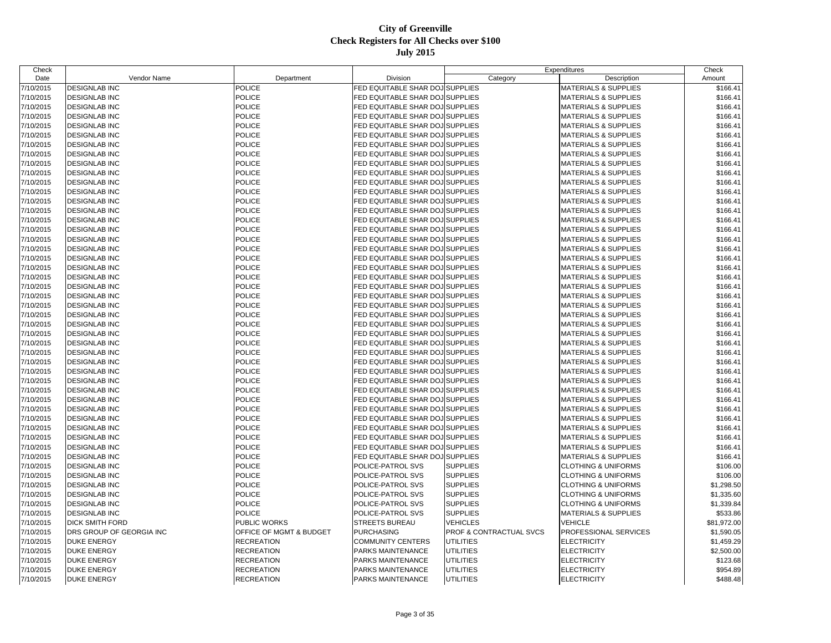| Date<br>Vendor Name<br>Amount<br>Department<br>Division<br>Category<br>Description<br>7/10/2015<br><b>DESIGNLAB INC</b><br><b>POLICE</b><br>FED EQUITABLE SHAR DOJ SUPPLIES<br>MATERIALS & SUPPLIES<br>\$166.41<br><b>POLICE</b><br>7/10/2015<br><b>DESIGNLAB INC</b><br>FED EQUITABLE SHAR DOJ SUPPLIES<br><b>MATERIALS &amp; SUPPLIES</b><br>\$166.41<br>7/10/2015<br><b>POLICE</b><br>FED EQUITABLE SHAR DOJ SUPPLIES<br><b>DESIGNLAB INC</b><br><b>MATERIALS &amp; SUPPLIES</b><br>\$166.41<br><b>POLICE</b><br>FED EQUITABLE SHAR DOJ SUPPLIES<br>7/10/2015<br><b>DESIGNLAB INC</b><br><b>MATERIALS &amp; SUPPLIES</b><br>\$166.41<br><b>POLICE</b><br>7/10/2015<br><b>DESIGNLAB INC</b><br>FED EQUITABLE SHAR DOJ SUPPLIES<br><b>MATERIALS &amp; SUPPLIES</b><br>\$166.41<br>7/10/2015<br><b>POLICE</b><br>FED EQUITABLE SHAR DOJ SUPPLIES<br><b>DESIGNLAB INC</b><br><b>MATERIALS &amp; SUPPLIES</b><br>\$166.41<br>7/10/2015<br><b>POLICE</b><br>FED EQUITABLE SHAR DOJ SUPPLIES<br><b>DESIGNLAB INC</b><br><b>MATERIALS &amp; SUPPLIES</b><br>\$166.41<br><b>POLICE</b><br>7/10/2015<br>FED EQUITABLE SHAR DOJ SUPPLIES<br><b>DESIGNLAB INC</b><br><b>MATERIALS &amp; SUPPLIES</b><br>\$166.41<br>7/10/2015<br><b>POLICE</b><br>FED EQUITABLE SHAR DOJ SUPPLIES<br><b>DESIGNLAB INC</b><br><b>MATERIALS &amp; SUPPLIES</b><br>\$166.41<br>7/10/2015<br><b>POLICE</b><br>FED EQUITABLE SHAR DOJ SUPPLIES<br><b>DESIGNLAB INC</b><br><b>MATERIALS &amp; SUPPLIES</b><br>\$166.41<br><b>POLICE</b><br>7/10/2015<br><b>DESIGNLAB INC</b><br>FED EQUITABLE SHAR DOJ SUPPLIES<br><b>MATERIALS &amp; SUPPLIES</b><br>\$166.41<br>7/10/2015<br><b>POLICE</b><br>FED EQUITABLE SHAR DOJ SUPPLIES<br><b>DESIGNLAB INC</b><br><b>MATERIALS &amp; SUPPLIES</b><br>\$166.41<br><b>POLICE</b><br>FED EQUITABLE SHAR DOJ SUPPLIES<br>7/10/2015<br><b>DESIGNLAB INC</b><br><b>MATERIALS &amp; SUPPLIES</b><br>\$166.41<br>7/10/2015<br><b>POLICE</b><br>FED EQUITABLE SHAR DOJ SUPPLIES<br>\$166.41<br><b>DESIGNLAB INC</b><br><b>MATERIALS &amp; SUPPLIES</b><br><b>POLICE</b><br>7/10/2015<br>FED EQUITABLE SHAR DOJ SUPPLIES<br><b>DESIGNLAB INC</b><br><b>MATERIALS &amp; SUPPLIES</b><br>\$166.41<br><b>POLICE</b><br>FED EQUITABLE SHAR DOJ SUPPLIES<br>7/10/2015<br><b>DESIGNLAB INC</b><br><b>MATERIALS &amp; SUPPLIES</b><br>\$166.41<br><b>POLICE</b><br>7/10/2015<br><b>DESIGNLAB INC</b><br>FED EQUITABLE SHAR DOJ SUPPLIES<br><b>MATERIALS &amp; SUPPLIES</b><br>\$166.41<br>7/10/2015<br><b>POLICE</b><br>FED EQUITABLE SHAR DOJ SUPPLIES<br><b>DESIGNLAB INC</b><br><b>MATERIALS &amp; SUPPLIES</b><br>\$166.41<br><b>POLICE</b><br>FED EQUITABLE SHAR DOJ SUPPLIES<br>7/10/2015<br><b>DESIGNLAB INC</b><br>MATERIALS & SUPPLIES<br>\$166.41<br>7/10/2015<br><b>DESIGNLAB INC</b><br><b>POLICE</b><br>FED EQUITABLE SHAR DOJ SUPPLIES<br><b>MATERIALS &amp; SUPPLIES</b><br>\$166.41<br><b>POLICE</b><br>FED EQUITABLE SHAR DOJ SUPPLIES<br>7/10/2015<br><b>DESIGNLAB INC</b><br><b>MATERIALS &amp; SUPPLIES</b><br>\$166.41<br>7/10/2015<br><b>POLICE</b><br>FED EQUITABLE SHAR DOJ SUPPLIES<br><b>DESIGNLAB INC</b><br><b>MATERIALS &amp; SUPPLIES</b><br>\$166.41<br>7/10/2015<br><b>DESIGNLAB INC</b><br><b>POLICE</b><br>FED EQUITABLE SHAR DOJ SUPPLIES<br><b>MATERIALS &amp; SUPPLIES</b><br>\$166.41<br>7/10/2015<br><b>POLICE</b><br>FED EQUITABLE SHAR DOJ SUPPLIES<br><b>DESIGNLAB INC</b><br><b>MATERIALS &amp; SUPPLIES</b><br>\$166.41<br><b>POLICE</b><br>FED EQUITABLE SHAR DOJ SUPPLIES<br>7/10/2015<br><b>DESIGNLAB INC</b><br><b>MATERIALS &amp; SUPPLIES</b><br>\$166.41<br><b>POLICE</b><br>FED EQUITABLE SHAR DOJ SUPPLIES<br>7/10/2015<br><b>DESIGNLAB INC</b><br><b>MATERIALS &amp; SUPPLIES</b><br>\$166.41<br>7/10/2015<br><b>POLICE</b><br>FED EQUITABLE SHAR DOJ SUPPLIES<br><b>DESIGNLAB INC</b><br><b>MATERIALS &amp; SUPPLIES</b><br>\$166.41<br><b>POLICE</b><br>FED EQUITABLE SHAR DOJ SUPPLIES<br>7/10/2015<br><b>DESIGNLAB INC</b><br><b>MATERIALS &amp; SUPPLIES</b><br>\$166.41<br>7/10/2015<br><b>DESIGNLAB INC</b><br><b>POLICE</b><br>FED EQUITABLE SHAR DOJ SUPPLIES<br><b>MATERIALS &amp; SUPPLIES</b><br>\$166.41<br>7/10/2015<br><b>POLICE</b><br>FED EQUITABLE SHAR DOJ SUPPLIES<br><b>DESIGNLAB INC</b><br><b>MATERIALS &amp; SUPPLIES</b><br>\$166.41<br>FED EQUITABLE SHAR DOJ SUPPLIES<br>7/10/2015<br><b>DESIGNLAB INC</b><br><b>POLICE</b><br><b>MATERIALS &amp; SUPPLIES</b><br>\$166.41<br>7/10/2015<br><b>POLICE</b><br>FED EQUITABLE SHAR DOJ SUPPLIES<br><b>MATERIALS &amp; SUPPLIES</b><br><b>DESIGNLAB INC</b><br>\$166.41<br><b>POLICE</b><br>7/10/2015<br><b>DESIGNLAB INC</b><br>FED EQUITABLE SHAR DOJ SUPPLIES<br><b>MATERIALS &amp; SUPPLIES</b><br>\$166.41 |
|--------------------------------------------------------------------------------------------------------------------------------------------------------------------------------------------------------------------------------------------------------------------------------------------------------------------------------------------------------------------------------------------------------------------------------------------------------------------------------------------------------------------------------------------------------------------------------------------------------------------------------------------------------------------------------------------------------------------------------------------------------------------------------------------------------------------------------------------------------------------------------------------------------------------------------------------------------------------------------------------------------------------------------------------------------------------------------------------------------------------------------------------------------------------------------------------------------------------------------------------------------------------------------------------------------------------------------------------------------------------------------------------------------------------------------------------------------------------------------------------------------------------------------------------------------------------------------------------------------------------------------------------------------------------------------------------------------------------------------------------------------------------------------------------------------------------------------------------------------------------------------------------------------------------------------------------------------------------------------------------------------------------------------------------------------------------------------------------------------------------------------------------------------------------------------------------------------------------------------------------------------------------------------------------------------------------------------------------------------------------------------------------------------------------------------------------------------------------------------------------------------------------------------------------------------------------------------------------------------------------------------------------------------------------------------------------------------------------------------------------------------------------------------------------------------------------------------------------------------------------------------------------------------------------------------------------------------------------------------------------------------------------------------------------------------------------------------------------------------------------------------------------------------------------------------------------------------------------------------------------------------------------------------------------------------------------------------------------------------------------------------------------------------------------------------------------------------------------------------------------------------------------------------------------------------------------------------------------------------------------------------------------------------------------------------------------------------------------------------------------------------------------------------------------------------------------------------------------------------------------------------------------------------------------------------------------------------------------------------------------------------------------------------------------------------------------------------------------------------------------------------------------------------------------------------------------------------------------------------------------------------------------------------------------------------------------------------------------------------------------------------------------------------------------------------------------------------------------------------------------------------------------------------------------------------------------------------------------------------------------------------------------------------------------------------------------------------------------------------------|
|                                                                                                                                                                                                                                                                                                                                                                                                                                                                                                                                                                                                                                                                                                                                                                                                                                                                                                                                                                                                                                                                                                                                                                                                                                                                                                                                                                                                                                                                                                                                                                                                                                                                                                                                                                                                                                                                                                                                                                                                                                                                                                                                                                                                                                                                                                                                                                                                                                                                                                                                                                                                                                                                                                                                                                                                                                                                                                                                                                                                                                                                                                                                                                                                                                                                                                                                                                                                                                                                                                                                                                                                                                                                                                                                                                                                                                                                                                                                                                                                                                                                                                                                                                                                                                                                                                                                                                                                                                                                                                                                                                                                                                                                                                                                      |
|                                                                                                                                                                                                                                                                                                                                                                                                                                                                                                                                                                                                                                                                                                                                                                                                                                                                                                                                                                                                                                                                                                                                                                                                                                                                                                                                                                                                                                                                                                                                                                                                                                                                                                                                                                                                                                                                                                                                                                                                                                                                                                                                                                                                                                                                                                                                                                                                                                                                                                                                                                                                                                                                                                                                                                                                                                                                                                                                                                                                                                                                                                                                                                                                                                                                                                                                                                                                                                                                                                                                                                                                                                                                                                                                                                                                                                                                                                                                                                                                                                                                                                                                                                                                                                                                                                                                                                                                                                                                                                                                                                                                                                                                                                                                      |
|                                                                                                                                                                                                                                                                                                                                                                                                                                                                                                                                                                                                                                                                                                                                                                                                                                                                                                                                                                                                                                                                                                                                                                                                                                                                                                                                                                                                                                                                                                                                                                                                                                                                                                                                                                                                                                                                                                                                                                                                                                                                                                                                                                                                                                                                                                                                                                                                                                                                                                                                                                                                                                                                                                                                                                                                                                                                                                                                                                                                                                                                                                                                                                                                                                                                                                                                                                                                                                                                                                                                                                                                                                                                                                                                                                                                                                                                                                                                                                                                                                                                                                                                                                                                                                                                                                                                                                                                                                                                                                                                                                                                                                                                                                                                      |
|                                                                                                                                                                                                                                                                                                                                                                                                                                                                                                                                                                                                                                                                                                                                                                                                                                                                                                                                                                                                                                                                                                                                                                                                                                                                                                                                                                                                                                                                                                                                                                                                                                                                                                                                                                                                                                                                                                                                                                                                                                                                                                                                                                                                                                                                                                                                                                                                                                                                                                                                                                                                                                                                                                                                                                                                                                                                                                                                                                                                                                                                                                                                                                                                                                                                                                                                                                                                                                                                                                                                                                                                                                                                                                                                                                                                                                                                                                                                                                                                                                                                                                                                                                                                                                                                                                                                                                                                                                                                                                                                                                                                                                                                                                                                      |
|                                                                                                                                                                                                                                                                                                                                                                                                                                                                                                                                                                                                                                                                                                                                                                                                                                                                                                                                                                                                                                                                                                                                                                                                                                                                                                                                                                                                                                                                                                                                                                                                                                                                                                                                                                                                                                                                                                                                                                                                                                                                                                                                                                                                                                                                                                                                                                                                                                                                                                                                                                                                                                                                                                                                                                                                                                                                                                                                                                                                                                                                                                                                                                                                                                                                                                                                                                                                                                                                                                                                                                                                                                                                                                                                                                                                                                                                                                                                                                                                                                                                                                                                                                                                                                                                                                                                                                                                                                                                                                                                                                                                                                                                                                                                      |
|                                                                                                                                                                                                                                                                                                                                                                                                                                                                                                                                                                                                                                                                                                                                                                                                                                                                                                                                                                                                                                                                                                                                                                                                                                                                                                                                                                                                                                                                                                                                                                                                                                                                                                                                                                                                                                                                                                                                                                                                                                                                                                                                                                                                                                                                                                                                                                                                                                                                                                                                                                                                                                                                                                                                                                                                                                                                                                                                                                                                                                                                                                                                                                                                                                                                                                                                                                                                                                                                                                                                                                                                                                                                                                                                                                                                                                                                                                                                                                                                                                                                                                                                                                                                                                                                                                                                                                                                                                                                                                                                                                                                                                                                                                                                      |
|                                                                                                                                                                                                                                                                                                                                                                                                                                                                                                                                                                                                                                                                                                                                                                                                                                                                                                                                                                                                                                                                                                                                                                                                                                                                                                                                                                                                                                                                                                                                                                                                                                                                                                                                                                                                                                                                                                                                                                                                                                                                                                                                                                                                                                                                                                                                                                                                                                                                                                                                                                                                                                                                                                                                                                                                                                                                                                                                                                                                                                                                                                                                                                                                                                                                                                                                                                                                                                                                                                                                                                                                                                                                                                                                                                                                                                                                                                                                                                                                                                                                                                                                                                                                                                                                                                                                                                                                                                                                                                                                                                                                                                                                                                                                      |
|                                                                                                                                                                                                                                                                                                                                                                                                                                                                                                                                                                                                                                                                                                                                                                                                                                                                                                                                                                                                                                                                                                                                                                                                                                                                                                                                                                                                                                                                                                                                                                                                                                                                                                                                                                                                                                                                                                                                                                                                                                                                                                                                                                                                                                                                                                                                                                                                                                                                                                                                                                                                                                                                                                                                                                                                                                                                                                                                                                                                                                                                                                                                                                                                                                                                                                                                                                                                                                                                                                                                                                                                                                                                                                                                                                                                                                                                                                                                                                                                                                                                                                                                                                                                                                                                                                                                                                                                                                                                                                                                                                                                                                                                                                                                      |
|                                                                                                                                                                                                                                                                                                                                                                                                                                                                                                                                                                                                                                                                                                                                                                                                                                                                                                                                                                                                                                                                                                                                                                                                                                                                                                                                                                                                                                                                                                                                                                                                                                                                                                                                                                                                                                                                                                                                                                                                                                                                                                                                                                                                                                                                                                                                                                                                                                                                                                                                                                                                                                                                                                                                                                                                                                                                                                                                                                                                                                                                                                                                                                                                                                                                                                                                                                                                                                                                                                                                                                                                                                                                                                                                                                                                                                                                                                                                                                                                                                                                                                                                                                                                                                                                                                                                                                                                                                                                                                                                                                                                                                                                                                                                      |
|                                                                                                                                                                                                                                                                                                                                                                                                                                                                                                                                                                                                                                                                                                                                                                                                                                                                                                                                                                                                                                                                                                                                                                                                                                                                                                                                                                                                                                                                                                                                                                                                                                                                                                                                                                                                                                                                                                                                                                                                                                                                                                                                                                                                                                                                                                                                                                                                                                                                                                                                                                                                                                                                                                                                                                                                                                                                                                                                                                                                                                                                                                                                                                                                                                                                                                                                                                                                                                                                                                                                                                                                                                                                                                                                                                                                                                                                                                                                                                                                                                                                                                                                                                                                                                                                                                                                                                                                                                                                                                                                                                                                                                                                                                                                      |
|                                                                                                                                                                                                                                                                                                                                                                                                                                                                                                                                                                                                                                                                                                                                                                                                                                                                                                                                                                                                                                                                                                                                                                                                                                                                                                                                                                                                                                                                                                                                                                                                                                                                                                                                                                                                                                                                                                                                                                                                                                                                                                                                                                                                                                                                                                                                                                                                                                                                                                                                                                                                                                                                                                                                                                                                                                                                                                                                                                                                                                                                                                                                                                                                                                                                                                                                                                                                                                                                                                                                                                                                                                                                                                                                                                                                                                                                                                                                                                                                                                                                                                                                                                                                                                                                                                                                                                                                                                                                                                                                                                                                                                                                                                                                      |
|                                                                                                                                                                                                                                                                                                                                                                                                                                                                                                                                                                                                                                                                                                                                                                                                                                                                                                                                                                                                                                                                                                                                                                                                                                                                                                                                                                                                                                                                                                                                                                                                                                                                                                                                                                                                                                                                                                                                                                                                                                                                                                                                                                                                                                                                                                                                                                                                                                                                                                                                                                                                                                                                                                                                                                                                                                                                                                                                                                                                                                                                                                                                                                                                                                                                                                                                                                                                                                                                                                                                                                                                                                                                                                                                                                                                                                                                                                                                                                                                                                                                                                                                                                                                                                                                                                                                                                                                                                                                                                                                                                                                                                                                                                                                      |
|                                                                                                                                                                                                                                                                                                                                                                                                                                                                                                                                                                                                                                                                                                                                                                                                                                                                                                                                                                                                                                                                                                                                                                                                                                                                                                                                                                                                                                                                                                                                                                                                                                                                                                                                                                                                                                                                                                                                                                                                                                                                                                                                                                                                                                                                                                                                                                                                                                                                                                                                                                                                                                                                                                                                                                                                                                                                                                                                                                                                                                                                                                                                                                                                                                                                                                                                                                                                                                                                                                                                                                                                                                                                                                                                                                                                                                                                                                                                                                                                                                                                                                                                                                                                                                                                                                                                                                                                                                                                                                                                                                                                                                                                                                                                      |
|                                                                                                                                                                                                                                                                                                                                                                                                                                                                                                                                                                                                                                                                                                                                                                                                                                                                                                                                                                                                                                                                                                                                                                                                                                                                                                                                                                                                                                                                                                                                                                                                                                                                                                                                                                                                                                                                                                                                                                                                                                                                                                                                                                                                                                                                                                                                                                                                                                                                                                                                                                                                                                                                                                                                                                                                                                                                                                                                                                                                                                                                                                                                                                                                                                                                                                                                                                                                                                                                                                                                                                                                                                                                                                                                                                                                                                                                                                                                                                                                                                                                                                                                                                                                                                                                                                                                                                                                                                                                                                                                                                                                                                                                                                                                      |
|                                                                                                                                                                                                                                                                                                                                                                                                                                                                                                                                                                                                                                                                                                                                                                                                                                                                                                                                                                                                                                                                                                                                                                                                                                                                                                                                                                                                                                                                                                                                                                                                                                                                                                                                                                                                                                                                                                                                                                                                                                                                                                                                                                                                                                                                                                                                                                                                                                                                                                                                                                                                                                                                                                                                                                                                                                                                                                                                                                                                                                                                                                                                                                                                                                                                                                                                                                                                                                                                                                                                                                                                                                                                                                                                                                                                                                                                                                                                                                                                                                                                                                                                                                                                                                                                                                                                                                                                                                                                                                                                                                                                                                                                                                                                      |
|                                                                                                                                                                                                                                                                                                                                                                                                                                                                                                                                                                                                                                                                                                                                                                                                                                                                                                                                                                                                                                                                                                                                                                                                                                                                                                                                                                                                                                                                                                                                                                                                                                                                                                                                                                                                                                                                                                                                                                                                                                                                                                                                                                                                                                                                                                                                                                                                                                                                                                                                                                                                                                                                                                                                                                                                                                                                                                                                                                                                                                                                                                                                                                                                                                                                                                                                                                                                                                                                                                                                                                                                                                                                                                                                                                                                                                                                                                                                                                                                                                                                                                                                                                                                                                                                                                                                                                                                                                                                                                                                                                                                                                                                                                                                      |
|                                                                                                                                                                                                                                                                                                                                                                                                                                                                                                                                                                                                                                                                                                                                                                                                                                                                                                                                                                                                                                                                                                                                                                                                                                                                                                                                                                                                                                                                                                                                                                                                                                                                                                                                                                                                                                                                                                                                                                                                                                                                                                                                                                                                                                                                                                                                                                                                                                                                                                                                                                                                                                                                                                                                                                                                                                                                                                                                                                                                                                                                                                                                                                                                                                                                                                                                                                                                                                                                                                                                                                                                                                                                                                                                                                                                                                                                                                                                                                                                                                                                                                                                                                                                                                                                                                                                                                                                                                                                                                                                                                                                                                                                                                                                      |
|                                                                                                                                                                                                                                                                                                                                                                                                                                                                                                                                                                                                                                                                                                                                                                                                                                                                                                                                                                                                                                                                                                                                                                                                                                                                                                                                                                                                                                                                                                                                                                                                                                                                                                                                                                                                                                                                                                                                                                                                                                                                                                                                                                                                                                                                                                                                                                                                                                                                                                                                                                                                                                                                                                                                                                                                                                                                                                                                                                                                                                                                                                                                                                                                                                                                                                                                                                                                                                                                                                                                                                                                                                                                                                                                                                                                                                                                                                                                                                                                                                                                                                                                                                                                                                                                                                                                                                                                                                                                                                                                                                                                                                                                                                                                      |
|                                                                                                                                                                                                                                                                                                                                                                                                                                                                                                                                                                                                                                                                                                                                                                                                                                                                                                                                                                                                                                                                                                                                                                                                                                                                                                                                                                                                                                                                                                                                                                                                                                                                                                                                                                                                                                                                                                                                                                                                                                                                                                                                                                                                                                                                                                                                                                                                                                                                                                                                                                                                                                                                                                                                                                                                                                                                                                                                                                                                                                                                                                                                                                                                                                                                                                                                                                                                                                                                                                                                                                                                                                                                                                                                                                                                                                                                                                                                                                                                                                                                                                                                                                                                                                                                                                                                                                                                                                                                                                                                                                                                                                                                                                                                      |
|                                                                                                                                                                                                                                                                                                                                                                                                                                                                                                                                                                                                                                                                                                                                                                                                                                                                                                                                                                                                                                                                                                                                                                                                                                                                                                                                                                                                                                                                                                                                                                                                                                                                                                                                                                                                                                                                                                                                                                                                                                                                                                                                                                                                                                                                                                                                                                                                                                                                                                                                                                                                                                                                                                                                                                                                                                                                                                                                                                                                                                                                                                                                                                                                                                                                                                                                                                                                                                                                                                                                                                                                                                                                                                                                                                                                                                                                                                                                                                                                                                                                                                                                                                                                                                                                                                                                                                                                                                                                                                                                                                                                                                                                                                                                      |
|                                                                                                                                                                                                                                                                                                                                                                                                                                                                                                                                                                                                                                                                                                                                                                                                                                                                                                                                                                                                                                                                                                                                                                                                                                                                                                                                                                                                                                                                                                                                                                                                                                                                                                                                                                                                                                                                                                                                                                                                                                                                                                                                                                                                                                                                                                                                                                                                                                                                                                                                                                                                                                                                                                                                                                                                                                                                                                                                                                                                                                                                                                                                                                                                                                                                                                                                                                                                                                                                                                                                                                                                                                                                                                                                                                                                                                                                                                                                                                                                                                                                                                                                                                                                                                                                                                                                                                                                                                                                                                                                                                                                                                                                                                                                      |
|                                                                                                                                                                                                                                                                                                                                                                                                                                                                                                                                                                                                                                                                                                                                                                                                                                                                                                                                                                                                                                                                                                                                                                                                                                                                                                                                                                                                                                                                                                                                                                                                                                                                                                                                                                                                                                                                                                                                                                                                                                                                                                                                                                                                                                                                                                                                                                                                                                                                                                                                                                                                                                                                                                                                                                                                                                                                                                                                                                                                                                                                                                                                                                                                                                                                                                                                                                                                                                                                                                                                                                                                                                                                                                                                                                                                                                                                                                                                                                                                                                                                                                                                                                                                                                                                                                                                                                                                                                                                                                                                                                                                                                                                                                                                      |
|                                                                                                                                                                                                                                                                                                                                                                                                                                                                                                                                                                                                                                                                                                                                                                                                                                                                                                                                                                                                                                                                                                                                                                                                                                                                                                                                                                                                                                                                                                                                                                                                                                                                                                                                                                                                                                                                                                                                                                                                                                                                                                                                                                                                                                                                                                                                                                                                                                                                                                                                                                                                                                                                                                                                                                                                                                                                                                                                                                                                                                                                                                                                                                                                                                                                                                                                                                                                                                                                                                                                                                                                                                                                                                                                                                                                                                                                                                                                                                                                                                                                                                                                                                                                                                                                                                                                                                                                                                                                                                                                                                                                                                                                                                                                      |
|                                                                                                                                                                                                                                                                                                                                                                                                                                                                                                                                                                                                                                                                                                                                                                                                                                                                                                                                                                                                                                                                                                                                                                                                                                                                                                                                                                                                                                                                                                                                                                                                                                                                                                                                                                                                                                                                                                                                                                                                                                                                                                                                                                                                                                                                                                                                                                                                                                                                                                                                                                                                                                                                                                                                                                                                                                                                                                                                                                                                                                                                                                                                                                                                                                                                                                                                                                                                                                                                                                                                                                                                                                                                                                                                                                                                                                                                                                                                                                                                                                                                                                                                                                                                                                                                                                                                                                                                                                                                                                                                                                                                                                                                                                                                      |
|                                                                                                                                                                                                                                                                                                                                                                                                                                                                                                                                                                                                                                                                                                                                                                                                                                                                                                                                                                                                                                                                                                                                                                                                                                                                                                                                                                                                                                                                                                                                                                                                                                                                                                                                                                                                                                                                                                                                                                                                                                                                                                                                                                                                                                                                                                                                                                                                                                                                                                                                                                                                                                                                                                                                                                                                                                                                                                                                                                                                                                                                                                                                                                                                                                                                                                                                                                                                                                                                                                                                                                                                                                                                                                                                                                                                                                                                                                                                                                                                                                                                                                                                                                                                                                                                                                                                                                                                                                                                                                                                                                                                                                                                                                                                      |
|                                                                                                                                                                                                                                                                                                                                                                                                                                                                                                                                                                                                                                                                                                                                                                                                                                                                                                                                                                                                                                                                                                                                                                                                                                                                                                                                                                                                                                                                                                                                                                                                                                                                                                                                                                                                                                                                                                                                                                                                                                                                                                                                                                                                                                                                                                                                                                                                                                                                                                                                                                                                                                                                                                                                                                                                                                                                                                                                                                                                                                                                                                                                                                                                                                                                                                                                                                                                                                                                                                                                                                                                                                                                                                                                                                                                                                                                                                                                                                                                                                                                                                                                                                                                                                                                                                                                                                                                                                                                                                                                                                                                                                                                                                                                      |
|                                                                                                                                                                                                                                                                                                                                                                                                                                                                                                                                                                                                                                                                                                                                                                                                                                                                                                                                                                                                                                                                                                                                                                                                                                                                                                                                                                                                                                                                                                                                                                                                                                                                                                                                                                                                                                                                                                                                                                                                                                                                                                                                                                                                                                                                                                                                                                                                                                                                                                                                                                                                                                                                                                                                                                                                                                                                                                                                                                                                                                                                                                                                                                                                                                                                                                                                                                                                                                                                                                                                                                                                                                                                                                                                                                                                                                                                                                                                                                                                                                                                                                                                                                                                                                                                                                                                                                                                                                                                                                                                                                                                                                                                                                                                      |
|                                                                                                                                                                                                                                                                                                                                                                                                                                                                                                                                                                                                                                                                                                                                                                                                                                                                                                                                                                                                                                                                                                                                                                                                                                                                                                                                                                                                                                                                                                                                                                                                                                                                                                                                                                                                                                                                                                                                                                                                                                                                                                                                                                                                                                                                                                                                                                                                                                                                                                                                                                                                                                                                                                                                                                                                                                                                                                                                                                                                                                                                                                                                                                                                                                                                                                                                                                                                                                                                                                                                                                                                                                                                                                                                                                                                                                                                                                                                                                                                                                                                                                                                                                                                                                                                                                                                                                                                                                                                                                                                                                                                                                                                                                                                      |
|                                                                                                                                                                                                                                                                                                                                                                                                                                                                                                                                                                                                                                                                                                                                                                                                                                                                                                                                                                                                                                                                                                                                                                                                                                                                                                                                                                                                                                                                                                                                                                                                                                                                                                                                                                                                                                                                                                                                                                                                                                                                                                                                                                                                                                                                                                                                                                                                                                                                                                                                                                                                                                                                                                                                                                                                                                                                                                                                                                                                                                                                                                                                                                                                                                                                                                                                                                                                                                                                                                                                                                                                                                                                                                                                                                                                                                                                                                                                                                                                                                                                                                                                                                                                                                                                                                                                                                                                                                                                                                                                                                                                                                                                                                                                      |
|                                                                                                                                                                                                                                                                                                                                                                                                                                                                                                                                                                                                                                                                                                                                                                                                                                                                                                                                                                                                                                                                                                                                                                                                                                                                                                                                                                                                                                                                                                                                                                                                                                                                                                                                                                                                                                                                                                                                                                                                                                                                                                                                                                                                                                                                                                                                                                                                                                                                                                                                                                                                                                                                                                                                                                                                                                                                                                                                                                                                                                                                                                                                                                                                                                                                                                                                                                                                                                                                                                                                                                                                                                                                                                                                                                                                                                                                                                                                                                                                                                                                                                                                                                                                                                                                                                                                                                                                                                                                                                                                                                                                                                                                                                                                      |
|                                                                                                                                                                                                                                                                                                                                                                                                                                                                                                                                                                                                                                                                                                                                                                                                                                                                                                                                                                                                                                                                                                                                                                                                                                                                                                                                                                                                                                                                                                                                                                                                                                                                                                                                                                                                                                                                                                                                                                                                                                                                                                                                                                                                                                                                                                                                                                                                                                                                                                                                                                                                                                                                                                                                                                                                                                                                                                                                                                                                                                                                                                                                                                                                                                                                                                                                                                                                                                                                                                                                                                                                                                                                                                                                                                                                                                                                                                                                                                                                                                                                                                                                                                                                                                                                                                                                                                                                                                                                                                                                                                                                                                                                                                                                      |
|                                                                                                                                                                                                                                                                                                                                                                                                                                                                                                                                                                                                                                                                                                                                                                                                                                                                                                                                                                                                                                                                                                                                                                                                                                                                                                                                                                                                                                                                                                                                                                                                                                                                                                                                                                                                                                                                                                                                                                                                                                                                                                                                                                                                                                                                                                                                                                                                                                                                                                                                                                                                                                                                                                                                                                                                                                                                                                                                                                                                                                                                                                                                                                                                                                                                                                                                                                                                                                                                                                                                                                                                                                                                                                                                                                                                                                                                                                                                                                                                                                                                                                                                                                                                                                                                                                                                                                                                                                                                                                                                                                                                                                                                                                                                      |
|                                                                                                                                                                                                                                                                                                                                                                                                                                                                                                                                                                                                                                                                                                                                                                                                                                                                                                                                                                                                                                                                                                                                                                                                                                                                                                                                                                                                                                                                                                                                                                                                                                                                                                                                                                                                                                                                                                                                                                                                                                                                                                                                                                                                                                                                                                                                                                                                                                                                                                                                                                                                                                                                                                                                                                                                                                                                                                                                                                                                                                                                                                                                                                                                                                                                                                                                                                                                                                                                                                                                                                                                                                                                                                                                                                                                                                                                                                                                                                                                                                                                                                                                                                                                                                                                                                                                                                                                                                                                                                                                                                                                                                                                                                                                      |
|                                                                                                                                                                                                                                                                                                                                                                                                                                                                                                                                                                                                                                                                                                                                                                                                                                                                                                                                                                                                                                                                                                                                                                                                                                                                                                                                                                                                                                                                                                                                                                                                                                                                                                                                                                                                                                                                                                                                                                                                                                                                                                                                                                                                                                                                                                                                                                                                                                                                                                                                                                                                                                                                                                                                                                                                                                                                                                                                                                                                                                                                                                                                                                                                                                                                                                                                                                                                                                                                                                                                                                                                                                                                                                                                                                                                                                                                                                                                                                                                                                                                                                                                                                                                                                                                                                                                                                                                                                                                                                                                                                                                                                                                                                                                      |
| <b>POLICE</b><br>FED EQUITABLE SHAR DOJ SUPPLIES<br>7/10/2015<br><b>DESIGNLAB INC</b><br><b>MATERIALS &amp; SUPPLIES</b><br>\$166.41                                                                                                                                                                                                                                                                                                                                                                                                                                                                                                                                                                                                                                                                                                                                                                                                                                                                                                                                                                                                                                                                                                                                                                                                                                                                                                                                                                                                                                                                                                                                                                                                                                                                                                                                                                                                                                                                                                                                                                                                                                                                                                                                                                                                                                                                                                                                                                                                                                                                                                                                                                                                                                                                                                                                                                                                                                                                                                                                                                                                                                                                                                                                                                                                                                                                                                                                                                                                                                                                                                                                                                                                                                                                                                                                                                                                                                                                                                                                                                                                                                                                                                                                                                                                                                                                                                                                                                                                                                                                                                                                                                                                 |
| <b>POLICE</b><br>7/10/2015<br><b>DESIGNLAB INC</b><br>FED EQUITABLE SHAR DOJ SUPPLIES<br><b>MATERIALS &amp; SUPPLIES</b><br>\$166.41                                                                                                                                                                                                                                                                                                                                                                                                                                                                                                                                                                                                                                                                                                                                                                                                                                                                                                                                                                                                                                                                                                                                                                                                                                                                                                                                                                                                                                                                                                                                                                                                                                                                                                                                                                                                                                                                                                                                                                                                                                                                                                                                                                                                                                                                                                                                                                                                                                                                                                                                                                                                                                                                                                                                                                                                                                                                                                                                                                                                                                                                                                                                                                                                                                                                                                                                                                                                                                                                                                                                                                                                                                                                                                                                                                                                                                                                                                                                                                                                                                                                                                                                                                                                                                                                                                                                                                                                                                                                                                                                                                                                 |
| 7/10/2015<br><b>POLICE</b><br>FED EQUITABLE SHAR DOJ SUPPLIES<br><b>DESIGNLAB INC</b><br><b>MATERIALS &amp; SUPPLIES</b><br>\$166.41                                                                                                                                                                                                                                                                                                                                                                                                                                                                                                                                                                                                                                                                                                                                                                                                                                                                                                                                                                                                                                                                                                                                                                                                                                                                                                                                                                                                                                                                                                                                                                                                                                                                                                                                                                                                                                                                                                                                                                                                                                                                                                                                                                                                                                                                                                                                                                                                                                                                                                                                                                                                                                                                                                                                                                                                                                                                                                                                                                                                                                                                                                                                                                                                                                                                                                                                                                                                                                                                                                                                                                                                                                                                                                                                                                                                                                                                                                                                                                                                                                                                                                                                                                                                                                                                                                                                                                                                                                                                                                                                                                                                 |
| <b>POLICE</b><br>7/10/2015<br>FED EQUITABLE SHAR DOJ SUPPLIES<br><b>DESIGNLAB INC</b><br><b>MATERIALS &amp; SUPPLIES</b><br>\$166.41                                                                                                                                                                                                                                                                                                                                                                                                                                                                                                                                                                                                                                                                                                                                                                                                                                                                                                                                                                                                                                                                                                                                                                                                                                                                                                                                                                                                                                                                                                                                                                                                                                                                                                                                                                                                                                                                                                                                                                                                                                                                                                                                                                                                                                                                                                                                                                                                                                                                                                                                                                                                                                                                                                                                                                                                                                                                                                                                                                                                                                                                                                                                                                                                                                                                                                                                                                                                                                                                                                                                                                                                                                                                                                                                                                                                                                                                                                                                                                                                                                                                                                                                                                                                                                                                                                                                                                                                                                                                                                                                                                                                 |
| 7/10/2015<br><b>DESIGNLAB INC</b><br><b>POLICE</b><br>FED EQUITABLE SHAR DOJ SUPPLIES<br><b>MATERIALS &amp; SUPPLIES</b><br>\$166.41                                                                                                                                                                                                                                                                                                                                                                                                                                                                                                                                                                                                                                                                                                                                                                                                                                                                                                                                                                                                                                                                                                                                                                                                                                                                                                                                                                                                                                                                                                                                                                                                                                                                                                                                                                                                                                                                                                                                                                                                                                                                                                                                                                                                                                                                                                                                                                                                                                                                                                                                                                                                                                                                                                                                                                                                                                                                                                                                                                                                                                                                                                                                                                                                                                                                                                                                                                                                                                                                                                                                                                                                                                                                                                                                                                                                                                                                                                                                                                                                                                                                                                                                                                                                                                                                                                                                                                                                                                                                                                                                                                                                 |
| <b>POLICE</b><br>7/10/2015<br>FED EQUITABLE SHAR DOJ SUPPLIES<br>\$166.41<br><b>DESIGNLAB INC</b><br><b>MATERIALS &amp; SUPPLIES</b>                                                                                                                                                                                                                                                                                                                                                                                                                                                                                                                                                                                                                                                                                                                                                                                                                                                                                                                                                                                                                                                                                                                                                                                                                                                                                                                                                                                                                                                                                                                                                                                                                                                                                                                                                                                                                                                                                                                                                                                                                                                                                                                                                                                                                                                                                                                                                                                                                                                                                                                                                                                                                                                                                                                                                                                                                                                                                                                                                                                                                                                                                                                                                                                                                                                                                                                                                                                                                                                                                                                                                                                                                                                                                                                                                                                                                                                                                                                                                                                                                                                                                                                                                                                                                                                                                                                                                                                                                                                                                                                                                                                                 |
| <b>POLICE</b><br>FED EQUITABLE SHAR DOJ SUPPLIES<br>7/10/2015<br><b>DESIGNLAB INC</b><br><b>MATERIALS &amp; SUPPLIES</b><br>\$166.41                                                                                                                                                                                                                                                                                                                                                                                                                                                                                                                                                                                                                                                                                                                                                                                                                                                                                                                                                                                                                                                                                                                                                                                                                                                                                                                                                                                                                                                                                                                                                                                                                                                                                                                                                                                                                                                                                                                                                                                                                                                                                                                                                                                                                                                                                                                                                                                                                                                                                                                                                                                                                                                                                                                                                                                                                                                                                                                                                                                                                                                                                                                                                                                                                                                                                                                                                                                                                                                                                                                                                                                                                                                                                                                                                                                                                                                                                                                                                                                                                                                                                                                                                                                                                                                                                                                                                                                                                                                                                                                                                                                                 |
| 7/10/2015<br><b>POLICE</b><br>POLICE-PATROL SVS<br><b>SUPPLIES</b><br><b>CLOTHING &amp; UNIFORMS</b><br>\$106.00<br><b>DESIGNLAB INC</b>                                                                                                                                                                                                                                                                                                                                                                                                                                                                                                                                                                                                                                                                                                                                                                                                                                                                                                                                                                                                                                                                                                                                                                                                                                                                                                                                                                                                                                                                                                                                                                                                                                                                                                                                                                                                                                                                                                                                                                                                                                                                                                                                                                                                                                                                                                                                                                                                                                                                                                                                                                                                                                                                                                                                                                                                                                                                                                                                                                                                                                                                                                                                                                                                                                                                                                                                                                                                                                                                                                                                                                                                                                                                                                                                                                                                                                                                                                                                                                                                                                                                                                                                                                                                                                                                                                                                                                                                                                                                                                                                                                                             |
| <b>POLICE</b><br>7/10/2015<br><b>DESIGNLAB INC</b><br>POLICE-PATROL SVS<br><b>SUPPLIES</b><br><b>CLOTHING &amp; UNIFORMS</b><br>\$106.00                                                                                                                                                                                                                                                                                                                                                                                                                                                                                                                                                                                                                                                                                                                                                                                                                                                                                                                                                                                                                                                                                                                                                                                                                                                                                                                                                                                                                                                                                                                                                                                                                                                                                                                                                                                                                                                                                                                                                                                                                                                                                                                                                                                                                                                                                                                                                                                                                                                                                                                                                                                                                                                                                                                                                                                                                                                                                                                                                                                                                                                                                                                                                                                                                                                                                                                                                                                                                                                                                                                                                                                                                                                                                                                                                                                                                                                                                                                                                                                                                                                                                                                                                                                                                                                                                                                                                                                                                                                                                                                                                                                             |
| <b>POLICE</b><br>7/10/2015<br><b>DESIGNLAB INC</b><br>POLICE-PATROL SVS<br><b>SUPPLIES</b><br><b>CLOTHING &amp; UNIFORMS</b><br>\$1,298.50                                                                                                                                                                                                                                                                                                                                                                                                                                                                                                                                                                                                                                                                                                                                                                                                                                                                                                                                                                                                                                                                                                                                                                                                                                                                                                                                                                                                                                                                                                                                                                                                                                                                                                                                                                                                                                                                                                                                                                                                                                                                                                                                                                                                                                                                                                                                                                                                                                                                                                                                                                                                                                                                                                                                                                                                                                                                                                                                                                                                                                                                                                                                                                                                                                                                                                                                                                                                                                                                                                                                                                                                                                                                                                                                                                                                                                                                                                                                                                                                                                                                                                                                                                                                                                                                                                                                                                                                                                                                                                                                                                                           |
| <b>POLICE</b><br>7/10/2015<br><b>DESIGNLAB INC</b><br>POLICE-PATROL SVS<br><b>SUPPLIES</b><br><b>CLOTHING &amp; UNIFORMS</b><br>\$1,335.60                                                                                                                                                                                                                                                                                                                                                                                                                                                                                                                                                                                                                                                                                                                                                                                                                                                                                                                                                                                                                                                                                                                                                                                                                                                                                                                                                                                                                                                                                                                                                                                                                                                                                                                                                                                                                                                                                                                                                                                                                                                                                                                                                                                                                                                                                                                                                                                                                                                                                                                                                                                                                                                                                                                                                                                                                                                                                                                                                                                                                                                                                                                                                                                                                                                                                                                                                                                                                                                                                                                                                                                                                                                                                                                                                                                                                                                                                                                                                                                                                                                                                                                                                                                                                                                                                                                                                                                                                                                                                                                                                                                           |
| <b>POLICE</b><br>7/10/2015<br><b>DESIGNLAB INC</b><br>POLICE-PATROL SVS<br><b>SUPPLIES</b><br><b>CLOTHING &amp; UNIFORMS</b><br>\$1,339.84                                                                                                                                                                                                                                                                                                                                                                                                                                                                                                                                                                                                                                                                                                                                                                                                                                                                                                                                                                                                                                                                                                                                                                                                                                                                                                                                                                                                                                                                                                                                                                                                                                                                                                                                                                                                                                                                                                                                                                                                                                                                                                                                                                                                                                                                                                                                                                                                                                                                                                                                                                                                                                                                                                                                                                                                                                                                                                                                                                                                                                                                                                                                                                                                                                                                                                                                                                                                                                                                                                                                                                                                                                                                                                                                                                                                                                                                                                                                                                                                                                                                                                                                                                                                                                                                                                                                                                                                                                                                                                                                                                                           |
| <b>POLICE</b><br><b>SUPPLIES</b><br>7/10/2015<br><b>DESIGNLAB INC</b><br>POLICE-PATROL SVS<br><b>MATERIALS &amp; SUPPLIES</b><br>\$533.86                                                                                                                                                                                                                                                                                                                                                                                                                                                                                                                                                                                                                                                                                                                                                                                                                                                                                                                                                                                                                                                                                                                                                                                                                                                                                                                                                                                                                                                                                                                                                                                                                                                                                                                                                                                                                                                                                                                                                                                                                                                                                                                                                                                                                                                                                                                                                                                                                                                                                                                                                                                                                                                                                                                                                                                                                                                                                                                                                                                                                                                                                                                                                                                                                                                                                                                                                                                                                                                                                                                                                                                                                                                                                                                                                                                                                                                                                                                                                                                                                                                                                                                                                                                                                                                                                                                                                                                                                                                                                                                                                                                            |
| 7/10/2015<br><b>DICK SMITH FORD</b><br>PUBLIC WORKS<br><b>STREETS BUREAU</b><br><b>VEHICLES</b><br><b>VEHICLE</b><br>\$81,972.00                                                                                                                                                                                                                                                                                                                                                                                                                                                                                                                                                                                                                                                                                                                                                                                                                                                                                                                                                                                                                                                                                                                                                                                                                                                                                                                                                                                                                                                                                                                                                                                                                                                                                                                                                                                                                                                                                                                                                                                                                                                                                                                                                                                                                                                                                                                                                                                                                                                                                                                                                                                                                                                                                                                                                                                                                                                                                                                                                                                                                                                                                                                                                                                                                                                                                                                                                                                                                                                                                                                                                                                                                                                                                                                                                                                                                                                                                                                                                                                                                                                                                                                                                                                                                                                                                                                                                                                                                                                                                                                                                                                                     |
| 7/10/2015<br>DRS GROUP OF GEORGIA INC<br>OFFICE OF MGMT & BUDGET<br><b>PURCHASING</b><br>PROF & CONTRACTUAL SVCS<br>PROFESSIONAL SERVICES<br>\$1,590.05                                                                                                                                                                                                                                                                                                                                                                                                                                                                                                                                                                                                                                                                                                                                                                                                                                                                                                                                                                                                                                                                                                                                                                                                                                                                                                                                                                                                                                                                                                                                                                                                                                                                                                                                                                                                                                                                                                                                                                                                                                                                                                                                                                                                                                                                                                                                                                                                                                                                                                                                                                                                                                                                                                                                                                                                                                                                                                                                                                                                                                                                                                                                                                                                                                                                                                                                                                                                                                                                                                                                                                                                                                                                                                                                                                                                                                                                                                                                                                                                                                                                                                                                                                                                                                                                                                                                                                                                                                                                                                                                                                              |
| 7/10/2015<br><b>DUKE ENERGY</b><br><b>RECREATION</b><br><b>COMMUNITY CENTERS</b><br><b>UTILITIES</b><br><b>ELECTRICITY</b><br>\$1,459.29                                                                                                                                                                                                                                                                                                                                                                                                                                                                                                                                                                                                                                                                                                                                                                                                                                                                                                                                                                                                                                                                                                                                                                                                                                                                                                                                                                                                                                                                                                                                                                                                                                                                                                                                                                                                                                                                                                                                                                                                                                                                                                                                                                                                                                                                                                                                                                                                                                                                                                                                                                                                                                                                                                                                                                                                                                                                                                                                                                                                                                                                                                                                                                                                                                                                                                                                                                                                                                                                                                                                                                                                                                                                                                                                                                                                                                                                                                                                                                                                                                                                                                                                                                                                                                                                                                                                                                                                                                                                                                                                                                                             |
| 7/10/2015<br>\$2,500.00<br><b>DUKE ENERGY</b><br><b>RECREATION</b><br>PARKS MAINTENANCE<br>UTILITIES<br><b>ELECTRICITY</b>                                                                                                                                                                                                                                                                                                                                                                                                                                                                                                                                                                                                                                                                                                                                                                                                                                                                                                                                                                                                                                                                                                                                                                                                                                                                                                                                                                                                                                                                                                                                                                                                                                                                                                                                                                                                                                                                                                                                                                                                                                                                                                                                                                                                                                                                                                                                                                                                                                                                                                                                                                                                                                                                                                                                                                                                                                                                                                                                                                                                                                                                                                                                                                                                                                                                                                                                                                                                                                                                                                                                                                                                                                                                                                                                                                                                                                                                                                                                                                                                                                                                                                                                                                                                                                                                                                                                                                                                                                                                                                                                                                                                           |
| <b>RECREATION</b><br>7/10/2015<br><b>DUKE ENERGY</b><br>PARKS MAINTENANCE<br>UTILITIES<br><b>ELECTRICITY</b><br>\$123.68                                                                                                                                                                                                                                                                                                                                                                                                                                                                                                                                                                                                                                                                                                                                                                                                                                                                                                                                                                                                                                                                                                                                                                                                                                                                                                                                                                                                                                                                                                                                                                                                                                                                                                                                                                                                                                                                                                                                                                                                                                                                                                                                                                                                                                                                                                                                                                                                                                                                                                                                                                                                                                                                                                                                                                                                                                                                                                                                                                                                                                                                                                                                                                                                                                                                                                                                                                                                                                                                                                                                                                                                                                                                                                                                                                                                                                                                                                                                                                                                                                                                                                                                                                                                                                                                                                                                                                                                                                                                                                                                                                                                             |
| 7/10/2015<br><b>DUKE ENERGY</b><br><b>RECREATION</b><br>PARKS MAINTENANCE<br><b>UTILITIES</b><br><b>ELECTRICITY</b><br>\$954.89                                                                                                                                                                                                                                                                                                                                                                                                                                                                                                                                                                                                                                                                                                                                                                                                                                                                                                                                                                                                                                                                                                                                                                                                                                                                                                                                                                                                                                                                                                                                                                                                                                                                                                                                                                                                                                                                                                                                                                                                                                                                                                                                                                                                                                                                                                                                                                                                                                                                                                                                                                                                                                                                                                                                                                                                                                                                                                                                                                                                                                                                                                                                                                                                                                                                                                                                                                                                                                                                                                                                                                                                                                                                                                                                                                                                                                                                                                                                                                                                                                                                                                                                                                                                                                                                                                                                                                                                                                                                                                                                                                                                      |
| 7/10/2015<br><b>DUKE ENERGY</b><br><b>RECREATION</b><br>PARKS MAINTENANCE<br><b>UTILITIES</b><br><b>ELECTRICITY</b><br>\$488.48                                                                                                                                                                                                                                                                                                                                                                                                                                                                                                                                                                                                                                                                                                                                                                                                                                                                                                                                                                                                                                                                                                                                                                                                                                                                                                                                                                                                                                                                                                                                                                                                                                                                                                                                                                                                                                                                                                                                                                                                                                                                                                                                                                                                                                                                                                                                                                                                                                                                                                                                                                                                                                                                                                                                                                                                                                                                                                                                                                                                                                                                                                                                                                                                                                                                                                                                                                                                                                                                                                                                                                                                                                                                                                                                                                                                                                                                                                                                                                                                                                                                                                                                                                                                                                                                                                                                                                                                                                                                                                                                                                                                      |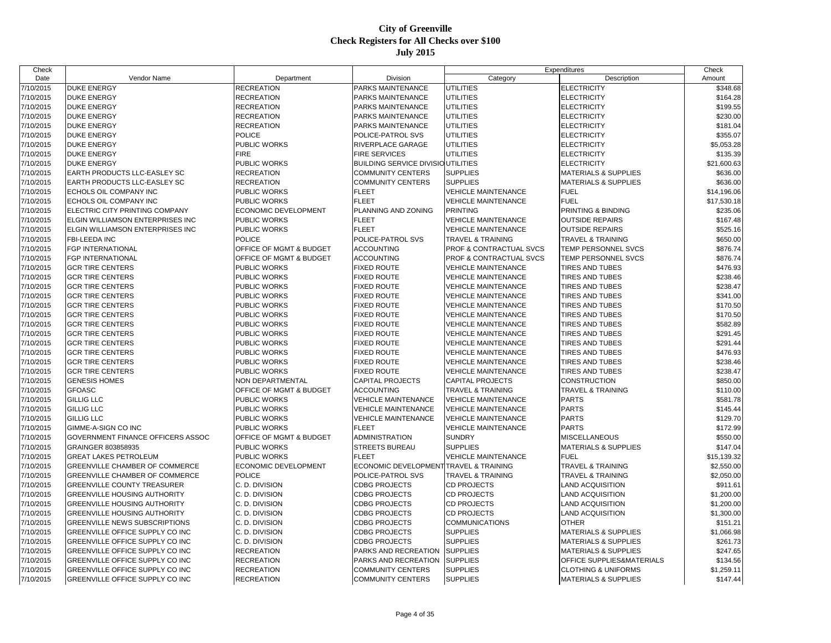| Check     |                                       |                             |                                          |                              | Expenditures                    | Check       |
|-----------|---------------------------------------|-----------------------------|------------------------------------------|------------------------------|---------------------------------|-------------|
| Date      | Vendor Name                           | Department                  | Division                                 | Category                     | Description                     | Amount      |
| 7/10/2015 | <b>DUKE ENERGY</b>                    | <b>RECREATION</b>           | PARKS MAINTENANCE                        | <b>UTILITIES</b>             | <b>ELECTRICITY</b>              | \$348.68    |
| 7/10/2015 | <b>DUKE ENERGY</b>                    | <b>RECREATION</b>           | PARKS MAINTENANCE                        | <b>UTILITIES</b>             | <b>ELECTRICITY</b>              | \$164.28    |
| 7/10/2015 | <b>DUKE ENERGY</b>                    | <b>RECREATION</b>           | PARKS MAINTENANCE                        | <b>UTILITIES</b>             | <b>ELECTRICITY</b>              | \$199.55    |
| 7/10/2015 | <b>DUKE ENERGY</b>                    | <b>RECREATION</b>           | PARKS MAINTENANCE                        | <b>UTILITIES</b>             | <b>ELECTRICITY</b>              | \$230.00    |
| 7/10/2015 | DUKE ENERGY                           | <b>RECREATION</b>           | PARKS MAINTENANCE                        | <b>UTILITIES</b>             | <b>ELECTRICITY</b>              | \$181.04    |
| 7/10/2015 | <b>DUKE ENERGY</b>                    | <b>POLICE</b>               | POLICE-PATROL SVS                        | <b>UTILITIES</b>             | <b>ELECTRICITY</b>              | \$355.07    |
| 7/10/2015 | <b>DUKE ENERGY</b>                    | PUBLIC WORKS                | RIVERPLACE GARAGE                        | <b>UTILITIES</b>             | <b>ELECTRICITY</b>              | \$5,053.28  |
| 7/10/2015 | <b>DUKE ENERGY</b>                    | <b>FIRE</b>                 | FIRE SERVICES                            | <b>UTILITIES</b>             | <b>ELECTRICITY</b>              | \$135.39    |
| 7/10/2015 | <b>DUKE ENERGY</b>                    | PUBLIC WORKS                | <b>BUILDING SERVICE DIVISIOUTILITIES</b> |                              | <b>ELECTRICITY</b>              | \$21,600.63 |
| 7/10/2015 | EARTH PRODUCTS LLC-EASLEY SC          | <b>RECREATION</b>           | <b>COMMUNITY CENTERS</b>                 | <b>SUPPLIES</b>              | <b>MATERIALS &amp; SUPPLIES</b> | \$636.00    |
| 7/10/2015 | EARTH PRODUCTS LLC-EASLEY SC          | RECREATION                  | <b>COMMUNITY CENTERS</b>                 | <b>SUPPLIES</b>              | <b>MATERIALS &amp; SUPPLIES</b> | \$636.00    |
| 7/10/2015 | ECHOLS OIL COMPANY INC                | PUBLIC WORKS                | <b>FLEET</b>                             | <b>VEHICLE MAINTENANCE</b>   | <b>FUEL</b>                     | \$14,196.06 |
| 7/10/2015 | ECHOLS OIL COMPANY INC                | <b>PUBLIC WORKS</b>         | <b>FLEET</b>                             | <b>VEHICLE MAINTENANCE</b>   | <b>FUEL</b>                     | \$17,530.18 |
| 7/10/2015 | ELECTRIC CITY PRINTING COMPANY        | ECONOMIC DEVELOPMENT        | PLANNING AND ZONING                      | <b>PRINTING</b>              | PRINTING & BINDING              | \$235.06    |
| 7/10/2015 | ELGIN WILLIAMSON ENTERPRISES INC      | PUBLIC WORKS                | <b>FLEET</b>                             | VEHICLE MAINTENANCE          | <b>OUTSIDE REPAIRS</b>          | \$167.48    |
| 7/10/2015 | ELGIN WILLIAMSON ENTERPRISES INC      | PUBLIC WORKS                | <b>FLEET</b>                             | <b>VEHICLE MAINTENANCE</b>   | <b>OUTSIDE REPAIRS</b>          | \$525.16    |
| 7/10/2015 | FBI-LEEDA INC                         | <b>POLICE</b>               | POLICE-PATROL SVS                        | <b>TRAVEL &amp; TRAINING</b> | <b>TRAVEL &amp; TRAINING</b>    | \$650.00    |
| 7/10/2015 | <b>FGP INTERNATIONAL</b>              | OFFICE OF MGMT & BUDGET     | <b>ACCOUNTING</b>                        | PROF & CONTRACTUAL SVCS      | TEMP PERSONNEL SVCS             | \$876.74    |
| 7/10/2015 | FGP INTERNATIONAL                     | OFFICE OF MGMT & BUDGET     | <b>ACCOUNTING</b>                        | PROF & CONTRACTUAL SVCS      | TEMP PERSONNEL SVCS             | \$876.74    |
| 7/10/2015 | <b>GCR TIRE CENTERS</b>               | PUBLIC WORKS                | FIXED ROUTE                              | <b>VEHICLE MAINTENANCE</b>   | <b>TIRES AND TUBES</b>          | \$476.93    |
| 7/10/2015 | <b>GCR TIRE CENTERS</b>               | PUBLIC WORKS                | <b>FIXED ROUTE</b>                       | <b>VEHICLE MAINTENANCE</b>   | <b>TIRES AND TUBES</b>          | \$238.46    |
| 7/10/2015 | <b>GCR TIRE CENTERS</b>               | PUBLIC WORKS                | <b>FIXED ROUTE</b>                       | <b>VEHICLE MAINTENANCE</b>   | <b>TIRES AND TUBES</b>          | \$238.47    |
| 7/10/2015 | <b>GCR TIRE CENTERS</b>               | PUBLIC WORKS                | FIXED ROUTE                              | <b>VEHICLE MAINTENANCE</b>   | <b>TIRES AND TUBES</b>          | \$341.00    |
| 7/10/2015 | <b>GCR TIRE CENTERS</b>               | PUBLIC WORKS                | <b>FIXED ROUTE</b>                       | <b>VEHICLE MAINTENANCE</b>   | <b>TIRES AND TUBES</b>          | \$170.50    |
| 7/10/2015 | <b>GCR TIRE CENTERS</b>               | PUBLIC WORKS                | <b>FIXED ROUTE</b>                       | <b>VEHICLE MAINTENANCE</b>   | <b>TIRES AND TUBES</b>          | \$170.50    |
| 7/10/2015 | <b>GCR TIRE CENTERS</b>               | PUBLIC WORKS                | <b>FIXED ROUTE</b>                       | <b>VEHICLE MAINTENANCE</b>   | <b>TIRES AND TUBES</b>          | \$582.89    |
| 7/10/2015 | <b>GCR TIRE CENTERS</b>               | PUBLIC WORKS                | <b>FIXED ROUTE</b>                       | <b>VEHICLE MAINTENANCE</b>   | <b>TIRES AND TUBES</b>          | \$291.45    |
| 7/10/2015 | <b>GCR TIRE CENTERS</b>               | PUBLIC WORKS                | <b>FIXED ROUTE</b>                       | <b>VEHICLE MAINTENANCE</b>   | <b>TIRES AND TUBES</b>          | \$291.44    |
| 7/10/2015 | <b>GCR TIRE CENTERS</b>               | PUBLIC WORKS                | FIXED ROUTE                              | <b>VEHICLE MAINTENANCE</b>   | TIRES AND TUBES                 | \$476.93    |
| 7/10/2015 | <b>GCR TIRE CENTERS</b>               | PUBLIC WORKS                | <b>FIXED ROUTE</b>                       | <b>VEHICLE MAINTENANCE</b>   | <b>TIRES AND TUBES</b>          | \$238.46    |
|           | <b>GCR TIRE CENTERS</b>               | PUBLIC WORKS                | <b>FIXED ROUTE</b>                       | <b>VEHICLE MAINTENANCE</b>   | <b>TIRES AND TUBES</b>          |             |
| 7/10/2015 |                                       |                             |                                          |                              |                                 | \$238.47    |
| 7/10/2015 | <b>GENESIS HOMES</b>                  | NON DEPARTMENTAL            | CAPITAL PROJECTS                         | CAPITAL PROJECTS             | <b>CONSTRUCTION</b>             | \$850.00    |
| 7/10/2015 | <b>GFOASC</b>                         | OFFICE OF MGMT & BUDGET     | <b>ACCOUNTING</b>                        | <b>TRAVEL &amp; TRAINING</b> | <b>TRAVEL &amp; TRAINING</b>    | \$110.00    |
| 7/10/2015 | <b>GILLIG LLC</b>                     | PUBLIC WORKS                | <b>VEHICLE MAINTENANCE</b>               | <b>VEHICLE MAINTENANCE</b>   | <b>PARTS</b>                    | \$581.78    |
| 7/10/2015 | <b>GILLIG LLC</b>                     | PUBLIC WORKS                | <b>VEHICLE MAINTENANCE</b>               | <b>VEHICLE MAINTENANCE</b>   | <b>PARTS</b>                    | \$145.44    |
| 7/10/2015 | <b>GILLIG LLC</b>                     | PUBLIC WORKS                | <b>VEHICLE MAINTENANCE</b>               | <b>VEHICLE MAINTENANCE</b>   | <b>PARTS</b>                    | \$129.70    |
| 7/10/2015 | GIMME-A-SIGN CO INC                   | PUBLIC WORKS                | <b>FLEET</b>                             | <b>VEHICLE MAINTENANCE</b>   | <b>PARTS</b>                    | \$172.99    |
| 7/10/2015 | GOVERNMENT FINANCE OFFICERS ASSOC     | OFFICE OF MGMT & BUDGET     | ADMINISTRATION                           | <b>SUNDRY</b>                | <b>MISCELLANEOUS</b>            | \$550.00    |
| 7/10/2015 | GRAINGER 803858935                    | PUBLIC WORKS                | <b>STREETS BUREAU</b>                    | <b>SUPPLIES</b>              | <b>MATERIALS &amp; SUPPLIES</b> | \$147.04    |
| 7/10/2015 | <b>GREAT LAKES PETROLEUM</b>          | PUBLIC WORKS                | <b>FLEET</b>                             | <b>VEHICLE MAINTENANCE</b>   | <b>FUEL</b>                     | \$15,139.32 |
| 7/10/2015 | <b>GREENVILLE CHAMBER OF COMMERCE</b> | <b>ECONOMIC DEVELOPMENT</b> | ECONOMIC DEVELOPMENT TRAVEL & TRAINING   |                              | TRAVEL & TRAINING               | \$2,550.00  |
| 7/10/2015 | <b>GREENVILLE CHAMBER OF COMMERCE</b> | <b>POLICE</b>               | POLICE-PATROL SVS                        | TRAVEL & TRAINING            | <b>TRAVEL &amp; TRAINING</b>    | \$2,050.00  |
| 7/10/2015 | <b>GREENVILLE COUNTY TREASURER</b>    | C. D. DIVISION              | <b>CDBG PROJECTS</b>                     | <b>CD PROJECTS</b>           | <b>LAND ACQUISITION</b>         | \$911.61    |
| 7/10/2015 | <b>GREENVILLE HOUSING AUTHORITY</b>   | C. D. DIVISION              | <b>CDBG PROJECTS</b>                     | <b>CD PROJECTS</b>           | <b>LAND ACQUISITION</b>         | \$1,200.00  |
| 7/10/2015 | <b>GREENVILLE HOUSING AUTHORITY</b>   | C. D. DIVISION              | <b>CDBG PROJECTS</b>                     | <b>CD PROJECTS</b>           | <b>LAND ACQUISITION</b>         | \$1,200.00  |
| 7/10/2015 | <b>GREENVILLE HOUSING AUTHORITY</b>   | C. D. DIVISION              | <b>CDBG PROJECTS</b>                     | CD PROJECTS                  | <b>LAND ACQUISITION</b>         | \$1,300.00  |
| 7/10/2015 | <b>GREENVILLE NEWS SUBSCRIPTIONS</b>  | C. D. DIVISION              | <b>CDBG PROJECTS</b>                     | <b>COMMUNICATIONS</b>        | <b>OTHER</b>                    | \$151.21    |
| 7/10/2015 | GREENVILLE OFFICE SUPPLY CO INC       | C. D. DIVISION              | <b>CDBG PROJECTS</b>                     | <b>SUPPLIES</b>              | <b>MATERIALS &amp; SUPPLIES</b> | \$1,066.98  |
| 7/10/2015 | GREENVILLE OFFICE SUPPLY CO INC       | C. D. DIVISION              | <b>CDBG PROJECTS</b>                     | <b>SUPPLIES</b>              | <b>MATERIALS &amp; SUPPLIES</b> | \$261.73    |
| 7/10/2015 | GREENVILLE OFFICE SUPPLY CO INC       | <b>RECREATION</b>           | PARKS AND RECREATION                     | <b>SUPPLIES</b>              | <b>MATERIALS &amp; SUPPLIES</b> | \$247.65    |
| 7/10/2015 | GREENVILLE OFFICE SUPPLY CO INC       | <b>RECREATION</b>           | PARKS AND RECREATION                     | <b>SUPPLIES</b>              | OFFICE SUPPLIES&MATERIALS       | \$134.56    |
| 7/10/2015 | GREENVILLE OFFICE SUPPLY CO INC       | <b>RECREATION</b>           | <b>COMMUNITY CENTERS</b>                 | <b>SUPPLIES</b>              | <b>CLOTHING &amp; UNIFORMS</b>  | \$1,259.11  |
| 7/10/2015 | GREENVILLE OFFICE SUPPLY CO INC       | <b>RECREATION</b>           | <b>COMMUNITY CENTERS</b>                 | <b>SUPPLIES</b>              | <b>MATERIALS &amp; SUPPLIES</b> | \$147.44    |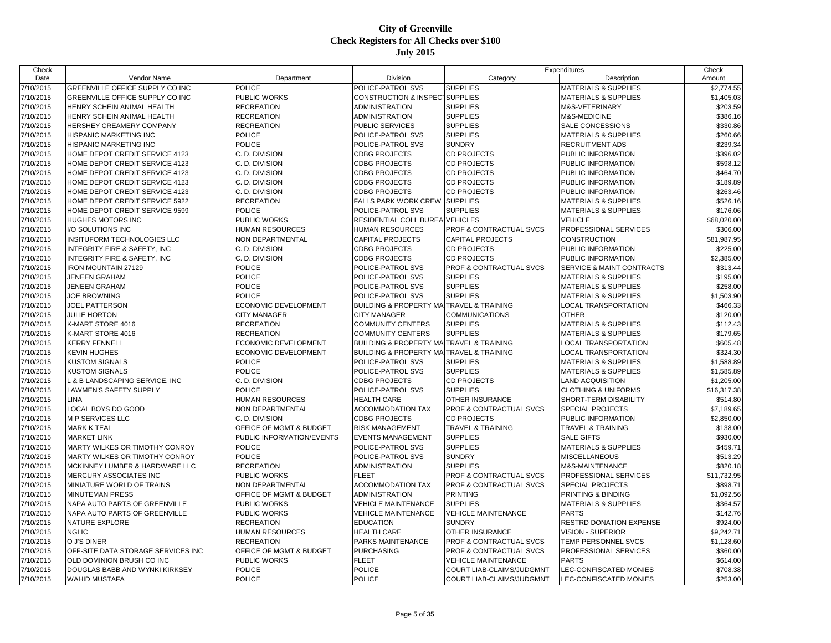| Check     |                                         |                           |                                           |                                    | Expenditures                    | Check       |
|-----------|-----------------------------------------|---------------------------|-------------------------------------------|------------------------------------|---------------------------------|-------------|
| Date      | Vendor Name                             | Department                | Division                                  | Category                           | Description                     | Amount      |
| 7/10/2015 | GREENVILLE OFFICE SUPPLY CO INC         | <b>POLICE</b>             | POLICE-PATROL SVS                         | <b>SUPPLIES</b>                    | <b>MATERIALS &amp; SUPPLIES</b> | \$2,774.55  |
| 7/10/2015 | GREENVILLE OFFICE SUPPLY CO INC         | <b>PUBLIC WORKS</b>       | <b>CONSTRUCTION &amp; INSPECTSUPPLIES</b> |                                    | <b>MATERIALS &amp; SUPPLIES</b> | \$1,405.03  |
| 7/10/2015 | HENRY SCHEIN ANIMAL HEALTH              | <b>RECREATION</b>         | <b>ADMINISTRATION</b>                     | <b>SUPPLIES</b>                    | M&S-VETERINARY                  | \$203.59    |
| 7/10/2015 | HENRY SCHEIN ANIMAL HEALTH              | <b>RECREATION</b>         | <b>ADMINISTRATION</b>                     | <b>SUPPLIES</b>                    | <b>M&amp;S-MEDICINE</b>         | \$386.16    |
| 7/10/2015 | <b>HERSHEY CREAMERY COMPANY</b>         | <b>RECREATION</b>         | <b>PUBLIC SERVICES</b>                    | <b>SUPPLIES</b>                    | <b>SALE CONCESSIONS</b>         | \$330.86    |
| 7/10/2015 | <b>HISPANIC MARKETING INC</b>           | <b>POLICE</b>             | POLICE-PATROL SVS                         | <b>SUPPLIES</b>                    | <b>MATERIALS &amp; SUPPLIES</b> | \$260.66    |
| 7/10/2015 | <b>HISPANIC MARKETING INC</b>           | <b>POLICE</b>             | POLICE-PATROL SVS                         | <b>SUNDRY</b>                      | <b>RECRUITMENT ADS</b>          | \$239.34    |
| 7/10/2015 | HOME DEPOT CREDIT SERVICE 4123          | C. D. DIVISION            | <b>CDBG PROJECTS</b>                      | <b>CD PROJECTS</b>                 | PUBLIC INFORMATION              | \$396.02    |
| 7/10/2015 | HOME DEPOT CREDIT SERVICE 4123          | C. D. DIVISION            | <b>CDBG PROJECTS</b>                      | <b>CD PROJECTS</b>                 | PUBLIC INFORMATION              | \$598.12    |
| 7/10/2015 | HOME DEPOT CREDIT SERVICE 4123          | C. D. DIVISION            | <b>CDBG PROJECTS</b>                      | <b>CD PROJECTS</b>                 | PUBLIC INFORMATION              | \$464.70    |
| 7/10/2015 | HOME DEPOT CREDIT SERVICE 4123          | C. D. DIVISION            | <b>CDBG PROJECTS</b>                      | <b>CD PROJECTS</b>                 | PUBLIC INFORMATION              | \$189.89    |
| 7/10/2015 | HOME DEPOT CREDIT SERVICE 4123          | C. D. DIVISION            | <b>CDBG PROJECTS</b>                      | <b>CD PROJECTS</b>                 | PUBLIC INFORMATION              | \$263.46    |
| 7/10/2015 | HOME DEPOT CREDIT SERVICE 5922          | <b>RECREATION</b>         | FALLS PARK WORK CREW                      | <b>SUPPLIES</b>                    | MATERIALS & SUPPLIES            | \$526.16    |
| 7/10/2015 | HOME DEPOT CREDIT SERVICE 9599          | <b>POLICE</b>             | POLICE-PATROL SVS                         | <b>SUPPLIES</b>                    | <b>MATERIALS &amp; SUPPLIES</b> | \$176.06    |
| 7/10/2015 | HUGHES MOTORS INC                       | <b>PUBLIC WORKS</b>       | RESIDENTIAL COLL BUREAIVEHICLES           |                                    | <b>VEHICLE</b>                  | \$68,020.00 |
| 7/10/2015 | I/O SOLUTIONS INC                       | <b>HUMAN RESOURCES</b>    | <b>HUMAN RESOURCES</b>                    | <b>PROF &amp; CONTRACTUAL SVCS</b> | PROFESSIONAL SERVICES           | \$306.00    |
| 7/10/2015 | INSITUFORM TECHNOLOGIES LLC             | <b>NON DEPARTMENTAL</b>   | <b>CAPITAL PROJECTS</b>                   | <b>CAPITAL PROJECTS</b>            | <b>CONSTRUCTION</b>             | \$81,987.95 |
| 7/10/2015 | INTEGRITY FIRE & SAFETY, INC            | C. D. DIVISION            | <b>CDBG PROJECTS</b>                      | <b>CD PROJECTS</b>                 | PUBLIC INFORMATION              | \$225.00    |
| 7/10/2015 | <b>INTEGRITY FIRE &amp; SAFETY, INC</b> | C. D. DIVISION            | <b>CDBG PROJECTS</b>                      | <b>CD PROJECTS</b>                 | PUBLIC INFORMATION              | \$2,385.00  |
| 7/10/2015 | <b>IRON MOUNTAIN 27129</b>              | <b>POLICE</b>             | POLICE-PATROL SVS                         | PROF & CONTRACTUAL SVCS            | SERVICE & MAINT CONTRACTS       | \$313.44    |
| 7/10/2015 | <b>JENEEN GRAHAM</b>                    | <b>POLICE</b>             | POLICE-PATROL SVS                         | <b>SUPPLIES</b>                    | <b>MATERIALS &amp; SUPPLIES</b> | \$195.00    |
| 7/10/2015 | <b>JENEEN GRAHAM</b>                    | <b>POLICE</b>             | POLICE-PATROL SVS                         | <b>SUPPLIES</b>                    | <b>MATERIALS &amp; SUPPLIES</b> | \$258.00    |
| 7/10/2015 | <b>JOE BROWNING</b>                     | <b>POLICE</b>             | POLICE-PATROL SVS                         | <b>SUPPLIES</b>                    | <b>MATERIALS &amp; SUPPLIES</b> | \$1,503.90  |
| 7/10/2015 | <b>JOEL PATTERSON</b>                   | ECONOMIC DEVELOPMENT      | BUILDING & PROPERTY MA TRAVEL & TRAINING  |                                    | LOCAL TRANSPORTATION            | \$466.33    |
| 7/10/2015 | <b>JULIE HORTON</b>                     | <b>CITY MANAGER</b>       | <b>CITY MANAGER</b>                       | <b>COMMUNICATIONS</b>              | <b>OTHER</b>                    | \$120.00    |
| 7/10/2015 | K-MART STORE 4016                       | <b>RECREATION</b>         | <b>COMMUNITY CENTERS</b>                  | <b>SUPPLIES</b>                    | <b>MATERIALS &amp; SUPPLIES</b> | \$112.43    |
| 7/10/2015 | K-MART STORE 4016                       | <b>RECREATION</b>         | <b>COMMUNITY CENTERS</b>                  | <b>SUPPLIES</b>                    | <b>MATERIALS &amp; SUPPLIES</b> | \$179.65    |
| 7/10/2015 | <b>KERRY FENNELL</b>                    | ECONOMIC DEVELOPMENT      | BUILDING & PROPERTY MAITRAVEL & TRAINING  |                                    | <b>LOCAL TRANSPORTATION</b>     | \$605.48    |
| 7/10/2015 | <b>KEVIN HUGHES</b>                     | ECONOMIC DEVELOPMENT      | <b>BUILDING &amp; PROPERTY MA</b>         | <b>TRAVEL &amp; TRAINING</b>       | LOCAL TRANSPORTATION            | \$324.30    |
| 7/10/2015 | <b>KUSTOM SIGNALS</b>                   | <b>POLICE</b>             | POLICE-PATROL SVS                         | <b>SUPPLIES</b>                    | MATERIALS & SUPPLIES            | \$1,588.89  |
| 7/10/2015 | <b>KUSTOM SIGNALS</b>                   | <b>POLICE</b>             | POLICE-PATROL SVS                         | <b>SUPPLIES</b>                    | MATERIALS & SUPPLIES            | \$1,585.89  |
| 7/10/2015 | L & B LANDSCAPING SERVICE, INC          | C. D. DIVISION            | <b>CDBG PROJECTS</b>                      | <b>CD PROJECTS</b>                 | <b>LAND ACQUISITION</b>         | \$1,205.00  |
| 7/10/2015 | LAWMEN'S SAFETY SUPPLY                  | <b>POLICE</b>             | POLICE-PATROL SVS                         | <b>SUPPLIES</b>                    | <b>CLOTHING &amp; UNIFORMS</b>  | \$16,317.38 |
| 7/10/2015 | <b>LINA</b>                             | <b>HUMAN RESOURCES</b>    | <b>HEALTH CARE</b>                        | OTHER INSURANCE                    | SHORT-TERM DISABILITY           | \$514.80    |
| 7/10/2015 | LOCAL BOYS DO GOOD                      | <b>NON DEPARTMENTAL</b>   | <b>ACCOMMODATION TAX</b>                  | <b>PROF &amp; CONTRACTUAL SVCS</b> | <b>SPECIAL PROJECTS</b>         | \$7,189.65  |
| 7/10/2015 | <b>M P SERVICES LLC</b>                 | C. D. DIVISION            | <b>CDBG PROJECTS</b>                      | <b>CD PROJECTS</b>                 | PUBLIC INFORMATION              | \$2,850.00  |
| 7/10/2015 | <b>MARK K TEAL</b>                      | OFFICE OF MGMT & BUDGET   | <b>RISK MANAGEMENT</b>                    | TRAVEL & TRAINING                  | <b>TRAVEL &amp; TRAINING</b>    | \$138.00    |
| 7/10/2015 | <b>MARKET LINK</b>                      | PUBLIC INFORMATION/EVENTS | <b>EVENTS MANAGEMENT</b>                  | <b>SUPPLIES</b>                    | <b>SALE GIFTS</b>               | \$930.00    |
| 7/10/2015 | <b>MARTY WILKES OR TIMOTHY CONROY</b>   | <b>POLICE</b>             | POLICE-PATROL SVS                         | <b>SUPPLIES</b>                    | <b>MATERIALS &amp; SUPPLIES</b> | \$459.71    |
| 7/10/2015 | MARTY WILKES OR TIMOTHY CONROY          | <b>POLICE</b>             | POLICE-PATROL SVS                         | <b>SUNDRY</b>                      | <b>MISCELLANEOUS</b>            | \$513.29    |
| 7/10/2015 | MCKINNEY LUMBER & HARDWARE LLC          | <b>RECREATION</b>         | <b>ADMINISTRATION</b>                     | <b>SUPPLIES</b>                    | M&S-MAINTENANCE                 | \$820.18    |
| 7/10/2015 | MERCURY ASSOCIATES INC                  | <b>PUBLIC WORKS</b>       | <b>FLEET</b>                              | PROF & CONTRACTUAL SVCS            | PROFESSIONAL SERVICES           | \$11,732.95 |
| 7/10/2015 | MINIATURE WORLD OF TRAINS               | NON DEPARTMENTAL          | <b>ACCOMMODATION TAX</b>                  | PROF & CONTRACTUAL SVCS            | <b>SPECIAL PROJECTS</b>         | \$898.71    |
| 7/10/2015 | <b>MINUTEMAN PRESS</b>                  | OFFICE OF MGMT & BUDGET   | <b>ADMINISTRATION</b>                     | <b>PRINTING</b>                    | PRINTING & BINDING              | \$1,092.56  |
| 7/10/2015 | NAPA AUTO PARTS OF GREENVILLE           | <b>PUBLIC WORKS</b>       | <b>VEHICLE MAINTENANCE</b>                | <b>SUPPLIES</b>                    | <b>MATERIALS &amp; SUPPLIES</b> | \$364.57    |
| 7/10/2015 | NAPA AUTO PARTS OF GREENVILLE           | <b>PUBLIC WORKS</b>       | <b>VEHICLE MAINTENANCE</b>                | <b>VEHICLE MAINTENANCE</b>         | <b>PARTS</b>                    | \$142.76    |
| 7/10/2015 | <b>NATURE EXPLORE</b>                   | <b>RECREATION</b>         | <b>EDUCATION</b>                          | <b>SUNDRY</b>                      | <b>RESTRD DONATION EXPENSE</b>  | \$924.00    |
| 7/10/2015 | <b>NGLIC</b>                            | <b>HUMAN RESOURCES</b>    | <b>HEALTH CARE</b>                        | OTHER INSURANCE                    | <b>VISION - SUPERIOR</b>        | \$9,242.71  |
| 7/10/2015 | O J'S DINER                             | <b>RECREATION</b>         | PARKS MAINTENANCE                         | PROF & CONTRACTUAL SVCS            | TEMP PERSONNEL SVCS             | \$1,128.60  |
| 7/10/2015 | OFF-SITE DATA STORAGE SERVICES INC      | OFFICE OF MGMT & BUDGET   | <b>PURCHASING</b>                         | PROF & CONTRACTUAL SVCS            | PROFESSIONAL SERVICES           | \$360.00    |
| 7/10/2015 | OLD DOMINION BRUSH CO INC               | <b>PUBLIC WORKS</b>       | <b>FLEET</b>                              | <b>VEHICLE MAINTENANCE</b>         | <b>PARTS</b>                    | \$614.00    |
| 7/10/2015 | DOUGLAS BABB AND WYNKI KIRKSEY          | <b>POLICE</b>             | <b>POLICE</b>                             | COURT LIAB-CLAIMS/JUDGMNT          | LEC-CONFISCATED MONIES          | \$708.38    |
| 7/10/2015 | <b>WAHID MUSTAFA</b>                    | <b>POLICE</b>             | <b>POLICE</b>                             | COURT LIAB-CLAIMS/JUDGMNT          | LEC-CONFISCATED MONIES          | \$253.00    |
|           |                                         |                           |                                           |                                    |                                 |             |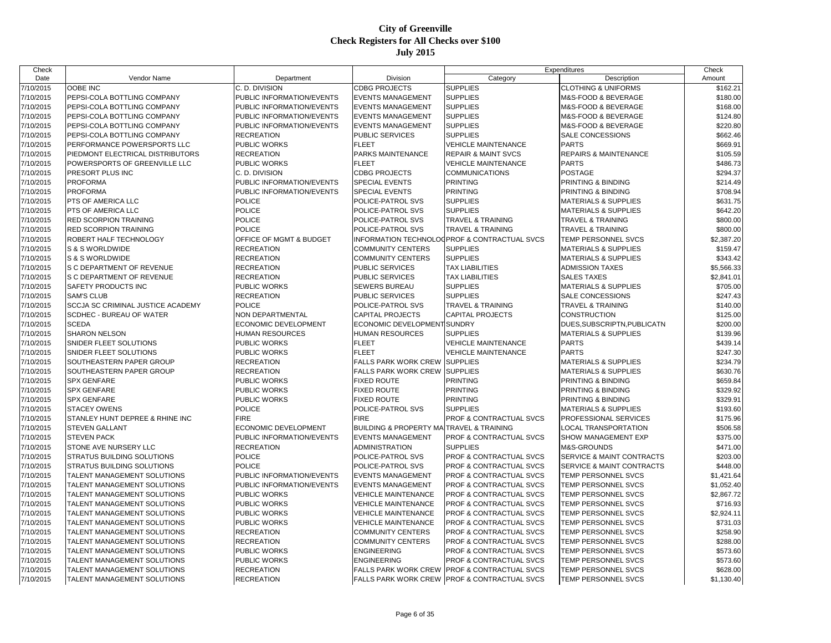| Check     |                                   |                           |                                                         |                                              | Expenditures                     | Check      |
|-----------|-----------------------------------|---------------------------|---------------------------------------------------------|----------------------------------------------|----------------------------------|------------|
| Date      | Vendor Name                       | Department                | Division                                                | Category                                     | Description                      | Amount     |
| 7/10/2015 | OOBE INC                          | C. D. DIVISION            | <b>CDBG PROJECTS</b>                                    | <b>SUPPLIES</b>                              | <b>CLOTHING &amp; UNIFORMS</b>   | \$162.21   |
| 7/10/2015 | PEPSI-COLA BOTTLING COMPANY       | PUBLIC INFORMATION/EVENTS | <b>EVENTS MANAGEMENT</b>                                | <b>SUPPLIES</b>                              | M&S-FOOD & BEVERAGE              | \$180.00   |
| 7/10/2015 | PEPSI-COLA BOTTLING COMPANY       | PUBLIC INFORMATION/EVENTS | <b>EVENTS MANAGEMENT</b>                                | <b>SUPPLIES</b>                              | M&S-FOOD & BEVERAGE              | \$168.00   |
| 7/10/2015 | PEPSI-COLA BOTTLING COMPANY       | PUBLIC INFORMATION/EVENTS | <b>EVENTS MANAGEMENT</b>                                | <b>SUPPLIES</b>                              | M&S-FOOD & BEVERAGE              | \$124.80   |
| 7/10/2015 | PEPSI-COLA BOTTLING COMPANY       | PUBLIC INFORMATION/EVENTS | <b>EVENTS MANAGEMENT</b>                                | <b>SUPPLIES</b>                              | M&S-FOOD & BEVERAGE              | \$220.80   |
| 7/10/2015 | PEPSI-COLA BOTTLING COMPANY       | <b>RECREATION</b>         | <b>PUBLIC SERVICES</b>                                  | <b>SUPPLIES</b>                              | <b>SALE CONCESSIONS</b>          | \$662.46   |
| 7/10/2015 | PERFORMANCE POWERSPORTS LLC       | PUBLIC WORKS              | <b>FLEET</b>                                            | <b>VEHICLE MAINTENANCE</b>                   | <b>PARTS</b>                     | \$669.91   |
| 7/10/2015 | PIEDMONT ELECTRICAL DISTRIBUTORS  | <b>RECREATION</b>         | PARKS MAINTENANCE                                       | <b>REPAIR &amp; MAINT SVCS</b>               | <b>REPAIRS &amp; MAINTENANCE</b> | \$105.59   |
| 7/10/2015 | POWERSPORTS OF GREENVILLE LLC     | <b>PUBLIC WORKS</b>       | <b>FLEET</b>                                            | <b>VEHICLE MAINTENANCE</b>                   | <b>PARTS</b>                     | \$486.73   |
| 7/10/2015 | PRESORT PLUS INC                  | C. D. DIVISION            | <b>CDBG PROJECTS</b>                                    | <b>COMMUNICATIONS</b>                        | <b>POSTAGE</b>                   | \$294.37   |
| 7/10/2015 | <b>PROFORMA</b>                   | PUBLIC INFORMATION/EVENTS | <b>SPECIAL EVENTS</b>                                   | <b>PRINTING</b>                              | PRINTING & BINDING               | \$214.49   |
| 7/10/2015 | <b>PROFORMA</b>                   | PUBLIC INFORMATION/EVENTS | SPECIAL EVENTS                                          | <b>PRINTING</b>                              | PRINTING & BINDING               | \$708.94   |
| 7/10/2015 | PTS OF AMERICA LLC                | <b>POLICE</b>             | POLICE-PATROL SVS                                       | <b>SUPPLIES</b>                              | <b>MATERIALS &amp; SUPPLIES</b>  | \$631.75   |
| 7/10/2015 | PTS OF AMERICA LLC                | POLICE                    | POLICE-PATROL SVS                                       | <b>SUPPLIES</b>                              | <b>MATERIALS &amp; SUPPLIES</b>  | \$642.20   |
| 7/10/2015 | <b>RED SCORPION TRAINING</b>      | POLICE                    | POLICE-PATROL SVS                                       | TRAVEL & TRAINING                            | <b>TRAVEL &amp; TRAINING</b>     | \$800.00   |
| 7/10/2015 | <b>RED SCORPION TRAINING</b>      | <b>POLICE</b>             | POLICE-PATROL SVS                                       | <b>TRAVEL &amp; TRAINING</b>                 | <b>TRAVEL &amp; TRAINING</b>     | \$800.00   |
| 7/10/2015 | ROBERT HALF TECHNOLOGY            | OFFICE OF MGMT & BUDGET   |                                                         | INFORMATION TECHNOLOGPROF & CONTRACTUAL SVCS | TEMP PERSONNEL SVCS              | \$2,387.20 |
| 7/10/2015 | S & S WORLDWIDE                   | <b>RECREATION</b>         | <b>COMMUNITY CENTERS</b>                                | <b>SUPPLIES</b>                              | <b>MATERIALS &amp; SUPPLIES</b>  | \$159.47   |
| 7/10/2015 | S & S WORLDWIDE                   | <b>RECREATION</b>         | <b>COMMUNITY CENTERS</b>                                | <b>SUPPLIES</b>                              | <b>MATERIALS &amp; SUPPLIES</b>  | \$343.42   |
| 7/10/2015 | S C DEPARTMENT OF REVENUE         | <b>RECREATION</b>         | <b>PUBLIC SERVICES</b>                                  | <b>TAX LIABILITIES</b>                       | <b>ADMISSION TAXES</b>           | \$5,566.33 |
| 7/10/2015 | S C DEPARTMENT OF REVENUE         | <b>RECREATION</b>         | PUBLIC SERVICES                                         | <b>TAX LIABILITIES</b>                       | <b>SALES TAXES</b>               | \$2,841.01 |
| 7/10/2015 | SAFETY PRODUCTS INC               | PUBLIC WORKS              | <b>SEWERS BUREAU</b>                                    | <b>SUPPLIES</b>                              | <b>MATERIALS &amp; SUPPLIES</b>  | \$705.00   |
| 7/10/2015 | <b>SAM'S CLUB</b>                 | <b>RECREATION</b>         | <b>PUBLIC SERVICES</b>                                  | <b>SUPPLIES</b>                              | <b>SALE CONCESSIONS</b>          | \$247.43   |
| 7/10/2015 | SCCJA SC CRIMINAL JUSTICE ACADEMY | <b>POLICE</b>             | POLICE-PATROL SVS                                       | <b>TRAVEL &amp; TRAINING</b>                 | <b>TRAVEL &amp; TRAINING</b>     | \$140.00   |
| 7/10/2015 | SCDHEC - BUREAU OF WATER          | NON DEPARTMENTAL          | <b>CAPITAL PROJECTS</b>                                 | <b>CAPITAL PROJECTS</b>                      | <b>CONSTRUCTION</b>              | \$125.00   |
| 7/10/2015 | <b>SCEDA</b>                      | ECONOMIC DEVELOPMENT      | ECONOMIC DEVELOPMENT SUNDRY                             |                                              | DUES SUBSCRIPTN, PUBLICATN       | \$200.00   |
| 7/10/2015 | <b>SHARON NELSON</b>              | <b>HUMAN RESOURCES</b>    | <b>HUMAN RESOURCES</b>                                  | <b>SUPPLIES</b>                              | <b>MATERIALS &amp; SUPPLIES</b>  | \$139.96   |
| 7/10/2015 | SNIDER FLEET SOLUTIONS            | PUBLIC WORKS              | <b>FLEET</b>                                            | <b>VEHICLE MAINTENANCE</b>                   | <b>PARTS</b>                     | \$439.14   |
| 7/10/2015 | SNIDER FLEET SOLUTIONS            | PUBLIC WORKS              | <b>FLEET</b>                                            | <b>VEHICLE MAINTENANCE</b>                   | <b>PARTS</b>                     | \$247.30   |
| 7/10/2015 | SOUTHEASTERN PAPER GROUP          | <b>RECREATION</b>         | <b>FALLS PARK WORK CREW</b>                             | <b>SUPPLIES</b>                              | <b>MATERIALS &amp; SUPPLIES</b>  | \$234.79   |
| 7/10/2015 | SOUTHEASTERN PAPER GROUP          | <b>RECREATION</b>         | <b>FALLS PARK WORK CREW</b>                             | <b>SUPPLIES</b>                              | <b>MATERIALS &amp; SUPPLIES</b>  | \$630.76   |
| 7/10/2015 | <b>SPX GENFARE</b>                | PUBLIC WORKS              | <b>FIXED ROUTE</b>                                      | <b>PRINTING</b>                              | PRINTING & BINDING               | \$659.84   |
| 7/10/2015 | <b>SPX GENFARE</b>                | PUBLIC WORKS              | <b>FIXED ROUTE</b>                                      | <b>PRINTING</b>                              | PRINTING & BINDING               | \$329.92   |
| 7/10/2015 | <b>SPX GENFARE</b>                | PUBLIC WORKS              | <b>FIXED ROUTE</b>                                      | <b>PRINTING</b>                              | PRINTING & BINDING               | \$329.91   |
| 7/10/2015 | <b>STACEY OWENS</b>               | <b>POLICE</b>             | POLICE-PATROL SVS                                       | <b>SUPPLIES</b>                              | <b>MATERIALS &amp; SUPPLIES</b>  | \$193.60   |
| 7/10/2015 | STANLEY HUNT DEPREE & RHINE INC   | <b>FIRE</b>               | <b>FIRE</b>                                             | <b>PROF &amp; CONTRACTUAL SVCS</b>           | PROFESSIONAL SERVICES            | \$175.96   |
| 7/10/2015 | <b>STEVEN GALLANT</b>             | ECONOMIC DEVELOPMENT      | <b>BUILDING &amp; PROPERTY MAITRAVEL &amp; TRAINING</b> |                                              | <b>LOCAL TRANSPORTATION</b>      | \$506.58   |
| 7/10/2015 | <b>STEVEN PACK</b>                | PUBLIC INFORMATION/EVENTS | <b>EVENTS MANAGEMENT</b>                                | PROF & CONTRACTUAL SVCS                      | <b>SHOW MANAGEMENT EXP</b>       | \$375.00   |
| 7/10/2015 | STONE AVE NURSERY LLC             | <b>RECREATION</b>         | <b>ADMINISTRATION</b>                                   | <b>SUPPLIES</b>                              | M&S-GROUNDS                      | \$471.00   |
| 7/10/2015 | <b>STRATUS BUILDING SOLUTIONS</b> | <b>POLICE</b>             | POLICE-PATROL SVS                                       | PROF & CONTRACTUAL SVCS                      | SERVICE & MAINT CONTRACTS        | \$203.00   |
| 7/10/2015 | STRATUS BUILDING SOLUTIONS        | POLICE                    | POLICE-PATROL SVS                                       | PROF & CONTRACTUAL SVCS                      | SERVICE & MAINT CONTRACTS        | \$448.00   |
| 7/10/2015 | TALENT MANAGEMENT SOLUTIONS       | PUBLIC INFORMATION/EVENTS | <b>EVENTS MANAGEMENT</b>                                | PROF & CONTRACTUAL SVCS                      | TEMP PERSONNEL SVCS              | \$1,421.64 |
| 7/10/2015 | TALENT MANAGEMENT SOLUTIONS       | PUBLIC INFORMATION/EVENTS | <b>EVENTS MANAGEMENT</b>                                | PROF & CONTRACTUAL SVCS                      | TEMP PERSONNEL SVCS              | \$1,052.40 |
| 7/10/2015 | TALENT MANAGEMENT SOLUTIONS       | PUBLIC WORKS              | <b>VEHICLE MAINTENANCE</b>                              | PROF & CONTRACTUAL SVCS                      | TEMP PERSONNEL SVCS              | \$2,867.72 |
| 7/10/2015 | TALENT MANAGEMENT SOLUTIONS       | PUBLIC WORKS              | <b>VEHICLE MAINTENANCE</b>                              | PROF & CONTRACTUAL SVCS                      | TEMP PERSONNEL SVCS              | \$716.93   |
| 7/10/2015 | TALENT MANAGEMENT SOLUTIONS       | <b>PUBLIC WORKS</b>       | <b>VEHICLE MAINTENANCE</b>                              | PROF & CONTRACTUAL SVCS                      | TEMP PERSONNEL SVCS              | \$2,924.11 |
| 7/10/2015 | TALENT MANAGEMENT SOLUTIONS       | <b>PUBLIC WORKS</b>       | <b>VEHICLE MAINTENANCE</b>                              | PROF & CONTRACTUAL SVCS                      | <b>TEMP PERSONNEL SVCS</b>       | \$731.03   |
| 7/10/2015 | TALENT MANAGEMENT SOLUTIONS       | <b>RECREATION</b>         | <b>COMMUNITY CENTERS</b>                                | PROF & CONTRACTUAL SVCS                      | TEMP PERSONNEL SVCS              | \$258.90   |
| 7/10/2015 | TALENT MANAGEMENT SOLUTIONS       | <b>RECREATION</b>         | <b>COMMUNITY CENTERS</b>                                | PROF & CONTRACTUAL SVCS                      | TEMP PERSONNEL SVCS              | \$288.00   |
| 7/10/2015 | TALENT MANAGEMENT SOLUTIONS       | <b>PUBLIC WORKS</b>       | <b>ENGINEERING</b>                                      | PROF & CONTRACTUAL SVCS                      | TEMP PERSONNEL SVCS              | \$573.60   |
| 7/10/2015 | TALENT MANAGEMENT SOLUTIONS       | <b>PUBLIC WORKS</b>       | <b>ENGINEERING</b>                                      | PROF & CONTRACTUAL SVCS                      | TEMP PERSONNEL SVCS              | \$573.60   |
| 7/10/2015 | TALENT MANAGEMENT SOLUTIONS       | <b>RECREATION</b>         |                                                         | FALLS PARK WORK CREW PROF & CONTRACTUAL SVCS | TEMP PERSONNEL SVCS              | \$628.00   |
| 7/10/2015 | TALENT MANAGEMENT SOLUTIONS       | <b>RECREATION</b>         |                                                         | FALLS PARK WORK CREW PROF & CONTRACTUAL SVCS | TEMP PERSONNEL SVCS              | \$1,130.40 |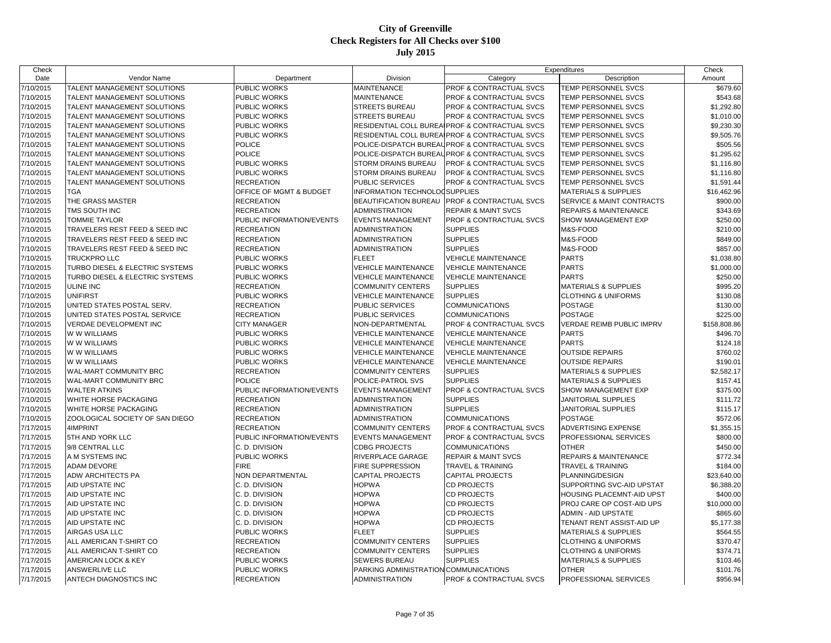| Check     |                                 |                           |                                       |                                                | Expenditures                     | Check        |
|-----------|---------------------------------|---------------------------|---------------------------------------|------------------------------------------------|----------------------------------|--------------|
| Date      | Vendor Name                     | Department                | Division                              | Category                                       | Description                      | Amount       |
| 7/10/2015 | TALENT MANAGEMENT SOLUTIONS     | PUBLIC WORKS              | <b>MAINTENANCE</b>                    | PROF & CONTRACTUAL SVCS                        | TEMP PERSONNEL SVCS              | \$679.60     |
| 7/10/2015 | TALENT MANAGEMENT SOLUTIONS     | PUBLIC WORKS              | <b>MAINTENANCE</b>                    | PROF & CONTRACTUAL SVCS                        | TEMP PERSONNEL SVCS              | \$543.68     |
| 7/10/2015 | TALENT MANAGEMENT SOLUTIONS     | PUBLIC WORKS              | <b>STREETS BUREAU</b>                 | <b>PROF &amp; CONTRACTUAL SVCS</b>             | TEMP PERSONNEL SVCS              | \$1,292.80   |
| 7/10/2015 | TALENT MANAGEMENT SOLUTIONS     | PUBLIC WORKS              | <b>STREETS BUREAU</b>                 | <b>PROF &amp; CONTRACTUAL SVCS</b>             | TEMP PERSONNEL SVCS              | \$1,010.00   |
| 7/10/2015 | TALENT MANAGEMENT SOLUTIONS     | PUBLIC WORKS              |                                       | RESIDENTIAL COLL BUREAIPROF & CONTRACTUAL SVCS | TEMP PERSONNEL SVCS              | \$9,230.30   |
| 7/10/2015 | TALENT MANAGEMENT SOLUTIONS     | <b>PUBLIC WORKS</b>       |                                       | RESIDENTIAL COLL BUREAIPROF & CONTRACTUAL SVCS | <b>TEMP PERSONNEL SVCS</b>       | \$9,505.76   |
| 7/10/2015 | TALENT MANAGEMENT SOLUTIONS     | <b>POLICE</b>             |                                       | POLICE-DISPATCH BUREAUPROF & CONTRACTUAL SVCS  | TEMP PERSONNEL SVCS              | \$505.56     |
| 7/10/2015 | TALENT MANAGEMENT SOLUTIONS     | <b>POLICE</b>             | POLICE-DISPATCH BUREAL                | <b>PROF &amp; CONTRACTUAL SVCS</b>             | TEMP PERSONNEL SVCS              | \$1,295.62   |
| 7/10/2015 | TALENT MANAGEMENT SOLUTIONS     | PUBLIC WORKS              | <b>STORM DRAINS BUREAU</b>            | <b>PROF &amp; CONTRACTUAL SVCS</b>             | TEMP PERSONNEL SVCS              | \$1,116.80   |
| 7/10/2015 | TALENT MANAGEMENT SOLUTIONS     | <b>PUBLIC WORKS</b>       | <b>STORM DRAINS BUREAU</b>            | <b>PROF &amp; CONTRACTUAL SVCS</b>             | <b>TEMP PERSONNEL SVCS</b>       | \$1,116.80   |
| 7/10/2015 | TALENT MANAGEMENT SOLUTIONS     | <b>RECREATION</b>         | PUBLIC SERVICES                       | PROF & CONTRACTUAL SVCS                        | TEMP PERSONNEL SVCS              | \$1,591.44   |
| 7/10/2015 | <b>TGA</b>                      | OFFICE OF MGMT & BUDGET   | INFORMATION TECHNOLOGSUPPLIES         |                                                | <b>MATERIALS &amp; SUPPLIES</b>  | \$16,462.96  |
| 7/10/2015 | THE GRASS MASTER                | <b>RECREATION</b>         | BEAUTIFICATION BUREAU                 | <b>PROF &amp; CONTRACTUAL SVCS</b>             | SERVICE & MAINT CONTRACTS        | \$900.00     |
| 7/10/2015 | TMS SOUTH INC                   | <b>RECREATION</b>         | <b>ADMINISTRATION</b>                 | <b>REPAIR &amp; MAINT SVCS</b>                 | <b>REPAIRS &amp; MAINTENANCE</b> | \$343.69     |
| 7/10/2015 | <b>TOMMIE TAYLOR</b>            | PUBLIC INFORMATION/EVENTS | <b>EVENTS MANAGEMENT</b>              | <b>PROF &amp; CONTRACTUAL SVCS</b>             | SHOW MANAGEMENT EXP              | \$250.00     |
| 7/10/2015 | TRAVELERS REST FEED & SEED INC  | <b>RECREATION</b>         | <b>ADMINISTRATION</b>                 | <b>SUPPLIES</b>                                | M&S-FOOD                         | \$210.00     |
| 7/10/2015 | TRAVELERS REST FEED & SEED INC  | <b>RECREATION</b>         | <b>ADMINISTRATION</b>                 | <b>SUPPLIES</b>                                | M&S-FOOD                         | \$849.00     |
| 7/10/2015 | TRAVELERS REST FEED & SEED INC  | <b>RECREATION</b>         | <b>ADMINISTRATION</b>                 | <b>SUPPLIES</b>                                | M&S-FOOD                         | \$857.00     |
| 7/10/2015 | TRUCKPRO LLC                    | PUBLIC WORKS              | <b>FLEET</b>                          | <b>VEHICLE MAINTENANCE</b>                     | <b>PARTS</b>                     | \$1,038.80   |
| 7/10/2015 | TURBO DIESEL & ELECTRIC SYSTEMS | PUBLIC WORKS              | <b>VEHICLE MAINTENANCE</b>            | <b>VEHICLE MAINTENANCE</b>                     | <b>PARTS</b>                     | \$1,000.00   |
| 7/10/2015 | TURBO DIESEL & ELECTRIC SYSTEMS | PUBLIC WORKS              | <b>VEHICLE MAINTENANCE</b>            | <b>VEHICLE MAINTENANCE</b>                     | <b>PARTS</b>                     | \$250.00     |
| 7/10/2015 | <b>ULINE INC</b>                | <b>RECREATION</b>         | <b>COMMUNITY CENTERS</b>              | <b>SUPPLIES</b>                                | <b>MATERIALS &amp; SUPPLIES</b>  | \$995.20     |
| 7/10/2015 | <b>UNIFIRST</b>                 | PUBLIC WORKS              | <b>VEHICLE MAINTENANCE</b>            | <b>SUPPLIES</b>                                | <b>CLOTHING &amp; UNIFORMS</b>   | \$130.08     |
| 7/10/2015 | UNITED STATES POSTAL SERV.      | <b>RECREATION</b>         | <b>PUBLIC SERVICES</b>                | <b>COMMUNICATIONS</b>                          | <b>POSTAGE</b>                   | \$130.00     |
| 7/10/2015 | UNITED STATES POSTAL SERVICE    | <b>RECREATION</b>         | <b>PUBLIC SERVICES</b>                | <b>COMMUNICATIONS</b>                          | <b>POSTAGE</b>                   | \$225.00     |
| 7/10/2015 | <b>VERDAE DEVELOPMENT INC</b>   | <b>CITY MANAGER</b>       | NON-DEPARTMENTAL                      | <b>PROF &amp; CONTRACTUAL SVCS</b>             | VERDAE REIMB PUBLIC IMPRV        | \$158,808.86 |
| 7/10/2015 | W W WILLIAMS                    | <b>PUBLIC WORKS</b>       | <b>VEHICLE MAINTENANCE</b>            | <b>VEHICLE MAINTENANCE</b>                     | <b>PARTS</b>                     | \$496.70     |
| 7/10/2015 | W W WILLIAMS                    | PUBLIC WORKS              | <b>VEHICLE MAINTENANCE</b>            | <b>VEHICLE MAINTENANCE</b>                     | <b>PARTS</b>                     | \$124.18     |
| 7/10/2015 | W W WILLIAMS                    | PUBLIC WORKS              | <b>VEHICLE MAINTENANCE</b>            | <b>VEHICLE MAINTENANCE</b>                     | <b>OUTSIDE REPAIRS</b>           | \$760.02     |
| 7/10/2015 | W W WILLIAMS                    | PUBLIC WORKS              | <b>VEHICLE MAINTENANCE</b>            | <b>VEHICLE MAINTENANCE</b>                     | <b>OUTSIDE REPAIRS</b>           | \$190.01     |
| 7/10/2015 | WAL-MART COMMUNITY BRC          | <b>RECREATION</b>         | <b>COMMUNITY CENTERS</b>              | <b>SUPPLIES</b>                                | <b>MATERIALS &amp; SUPPLIES</b>  | \$2,582.17   |
| 7/10/2015 | WAL-MART COMMUNITY BRC          | <b>POLICE</b>             | POLICE-PATROL SVS                     | <b>SUPPLIES</b>                                | <b>MATERIALS &amp; SUPPLIES</b>  | \$157.41     |
| 7/10/2015 | <b>WALTER ATKINS</b>            | PUBLIC INFORMATION/EVENTS | <b>EVENTS MANAGEMENT</b>              | <b>PROF &amp; CONTRACTUAL SVCS</b>             | SHOW MANAGEMENT EXP              | \$375.00     |
| 7/10/2015 | WHITE HORSE PACKAGING           | <b>RECREATION</b>         | <b>ADMINISTRATION</b>                 | <b>SUPPLIES</b>                                | <b>JANITORIAL SUPPLIES</b>       | \$111.72     |
| 7/10/2015 | WHITE HORSE PACKAGING           | <b>RECREATION</b>         | <b>ADMINISTRATION</b>                 | <b>SUPPLIES</b>                                | JANITORIAL SUPPLIES              | \$115.17     |
| 7/10/2015 | ZOOLOGICAL SOCIETY OF SAN DIEGO | <b>RECREATION</b>         | <b>ADMINISTRATION</b>                 | <b>COMMUNICATIONS</b>                          | <b>POSTAGE</b>                   | \$572.06     |
| 7/17/2015 | 4IMPRINT                        | <b>RECREATION</b>         | <b>COMMUNITY CENTERS</b>              | <b>PROF &amp; CONTRACTUAL SVCS</b>             | ADVERTISING EXPENSE              | \$1,355.15   |
| 7/17/2015 | 5TH AND YORK LLC                | PUBLIC INFORMATION/EVENTS | <b>EVENTS MANAGEMENT</b>              | <b>PROF &amp; CONTRACTUAL SVCS</b>             | PROFESSIONAL SERVICES            | \$800.00     |
| 7/17/2015 | 9/8 CENTRAL LLC                 | C. D. DIVISION            | <b>CDBG PROJECTS</b>                  | <b>COMMUNICATIONS</b>                          | <b>OTHER</b>                     | \$450.00     |
| 7/17/2015 | A M SYSTEMS INC                 | <b>PUBLIC WORKS</b>       | <b>RIVERPLACE GARAGE</b>              | REPAIR & MAINT SVCS                            | <b>REPAIRS &amp; MAINTENANCE</b> | \$772.34     |
| 7/17/2015 | <b>ADAM DEVORE</b>              | <b>FIRE</b>               | FIRE SUPPRESSION                      | <b>TRAVEL &amp; TRAINING</b>                   | <b>TRAVEL &amp; TRAINING</b>     | \$184.00     |
| 7/17/2015 | ADW ARCHITECTS PA               | <b>NON DEPARTMENTAL</b>   | <b>CAPITAL PROJECTS</b>               | <b>CAPITAL PROJECTS</b>                        | PLANNING/DESIGN                  | \$23,640.00  |
| 7/17/2015 | AID UPSTATE INC                 | C. D. DIVISION            | <b>HOPWA</b>                          | <b>CD PROJECTS</b>                             | SUPPORTING SVC-AID UPSTAT        | \$6,388.20   |
| 7/17/2015 | AID UPSTATE INC                 | C. D. DIVISION            | <b>HOPWA</b>                          | <b>CD PROJECTS</b>                             | HOUSING PLACEMNT-AID UPST        | \$400.00     |
| 7/17/2015 | AID UPSTATE INC                 | C. D. DIVISION            | <b>HOPWA</b>                          | <b>CD PROJECTS</b>                             | PROJ CARE OP COST-AID UPS        | \$10,000.00  |
| 7/17/2015 | AID UPSTATE INC                 | C. D. DIVISION            | <b>HOPWA</b>                          | <b>CD PROJECTS</b>                             | <b>ADMIN - AID UPSTATE</b>       | \$865.60     |
| 7/17/2015 | AID UPSTATE INC                 | C. D. DIVISION            | <b>HOPWA</b>                          | <b>CD PROJECTS</b>                             | TENANT RENT ASSIST-AID UP        | \$5,177.38   |
| 7/17/2015 | AIRGAS USA LLC                  | PUBLIC WORKS              | <b>FLEET</b>                          | <b>SUPPLIES</b>                                | <b>MATERIALS &amp; SUPPLIES</b>  | \$564.55     |
| 7/17/2015 | ALL AMERICAN T-SHIRT CO         | <b>RECREATION</b>         | <b>COMMUNITY CENTERS</b>              | <b>SUPPLIES</b>                                | <b>CLOTHING &amp; UNIFORMS</b>   | \$370.47     |
| 7/17/2015 | ALL AMERICAN T-SHIRT CO         | <b>RECREATION</b>         | <b>COMMUNITY CENTERS</b>              | <b>SUPPLIES</b>                                | <b>CLOTHING &amp; UNIFORMS</b>   | \$374.71     |
| 7/17/2015 | AMERICAN LOCK & KEY             | PUBLIC WORKS              | <b>SEWERS BUREAU</b>                  | <b>SUPPLIES</b>                                | <b>MATERIALS &amp; SUPPLIES</b>  | \$103.46     |
| 7/17/2015 | ANSWERLIVE LLC                  | PUBLIC WORKS              | PARKING ADMINISTRATION COMMUNICATIONS |                                                | <b>OTHER</b>                     | \$101.76     |
| 7/17/2015 | ANTECH DIAGNOSTICS INC          | <b>RECREATION</b>         | <b>ADMINISTRATION</b>                 | <b>PROF &amp; CONTRACTUAL SVCS</b>             | PROFESSIONAL SERVICES            | \$956.94     |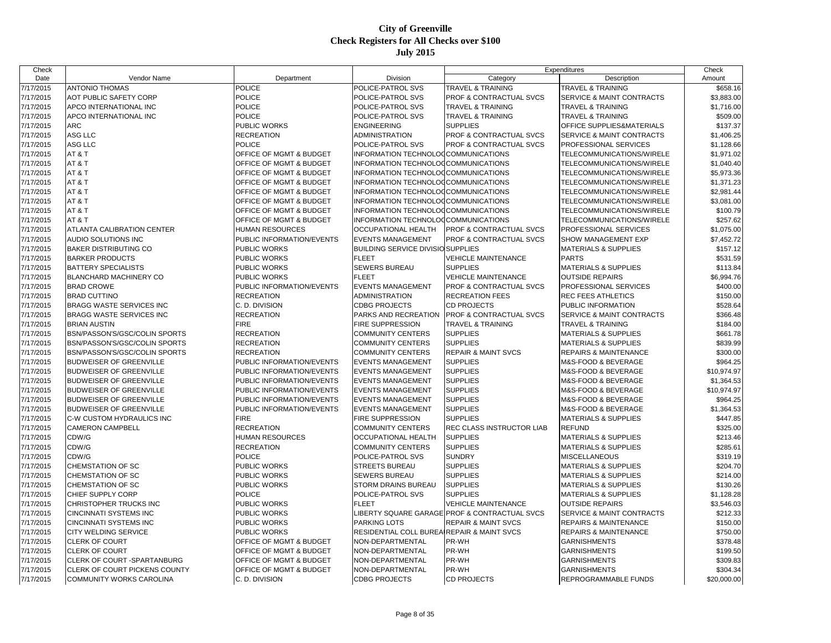| Check     |                                 |                           |                                                       |                                               | Expenditures                     | Check       |
|-----------|---------------------------------|---------------------------|-------------------------------------------------------|-----------------------------------------------|----------------------------------|-------------|
| Date      | Vendor Name                     | Department                | Division                                              | Category                                      | Description                      | Amount      |
| 7/17/2015 | <b>ANTONIO THOMAS</b>           | <b>POLICE</b>             | POLICE-PATROL SVS                                     | <b>TRAVEL &amp; TRAINING</b>                  | <b>TRAVEL &amp; TRAINING</b>     | \$658.16    |
| 7/17/2015 | AOT PUBLIC SAFETY CORP          | <b>POLICE</b>             | POLICE-PATROL SVS                                     | <b>PROF &amp; CONTRACTUAL SVCS</b>            | SERVICE & MAINT CONTRACTS        | \$3,883.00  |
| 7/17/2015 | APCO INTERNATIONAL INC          | <b>POLICE</b>             | POLICE-PATROL SVS                                     | <b>TRAVEL &amp; TRAINING</b>                  | <b>TRAVEL &amp; TRAINING</b>     | \$1,716.00  |
| 7/17/2015 | APCO INTERNATIONAL INC          | POLICE                    | POLICE-PATROL SVS                                     | <b>TRAVEL &amp; TRAINING</b>                  | TRAVEL & TRAINING                | \$509.00    |
| 7/17/2015 | <b>ARC</b>                      | PUBLIC WORKS              | <b>ENGINEERING</b>                                    | <b>SUPPLIES</b>                               | OFFICE SUPPLIES&MATERIALS        | \$137.37    |
| 7/17/2015 | ASG LLC                         | <b>RECREATION</b>         | <b>ADMINISTRATION</b>                                 | PROF & CONTRACTUAL SVCS                       | SERVICE & MAINT CONTRACTS        | \$1,406.25  |
| 7/17/2015 | ASG LLC                         | <b>POLICE</b>             | POLICE-PATROL SVS                                     | <b>PROF &amp; CONTRACTUAL SVCS</b>            | PROFESSIONAL SERVICES            | \$1,128.66  |
| 7/17/2015 | AT&T                            | OFFICE OF MGMT & BUDGET   | INFORMATION TECHNOLOGCOMMUNICATIONS                   |                                               | TELECOMMUNICATIONS/WIRELE        | \$1,971.02  |
| 7/17/2015 | AT&T                            | OFFICE OF MGMT & BUDGET   | INFORMATION TECHNOLOCCOMMUNICATIONS                   |                                               | TELECOMMUNICATIONS/WIRELE        | \$1,040.40  |
| 7/17/2015 | AT&T                            | OFFICE OF MGMT & BUDGET   | INFORMATION TECHNOLOGCOMMUNICATIONS                   |                                               | TELECOMMUNICATIONS/WIRELE        | \$5,973.36  |
| 7/17/2015 | AT&T                            | OFFICE OF MGMT & BUDGET   | INFORMATION TECHNOLOGCOMMUNICATIONS                   |                                               | TELECOMMUNICATIONS/WIRELE        | \$1,371.23  |
| 7/17/2015 | AT&T                            | OFFICE OF MGMT & BUDGET   | INFORMATION TECHNOLOGCOMMUNICATIONS                   |                                               | TELECOMMUNICATIONS/WIRELE        | \$2,981.44  |
| 7/17/2015 | AT&T                            | OFFICE OF MGMT & BUDGET   | INFORMATION TECHNOLOCCOMMUNICATIONS                   |                                               | TELECOMMUNICATIONS/WIRELE        | \$3,081.00  |
| 7/17/2015 | AT&T                            | OFFICE OF MGMT & BUDGET   | INFORMATION TECHNOLOGCOMMUNICATIONS                   |                                               | TELECOMMUNICATIONS/WIRELE        | \$100.79    |
| 7/17/2015 | AT&T                            | OFFICE OF MGMT & BUDGET   | INFORMATION TECHNOLOCCOMMUNICATIONS                   |                                               | TELECOMMUNICATIONS/WIRELE        | \$257.62    |
| 7/17/2015 | ATLANTA CALIBRATION CENTER      | <b>HUMAN RESOURCES</b>    | <b>OCCUPATIONAL HEALTH</b>                            | <b>PROF &amp; CONTRACTUAL SVCS</b>            | PROFESSIONAL SERVICES            | \$1,075.00  |
| 7/17/2015 | AUDIO SOLUTIONS INC             | PUBLIC INFORMATION/EVENTS | <b>EVENTS MANAGEMENT</b>                              | <b>PROF &amp; CONTRACTUAL SVCS</b>            | SHOW MANAGEMENT EXP              | \$7,452.72  |
| 7/17/2015 | <b>BAKER DISTRIBUTING CO</b>    | PUBLIC WORKS              | <b>BUILDING SERVICE DIVISIO SUPPLIES</b>              |                                               | MATERIALS & SUPPLIES             | \$157.12    |
| 7/17/2015 | <b>BARKER PRODUCTS</b>          | PUBLIC WORKS              | <b>FLEET</b>                                          | <b>VEHICLE MAINTENANCE</b>                    | <b>PARTS</b>                     | \$531.59    |
| 7/17/2015 | <b>BATTERY SPECIALISTS</b>      | PUBLIC WORKS              | <b>SEWERS BUREAU</b>                                  | <b>SUPPLIES</b>                               | <b>MATERIALS &amp; SUPPLIES</b>  | \$113.84    |
| 7/17/2015 | <b>BLANCHARD MACHINERY CO</b>   | PUBLIC WORKS              | <b>FLEET</b>                                          | <b>VEHICLE MAINTENANCE</b>                    | <b>OUTSIDE REPAIRS</b>           | \$6,994.76  |
| 7/17/2015 | <b>BRAD CROWE</b>               | PUBLIC INFORMATION/EVENTS | <b>EVENTS MANAGEMENT</b>                              | PROF & CONTRACTUAL SVCS                       | PROFESSIONAL SERVICES            | \$400.00    |
| 7/17/2015 | <b>BRAD CUTTINO</b>             | <b>RECREATION</b>         | <b>ADMINISTRATION</b>                                 | <b>RECREATION FEES</b>                        | <b>REC FEES ATHLETICS</b>        | \$150.00    |
| 7/17/2015 | BRAGG WASTE SERVICES INC        | C. D. DIVISION            | <b>CDBG PROJECTS</b>                                  | <b>CD PROJECTS</b>                            | PUBLIC INFORMATION               | \$528.64    |
| 7/17/2015 | <b>BRAGG WASTE SERVICES INC</b> | <b>RECREATION</b>         | PARKS AND RECREATION                                  | <b>PROF &amp; CONTRACTUAL SVCS</b>            | SERVICE & MAINT CONTRACTS        | \$366.48    |
| 7/17/2015 | <b>BRIAN AUSTIN</b>             | <b>FIRE</b>               | <b>FIRE SUPPRESSION</b>                               | <b>TRAVEL &amp; TRAINING</b>                  | <b>TRAVEL &amp; TRAINING</b>     | \$184.00    |
| 7/17/2015 | BSN/PASSON'S/GSC/COLIN SPORTS   | <b>RECREATION</b>         | <b>COMMUNITY CENTERS</b>                              | <b>SUPPLIES</b>                               | <b>MATERIALS &amp; SUPPLIES</b>  | \$661.78    |
| 7/17/2015 | BSN/PASSON'S/GSC/COLIN SPORTS   | <b>RECREATION</b>         | <b>COMMUNITY CENTERS</b>                              | <b>SUPPLIES</b>                               | <b>MATERIALS &amp; SUPPLIES</b>  | \$839.99    |
| 7/17/2015 | BSN/PASSON'S/GSC/COLIN SPORTS   | <b>RECREATION</b>         | <b>COMMUNITY CENTERS</b>                              | <b>REPAIR &amp; MAINT SVCS</b>                | <b>REPAIRS &amp; MAINTENANCE</b> | \$300.00    |
| 7/17/2015 | <b>BUDWEISER OF GREENVILLE</b>  | PUBLIC INFORMATION/EVENTS | <b>EVENTS MANAGEMENT</b>                              | <b>SUPPLIES</b>                               | M&S-FOOD & BEVERAGE              | \$964.25    |
| 7/17/2015 | <b>BUDWEISER OF GREENVILLE</b>  | PUBLIC INFORMATION/EVENTS | <b>EVENTS MANAGEMENT</b>                              | <b>SUPPLIES</b>                               | M&S-FOOD & BEVERAGE              | \$10,974.97 |
| 7/17/2015 | <b>BUDWEISER OF GREENVILLE</b>  | PUBLIC INFORMATION/EVENTS | <b>EVENTS MANAGEMENT</b>                              | <b>SUPPLIES</b>                               | M&S-FOOD & BEVERAGE              | \$1,364.53  |
| 7/17/2015 | <b>BUDWEISER OF GREENVILLE</b>  | PUBLIC INFORMATION/EVENTS | <b>EVENTS MANAGEMENT</b>                              | <b>SUPPLIES</b>                               | M&S-FOOD & BEVERAGE              | \$10,974.97 |
| 7/17/2015 | <b>BUDWEISER OF GREENVILLE</b>  | PUBLIC INFORMATION/EVENTS | <b>EVENTS MANAGEMENT</b>                              | <b>SUPPLIES</b>                               | M&S-FOOD & BEVERAGE              | \$964.25    |
| 7/17/2015 | <b>BUDWEISER OF GREENVILLE</b>  | PUBLIC INFORMATION/EVENTS | <b>EVENTS MANAGEMENT</b>                              | <b>SUPPLIES</b>                               | M&S-FOOD & BEVERAGE              | \$1,364.53  |
| 7/17/2015 | C-W CUSTOM HYDRAULICS INC       | <b>FIRE</b>               | <b>FIRE SUPPRESSION</b>                               | <b>SUPPLIES</b>                               | <b>MATERIALS &amp; SUPPLIES</b>  | \$447.85    |
| 7/17/2015 | <b>CAMERON CAMPBELL</b>         | <b>RECREATION</b>         | <b>COMMUNITY CENTERS</b>                              | REC CLASS INSTRUCTOR LIAB                     | <b>REFUND</b>                    | \$325.00    |
| 7/17/2015 | CDW/G                           | <b>HUMAN RESOURCES</b>    | <b>OCCUPATIONAL HEALTH</b>                            | <b>SUPPLIES</b>                               | <b>MATERIALS &amp; SUPPLIES</b>  | \$213.46    |
| 7/17/2015 | CDW/G                           | <b>RECREATION</b>         | <b>COMMUNITY CENTERS</b>                              | <b>SUPPLIES</b>                               | <b>MATERIALS &amp; SUPPLIES</b>  | \$285.61    |
| 7/17/2015 | CDW/G                           | POLICE                    | POLICE-PATROL SVS                                     | <b>SUNDRY</b>                                 | <b>MISCELLANEOUS</b>             | \$319.19    |
| 7/17/2015 | <b>CHEMSTATION OF SC</b>        | PUBLIC WORKS              | <b>STREETS BUREAU</b>                                 | <b>SUPPLIES</b>                               | <b>MATERIALS &amp; SUPPLIES</b>  | \$204.70    |
| 7/17/2015 | CHEMSTATION OF SC               | PUBLIC WORKS              | <b>SEWERS BUREAU</b>                                  | <b>SUPPLIES</b>                               | <b>MATERIALS &amp; SUPPLIES</b>  | \$214.00    |
| 7/17/2015 | CHEMSTATION OF SC               | PUBLIC WORKS              | <b>STORM DRAINS BUREAU</b>                            | <b>SUPPLIES</b>                               | <b>MATERIALS &amp; SUPPLIES</b>  | \$130.26    |
| 7/17/2015 | CHIEF SUPPLY CORP               | <b>POLICE</b>             | POLICE-PATROL SVS                                     | <b>SUPPLIES</b>                               | <b>MATERIALS &amp; SUPPLIES</b>  | \$1,128.28  |
| 7/17/2015 | CHRISTOPHER TRUCKS INC          | PUBLIC WORKS              | <b>FLEET</b>                                          | <b>VEHICLE MAINTENANCE</b>                    | <b>OUTSIDE REPAIRS</b>           | \$3,546.03  |
| 7/17/2015 | <b>CINCINNATI SYSTEMS INC</b>   | PUBLIC WORKS              |                                                       | LIBERTY SQUARE GARAGE PROF & CONTRACTUAL SVCS | SERVICE & MAINT CONTRACTS        | \$212.33    |
| 7/17/2015 | CINCINNATI SYSTEMS INC          | PUBLIC WORKS              | <b>PARKING LOTS</b>                                   | <b>REPAIR &amp; MAINT SVCS</b>                | <b>REPAIRS &amp; MAINTENANCE</b> | \$150.00    |
| 7/17/2015 | CITY WELDING SERVICE            | PUBLIC WORKS              | <b>RESIDENTIAL COLL BUREAIREPAIR &amp; MAINT SVCS</b> |                                               | <b>REPAIRS &amp; MAINTENANCE</b> | \$750.00    |
| 7/17/2015 | <b>CLERK OF COURT</b>           | OFFICE OF MGMT & BUDGET   | NON-DEPARTMENTAL                                      | PR-WH                                         | <b>GARNISHMENTS</b>              | \$378.48    |
| 7/17/2015 | <b>CLERK OF COURT</b>           | OFFICE OF MGMT & BUDGET   | NON-DEPARTMENTAL                                      | PR-WH                                         | <b>GARNISHMENTS</b>              | \$199.50    |
| 7/17/2015 | CLERK OF COURT - SPARTANBURG    | OFFICE OF MGMT & BUDGET   | NON-DEPARTMENTAL                                      | PR-WH                                         | <b>GARNISHMENTS</b>              | \$309.83    |
| 7/17/2015 | CLERK OF COURT PICKENS COUNTY   | OFFICE OF MGMT & BUDGET   | NON-DEPARTMENTAL                                      | PR-WH                                         | <b>GARNISHMENTS</b>              | \$304.34    |
| 7/17/2015 | <b>COMMUNITY WORKS CAROLINA</b> | C. D. DIVISION            | <b>CDBG PROJECTS</b>                                  | <b>CD PROJECTS</b>                            | REPROGRAMMABLE FUNDS             | \$20,000.00 |
|           |                                 |                           |                                                       |                                               |                                  |             |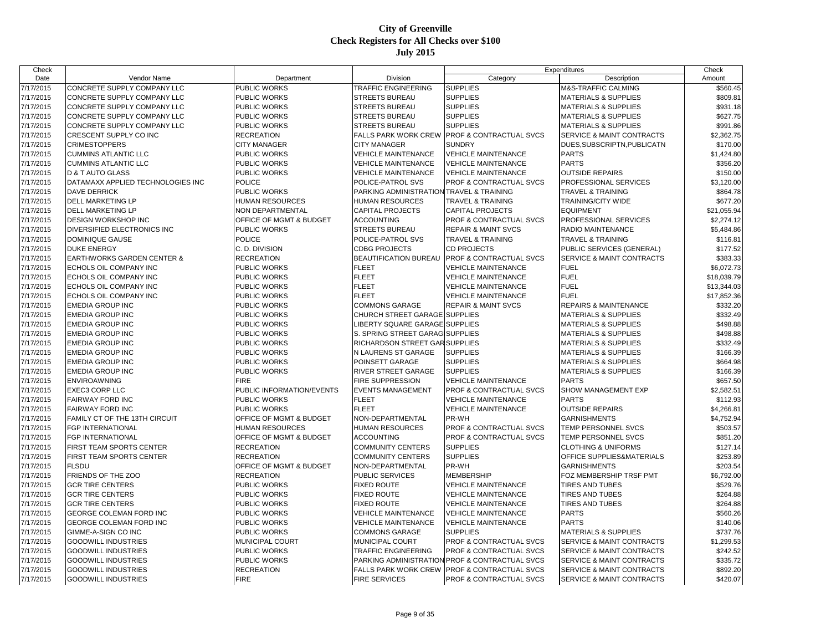| Check     |                                                    |                                    |                                          |                                                | Expenditures                         | Check       |
|-----------|----------------------------------------------------|------------------------------------|------------------------------------------|------------------------------------------------|--------------------------------------|-------------|
| Date      | Vendor Name                                        | Department                         | Division                                 | Category                                       | Description                          | Amount      |
| 7/17/2015 | CONCRETE SUPPLY COMPANY LLC                        | PUBLIC WORKS                       | TRAFFIC ENGINEERING                      | <b>SUPPLIES</b>                                | M&S-TRAFFIC CALMING                  | \$560.45    |
| 7/17/2015 | CONCRETE SUPPLY COMPANY LLC                        | <b>PUBLIC WORKS</b>                | <b>STREETS BUREAU</b>                    | <b>SUPPLIES</b>                                | <b>MATERIALS &amp; SUPPLIES</b>      | \$809.81    |
| 7/17/2015 | CONCRETE SUPPLY COMPANY LLC                        | <b>PUBLIC WORKS</b>                | <b>STREETS BUREAU</b>                    | <b>SUPPLIES</b>                                | MATERIALS & SUPPLIES                 | \$931.18    |
| 7/17/2015 | CONCRETE SUPPLY COMPANY LLC                        | <b>PUBLIC WORKS</b>                | <b>STREETS BUREAU</b>                    | <b>SUPPLIES</b>                                | <b>MATERIALS &amp; SUPPLIES</b>      | \$627.75    |
| 7/17/2015 | CONCRETE SUPPLY COMPANY LLC                        | <b>PUBLIC WORKS</b>                | STREETS BUREAU                           | <b>SUPPLIES</b>                                | MATERIALS & SUPPLIES                 | \$991.86    |
| 7/17/2015 | CRESCENT SUPPLY CO INC                             | <b>RECREATION</b>                  | <b>FALLS PARK WORK CREW</b>              | PROF & CONTRACTUAL SVCS                        | SERVICE & MAINT CONTRACTS            | \$2,362.75  |
| 7/17/2015 | <b>CRIMESTOPPERS</b>                               | <b>CITY MANAGER</b>                | <b>CITY MANAGER</b>                      | <b>SUNDRY</b>                                  | DUES SUBSCRIPTN PUBLICATN            | \$170.00    |
| 7/17/2015 | <b>CUMMINS ATLANTIC LLC</b>                        | <b>PUBLIC WORKS</b>                | <b>VEHICLE MAINTENANCE</b>               | <b>VEHICLE MAINTENANCE</b>                     | <b>PARTS</b>                         | \$1,424.80  |
| 7/17/2015 | <b>CUMMINS ATLANTIC LLC</b>                        | <b>PUBLIC WORKS</b>                | <b>VEHICLE MAINTENANCE</b>               | VEHICLE MAINTENANCE                            | <b>PARTS</b>                         | \$356.20    |
| 7/17/2015 | <b>ID &amp; T AUTO GLASS</b>                       | <b>PUBLIC WORKS</b>                | <b>VEHICLE MAINTENANCE</b>               | <b>VEHICLE MAINTENANCE</b>                     | <b>OUTSIDE REPAIRS</b>               | \$150.00    |
| 7/17/2015 | DATAMAXX APPLIED TECHNOLOGIES INC                  | <b>POLICE</b>                      | POLICE-PATROL SVS                        | PROF & CONTRACTUAL SVCS                        | PROFESSIONAL SERVICES                | \$3,120.00  |
| 7/17/2015 | <b>DAVE DERRICK</b>                                | <b>PUBLIC WORKS</b>                | PARKING ADMINISTRATION TRAVEL & TRAINING |                                                | <b>TRAVEL &amp; TRAINING</b>         | \$864.78    |
| 7/17/2015 | <b>DELL MARKETING LP</b>                           | <b>HUMAN RESOURCES</b>             | <b>HUMAN RESOURCES</b>                   | <b>TRAVEL &amp; TRAINING</b>                   | TRAINING/CITY WIDE                   | \$677.20    |
| 7/17/2015 | <b>DELL MARKETING LP</b>                           | <b>NON DEPARTMENTAL</b>            | <b>CAPITAL PROJECTS</b>                  | <b>CAPITAL PROJECTS</b>                        | <b>EQUIPMENT</b>                     | \$21,055.94 |
| 7/17/2015 | <b>DESIGN WORKSHOP INC</b>                         | OFFICE OF MGMT & BUDGET            | <b>ACCOUNTING</b>                        | PROF & CONTRACTUAL SVCS                        | PROFESSIONAL SERVICES                | \$2,274.12  |
| 7/17/2015 | <b>DIVERSIFIED ELECTRONICS INC</b>                 | <b>PUBLIC WORKS</b>                | <b>STREETS BUREAU</b>                    | <b>REPAIR &amp; MAINT SVCS</b>                 | RADIO MAINTENANCE                    | \$5,484.86  |
| 7/17/2015 | <b>DOMINIQUE GAUSE</b>                             | <b>POLICE</b>                      | POLICE-PATROL SVS                        | <b>TRAVEL &amp; TRAINING</b>                   | TRAVEL & TRAINING                    | \$116.81    |
| 7/17/2015 | <b>DUKE ENERGY</b>                                 | C. D. DIVISION                     | <b>CDBG PROJECTS</b>                     | <b>CD PROJECTS</b>                             | PUBLIC SERVICES (GENERAL)            | \$177.52    |
| 7/17/2015 | <b>EARTHWORKS GARDEN CENTER &amp;</b>              | <b>RECREATION</b>                  | BEAUTIFICATION BUREAU                    | PROF & CONTRACTUAL SVCS                        | <b>SERVICE &amp; MAINT CONTRACTS</b> | \$383.33    |
| 7/17/2015 | ECHOLS OIL COMPANY INC                             | <b>PUBLIC WORKS</b>                | <b>FLEET</b>                             | <b>VEHICLE MAINTENANCE</b>                     | <b>FUEL</b>                          | \$6,072.73  |
| 7/17/2015 | ECHOLS OIL COMPANY INC                             | <b>PUBLIC WORKS</b>                | <b>FLEET</b>                             | <b>VEHICLE MAINTENANCE</b>                     | <b>FUEL</b>                          | \$18,039.79 |
| 7/17/2015 | ECHOLS OIL COMPANY INC                             | <b>PUBLIC WORKS</b>                | <b>FLEET</b>                             | <b>VEHICLE MAINTENANCE</b>                     | <b>FUEL</b>                          | \$13,344.03 |
| 7/17/2015 | ECHOLS OIL COMPANY INC                             | <b>PUBLIC WORKS</b>                | <b>FLEET</b>                             | VEHICLE MAINTENANCE                            | <b>FUEL</b>                          | \$17,852.36 |
| 7/17/2015 | <b>EMEDIA GROUP INC</b>                            | <b>PUBLIC WORKS</b>                | <b>COMMONS GARAGE</b>                    | <b>REPAIR &amp; MAINT SVCS</b>                 | REPAIRS & MAINTENANCE                | \$332.20    |
| 7/17/2015 | EMEDIA GROUP INC                                   | <b>PUBLIC WORKS</b>                | <b>CHURCH STREET GARAGE</b>              | <b>SUPPLIES</b>                                | <b>MATERIALS &amp; SUPPLIES</b>      | \$332.49    |
| 7/17/2015 | <b>EMEDIA GROUP INC</b>                            | <b>PUBLIC WORKS</b>                | LIBERTY SQUARE GARAGE SUPPLIES           |                                                | <b>MATERIALS &amp; SUPPLIES</b>      | \$498.88    |
| 7/17/2015 | <b>EMEDIA GROUP INC</b>                            | <b>PUBLIC WORKS</b>                | S. SPRING STREET GARAGISUPPLIES          |                                                | <b>MATERIALS &amp; SUPPLIES</b>      | \$498.88    |
| 7/17/2015 | <b>EMEDIA GROUP INC</b>                            | <b>PUBLIC WORKS</b>                | RICHARDSON STREET GAR SUPPLIES           |                                                | MATERIALS & SUPPLIES                 | \$332.49    |
| 7/17/2015 | <b>EMEDIA GROUP INC</b>                            | <b>PUBLIC WORKS</b>                | N LAURENS ST GARAGE                      | <b>SUPPLIES</b>                                | <b>MATERIALS &amp; SUPPLIES</b>      | \$166.39    |
| 7/17/2015 | EMEDIA GROUP INC                                   | <b>PUBLIC WORKS</b>                | POINSETT GARAGE                          | <b>SUPPLIES</b>                                | <b>MATERIALS &amp; SUPPLIES</b>      | \$664.98    |
| 7/17/2015 | <b>EMEDIA GROUP INC</b>                            | <b>PUBLIC WORKS</b>                | RIVER STREET GARAGE                      | <b>SUPPLIES</b>                                | <b>MATERIALS &amp; SUPPLIES</b>      | \$166.39    |
| 7/17/2015 | <b>ENVIROAWNING</b>                                | <b>FIRE</b>                        | <b>FIRE SUPPRESSION</b>                  | <b>VEHICLE MAINTENANCE</b>                     | <b>PARTS</b>                         | \$657.50    |
| 7/17/2015 | EXEC3 CORP LLC                                     | PUBLIC INFORMATION/EVENTS          | <b>EVENTS MANAGEMENT</b>                 | PROF & CONTRACTUAL SVCS                        | SHOW MANAGEMENT EXP                  | \$2,582.51  |
| 7/17/2015 | FAIRWAY FORD INC                                   | <b>PUBLIC WORKS</b>                | <b>FLEET</b>                             | VEHICLE MAINTENANCE                            | <b>PARTS</b>                         | \$112.93    |
| 7/17/2015 | <b>FAIRWAY FORD INC</b>                            | <b>PUBLIC WORKS</b>                | <b>FLEET</b>                             | <b>VEHICLE MAINTENANCE</b>                     | <b>OUTSIDE REPAIRS</b>               | \$4,266.81  |
| 7/17/2015 | FAMILY CT OF THE 13TH CIRCUIT                      | OFFICE OF MGMT & BUDGET            | NON-DEPARTMENTAL                         | PR-WH                                          | <b>GARNISHMENTS</b>                  | \$4,752.94  |
| 7/17/2015 | FGP INTERNATIONAL                                  | <b>HUMAN RESOURCES</b>             | <b>HUMAN RESOURCES</b>                   | PROF & CONTRACTUAL SVCS                        | TEMP PERSONNEL SVCS                  | \$503.57    |
| 7/17/2015 | FGP INTERNATIONAL                                  | <b>OFFICE OF MGMT &amp; BUDGET</b> | <b>ACCOUNTING</b>                        | PROF & CONTRACTUAL SVCS                        | TEMP PERSONNEL SVCS                  | \$851.20    |
| 7/17/2015 | FIRST TEAM SPORTS CENTER                           | <b>RECREATION</b>                  | <b>COMMUNITY CENTERS</b>                 | <b>SUPPLIES</b>                                | <b>CLOTHING &amp; UNIFORMS</b>       | \$127.14    |
| 7/17/2015 | FIRST TEAM SPORTS CENTER                           | <b>RECREATION</b>                  | <b>COMMUNITY CENTERS</b>                 | <b>SUPPLIES</b>                                | OFFICE SUPPLIES&MATERIALS            | \$253.89    |
| 7/17/2015 | FLSDU                                              | OFFICE OF MGMT & BUDGET            | NON-DEPARTMENTAL                         | PR-WH                                          | <b>GARNISHMENTS</b>                  | \$203.54    |
| 7/17/2015 | FRIENDS OF THE ZOO                                 | <b>RECREATION</b>                  | PUBLIC SERVICES                          | <b>MEMBERSHIP</b>                              | FOZ MEMBERSHIP TRSF PMT              | \$6,792.00  |
|           | <b>GCR TIRE CENTERS</b>                            | <b>PUBLIC WORKS</b>                | <b>FIXED ROUTE</b>                       | <b>VEHICLE MAINTENANCE</b>                     | <b>TIRES AND TUBES</b>               | \$529.76    |
| 7/17/2015 |                                                    | <b>PUBLIC WORKS</b>                | <b>FIXED ROUTE</b>                       | <b>VEHICLE MAINTENANCE</b>                     | <b>TIRES AND TUBES</b>               |             |
| 7/17/2015 | <b>GCR TIRE CENTERS</b>                            | <b>PUBLIC WORKS</b>                | <b>FIXED ROUTE</b>                       | <b>VEHICLE MAINTENANCE</b>                     | <b>TIRES AND TUBES</b>               | \$264.88    |
| 7/17/2015 | <b>GCR TIRE CENTERS</b><br>GEORGE COLEMAN FORD INC | <b>PUBLIC WORKS</b>                | <b>VEHICLE MAINTENANCE</b>               | <b>VEHICLE MAINTENANCE</b>                     | <b>PARTS</b>                         | \$264.88    |
| 7/17/2015 |                                                    |                                    |                                          |                                                |                                      | \$560.26    |
| 7/17/2015 | GEORGE COLEMAN FORD INC                            | <b>PUBLIC WORKS</b>                | <b>VEHICLE MAINTENANCE</b>               | <b>VEHICLE MAINTENANCE</b>                     | <b>PARTS</b>                         | \$140.06    |
| 7/17/2015 | GIMME-A-SIGN CO INC                                | <b>PUBLIC WORKS</b>                | <b>COMMONS GARAGE</b>                    | <b>SUPPLIES</b>                                | <b>MATERIALS &amp; SUPPLIES</b>      | \$737.76    |
| 7/17/2015 | <b>GOODWILL INDUSTRIES</b>                         | MUNICIPAL COURT                    | MUNICIPAL COURT                          | PROF & CONTRACTUAL SVCS                        | SERVICE & MAINT CONTRACTS            | \$1,299.53  |
| 7/17/2015 | <b>GOODWILL INDUSTRIES</b>                         | <b>PUBLIC WORKS</b>                | <b>TRAFFIC ENGINEERING</b>               | PROF & CONTRACTUAL SVCS                        | SERVICE & MAINT CONTRACTS            | \$242.52    |
| 7/17/2015 | <b>GOODWILL INDUSTRIES</b>                         | PUBLIC WORKS                       |                                          | PARKING ADMINISTRATION PROF & CONTRACTUAL SVCS | SERVICE & MAINT CONTRACTS            | \$335.72    |
| 7/17/2015 | <b>GOODWILL INDUSTRIES</b>                         | <b>RECREATION</b>                  | <b>FALLS PARK WORK CREW</b>              | <b>PROF &amp; CONTRACTUAL SVCS</b>             | <b>SERVICE &amp; MAINT CONTRACTS</b> | \$892.20    |
| 7/17/2015 | <b>GOODWILL INDUSTRIES</b>                         | <b>FIRE</b>                        | <b>FIRE SERVICES</b>                     | PROF & CONTRACTUAL SVCS                        | <b>SERVICE &amp; MAINT CONTRACTS</b> | \$420.07    |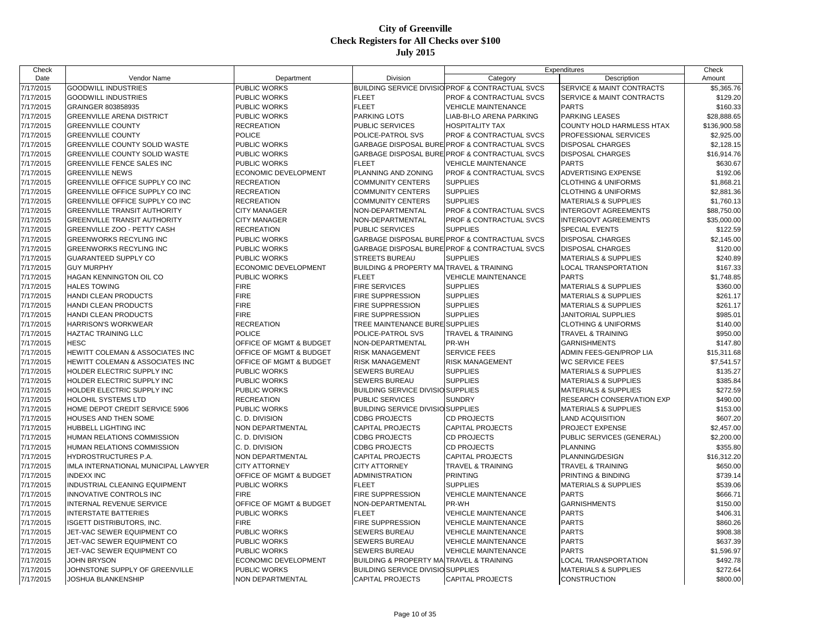| Check                  |                                      |                             |                                                         |                                                             | Expenditures                         | Check                |
|------------------------|--------------------------------------|-----------------------------|---------------------------------------------------------|-------------------------------------------------------------|--------------------------------------|----------------------|
| Date                   | Vendor Name                          | Department                  | Division                                                | Category                                                    | Description                          | Amount               |
| 7/17/2015              | <b>GOODWILL INDUSTRIES</b>           | <b>PUBLIC WORKS</b>         |                                                         | <b>BUILDING SERVICE DIVISIO PROF &amp; CONTRACTUAL SVCS</b> | <b>SERVICE &amp; MAINT CONTRACTS</b> | \$5,365.76           |
| 7/17/2015              | <b>GOODWILL INDUSTRIES</b>           | PUBLIC WORKS                | <b>FLEET</b>                                            | PROF & CONTRACTUAL SVCS                                     | SERVICE & MAINT CONTRACTS            | \$129.20             |
| 7/17/2015              | GRAINGER 803858935                   | PUBLIC WORKS                | <b>FLEET</b>                                            | <b>VEHICLE MAINTENANCE</b>                                  | <b>PARTS</b>                         | \$160.33             |
| 7/17/2015              | <b>GREENVILLE ARENA DISTRICT</b>     | PUBLIC WORKS                | <b>PARKING LOTS</b>                                     | LIAB-BI-LO ARENA PARKING                                    | <b>PARKING LEASES</b>                | \$28,888.65          |
| 7/17/2015              | <b>GREENVILLE COUNTY</b>             | <b>RECREATION</b>           | PUBLIC SERVICES                                         | <b>HOSPITALITY TAX</b>                                      | COUNTY HOLD HARMLESS HTAX            | \$136,900.58         |
| 7/17/2015              | <b>GREENVILLE COUNTY</b>             | <b>POLICE</b>               | POLICE-PATROL SVS                                       | PROF & CONTRACTUAL SVCS                                     | PROFESSIONAL SERVICES                | \$2,925.00           |
| 7/17/2015              | <b>GREENVILLE COUNTY SOLID WASTE</b> | PUBLIC WORKS                |                                                         | GARBAGE DISPOSAL BURE PROF & CONTRACTUAL SVCS               | <b>DISPOSAL CHARGES</b>              | \$2,128.15           |
| 7/17/2015              | GREENVILLE COUNTY SOLID WASTE        | PUBLIC WORKS                |                                                         | GARBAGE DISPOSAL BURE PROF & CONTRACTUAL SVCS               | <b>DISPOSAL CHARGES</b>              | \$16,914.76          |
| 7/17/2015              | <b>GREENVILLE FENCE SALES INC</b>    | <b>PUBLIC WORKS</b>         | <b>FLEET</b>                                            | <b>VEHICLE MAINTENANCE</b>                                  | <b>PARTS</b>                         | \$630.67             |
| 7/17/2015              | <b>GREENVILLE NEWS</b>               | <b>ECONOMIC DEVELOPMENT</b> | PLANNING AND ZONING                                     | <b>PROF &amp; CONTRACTUAL SVCS</b>                          | ADVERTISING EXPENSE                  | \$192.06             |
| 7/17/2015              | GREENVILLE OFFICE SUPPLY CO INC      | <b>RECREATION</b>           | <b>COMMUNITY CENTERS</b>                                | <b>SUPPLIES</b>                                             | <b>CLOTHING &amp; UNIFORMS</b>       | \$1,868.21           |
| 7/17/2015              | GREENVILLE OFFICE SUPPLY CO INC      | <b>RECREATION</b>           | <b>COMMUNITY CENTERS</b>                                | <b>SUPPLIES</b>                                             | <b>CLOTHING &amp; UNIFORMS</b>       | \$2,881.36           |
| 7/17/2015              | GREENVILLE OFFICE SUPPLY CO INC      | <b>RECREATION</b>           | <b>COMMUNITY CENTERS</b>                                | <b>SUPPLIES</b>                                             | <b>MATERIALS &amp; SUPPLIES</b>      | \$1,760.13           |
| 7/17/2015              | <b>GREENVILLE TRANSIT AUTHORITY</b>  | <b>CITY MANAGER</b>         | NON-DEPARTMENTAL                                        | <b>PROF &amp; CONTRACTUAL SVCS</b>                          | <b>INTERGOVT AGREEMENTS</b>          | \$88,750.00          |
| 7/17/2015              | <b>GREENVILLE TRANSIT AUTHORITY</b>  | <b>CITY MANAGER</b>         | NON-DEPARTMENTAL                                        | <b>PROF &amp; CONTRACTUAL SVCS</b>                          | <b>INTERGOVT AGREEMENTS</b>          | \$35,000.00          |
| 7/17/2015              | GREENVILLE ZOO - PETTY CASH          | <b>RECREATION</b>           | PUBLIC SERVICES                                         | <b>SUPPLIES</b>                                             | SPECIAL EVENTS                       | \$122.59             |
| 7/17/2015              | <b>GREENWORKS RECYLING INC</b>       | PUBLIC WORKS                |                                                         | GARBAGE DISPOSAL BURE PROF & CONTRACTUAL SVCS               | <b>DISPOSAL CHARGES</b>              | \$2,145.00           |
| 7/17/2015              | <b>GREENWORKS RECYLING INC</b>       | <b>PUBLIC WORKS</b>         |                                                         | GARBAGE DISPOSAL BURE PROF & CONTRACTUAL SVCS               | <b>DISPOSAL CHARGES</b>              | \$120.00             |
| 7/17/2015              | <b>GUARANTEED SUPPLY CO</b>          | PUBLIC WORKS                | <b>STREETS BUREAU</b>                                   | <b>SUPPLIES</b>                                             | <b>MATERIALS &amp; SUPPLIES</b>      | \$240.89             |
| 7/17/2015              | <b>GUY MURPHY</b>                    | ECONOMIC DEVELOPMENT        | <b>BUILDING &amp; PROPERTY MAITRAVEL &amp; TRAINING</b> |                                                             | LOCAL TRANSPORTATION                 | \$167.33             |
| 7/17/2015              | HAGAN KENNINGTON OIL CO              | <b>PUBLIC WORKS</b>         | <b>FLEET</b>                                            | <b>VEHICLE MAINTENANCE</b>                                  | <b>PARTS</b>                         | \$1,748.85           |
| 7/17/2015              | <b>HALES TOWING</b>                  | <b>FIRE</b>                 | <b>FIRE SERVICES</b>                                    | <b>SUPPLIES</b>                                             | <b>MATERIALS &amp; SUPPLIES</b>      | \$360.00             |
| 7/17/2015              | HANDI CLEAN PRODUCTS                 | <b>FIRE</b>                 | <b>FIRE SUPPRESSION</b>                                 | <b>SUPPLIES</b>                                             | <b>MATERIALS &amp; SUPPLIES</b>      | \$261.17             |
| 7/17/2015              | HANDI CLEAN PRODUCTS                 | <b>FIRE</b>                 | <b>FIRE SUPPRESSION</b>                                 | <b>SUPPLIES</b>                                             | <b>MATERIALS &amp; SUPPLIES</b>      | \$261.17             |
| 7/17/2015              | <b>HANDI CLEAN PRODUCTS</b>          | <b>FIRE</b>                 | <b>FIRE SUPPRESSION</b>                                 | <b>SUPPLIES</b>                                             | JANITORIAL SUPPLIES                  | \$985.01             |
|                        | HARRISON'S WORKWEAR                  | <b>RECREATION</b>           | TREE MAINTENANCE BURE                                   | <b>SUPPLIES</b>                                             | <b>CLOTHING &amp; UNIFORMS</b>       |                      |
| 7/17/2015<br>7/17/2015 | <b>HAZTAC TRAINING LLC</b>           | <b>POLICE</b>               | POLICE-PATROL SVS                                       | TRAVEL & TRAINING                                           | <b>TRAVEL &amp; TRAINING</b>         | \$140.00<br>\$950.00 |
|                        | <b>HESC</b>                          | OFFICE OF MGMT & BUDGET     | NON-DEPARTMENTAL                                        | PR-WH                                                       | <b>GARNISHMENTS</b>                  |                      |
| 7/17/2015              |                                      | OFFICE OF MGMT & BUDGET     | <b>RISK MANAGEMENT</b>                                  | <b>SERVICE FEES</b>                                         | ADMIN FEES-GEN/PROP LIA              | \$147.80             |
| 7/17/2015              | HEWITT COLEMAN & ASSOCIATES INC      |                             |                                                         |                                                             |                                      | \$15,311.68          |
| 7/17/2015              | HEWITT COLEMAN & ASSOCIATES INC      | OFFICE OF MGMT & BUDGET     | <b>RISK MANAGEMENT</b>                                  | <b>RISK MANAGEMENT</b>                                      | <b>WC SERVICE FEES</b>               | \$7,541.57           |
| 7/17/2015              | HOLDER ELECTRIC SUPPLY INC           | <b>PUBLIC WORKS</b>         | <b>SEWERS BUREAU</b>                                    | <b>SUPPLIES</b>                                             | <b>MATERIALS &amp; SUPPLIES</b>      | \$135.27             |
| 7/17/2015              | HOLDER ELECTRIC SUPPLY INC           | PUBLIC WORKS                | <b>SEWERS BUREAU</b>                                    | <b>SUPPLIES</b>                                             | <b>MATERIALS &amp; SUPPLIES</b>      | \$385.84             |
| 7/17/2015              | HOLDER ELECTRIC SUPPLY INC           | PUBLIC WORKS                | <b>BUILDING SERVICE DIVISIO SUPPLIES</b>                |                                                             | <b>MATERIALS &amp; SUPPLIES</b>      | \$272.59             |
| 7/17/2015              | HOLOHIL SYSTEMS LTD                  | <b>RECREATION</b>           | PUBLIC SERVICES                                         | <b>SUNDRY</b>                                               | RESEARCH CONSERVATION EXP            | \$490.00             |
| 7/17/2015              | HOME DEPOT CREDIT SERVICE 5906       | PUBLIC WORKS                | <b>BUILDING SERVICE DIVISIO SUPPLIES</b>                |                                                             | <b>MATERIALS &amp; SUPPLIES</b>      | \$153.00             |
| 7/17/2015              | HOUSES AND THEN SOME                 | C. D. DIVISION              | <b>CDBG PROJECTS</b>                                    | <b>CD PROJECTS</b>                                          | <b>LAND ACQUISITION</b>              | \$607.20             |
| 7/17/2015              | HUBBELL LIGHTING INC                 | NON DEPARTMENTAL            | <b>CAPITAL PROJECTS</b>                                 | <b>CAPITAL PROJECTS</b>                                     | PROJECT EXPENSE                      | \$2,457.00           |
| 7/17/2015              | HUMAN RELATIONS COMMISSION           | C. D. DIVISION              | <b>CDBG PROJECTS</b>                                    | CD PROJECTS                                                 | PUBLIC SERVICES (GENERAL)            | \$2,200.00           |
| 7/17/2015              | HUMAN RELATIONS COMMISSION           | C. D. DIVISION              | <b>CDBG PROJECTS</b>                                    | <b>CD PROJECTS</b>                                          | <b>PLANNING</b>                      | \$355.80             |
| 7/17/2015              | HYDROSTRUCTURES P.A.                 | NON DEPARTMENTAL            | <b>CAPITAL PROJECTS</b>                                 | <b>CAPITAL PROJECTS</b>                                     | PLANNING/DESIGN                      | \$16,312.20          |
| 7/17/2015              | IMLA INTERNATIONAL MUNICIPAL LAWYER  | <b>CITY ATTORNEY</b>        | <b>CITY ATTORNEY</b>                                    | TRAVEL & TRAINING                                           | <b>TRAVEL &amp; TRAINING</b>         | \$650.00             |
| 7/17/2015              | <b>INDEXX INC</b>                    | OFFICE OF MGMT & BUDGET     | <b>ADMINISTRATION</b>                                   | <b>PRINTING</b>                                             | PRINTING & BINDING                   | \$739.14             |
| 7/17/2015              | INDUSTRIAL CLEANING EQUIPMENT        | <b>PUBLIC WORKS</b>         | <b>FLEET</b>                                            | <b>SUPPLIES</b>                                             | <b>MATERIALS &amp; SUPPLIES</b>      | \$539.06             |
| 7/17/2015              | INNOVATIVE CONTROLS INC              | <b>FIRE</b>                 | <b>FIRE SUPPRESSION</b>                                 | <b>VEHICLE MAINTENANCE</b>                                  | <b>PARTS</b>                         | \$666.71             |
| 7/17/2015              | INTERNAL REVENUE SERVICE             | OFFICE OF MGMT & BUDGET     | NON-DEPARTMENTAL                                        | PR-WH                                                       | <b>GARNISHMENTS</b>                  | \$150.00             |
| 7/17/2015              | <b>INTERSTATE BATTERIES</b>          | PUBLIC WORKS                | <b>FLEET</b>                                            | <b>VEHICLE MAINTENANCE</b>                                  | <b>PARTS</b>                         | \$406.31             |
| 7/17/2015              | ISGETT DISTRIBUTORS, INC.            | <b>FIRE</b>                 | <b>FIRE SUPPRESSION</b>                                 | <b>VEHICLE MAINTENANCE</b>                                  | <b>PARTS</b>                         | \$860.26             |
| 7/17/2015              | JET-VAC SEWER EQUIPMENT CO           | PUBLIC WORKS                | <b>SEWERS BUREAU</b>                                    | <b>VEHICLE MAINTENANCE</b>                                  | <b>PARTS</b>                         | \$908.38             |
| 7/17/2015              | JET-VAC SEWER EQUIPMENT CO           | PUBLIC WORKS                | <b>SEWERS BUREAU</b>                                    | <b>VEHICLE MAINTENANCE</b>                                  | <b>PARTS</b>                         | \$637.39             |
| 7/17/2015              | JET-VAC SEWER EQUIPMENT CO           | PUBLIC WORKS                | <b>SEWERS BUREAU</b>                                    | <b>VEHICLE MAINTENANCE</b>                                  | <b>PARTS</b>                         | \$1,596.97           |
| 7/17/2015              | <b>JOHN BRYSON</b>                   | ECONOMIC DEVELOPMENT        | <b>BUILDING &amp; PROPERTY MA</b>                       | <b>TRAVEL &amp; TRAINING</b>                                | LOCAL TRANSPORTATION                 | \$492.78             |
| 7/17/2015              | JOHNSTONE SUPPLY OF GREENVILLE       | <b>PUBLIC WORKS</b>         | <b>BUILDING SERVICE DIVISIO SUPPLIES</b>                |                                                             | <b>MATERIALS &amp; SUPPLIES</b>      | \$272.64             |
| 7/17/2015              | JOSHUA BLANKENSHIP                   | <b>NON DEPARTMENTAL</b>     | <b>CAPITAL PROJECTS</b>                                 | <b>CAPITAL PROJECTS</b>                                     | <b>CONSTRUCTION</b>                  | \$800.00             |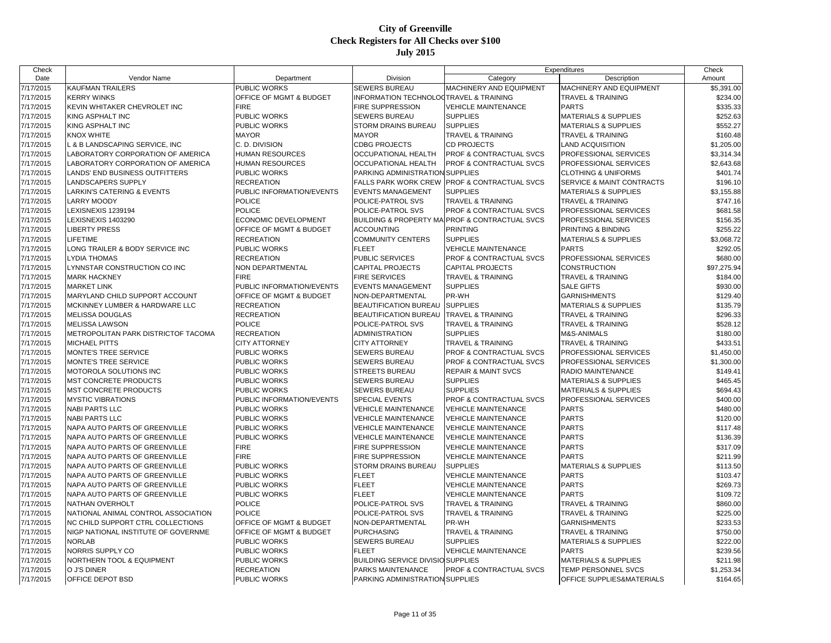| Check     |                                       |                           |                                                   |                                    | Expenditures                    | Check       |
|-----------|---------------------------------------|---------------------------|---------------------------------------------------|------------------------------------|---------------------------------|-------------|
| Date      | Vendor Name                           | Department                | Division                                          | Category                           | Description                     | Amount      |
| 7/17/2015 | KAUFMAN TRAILERS                      | PUBLIC WORKS              | <b>SEWERS BUREAU</b>                              | MACHINERY AND EQUIPMENT            | MACHINERY AND EQUIPMENT         | \$5,391.00  |
| 7/17/2015 | <b>KERRY WINKS</b>                    | OFFICE OF MGMT & BUDGET   | <b>INFORMATION TECHNOLOGTRAVEL &amp; TRAINING</b> |                                    | <b>TRAVEL &amp; TRAINING</b>    | \$234.00    |
| 7/17/2015 | KEVIN WHITAKER CHEVROLET INC          | <b>FIRE</b>               | <b>FIRE SUPPRESSION</b>                           | <b>VEHICLE MAINTENANCE</b>         | <b>PARTS</b>                    | \$335.33    |
| 7/17/2015 | KING ASPHALT INC                      | PUBLIC WORKS              | <b>SEWERS BUREAU</b>                              | <b>SUPPLIES</b>                    | <b>MATERIALS &amp; SUPPLIES</b> | \$252.63    |
| 7/17/2015 | KING ASPHALT INC                      | PUBLIC WORKS              | STORM DRAINS BUREAU                               | <b>SUPPLIES</b>                    | <b>MATERIALS &amp; SUPPLIES</b> | \$552.27    |
| 7/17/2015 | KNOX WHITE                            | <b>MAYOR</b>              | <b>MAYOR</b>                                      | TRAVEL & TRAINING                  | <b>TRAVEL &amp; TRAINING</b>    | \$160.48    |
| 7/17/2015 | L & B LANDSCAPING SERVICE, INC        | C. D. DIVISION            | <b>CDBG PROJECTS</b>                              | <b>CD PROJECTS</b>                 | LAND ACQUISITION                | \$1,205.00  |
| 7/17/2015 | LABORATORY CORPORATION OF AMERICA     | <b>HUMAN RESOURCES</b>    | <b>OCCUPATIONAL HEALTH</b>                        | PROF & CONTRACTUAL SVCS            | PROFESSIONAL SERVICES           | \$3,314.34  |
| 7/17/2015 | LABORATORY CORPORATION OF AMERICA     | <b>HUMAN RESOURCES</b>    | <b>OCCUPATIONAL HEALTH</b>                        | PROF & CONTRACTUAL SVCS            | PROFESSIONAL SERVICES           | \$2,643.68  |
| 7/17/2015 | LANDS' END BUSINESS OUTFITTERS        | PUBLIC WORKS              | PARKING ADMINISTRATION SUPPLIES                   |                                    | <b>CLOTHING &amp; UNIFORMS</b>  | \$401.74    |
| 7/17/2015 | LANDSCAPERS SUPPLY                    | <b>RECREATION</b>         | <b>FALLS PARK WORK CREW</b>                       | <b>PROF &amp; CONTRACTUAL SVCS</b> | SERVICE & MAINT CONTRACTS       | \$196.10    |
| 7/17/2015 | <b>LARKIN'S CATERING &amp; EVENTS</b> | PUBLIC INFORMATION/EVENTS | <b>EVENTS MANAGEMENT</b>                          | <b>SUPPLIES</b>                    | <b>MATERIALS &amp; SUPPLIES</b> | \$3,155.88  |
| 7/17/2015 | <b>LARRY MOODY</b>                    | <b>POLICE</b>             | POLICE-PATROL SVS                                 | TRAVEL & TRAINING                  | TRAVEL & TRAINING               | \$747.16    |
| 7/17/2015 | LEXISNEXIS 1239194                    | <b>POLICE</b>             | POLICE-PATROL SVS                                 | PROF & CONTRACTUAL SVCS            | PROFESSIONAL SERVICES           | \$681.58    |
| 7/17/2015 | LEXISNEXIS 1403290                    | ECONOMIC DEVELOPMENT      | <b>BUILDING &amp; PROPERTY MA</b>                 | <b>PROF &amp; CONTRACTUAL SVCS</b> | PROFESSIONAL SERVICES           | \$156.35    |
| 7/17/2015 | <b>LIBERTY PRESS</b>                  | OFFICE OF MGMT & BUDGET   | <b>ACCOUNTING</b>                                 | <b>PRINTING</b>                    | PRINTING & BINDING              | \$255.22    |
| 7/17/2015 | LIFETIME                              | <b>RECREATION</b>         | <b>COMMUNITY CENTERS</b>                          | <b>SUPPLIES</b>                    | <b>MATERIALS &amp; SUPPLIES</b> | \$3,068.72  |
| 7/17/2015 | LONG TRAILER & BODY SERVICE INC       | PUBLIC WORKS              | <b>FLEET</b>                                      | <b>VEHICLE MAINTENANCE</b>         | <b>PARTS</b>                    | \$292.05    |
| 7/17/2015 | LYDIA THOMAS                          | <b>RECREATION</b>         | <b>PUBLIC SERVICES</b>                            | PROF & CONTRACTUAL SVCS            | PROFESSIONAL SERVICES           | \$680.00    |
| 7/17/2015 | LYNNSTAR CONSTRUCTION CO INC          | <b>NON DEPARTMENTAL</b>   | <b>CAPITAL PROJECTS</b>                           | <b>CAPITAL PROJECTS</b>            | CONSTRUCTION                    | \$97,275.94 |
| 7/17/2015 | <b>MARK HACKNEY</b>                   | <b>FIRE</b>               | <b>FIRE SERVICES</b>                              | <b>TRAVEL &amp; TRAINING</b>       | <b>TRAVEL &amp; TRAINING</b>    | \$184.00    |
| 7/17/2015 | <b>MARKET LINK</b>                    | PUBLIC INFORMATION/EVENTS | <b>EVENTS MANAGEMENT</b>                          | <b>SUPPLIES</b>                    | <b>SALE GIFTS</b>               | \$930.00    |
| 7/17/2015 | MARYLAND CHILD SUPPORT ACCOUNT        | OFFICE OF MGMT & BUDGET   | NON-DEPARTMENTAL                                  | PR-WH                              | <b>GARNISHMENTS</b>             | \$129.40    |
| 7/17/2015 | MCKINNEY LUMBER & HARDWARE LLC        | <b>RECREATION</b>         | BEAUTIFICATION BUREAU                             | <b>SUPPLIES</b>                    | <b>MATERIALS &amp; SUPPLIES</b> | \$135.79    |
| 7/17/2015 | <b>MELISSA DOUGLAS</b>                | <b>RECREATION</b>         | <b>BEAUTIFICATION BUREAU</b>                      | <b>TRAVEL &amp; TRAINING</b>       | <b>TRAVEL &amp; TRAINING</b>    | \$296.33    |
| 7/17/2015 | <b>MELISSA LAWSON</b>                 | <b>POLICE</b>             | POLICE-PATROL SVS                                 | <b>TRAVEL &amp; TRAINING</b>       | <b>TRAVEL &amp; TRAINING</b>    | \$528.12    |
| 7/17/2015 | METROPOLITAN PARK DISTRICTOF TACOMA   | <b>RECREATION</b>         | <b>ADMINISTRATION</b>                             | <b>SUPPLIES</b>                    | M&S-ANIMALS                     | \$180.00    |
| 7/17/2015 | <b>MICHAEL PITTS</b>                  | <b>CITY ATTORNEY</b>      | <b>CITY ATTORNEY</b>                              | <b>TRAVEL &amp; TRAINING</b>       | <b>TRAVEL &amp; TRAINING</b>    | \$433.51    |
| 7/17/2015 | MONTE'S TREE SERVICE                  | PUBLIC WORKS              | <b>SEWERS BUREAU</b>                              | PROF & CONTRACTUAL SVCS            | PROFESSIONAL SERVICES           | \$1,450.00  |
| 7/17/2015 | MONTE'S TREE SERVICE                  | <b>PUBLIC WORKS</b>       | <b>SEWERS BUREAU</b>                              | PROF & CONTRACTUAL SVCS            | PROFESSIONAL SERVICES           | \$1,300.00  |
| 7/17/2015 | MOTOROLA SOLUTIONS INC                | PUBLIC WORKS              | <b>STREETS BUREAU</b>                             | <b>REPAIR &amp; MAINT SVCS</b>     | RADIO MAINTENANCE               | \$149.41    |
| 7/17/2015 | MST CONCRETE PRODUCTS                 | PUBLIC WORKS              | <b>SEWERS BUREAU</b>                              | <b>SUPPLIES</b>                    | <b>MATERIALS &amp; SUPPLIES</b> | \$465.45    |
| 7/17/2015 | <b>MST CONCRETE PRODUCTS</b>          | PUBLIC WORKS              | <b>SEWERS BUREAU</b>                              | <b>SUPPLIES</b>                    | <b>MATERIALS &amp; SUPPLIES</b> | \$694.43    |
| 7/17/2015 | <b>MYSTIC VIBRATIONS</b>              | PUBLIC INFORMATION/EVENTS | SPECIAL EVENTS                                    | PROF & CONTRACTUAL SVCS            | PROFESSIONAL SERVICES           | \$400.00    |
| 7/17/2015 | <b>NABI PARTS LLC</b>                 | PUBLIC WORKS              | <b>VEHICLE MAINTENANCE</b>                        | <b>VEHICLE MAINTENANCE</b>         | <b>PARTS</b>                    | \$480.00    |
| 7/17/2015 | <b>NABI PARTS LLC</b>                 | PUBLIC WORKS              | <b>VEHICLE MAINTENANCE</b>                        | <b>VEHICLE MAINTENANCE</b>         | <b>PARTS</b>                    | \$120.00    |
| 7/17/2015 | NAPA AUTO PARTS OF GREENVILLE         | PUBLIC WORKS              | <b>VEHICLE MAINTENANCE</b>                        | <b>VEHICLE MAINTENANCE</b>         | <b>PARTS</b>                    | \$117.48    |
| 7/17/2015 | NAPA AUTO PARTS OF GREENVILLE         | <b>PUBLIC WORKS</b>       | <b>VEHICLE MAINTENANCE</b>                        | <b>VEHICLE MAINTENANCE</b>         | <b>PARTS</b>                    | \$136.39    |
| 7/17/2015 | NAPA AUTO PARTS OF GREENVILLE         | <b>FIRE</b>               | FIRE SUPPRESSION                                  | <b>VEHICLE MAINTENANCE</b>         | <b>PARTS</b>                    | \$317.09    |
| 7/17/2015 | NAPA AUTO PARTS OF GREENVILLE         | <b>FIRE</b>               | <b>FIRE SUPPRESSION</b>                           | <b>VEHICLE MAINTENANCE</b>         | <b>PARTS</b>                    | \$211.99    |
| 7/17/2015 | NAPA AUTO PARTS OF GREENVILLE         | PUBLIC WORKS              | STORM DRAINS BUREAU                               | <b>SUPPLIES</b>                    | <b>MATERIALS &amp; SUPPLIES</b> | \$113.50    |
| 7/17/2015 | NAPA AUTO PARTS OF GREENVILLE         | PUBLIC WORKS              | <b>FLEET</b>                                      | <b>VEHICLE MAINTENANCE</b>         | <b>PARTS</b>                    | \$103.47    |
| 7/17/2015 | NAPA AUTO PARTS OF GREENVILLE         | PUBLIC WORKS              | <b>FLEET</b>                                      | <b>VEHICLE MAINTENANCE</b>         | <b>PARTS</b>                    | \$269.73    |
| 7/17/2015 | NAPA AUTO PARTS OF GREENVILLE         | PUBLIC WORKS              | <b>FLEET</b>                                      | <b>VEHICLE MAINTENANCE</b>         | <b>PARTS</b>                    | \$109.72    |
| 7/17/2015 | <b>NATHAN OVERHOLT</b>                | <b>POLICE</b>             | POLICE-PATROL SVS                                 | TRAVEL & TRAINING                  | <b>TRAVEL &amp; TRAINING</b>    | \$860.00    |
| 7/17/2015 | NATIONAL ANIMAL CONTROL ASSOCIATION   | <b>POLICE</b>             | POLICE-PATROL SVS                                 | <b>TRAVEL &amp; TRAINING</b>       | <b>TRAVEL &amp; TRAINING</b>    | \$225.00    |
| 7/17/2015 | NC CHILD SUPPORT CTRL COLLECTIONS     | OFFICE OF MGMT & BUDGET   | NON-DEPARTMENTAL                                  | PR-WH                              | <b>GARNISHMENTS</b>             | \$233.53    |
| 7/17/2015 | NIGP NATIONAL INSTITUTE OF GOVERNME   | OFFICE OF MGMT & BUDGET   | <b>PURCHASING</b>                                 | <b>TRAVEL &amp; TRAINING</b>       | <b>TRAVEL &amp; TRAINING</b>    | \$750.00    |
| 7/17/2015 | <b>NORLAB</b>                         | PUBLIC WORKS              | <b>SEWERS BUREAU</b>                              | <b>SUPPLIES</b>                    | <b>MATERIALS &amp; SUPPLIES</b> | \$222.00    |
| 7/17/2015 | NORRIS SUPPLY CO                      | PUBLIC WORKS              | <b>FLEET</b>                                      | <b>VEHICLE MAINTENANCE</b>         | <b>PARTS</b>                    | \$239.56    |
| 7/17/2015 | NORTHERN TOOL & EQUIPMENT             | PUBLIC WORKS              | <b>BUILDING SERVICE DIVISIO SUPPLIES</b>          |                                    | <b>MATERIALS &amp; SUPPLIES</b> | \$211.98    |
| 7/17/2015 | O J'S DINER                           | <b>RECREATION</b>         | PARKS MAINTENANCE                                 | <b>PROF &amp; CONTRACTUAL SVCS</b> | <b>TEMP PERSONNEL SVCS</b>      | \$1,253.34  |
| 7/17/2015 | OFFICE DEPOT BSD                      | <b>PUBLIC WORKS</b>       | PARKING ADMINISTRATION SUPPLIES                   |                                    | OFFICE SUPPLIES&MATERIALS       | \$164.65    |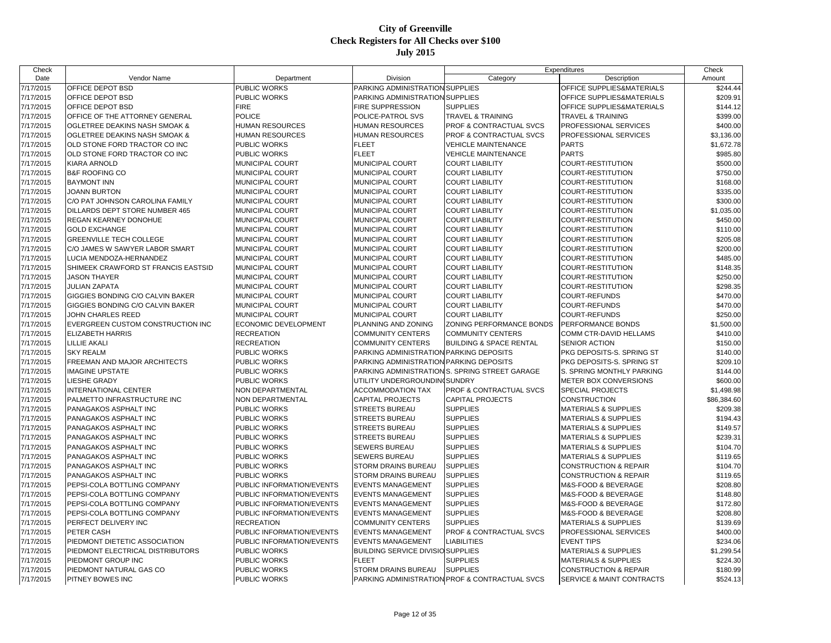| Check     |                                     |                           |                                         |                                                | Expenditures                     | Check                |
|-----------|-------------------------------------|---------------------------|-----------------------------------------|------------------------------------------------|----------------------------------|----------------------|
| Date      | Vendor Name                         | Department                | Division                                | Category                                       | Description                      | Amount               |
| 7/17/2015 | OFFICE DEPOT BSD                    | PUBLIC WORKS              | PARKING ADMINISTRATION SUPPLIES         |                                                | OFFICE SUPPLIES&MATERIALS        | \$244.44             |
| 7/17/2015 | OFFICE DEPOT BSD                    | PUBLIC WORKS              | PARKING ADMINISTRATION SUPPLIES         |                                                | OFFICE SUPPLIES&MATERIALS        | \$209.91             |
| 7/17/2015 | OFFICE DEPOT BSD                    | <b>FIRE</b>               | FIRE SUPPRESSION                        | <b>SUPPLIES</b>                                | OFFICE SUPPLIES&MATERIALS        | \$144.12             |
| 7/17/2015 | OFFICE OF THE ATTORNEY GENERAL      | <b>POLICE</b>             | POLICE-PATROL SVS                       | TRAVEL & TRAINING                              | <b>TRAVEL &amp; TRAINING</b>     | \$399.00             |
| 7/17/2015 | OGLETREE DEAKINS NASH SMOAK &       | <b>HUMAN RESOURCES</b>    | HUMAN RESOURCES                         | PROF & CONTRACTUAL SVCS                        | PROFESSIONAL SERVICES            | \$400.00             |
| 7/17/2015 | OGLETREE DEAKINS NASH SMOAK &       | HUMAN RESOURCES           | HUMAN RESOURCES                         | <b>PROF &amp; CONTRACTUAL SVCS</b>             | PROFESSIONAL SERVICES            | \$3,136.00           |
| 7/17/2015 | OLD STONE FORD TRACTOR CO INC       | PUBLIC WORKS              | <b>FLEET</b>                            | <b>VEHICLE MAINTENANCE</b>                     | <b>PARTS</b>                     | \$1,672.78           |
| 7/17/2015 | OLD STONE FORD TRACTOR CO INC       | PUBLIC WORKS              | <b>FLEET</b>                            | <b>VEHICLE MAINTENANCE</b>                     | <b>PARTS</b>                     | \$985.80             |
| 7/17/2015 | <b>KIARA ARNOLD</b>                 | MUNICIPAL COURT           | MUNICIPAL COURT                         | <b>COURT LIABILITY</b>                         | COURT-RESTITUTION                | \$500.00             |
| 7/17/2015 | <b>B&amp;F ROOFING CO</b>           | MUNICIPAL COURT           | MUNICIPAL COURT                         | <b>COURT LIABILITY</b>                         | COURT-RESTITUTION                | \$750.00             |
| 7/17/2015 | <b>BAYMONT INN</b>                  | MUNICIPAL COURT           | MUNICIPAL COURT                         | <b>COURT LIABILITY</b>                         | COURT-RESTITUTION                | \$168.00             |
| 7/17/2015 | <b>JOANN BURTON</b>                 | <b>MUNICIPAL COURT</b>    | MUNICIPAL COURT                         | <b>COURT LIABILITY</b>                         | COURT-RESTITUTION                | \$335.00             |
| 7/17/2015 | C/O PAT JOHNSON CAROLINA FAMILY     | <b>MUNICIPAL COURT</b>    | MUNICIPAL COURT                         | <b>COURT LIABILITY</b>                         | COURT-RESTITUTION                | \$300.00             |
| 7/17/2015 | DILLARDS DEPT STORE NUMBER 465      | MUNICIPAL COURT           | MUNICIPAL COURT                         | <b>COURT LIABILITY</b>                         | COURT-RESTITUTION                | \$1,035.00           |
| 7/17/2015 | REGAN KEARNEY DONOHUE               | MUNICIPAL COURT           | MUNICIPAL COURT                         | <b>COURT LIABILITY</b>                         | COURT-RESTITUTION                | \$450.00             |
| 7/17/2015 | <b>GOLD EXCHANGE</b>                | MUNICIPAL COURT           | MUNICIPAL COURT                         | <b>COURT LIABILITY</b>                         | COURT-RESTITUTION                | \$110.00             |
| 7/17/2015 | <b>GREENVILLE TECH COLLEGE</b>      | MUNICIPAL COURT           | MUNICIPAL COURT                         | <b>COURT LIABILITY</b>                         | COURT-RESTITUTION                | \$205.08             |
| 7/17/2015 | C/O JAMES W SAWYER LABOR SMART      | MUNICIPAL COURT           | MUNICIPAL COURT                         | <b>COURT LIABILITY</b>                         | COURT-RESTITUTION                | \$200.00             |
| 7/17/2015 | LUCIA MENDOZA-HERNANDEZ             | MUNICIPAL COURT           | MUNICIPAL COURT                         | <b>COURT LIABILITY</b>                         | COURT-RESTITUTION                | \$485.00             |
| 7/17/2015 | SHIMEEK CRAWFORD ST FRANCIS EASTSID | MUNICIPAL COURT           | MUNICIPAL COURT                         | <b>COURT LIABILITY</b>                         | COURT-RESTITUTION                | \$148.35             |
| 7/17/2015 | <b>JASON THAYER</b>                 | MUNICIPAL COURT           | MUNICIPAL COURT                         | <b>COURT LIABILITY</b>                         | COURT-RESTITUTION                | \$250.00             |
| 7/17/2015 | <b>JULIAN ZAPATA</b>                | MUNICIPAL COURT           | MUNICIPAL COURT                         | <b>COURT LIABILITY</b>                         | COURT-RESTITUTION                | \$298.35             |
| 7/17/2015 | GIGGIES BONDING C/O CALVIN BAKER    | MUNICIPAL COURT           | MUNICIPAL COURT                         | <b>COURT LIABILITY</b>                         | COURT-REFUNDS                    | \$470.00             |
| 7/17/2015 | GIGGIES BONDING C/O CALVIN BAKER    | <b>MUNICIPAL COURT</b>    | MUNICIPAL COURT                         | <b>COURT LIABILITY</b>                         | COURT-REFUNDS                    | \$470.00             |
| 7/17/2015 | <b>JOHN CHARLES REED</b>            | MUNICIPAL COURT           | MUNICIPAL COURT                         | <b>COURT LIABILITY</b>                         | COURT-REFUNDS                    | \$250.00             |
| 7/17/2015 | EVERGREEN CUSTOM CONSTRUCTION INC   | ECONOMIC DEVELOPMENT      | PLANNING AND ZONING                     | ZONING PERFORMANCE BONDS                       | PERFORMANCE BONDS                | \$1,500.00           |
| 7/17/2015 | <b>ELIZABETH HARRIS</b>             | <b>RECREATION</b>         | <b>COMMUNITY CENTERS</b>                | <b>COMMUNITY CENTERS</b>                       | COMM CTR-DAVID HELLAMS           | \$410.00             |
| 7/17/2015 | LILLIE AKALI                        | <b>RECREATION</b>         | <b>COMMUNITY CENTERS</b>                | <b>BUILDING &amp; SPACE RENTAL</b>             | SENIOR ACTION                    |                      |
| 7/17/2015 | <b>SKY REALM</b>                    | PUBLIC WORKS              | PARKING ADMINISTRATION PARKING DEPOSITS |                                                | PKG DEPOSITS-S. SPRING ST        | \$150.00<br>\$140.00 |
|           | FREEMAN AND MAJOR ARCHITECTS        | <b>PUBLIC WORKS</b>       | PARKING ADMINISTRATION PARKING DEPOSITS |                                                | PKG DEPOSITS-S. SPRING ST        | \$209.10             |
| 7/17/2015 | <b>IMAGINE UPSTATE</b>              |                           |                                         |                                                | S. SPRING MONTHLY PARKING        |                      |
| 7/17/2015 |                                     | PUBLIC WORKS              |                                         | PARKING ADMINISTRATION S. SPRING STREET GARAGE |                                  | \$144.00             |
| 7/17/2015 | LIESHE GRADY                        | PUBLIC WORKS              | UTILITY UNDERGROUNDIN(SUNDRY            |                                                | METER BOX CONVERSIONS            | \$600.00             |
| 7/17/2015 | <b>INTERNATIONAL CENTER</b>         | NON DEPARTMENTAL          | <b>ACCOMMODATION TAX</b>                | PROF & CONTRACTUAL SVCS                        | SPECIAL PROJECTS                 | \$1,498.98           |
| 7/17/2015 | PALMETTO INFRASTRUCTURE INC         | NON DEPARTMENTAL          | <b>CAPITAL PROJECTS</b>                 | <b>CAPITAL PROJECTS</b>                        | CONSTRUCTION                     | \$86,384.60          |
| 7/17/2015 | PANAGAKOS ASPHALT INC               | <b>PUBLIC WORKS</b>       | STREETS BUREAU                          | <b>SUPPLIES</b>                                | <b>MATERIALS &amp; SUPPLIES</b>  | \$209.38             |
| 7/17/2015 | PANAGAKOS ASPHALT INC               | PUBLIC WORKS              | STREETS BUREAU                          | <b>SUPPLIES</b>                                | <b>MATERIALS &amp; SUPPLIES</b>  | \$194.43             |
| 7/17/2015 | PANAGAKOS ASPHALT INC               | PUBLIC WORKS              | STREETS BUREAU                          | <b>SUPPLIES</b>                                | <b>MATERIALS &amp; SUPPLIES</b>  | \$149.57             |
| 7/17/2015 | PANAGAKOS ASPHALT INC               | <b>PUBLIC WORKS</b>       | <b>STREETS BUREAU</b>                   | <b>SUPPLIES</b>                                | <b>MATERIALS &amp; SUPPLIES</b>  | \$239.31             |
| 7/17/2015 | PANAGAKOS ASPHALT INC               | PUBLIC WORKS              | SEWERS BUREAU                           | <b>SUPPLIES</b>                                | <b>MATERIALS &amp; SUPPLIES</b>  | \$104.70             |
| 7/17/2015 | PANAGAKOS ASPHALT INC               | PUBLIC WORKS              | SEWERS BUREAU                           | <b>SUPPLIES</b>                                | <b>MATERIALS &amp; SUPPLIES</b>  | \$119.65             |
| 7/17/2015 | PANAGAKOS ASPHALT INC               | <b>PUBLIC WORKS</b>       | STORM DRAINS BUREAU                     | <b>SUPPLIES</b>                                | <b>CONSTRUCTION &amp; REPAIR</b> | \$104.70             |
| 7/17/2015 | PANAGAKOS ASPHALT INC               | PUBLIC WORKS              | STORM DRAINS BUREAU                     | <b>SUPPLIES</b>                                | <b>CONSTRUCTION &amp; REPAIR</b> | \$119.65             |
| 7/17/2015 | PEPSI-COLA BOTTLING COMPANY         | PUBLIC INFORMATION/EVENTS | <b>EVENTS MANAGEMENT</b>                | <b>SUPPLIES</b>                                | M&S-FOOD & BEVERAGE              | \$208.80             |
| 7/17/2015 | PEPSI-COLA BOTTLING COMPANY         | PUBLIC INFORMATION/EVENTS | <b>EVENTS MANAGEMENT</b>                | <b>SUPPLIES</b>                                | M&S-FOOD & BEVERAGE              | \$148.80             |
| 7/17/2015 | PEPSI-COLA BOTTLING COMPANY         | PUBLIC INFORMATION/EVENTS | <b>EVENTS MANAGEMENT</b>                | <b>SUPPLIES</b>                                | M&S-FOOD & BEVERAGE              | \$172.80             |
| 7/17/2015 | PEPSI-COLA BOTTLING COMPANY         | PUBLIC INFORMATION/EVENTS | <b>EVENTS MANAGEMENT</b>                | <b>SUPPLIES</b>                                | M&S-FOOD & BEVERAGE              | \$208.80             |
| 7/17/2015 | PERFECT DELIVERY INC                | <b>RECREATION</b>         | <b>COMMUNITY CENTERS</b>                | <b>SUPPLIES</b>                                | <b>MATERIALS &amp; SUPPLIES</b>  | \$139.69             |
| 7/17/2015 | PETER CASH                          | PUBLIC INFORMATION/EVENTS | <b>EVENTS MANAGEMENT</b>                | PROF & CONTRACTUAL SVCS                        | PROFESSIONAL SERVICES            | \$400.00             |
| 7/17/2015 | PIEDMONT DIETETIC ASSOCIATION       | PUBLIC INFORMATION/EVENTS | <b>EVENTS MANAGEMENT</b>                | <b>LIABILITIES</b>                             | <b>EVENT TIPS</b>                | \$234.06             |
| 7/17/2015 | PIEDMONT ELECTRICAL DISTRIBUTORS    | PUBLIC WORKS              | BUILDING SERVICE DIVISIO SUPPLIES       |                                                | <b>MATERIALS &amp; SUPPLIES</b>  | \$1,299.54           |
| 7/17/2015 | PIEDMONT GROUP INC                  | PUBLIC WORKS              | <b>FLEET</b>                            | <b>SUPPLIES</b>                                | <b>MATERIALS &amp; SUPPLIES</b>  | \$224.30             |
| 7/17/2015 | PIEDMONT NATURAL GAS CO             | PUBLIC WORKS              | STORM DRAINS BUREAU                     | <b>SUPPLIES</b>                                | <b>CONSTRUCTION &amp; REPAIR</b> | \$180.99             |
| 7/17/2015 | PITNEY BOWES INC                    | <b>PUBLIC WORKS</b>       |                                         | PARKING ADMINISTRATION PROF & CONTRACTUAL SVCS | SERVICE & MAINT CONTRACTS        | \$524.13             |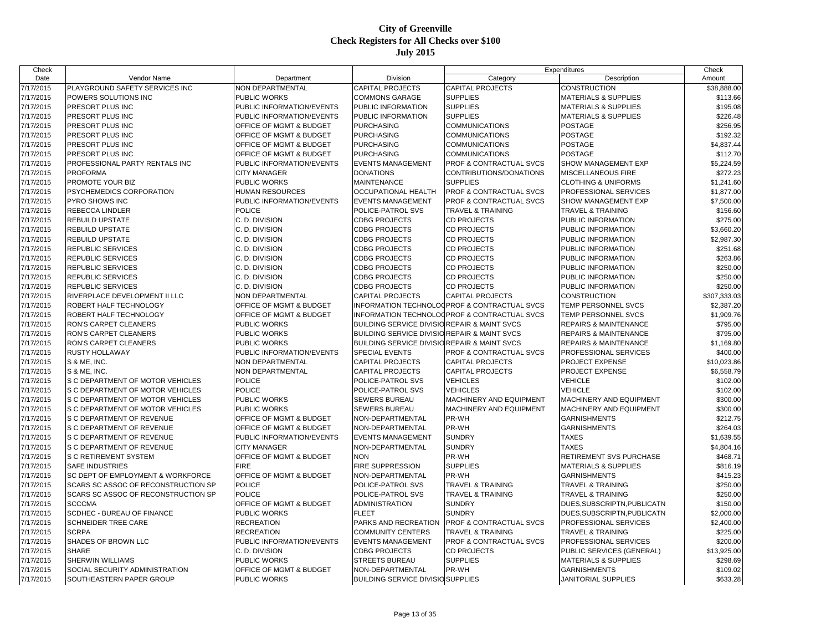| Check                  |                                     |                                    |                                              | Expenditures                                 |                                 | Check        |
|------------------------|-------------------------------------|------------------------------------|----------------------------------------------|----------------------------------------------|---------------------------------|--------------|
| Date                   | Vendor Name                         | Department                         | Division                                     | Category                                     | Description                     | Amount       |
| $\frac{1}{7}{17/2015}$ | PLAYGROUND SAFETY SERVICES INC      | <b>NON DEPARTMENTAL</b>            | <b>CAPITAL PROJECTS</b>                      | <b>CAPITAL PROJECTS</b>                      | <b>CONSTRUCTION</b>             | \$38,888.00  |
| 7/17/2015              | POWERS SOLUTIONS INC                | <b>PUBLIC WORKS</b>                | <b>COMMONS GARAGE</b>                        | <b>SUPPLIES</b>                              | <b>MATERIALS &amp; SUPPLIES</b> | \$113.66     |
| 7/17/2015              | PRESORT PLUS INC                    | PUBLIC INFORMATION/EVENTS          | PUBLIC INFORMATION                           | <b>SUPPLIES</b>                              | <b>MATERIALS &amp; SUPPLIES</b> | \$195.08     |
| 7/17/2015              | PRESORT PLUS INC                    | PUBLIC INFORMATION/EVENTS          | PUBLIC INFORMATION                           | <b>SUPPLIES</b>                              | <b>MATERIALS &amp; SUPPLIES</b> | \$226.48     |
| 7/17/2015              | PRESORT PLUS INC                    | <b>OFFICE OF MGMT &amp; BUDGET</b> | PURCHASING                                   | <b>COMMUNICATIONS</b>                        | <b>POSTAGE</b>                  | \$256.95     |
| 7/17/2015              | PRESORT PLUS INC                    | <b>OFFICE OF MGMT &amp; BUDGET</b> | <b>PURCHASING</b>                            | <b>COMMUNICATIONS</b>                        | <b>POSTAGE</b>                  | \$192.32     |
| 7/17/2015              | PRESORT PLUS INC                    | <b>OFFICE OF MGMT &amp; BUDGET</b> | <b>PURCHASING</b>                            | <b>COMMUNICATIONS</b>                        | <b>POSTAGE</b>                  | \$4,837.44   |
| 7/17/2015              | PRESORT PLUS INC                    | OFFICE OF MGMT & BUDGET            | PURCHASING                                   | <b>COMMUNICATIONS</b>                        | <b>POSTAGE</b>                  | \$112.70     |
| 7/17/2015              | PROFESSIONAL PARTY RENTALS INC      | PUBLIC INFORMATION/EVENTS          | <b>EVENTS MANAGEMENT</b>                     | PROF & CONTRACTUAL SVCS                      | SHOW MANAGEMENT EXP             | \$5,224.59   |
| 7/17/2015              | <b>PROFORMA</b>                     | <b>CITY MANAGER</b>                | <b>DONATIONS</b>                             | CONTRIBUTIONS/DONATIONS                      | <b>MISCELLANEOUS FIRE</b>       | \$272.23     |
| 7/17/2015              | PROMOTE YOUR BIZ                    | <b>PUBLIC WORKS</b>                | <b>MAINTENANCE</b>                           | <b>SUPPLIES</b>                              | <b>CLOTHING &amp; UNIFORMS</b>  | \$1,241.60   |
| 7/17/2015              | PSYCHEMEDICS CORPORATION            | <b>HUMAN RESOURCES</b>             | <b>OCCUPATIONAL HEALTH</b>                   | PROF & CONTRACTUAL SVCS                      | PROFESSIONAL SERVICES           | \$1,877.00   |
| 7/17/2015              | <b>PYRO SHOWS INC</b>               | PUBLIC INFORMATION/EVENTS          | <b>EVENTS MANAGEMENT</b>                     | PROF & CONTRACTUAL SVCS                      | SHOW MANAGEMENT EXP             | \$7,500.00   |
| 7/17/2015              | <b>REBECCA LINDLER</b>              | <b>POLICE</b>                      | POLICE-PATROL SVS                            | <b>TRAVEL &amp; TRAINING</b>                 | <b>TRAVEL &amp; TRAINING</b>    | \$156.60     |
| 7/17/2015              | REBUILD UPSTATE                     | C. D. DIVISION                     | <b>CDBG PROJECTS</b>                         | <b>CD PROJECTS</b>                           | PUBLIC INFORMATION              | \$275.00     |
| 7/17/2015              | <b>REBUILD UPSTATE</b>              | C. D. DIVISION                     | <b>CDBG PROJECTS</b>                         | <b>CD PROJECTS</b>                           | PUBLIC INFORMATION              | \$3,660.20   |
| 7/17/2015              | <b>REBUILD UPSTATE</b>              | C. D. DIVISION                     | <b>CDBG PROJECTS</b>                         | <b>CD PROJECTS</b>                           | PUBLIC INFORMATION              | \$2,987.30   |
| 7/17/2015              | <b>REPUBLIC SERVICES</b>            | C. D. DIVISION                     | <b>CDBG PROJECTS</b>                         | <b>CD PROJECTS</b>                           | PUBLIC INFORMATION              | \$251.68     |
| 7/17/2015              | <b>REPUBLIC SERVICES</b>            | C. D. DIVISION                     | <b>CDBG PROJECTS</b>                         | CD PROJECTS                                  | PUBLIC INFORMATION              | \$263.86     |
| 7/17/2015              | REPUBLIC SERVICES                   | C. D. DIVISION                     | <b>CDBG PROJECTS</b>                         | <b>CD PROJECTS</b>                           | PUBLIC INFORMATION              | \$250.00     |
| 7/17/2015              | <b>REPUBLIC SERVICES</b>            | C. D. DIVISION                     | <b>CDBG PROJECTS</b>                         | <b>CD PROJECTS</b>                           | PUBLIC INFORMATION              | \$250.00     |
| 7/17/2015              | <b>REPUBLIC SERVICES</b>            | C. D. DIVISION                     | <b>CDBG PROJECTS</b>                         | <b>CD PROJECTS</b>                           | PUBLIC INFORMATION              | \$250.00     |
| 7/17/2015              | RIVERPLACE DEVELOPMENT II LLC       | <b>NON DEPARTMENTAL</b>            | <b>CAPITAL PROJECTS</b>                      | <b>CAPITAL PROJECTS</b>                      | CONSTRUCTION                    | \$307,333.03 |
| 7/17/2015              | ROBERT HALF TECHNOLOGY              | OFFICE OF MGMT & BUDGET            |                                              | INFORMATION TECHNOLOGPROF & CONTRACTUAL SVCS | TEMP PERSONNEL SVCS             | \$2,387.20   |
| 7/17/2015              | ROBERT HALF TECHNOLOGY              | <b>OFFICE OF MGMT &amp; BUDGET</b> |                                              | INFORMATION TECHNOLOGPROF & CONTRACTUAL SVCS | TEMP PERSONNEL SVCS             | \$1,909.76   |
| 7/17/2015              | RON'S CARPET CLEANERS               | <b>PUBLIC WORKS</b>                | BUILDING SERVICE DIVISIO REPAIR & MAINT SVCS |                                              | REPAIRS & MAINTENANCE           | \$795.00     |
| 7/17/2015              | RON'S CARPET CLEANERS               | <b>PUBLIC WORKS</b>                | BUILDING SERVICE DIVISIO REPAIR & MAINT SVCS |                                              | REPAIRS & MAINTENANCE           | \$795.00     |
| 7/17/2015              | RON'S CARPET CLEANERS               | <b>PUBLIC WORKS</b>                | BUILDING SERVICE DIVISIO REPAIR & MAINT SVCS |                                              | REPAIRS & MAINTENANCE           | \$1,169.80   |
| 7/17/2015              | RUSTY HOLLAWAY                      | PUBLIC INFORMATION/EVENTS          | <b>SPECIAL EVENTS</b>                        | PROF & CONTRACTUAL SVCS                      | PROFESSIONAL SERVICES           | \$400.00     |
| 7/17/2015              | S & ME. INC.                        | NON DEPARTMENTAL                   | <b>CAPITAL PROJECTS</b>                      | <b>CAPITAL PROJECTS</b>                      | PROJECT EXPENSE                 | \$10,023.86  |
| 7/17/2015              | S & ME, INC.                        | <b>NON DEPARTMENTAL</b>            | CAPITAL PROJECTS                             | <b>CAPITAL PROJECTS</b>                      | PROJECT EXPENSE                 | \$6,558.79   |
| 7/17/2015              | S C DEPARTMENT OF MOTOR VEHICLES    | <b>POLICE</b>                      | POLICE-PATROL SVS                            | <b>VEHICLES</b>                              | <b>VEHICLE</b>                  | \$102.00     |
| 7/17/2015              | S C DEPARTMENT OF MOTOR VEHICLES    | <b>POLICE</b>                      | POLICE-PATROL SVS                            | VEHICLES                                     | VEHICLE                         | \$102.00     |
| 7/17/2015              | S C DEPARTMENT OF MOTOR VEHICLES    | <b>PUBLIC WORKS</b>                | <b>SEWERS BUREAU</b>                         | MACHINERY AND EQUIPMENT                      | MACHINERY AND EQUIPMENT         | \$300.00     |
| 7/17/2015              | S C DEPARTMENT OF MOTOR VEHICLES    | <b>PUBLIC WORKS</b>                | <b>SEWERS BUREAU</b>                         | <b>MACHINERY AND EQUIPMENT</b>               | MACHINERY AND EQUIPMENT         | \$300.00     |
| 7/17/2015              | S C DEPARTMENT OF REVENUE           | OFFICE OF MGMT & BUDGET            | NON-DEPARTMENTAL                             | PR-WH                                        | <b>GARNISHMENTS</b>             | \$212.75     |
| 7/17/2015              | S C DEPARTMENT OF REVENUE           | OFFICE OF MGMT & BUDGET            | NON-DEPARTMENTAL                             | PR-WH                                        | <b>GARNISHMENTS</b>             | \$264.03     |
| 7/17/2015              | S C DEPARTMENT OF REVENUE           | PUBLIC INFORMATION/EVENTS          | <b>EVENTS MANAGEMENT</b>                     | <b>SUNDRY</b>                                | <b>TAXES</b>                    | \$1,639.55   |
| 7/17/2015              | <b>S C DEPARTMENT OF REVENUE</b>    | <b>CITY MANAGER</b>                | NON-DEPARTMENTAL                             | <b>SUNDRY</b>                                | <b>TAXES</b>                    | \$4,804.16   |
| 7/17/2015              | S C RETIREMENT SYSTEM               | <b>OFFICE OF MGMT &amp; BUDGET</b> | <b>NON</b>                                   | PR-WH                                        | RETIREMENT SVS PURCHASE         | \$468.71     |
| 7/17/2015              | <b>SAFE INDUSTRIES</b>              | <b>FIRE</b>                        | FIRE SUPPRESSION                             | <b>SUPPLIES</b>                              | <b>MATERIALS &amp; SUPPLIES</b> | \$816.19     |
| 7/17/2015              | SC DEPT OF EMPLOYMENT & WORKFORCE   | <b>OFFICE OF MGMT &amp; BUDGET</b> | NON-DEPARTMENTAL                             | PR-WH                                        | <b>GARNISHMENTS</b>             | \$415.23     |
| 7/17/2015              | SCARS SC ASSOC OF RECONSTRUCTION SP | <b>POLICE</b>                      | POLICE-PATROL SVS                            | <b>TRAVEL &amp; TRAINING</b>                 | TRAVEL & TRAINING               | \$250.00     |
| 7/17/2015              | SCARS SC ASSOC OF RECONSTRUCTION SP | <b>POLICE</b>                      | POLICE-PATROL SVS                            | <b>TRAVEL &amp; TRAINING</b>                 | <b>TRAVEL &amp; TRAINING</b>    | \$250.00     |
| 7/17/2015              | <b>SCCCMA</b>                       | <b>OFFICE OF MGMT &amp; BUDGET</b> | <b>ADMINISTRATION</b>                        | <b>SUNDRY</b>                                | DUES, SUBSCRIPTN, PUBLICATN     | \$150.00     |
| 7/17/2015              | SCDHEC - BUREAU OF FINANCE          | <b>PUBLIC WORKS</b>                | <b>FLEET</b>                                 | <b>SUNDRY</b>                                | DUES.SUBSCRIPTN.PUBLICATN       | \$2,000.00   |
| 7/17/2015              | <b>SCHNEIDER TREE CARE</b>          | <b>RECREATION</b>                  | PARKS AND RECREATION                         | PROF & CONTRACTUAL SVCS                      | PROFESSIONAL SERVICES           | \$2,400.00   |
| 7/17/2015              | <b>SCRPA</b>                        | <b>RECREATION</b>                  | <b>COMMUNITY CENTERS</b>                     | <b>TRAVEL &amp; TRAINING</b>                 | <b>TRAVEL &amp; TRAINING</b>    | \$225.00     |
| 7/17/2015              | SHADES OF BROWN LLC                 | PUBLIC INFORMATION/EVENTS          | <b>EVENTS MANAGEMENT</b>                     | PROF & CONTRACTUAL SVCS                      | PROFESSIONAL SERVICES           | \$200.00     |
| 7/17/2015              | <b>SHARE</b>                        | C. D. DIVISION                     | <b>CDBG PROJECTS</b>                         | CD PROJECTS                                  | PUBLIC SERVICES (GENERAL)       | \$13,925.00  |
| 7/17/2015              | SHERWIN WILLIAMS                    | <b>PUBLIC WORKS</b>                | <b>STREETS BUREAU</b>                        | <b>SUPPLIES</b>                              | MATERIALS & SUPPLIES            | \$298.69     |
| 7/17/2015              | SOCIAL SECURITY ADMINISTRATION      | <b>OFFICE OF MGMT &amp; BUDGET</b> | NON-DEPARTMENTAL                             | PR-WH                                        | <b>GARNISHMENTS</b>             | \$109.02     |
| 7/17/2015              | SOUTHEASTERN PAPER GROUP            | <b>PUBLIC WORKS</b>                | <b>BUILDING SERVICE DIVISIO SUPPLIES</b>     |                                              | JANITORIAL SUPPLIES             | \$633.28     |
|                        |                                     |                                    |                                              |                                              |                                 |              |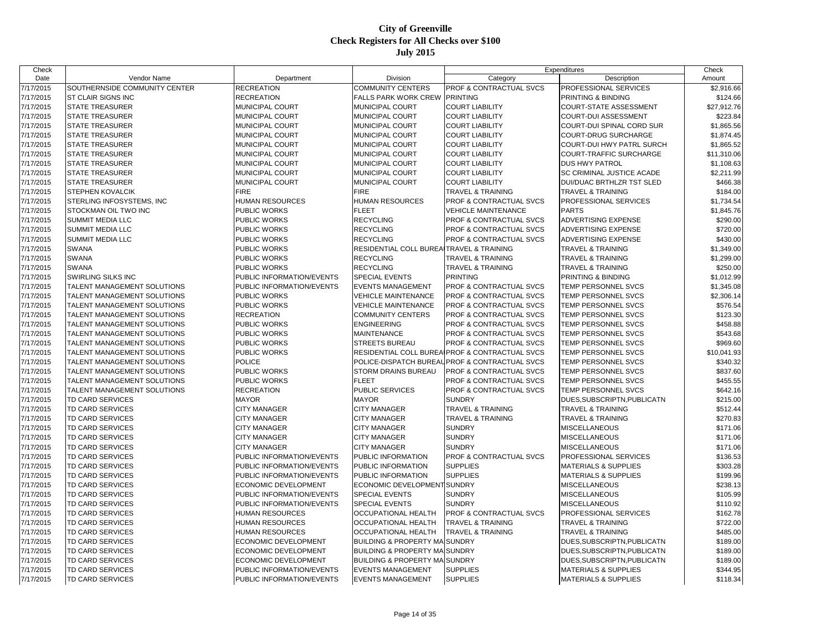| Date<br>Vendor Name<br>Department<br>Division<br>Category<br>Description<br>Amount<br>SOUTHERNSIDE COMMUNITY CENTER<br><b>RECREATION</b><br><b>COMMUNITY CENTERS</b><br>PROF & CONTRACTUAL SVCS<br>PROFESSIONAL SERVICES<br>\$2,916.66<br><b>RECREATION</b><br><b>FALLS PARK WORK CREW</b><br><b>PRINTING</b><br><b>ST CLAIR SIGNS INC</b><br>PRINTING & BINDING<br>\$124.66<br><b>STATE TREASURER</b><br>MUNICIPAL COURT<br>MUNICIPAL COURT<br><b>COURT LIABILITY</b><br><b>COURT-STATE ASSESSMENT</b><br>\$27,912.76<br>MUNICIPAL COURT<br>MUNICIPAL COURT<br><b>COURT LIABILITY</b><br>COURT-DUI ASSESSMENT<br>\$223.84<br><b>STATE TREASURER</b><br>STATE TREASURER<br>MUNICIPAL COURT<br>MUNICIPAL COURT<br><b>COURT LIABILITY</b><br>COURT-DUI SPINAL CORD SUR<br>\$1,865.56<br><b>STATE TREASURER</b><br><b>MUNICIPAL COURT</b><br>MUNICIPAL COURT<br><b>COURT LIABILITY</b><br><b>COURT-DRUG SURCHARGE</b><br>\$1,874.45<br><b>STATE TREASURER</b><br>MUNICIPAL COURT<br>MUNICIPAL COURT<br><b>COURT LIABILITY</b><br>COURT-DUI HWY PATRL SURCH<br>\$1,865.52<br>\$11,310.06<br><b>STATE TREASURER</b><br>MUNICIPAL COURT<br>MUNICIPAL COURT<br><b>COURT LIABILITY</b><br><b>COURT-TRAFFIC SURCHARGE</b><br>MUNICIPAL COURT<br>MUNICIPAL COURT<br><b>COURT LIABILITY</b><br><b>DUS HWY PATROL</b><br><b>STATE TREASURER</b><br>\$1,108.63<br>\$2,211.99<br><b>STATE TREASURER</b><br>MUNICIPAL COURT<br><b>MUNICIPAL COURT</b><br><b>COURT LIABILITY</b><br>SC CRIMINAL JUSTICE ACADE<br><b>STATE TREASURER</b><br>MUNICIPAL COURT<br>MUNICIPAL COURT<br><b>COURT LIABILITY</b><br>DUI/DUAC BRTHLZR TST SLED<br>\$466.38<br><b>FIRE</b><br>STEPHEN KOVALCIK<br><b>FIRE</b><br><b>TRAVEL &amp; TRAINING</b><br><b>TRAVEL &amp; TRAINING</b><br>\$184.00<br><b>HUMAN RESOURCES</b><br><b>HUMAN RESOURCES</b><br>PROF & CONTRACTUAL SVCS<br>PROFESSIONAL SERVICES<br>\$1,734.54<br>STERLING INFOSYSTEMS, INC<br>PUBLIC WORKS<br><b>FLEET</b><br>STOCKMAN OIL TWO INC<br><b>VEHICLE MAINTENANCE</b><br><b>PARTS</b><br>\$1,845.76<br>7/17/2015<br>SUMMIT MEDIA LLC<br>PUBLIC WORKS<br><b>RECYCLING</b><br>PROF & CONTRACTUAL SVCS<br>ADVERTISING EXPENSE<br>\$290.00<br>PUBLIC WORKS<br><b>RECYCLING</b><br><b>PROF &amp; CONTRACTUAL SVCS</b><br>\$720.00<br>SUMMIT MEDIA LLC<br>ADVERTISING EXPENSE<br>SUMMIT MEDIA LLC<br><b>PUBLIC WORKS</b><br><b>RECYCLING</b><br><b>PROF &amp; CONTRACTUAL SVCS</b><br>ADVERTISING EXPENSE<br>\$430.00<br>7/17/2015<br>SWANA<br>PUBLIC WORKS<br>RESIDENTIAL COLL BUREA TRAVEL & TRAINING<br>TRAVEL & TRAINING<br>\$1,349.00<br><b>SWANA</b><br>PUBLIC WORKS<br><b>RECYCLING</b><br><b>TRAVEL &amp; TRAINING</b><br><b>TRAVEL &amp; TRAINING</b><br>\$1,299.00<br><b>RECYCLING</b><br>7/17/2015<br><b>SWANA</b><br>PUBLIC WORKS<br><b>TRAVEL &amp; TRAINING</b><br><b>TRAVEL &amp; TRAINING</b><br>\$250.00<br>7/17/2015<br>SWIRLING SILKS INC<br>PUBLIC INFORMATION/EVENTS<br><b>SPECIAL EVENTS</b><br><b>PRINTING</b><br>PRINTING & BINDING<br>\$1,012.99<br>TALENT MANAGEMENT SOLUTIONS<br>PUBLIC INFORMATION/EVENTS<br><b>EVENTS MANAGEMENT</b><br>\$1,345.08<br>7/17/2015<br><b>PROF &amp; CONTRACTUAL SVCS</b><br>TEMP PERSONNEL SVCS<br>PUBLIC WORKS<br><b>VEHICLE MAINTENANCE</b><br><b>PROF &amp; CONTRACTUAL SVCS</b><br>TEMP PERSONNEL SVCS<br>7/17/2015<br>TALENT MANAGEMENT SOLUTIONS<br>\$2,306.14<br>7/17/2015<br>TALENT MANAGEMENT SOLUTIONS<br>PUBLIC WORKS<br><b>VEHICLE MAINTENANCE</b><br><b>PROF &amp; CONTRACTUAL SVCS</b><br>TEMP PERSONNEL SVCS<br>\$576.54<br>TALENT MANAGEMENT SOLUTIONS<br><b>RECREATION</b><br><b>COMMUNITY CENTERS</b><br><b>PROF &amp; CONTRACTUAL SVCS</b><br>TEMP PERSONNEL SVCS<br>\$123.30<br>7/17/2015<br>7/17/2015<br>TALENT MANAGEMENT SOLUTIONS<br>PUBLIC WORKS<br><b>ENGINEERING</b><br><b>PROF &amp; CONTRACTUAL SVCS</b><br>TEMP PERSONNEL SVCS<br>\$458.88<br>7/17/2015<br>TALENT MANAGEMENT SOLUTIONS<br>PUBLIC WORKS<br><b>MAINTENANCE</b><br>PROF & CONTRACTUAL SVCS<br>TEMP PERSONNEL SVCS<br>\$543.68<br>PUBLIC WORKS<br>\$969.60<br>7/17/2015<br>TALENT MANAGEMENT SOLUTIONS<br><b>STREETS BUREAU</b><br><b>PROF &amp; CONTRACTUAL SVCS</b><br>TEMP PERSONNEL SVCS<br>7/17/2015<br>TALENT MANAGEMENT SOLUTIONS<br>PUBLIC WORKS<br>RESIDENTIAL COLL BUREAIPROF & CONTRACTUAL SVCS<br>TEMP PERSONNEL SVCS<br>\$10,041.93<br><b>POLICE</b><br><b>PROF &amp; CONTRACTUAL SVCS</b><br>\$340.32<br>7/17/2015<br>TALENT MANAGEMENT SOLUTIONS<br>POLICE-DISPATCH BUREAL<br>TEMP PERSONNEL SVCS<br>\$837.60<br>7/17/2015<br>TALENT MANAGEMENT SOLUTIONS<br>PUBLIC WORKS<br><b>STORM DRAINS BUREAU</b><br><b>PROF &amp; CONTRACTUAL SVCS</b><br>TEMP PERSONNEL SVCS<br>PUBLIC WORKS<br><b>FLEET</b><br>\$455.55<br>7/17/2015<br>TALENT MANAGEMENT SOLUTIONS<br><b>PROF &amp; CONTRACTUAL SVCS</b><br>TEMP PERSONNEL SVCS<br>7/17/2015<br>TALENT MANAGEMENT SOLUTIONS<br><b>RECREATION</b><br>PUBLIC SERVICES<br><b>PROF &amp; CONTRACTUAL SVCS</b><br>TEMP PERSONNEL SVCS<br>\$642.16<br><b>SUNDRY</b><br>7/17/2015<br>TD CARD SERVICES<br><b>MAYOR</b><br><b>MAYOR</b><br>DUES SUBSCRIPTN, PUBLICATN<br>\$215.00<br>7/17/2015<br>TD CARD SERVICES<br><b>CITY MANAGER</b><br><b>CITY MANAGER</b><br><b>TRAVEL &amp; TRAINING</b><br><b>TRAVEL &amp; TRAINING</b><br>\$512.44<br><b>TRAVEL &amp; TRAINING</b><br>\$270.83<br>7/17/2015<br>TD CARD SERVICES<br><b>CITY MANAGER</b><br><b>CITY MANAGER</b><br><b>TRAVEL &amp; TRAINING</b><br><b>CITY MANAGER</b><br><b>CITY MANAGER</b><br><b>SUNDRY</b><br><b>MISCELLANEOUS</b><br>7/17/2015<br>TD CARD SERVICES<br>\$171.06<br>7/17/2015<br>TD CARD SERVICES<br><b>CITY MANAGER</b><br><b>CITY MANAGER</b><br><b>SUNDRY</b><br><b>MISCELLANEOUS</b><br>\$171.06<br><b>SUNDRY</b><br><b>MISCELLANEOUS</b><br>\$171.06<br>7/17/2015<br>TD CARD SERVICES<br><b>CITY MANAGER</b><br><b>CITY MANAGER</b><br><b>PROF &amp; CONTRACTUAL SVCS</b><br>7/17/2015<br>TD CARD SERVICES<br>PUBLIC INFORMATION/EVENTS<br>PUBLIC INFORMATION<br>PROFESSIONAL SERVICES<br>\$136.53<br>PUBLIC INFORMATION/EVENTS<br><b>SUPPLIES</b><br>\$303.28<br>7/17/2015<br>TD CARD SERVICES<br>PUBLIC INFORMATION<br><b>MATERIALS &amp; SUPPLIES</b><br>PUBLIC INFORMATION/EVENTS<br>PUBLIC INFORMATION<br><b>SUPPLIES</b><br><b>MATERIALS &amp; SUPPLIES</b><br>\$199.96<br>7/17/2015<br>TD CARD SERVICES<br>7/17/2015<br>ECONOMIC DEVELOPMENT<br>ECONOMIC DEVELOPMENT SUNDRY<br><b>MISCELLANEOUS</b><br>\$238.13<br>TD CARD SERVICES<br>7/17/2015<br>TD CARD SERVICES<br>PUBLIC INFORMATION/EVENTS<br><b>SPECIAL EVENTS</b><br><b>SUNDRY</b><br><b>MISCELLANEOUS</b><br>\$105.99<br>PUBLIC INFORMATION/EVENTS<br><b>SPECIAL EVENTS</b><br><b>SUNDRY</b><br>\$110.92<br>7/17/2015<br>TD CARD SERVICES<br><b>MISCELLANEOUS</b><br>7/17/2015<br>TD CARD SERVICES<br><b>HUMAN RESOURCES</b><br>OCCUPATIONAL HEALTH<br>PROF & CONTRACTUAL SVCS<br>PROFESSIONAL SERVICES<br>\$162.78<br><b>HUMAN RESOURCES</b><br><b>OCCUPATIONAL HEALTH</b><br><b>TRAVEL &amp; TRAINING</b><br><b>TRAVEL &amp; TRAINING</b><br>\$722.00<br>7/17/2015<br>TD CARD SERVICES<br>7/17/2015<br>TD CARD SERVICES<br><b>HUMAN RESOURCES</b><br><b>OCCUPATIONAL HEALTH</b><br><b>TRAVEL &amp; TRAINING</b><br><b>TRAVEL &amp; TRAINING</b><br>\$485.00<br>7/17/2015<br>TD CARD SERVICES<br>ECONOMIC DEVELOPMENT<br><b>BUILDING &amp; PROPERTY MAISUNDRY</b><br>DUES SUBSCRIPTN, PUBLICATN<br>\$189.00<br>TD CARD SERVICES<br>ECONOMIC DEVELOPMENT<br><b>BUILDING &amp; PROPERTY MAISUNDRY</b><br>DUES.SUBSCRIPTN.PUBLICATN<br>\$189.00<br>7/17/2015<br>ECONOMIC DEVELOPMENT<br><b>BUILDING &amp; PROPERTY MA</b><br><b>SUNDRY</b><br>DUES, SUBSCRIPTN, PUBLICATN<br>\$189.00<br>7/17/2015<br>TD CARD SERVICES<br>7/17/2015<br>TD CARD SERVICES<br>PUBLIC INFORMATION/EVENTS<br><b>EVENTS MANAGEMENT</b><br><b>SUPPLIES</b><br><b>MATERIALS &amp; SUPPLIES</b><br>\$344.95<br><b>SUPPLIES</b><br>7/17/2015<br>TD CARD SERVICES<br>PUBLIC INFORMATION/EVENTS<br><b>EVENTS MANAGEMENT</b><br><b>MATERIALS &amp; SUPPLIES</b><br>\$118.34 | Check     |  | Expenditures |  | Check |
|-------------------------------------------------------------------------------------------------------------------------------------------------------------------------------------------------------------------------------------------------------------------------------------------------------------------------------------------------------------------------------------------------------------------------------------------------------------------------------------------------------------------------------------------------------------------------------------------------------------------------------------------------------------------------------------------------------------------------------------------------------------------------------------------------------------------------------------------------------------------------------------------------------------------------------------------------------------------------------------------------------------------------------------------------------------------------------------------------------------------------------------------------------------------------------------------------------------------------------------------------------------------------------------------------------------------------------------------------------------------------------------------------------------------------------------------------------------------------------------------------------------------------------------------------------------------------------------------------------------------------------------------------------------------------------------------------------------------------------------------------------------------------------------------------------------------------------------------------------------------------------------------------------------------------------------------------------------------------------------------------------------------------------------------------------------------------------------------------------------------------------------------------------------------------------------------------------------------------------------------------------------------------------------------------------------------------------------------------------------------------------------------------------------------------------------------------------------------------------------------------------------------------------------------------------------------------------------------------------------------------------------------------------------------------------------------------------------------------------------------------------------------------------------------------------------------------------------------------------------------------------------------------------------------------------------------------------------------------------------------------------------------------------------------------------------------------------------------------------------------------------------------------------------------------------------------------------------------------------------------------------------------------------------------------------------------------------------------------------------------------------------------------------------------------------------------------------------------------------------------------------------------------------------------------------------------------------------------------------------------------------------------------------------------------------------------------------------------------------------------------------------------------------------------------------------------------------------------------------------------------------------------------------------------------------------------------------------------------------------------------------------------------------------------------------------------------------------------------------------------------------------------------------------------------------------------------------------------------------------------------------------------------------------------------------------------------------------------------------------------------------------------------------------------------------------------------------------------------------------------------------------------------------------------------------------------------------------------------------------------------------------------------------------------------------------------------------------------------------------------------------------------------------------------------------------------------------------------------------------------------------------------------------------------------------------------------------------------------------------------------------------------------------------------------------------------------------------------------------------------------------------------------------------------------------------------------------------------------------------------------------------------------------------------------------------------------------------------------------------------------------------------------------------------------------------------------------------------------------------------------------------------------------------------------------------------------------------------------------------------------------------------------------------------------------------------------------------------------------------------------------------------------------------------------------------------------------------------------------------------------------------------------------------------------------------------------------------------------------------------------------------------------------------------------------------------------------------------------------------------------------------------------------------------------------------------------------------------------------------------------------------------------------------------------------------------------------------------------------------------------------------------------------------------------------------------------------------------------------------------------------------------------------------------------------------------------------------------------------------------------------------------------------------------------------------------------------------------------------------------------------------------------------------------------------------------------------------------------------------------------------------------------------------------------------------------------------------------------------------------------------------------------------------------------------------------------------------------------------------------------------------------------------------------------------------------------------------------------------------------------------------------------------------------------------------------------------------------------------------------------------------------------------------------------------------------------------------------------------------------------------------------------------------------------------------------------------------------------------------------------------------------------------------------------------------------------------------------------------------------------------------------------------------------------------------------------------------------------------------------------------------------------------------------------------------------------------------------------------------------------------------------------------|-----------|--|--------------|--|-------|
|                                                                                                                                                                                                                                                                                                                                                                                                                                                                                                                                                                                                                                                                                                                                                                                                                                                                                                                                                                                                                                                                                                                                                                                                                                                                                                                                                                                                                                                                                                                                                                                                                                                                                                                                                                                                                                                                                                                                                                                                                                                                                                                                                                                                                                                                                                                                                                                                                                                                                                                                                                                                                                                                                                                                                                                                                                                                                                                                                                                                                                                                                                                                                                                                                                                                                                                                                                                                                                                                                                                                                                                                                                                                                                                                                                                                                                                                                                                                                                                                                                                                                                                                                                                                                                                                                                                                                                                                                                                                                                                                                                                                                                                                                                                                                                                                                                                                                                                                                                                                                                                                                                                                                                                                                                                                                                                                                                                                                                                                                                                                                                                                                                                                                                                                                                                                                                                                                                                                                                                                                                                                                                                                                                                                                                                                                                                                                                                                                                                                                                                                                                                                                                                                                                                                                                                                                                                                                                                                                                                                                                                                                                                                                                                                                                                                                                                                                                                                                                                                                                                                                                                                                                                                                                                                                                                                                                                                                                                                                                                                                               |           |  |              |  |       |
|                                                                                                                                                                                                                                                                                                                                                                                                                                                                                                                                                                                                                                                                                                                                                                                                                                                                                                                                                                                                                                                                                                                                                                                                                                                                                                                                                                                                                                                                                                                                                                                                                                                                                                                                                                                                                                                                                                                                                                                                                                                                                                                                                                                                                                                                                                                                                                                                                                                                                                                                                                                                                                                                                                                                                                                                                                                                                                                                                                                                                                                                                                                                                                                                                                                                                                                                                                                                                                                                                                                                                                                                                                                                                                                                                                                                                                                                                                                                                                                                                                                                                                                                                                                                                                                                                                                                                                                                                                                                                                                                                                                                                                                                                                                                                                                                                                                                                                                                                                                                                                                                                                                                                                                                                                                                                                                                                                                                                                                                                                                                                                                                                                                                                                                                                                                                                                                                                                                                                                                                                                                                                                                                                                                                                                                                                                                                                                                                                                                                                                                                                                                                                                                                                                                                                                                                                                                                                                                                                                                                                                                                                                                                                                                                                                                                                                                                                                                                                                                                                                                                                                                                                                                                                                                                                                                                                                                                                                                                                                                                                               | 7/17/2015 |  |              |  |       |
|                                                                                                                                                                                                                                                                                                                                                                                                                                                                                                                                                                                                                                                                                                                                                                                                                                                                                                                                                                                                                                                                                                                                                                                                                                                                                                                                                                                                                                                                                                                                                                                                                                                                                                                                                                                                                                                                                                                                                                                                                                                                                                                                                                                                                                                                                                                                                                                                                                                                                                                                                                                                                                                                                                                                                                                                                                                                                                                                                                                                                                                                                                                                                                                                                                                                                                                                                                                                                                                                                                                                                                                                                                                                                                                                                                                                                                                                                                                                                                                                                                                                                                                                                                                                                                                                                                                                                                                                                                                                                                                                                                                                                                                                                                                                                                                                                                                                                                                                                                                                                                                                                                                                                                                                                                                                                                                                                                                                                                                                                                                                                                                                                                                                                                                                                                                                                                                                                                                                                                                                                                                                                                                                                                                                                                                                                                                                                                                                                                                                                                                                                                                                                                                                                                                                                                                                                                                                                                                                                                                                                                                                                                                                                                                                                                                                                                                                                                                                                                                                                                                                                                                                                                                                                                                                                                                                                                                                                                                                                                                                                               | 7/17/2015 |  |              |  |       |
|                                                                                                                                                                                                                                                                                                                                                                                                                                                                                                                                                                                                                                                                                                                                                                                                                                                                                                                                                                                                                                                                                                                                                                                                                                                                                                                                                                                                                                                                                                                                                                                                                                                                                                                                                                                                                                                                                                                                                                                                                                                                                                                                                                                                                                                                                                                                                                                                                                                                                                                                                                                                                                                                                                                                                                                                                                                                                                                                                                                                                                                                                                                                                                                                                                                                                                                                                                                                                                                                                                                                                                                                                                                                                                                                                                                                                                                                                                                                                                                                                                                                                                                                                                                                                                                                                                                                                                                                                                                                                                                                                                                                                                                                                                                                                                                                                                                                                                                                                                                                                                                                                                                                                                                                                                                                                                                                                                                                                                                                                                                                                                                                                                                                                                                                                                                                                                                                                                                                                                                                                                                                                                                                                                                                                                                                                                                                                                                                                                                                                                                                                                                                                                                                                                                                                                                                                                                                                                                                                                                                                                                                                                                                                                                                                                                                                                                                                                                                                                                                                                                                                                                                                                                                                                                                                                                                                                                                                                                                                                                                                               | 7/17/2015 |  |              |  |       |
|                                                                                                                                                                                                                                                                                                                                                                                                                                                                                                                                                                                                                                                                                                                                                                                                                                                                                                                                                                                                                                                                                                                                                                                                                                                                                                                                                                                                                                                                                                                                                                                                                                                                                                                                                                                                                                                                                                                                                                                                                                                                                                                                                                                                                                                                                                                                                                                                                                                                                                                                                                                                                                                                                                                                                                                                                                                                                                                                                                                                                                                                                                                                                                                                                                                                                                                                                                                                                                                                                                                                                                                                                                                                                                                                                                                                                                                                                                                                                                                                                                                                                                                                                                                                                                                                                                                                                                                                                                                                                                                                                                                                                                                                                                                                                                                                                                                                                                                                                                                                                                                                                                                                                                                                                                                                                                                                                                                                                                                                                                                                                                                                                                                                                                                                                                                                                                                                                                                                                                                                                                                                                                                                                                                                                                                                                                                                                                                                                                                                                                                                                                                                                                                                                                                                                                                                                                                                                                                                                                                                                                                                                                                                                                                                                                                                                                                                                                                                                                                                                                                                                                                                                                                                                                                                                                                                                                                                                                                                                                                                                               | 7/17/2015 |  |              |  |       |
|                                                                                                                                                                                                                                                                                                                                                                                                                                                                                                                                                                                                                                                                                                                                                                                                                                                                                                                                                                                                                                                                                                                                                                                                                                                                                                                                                                                                                                                                                                                                                                                                                                                                                                                                                                                                                                                                                                                                                                                                                                                                                                                                                                                                                                                                                                                                                                                                                                                                                                                                                                                                                                                                                                                                                                                                                                                                                                                                                                                                                                                                                                                                                                                                                                                                                                                                                                                                                                                                                                                                                                                                                                                                                                                                                                                                                                                                                                                                                                                                                                                                                                                                                                                                                                                                                                                                                                                                                                                                                                                                                                                                                                                                                                                                                                                                                                                                                                                                                                                                                                                                                                                                                                                                                                                                                                                                                                                                                                                                                                                                                                                                                                                                                                                                                                                                                                                                                                                                                                                                                                                                                                                                                                                                                                                                                                                                                                                                                                                                                                                                                                                                                                                                                                                                                                                                                                                                                                                                                                                                                                                                                                                                                                                                                                                                                                                                                                                                                                                                                                                                                                                                                                                                                                                                                                                                                                                                                                                                                                                                                               | 7/17/2015 |  |              |  |       |
|                                                                                                                                                                                                                                                                                                                                                                                                                                                                                                                                                                                                                                                                                                                                                                                                                                                                                                                                                                                                                                                                                                                                                                                                                                                                                                                                                                                                                                                                                                                                                                                                                                                                                                                                                                                                                                                                                                                                                                                                                                                                                                                                                                                                                                                                                                                                                                                                                                                                                                                                                                                                                                                                                                                                                                                                                                                                                                                                                                                                                                                                                                                                                                                                                                                                                                                                                                                                                                                                                                                                                                                                                                                                                                                                                                                                                                                                                                                                                                                                                                                                                                                                                                                                                                                                                                                                                                                                                                                                                                                                                                                                                                                                                                                                                                                                                                                                                                                                                                                                                                                                                                                                                                                                                                                                                                                                                                                                                                                                                                                                                                                                                                                                                                                                                                                                                                                                                                                                                                                                                                                                                                                                                                                                                                                                                                                                                                                                                                                                                                                                                                                                                                                                                                                                                                                                                                                                                                                                                                                                                                                                                                                                                                                                                                                                                                                                                                                                                                                                                                                                                                                                                                                                                                                                                                                                                                                                                                                                                                                                                               | 7/17/2015 |  |              |  |       |
|                                                                                                                                                                                                                                                                                                                                                                                                                                                                                                                                                                                                                                                                                                                                                                                                                                                                                                                                                                                                                                                                                                                                                                                                                                                                                                                                                                                                                                                                                                                                                                                                                                                                                                                                                                                                                                                                                                                                                                                                                                                                                                                                                                                                                                                                                                                                                                                                                                                                                                                                                                                                                                                                                                                                                                                                                                                                                                                                                                                                                                                                                                                                                                                                                                                                                                                                                                                                                                                                                                                                                                                                                                                                                                                                                                                                                                                                                                                                                                                                                                                                                                                                                                                                                                                                                                                                                                                                                                                                                                                                                                                                                                                                                                                                                                                                                                                                                                                                                                                                                                                                                                                                                                                                                                                                                                                                                                                                                                                                                                                                                                                                                                                                                                                                                                                                                                                                                                                                                                                                                                                                                                                                                                                                                                                                                                                                                                                                                                                                                                                                                                                                                                                                                                                                                                                                                                                                                                                                                                                                                                                                                                                                                                                                                                                                                                                                                                                                                                                                                                                                                                                                                                                                                                                                                                                                                                                                                                                                                                                                                               | 7/17/2015 |  |              |  |       |
|                                                                                                                                                                                                                                                                                                                                                                                                                                                                                                                                                                                                                                                                                                                                                                                                                                                                                                                                                                                                                                                                                                                                                                                                                                                                                                                                                                                                                                                                                                                                                                                                                                                                                                                                                                                                                                                                                                                                                                                                                                                                                                                                                                                                                                                                                                                                                                                                                                                                                                                                                                                                                                                                                                                                                                                                                                                                                                                                                                                                                                                                                                                                                                                                                                                                                                                                                                                                                                                                                                                                                                                                                                                                                                                                                                                                                                                                                                                                                                                                                                                                                                                                                                                                                                                                                                                                                                                                                                                                                                                                                                                                                                                                                                                                                                                                                                                                                                                                                                                                                                                                                                                                                                                                                                                                                                                                                                                                                                                                                                                                                                                                                                                                                                                                                                                                                                                                                                                                                                                                                                                                                                                                                                                                                                                                                                                                                                                                                                                                                                                                                                                                                                                                                                                                                                                                                                                                                                                                                                                                                                                                                                                                                                                                                                                                                                                                                                                                                                                                                                                                                                                                                                                                                                                                                                                                                                                                                                                                                                                                                               | 7/17/2015 |  |              |  |       |
|                                                                                                                                                                                                                                                                                                                                                                                                                                                                                                                                                                                                                                                                                                                                                                                                                                                                                                                                                                                                                                                                                                                                                                                                                                                                                                                                                                                                                                                                                                                                                                                                                                                                                                                                                                                                                                                                                                                                                                                                                                                                                                                                                                                                                                                                                                                                                                                                                                                                                                                                                                                                                                                                                                                                                                                                                                                                                                                                                                                                                                                                                                                                                                                                                                                                                                                                                                                                                                                                                                                                                                                                                                                                                                                                                                                                                                                                                                                                                                                                                                                                                                                                                                                                                                                                                                                                                                                                                                                                                                                                                                                                                                                                                                                                                                                                                                                                                                                                                                                                                                                                                                                                                                                                                                                                                                                                                                                                                                                                                                                                                                                                                                                                                                                                                                                                                                                                                                                                                                                                                                                                                                                                                                                                                                                                                                                                                                                                                                                                                                                                                                                                                                                                                                                                                                                                                                                                                                                                                                                                                                                                                                                                                                                                                                                                                                                                                                                                                                                                                                                                                                                                                                                                                                                                                                                                                                                                                                                                                                                                                               | 7/17/2015 |  |              |  |       |
|                                                                                                                                                                                                                                                                                                                                                                                                                                                                                                                                                                                                                                                                                                                                                                                                                                                                                                                                                                                                                                                                                                                                                                                                                                                                                                                                                                                                                                                                                                                                                                                                                                                                                                                                                                                                                                                                                                                                                                                                                                                                                                                                                                                                                                                                                                                                                                                                                                                                                                                                                                                                                                                                                                                                                                                                                                                                                                                                                                                                                                                                                                                                                                                                                                                                                                                                                                                                                                                                                                                                                                                                                                                                                                                                                                                                                                                                                                                                                                                                                                                                                                                                                                                                                                                                                                                                                                                                                                                                                                                                                                                                                                                                                                                                                                                                                                                                                                                                                                                                                                                                                                                                                                                                                                                                                                                                                                                                                                                                                                                                                                                                                                                                                                                                                                                                                                                                                                                                                                                                                                                                                                                                                                                                                                                                                                                                                                                                                                                                                                                                                                                                                                                                                                                                                                                                                                                                                                                                                                                                                                                                                                                                                                                                                                                                                                                                                                                                                                                                                                                                                                                                                                                                                                                                                                                                                                                                                                                                                                                                                               | 7/17/2015 |  |              |  |       |
|                                                                                                                                                                                                                                                                                                                                                                                                                                                                                                                                                                                                                                                                                                                                                                                                                                                                                                                                                                                                                                                                                                                                                                                                                                                                                                                                                                                                                                                                                                                                                                                                                                                                                                                                                                                                                                                                                                                                                                                                                                                                                                                                                                                                                                                                                                                                                                                                                                                                                                                                                                                                                                                                                                                                                                                                                                                                                                                                                                                                                                                                                                                                                                                                                                                                                                                                                                                                                                                                                                                                                                                                                                                                                                                                                                                                                                                                                                                                                                                                                                                                                                                                                                                                                                                                                                                                                                                                                                                                                                                                                                                                                                                                                                                                                                                                                                                                                                                                                                                                                                                                                                                                                                                                                                                                                                                                                                                                                                                                                                                                                                                                                                                                                                                                                                                                                                                                                                                                                                                                                                                                                                                                                                                                                                                                                                                                                                                                                                                                                                                                                                                                                                                                                                                                                                                                                                                                                                                                                                                                                                                                                                                                                                                                                                                                                                                                                                                                                                                                                                                                                                                                                                                                                                                                                                                                                                                                                                                                                                                                                               | 7/17/2015 |  |              |  |       |
|                                                                                                                                                                                                                                                                                                                                                                                                                                                                                                                                                                                                                                                                                                                                                                                                                                                                                                                                                                                                                                                                                                                                                                                                                                                                                                                                                                                                                                                                                                                                                                                                                                                                                                                                                                                                                                                                                                                                                                                                                                                                                                                                                                                                                                                                                                                                                                                                                                                                                                                                                                                                                                                                                                                                                                                                                                                                                                                                                                                                                                                                                                                                                                                                                                                                                                                                                                                                                                                                                                                                                                                                                                                                                                                                                                                                                                                                                                                                                                                                                                                                                                                                                                                                                                                                                                                                                                                                                                                                                                                                                                                                                                                                                                                                                                                                                                                                                                                                                                                                                                                                                                                                                                                                                                                                                                                                                                                                                                                                                                                                                                                                                                                                                                                                                                                                                                                                                                                                                                                                                                                                                                                                                                                                                                                                                                                                                                                                                                                                                                                                                                                                                                                                                                                                                                                                                                                                                                                                                                                                                                                                                                                                                                                                                                                                                                                                                                                                                                                                                                                                                                                                                                                                                                                                                                                                                                                                                                                                                                                                                               | 7/17/2015 |  |              |  |       |
|                                                                                                                                                                                                                                                                                                                                                                                                                                                                                                                                                                                                                                                                                                                                                                                                                                                                                                                                                                                                                                                                                                                                                                                                                                                                                                                                                                                                                                                                                                                                                                                                                                                                                                                                                                                                                                                                                                                                                                                                                                                                                                                                                                                                                                                                                                                                                                                                                                                                                                                                                                                                                                                                                                                                                                                                                                                                                                                                                                                                                                                                                                                                                                                                                                                                                                                                                                                                                                                                                                                                                                                                                                                                                                                                                                                                                                                                                                                                                                                                                                                                                                                                                                                                                                                                                                                                                                                                                                                                                                                                                                                                                                                                                                                                                                                                                                                                                                                                                                                                                                                                                                                                                                                                                                                                                                                                                                                                                                                                                                                                                                                                                                                                                                                                                                                                                                                                                                                                                                                                                                                                                                                                                                                                                                                                                                                                                                                                                                                                                                                                                                                                                                                                                                                                                                                                                                                                                                                                                                                                                                                                                                                                                                                                                                                                                                                                                                                                                                                                                                                                                                                                                                                                                                                                                                                                                                                                                                                                                                                                                               | 7/17/2015 |  |              |  |       |
|                                                                                                                                                                                                                                                                                                                                                                                                                                                                                                                                                                                                                                                                                                                                                                                                                                                                                                                                                                                                                                                                                                                                                                                                                                                                                                                                                                                                                                                                                                                                                                                                                                                                                                                                                                                                                                                                                                                                                                                                                                                                                                                                                                                                                                                                                                                                                                                                                                                                                                                                                                                                                                                                                                                                                                                                                                                                                                                                                                                                                                                                                                                                                                                                                                                                                                                                                                                                                                                                                                                                                                                                                                                                                                                                                                                                                                                                                                                                                                                                                                                                                                                                                                                                                                                                                                                                                                                                                                                                                                                                                                                                                                                                                                                                                                                                                                                                                                                                                                                                                                                                                                                                                                                                                                                                                                                                                                                                                                                                                                                                                                                                                                                                                                                                                                                                                                                                                                                                                                                                                                                                                                                                                                                                                                                                                                                                                                                                                                                                                                                                                                                                                                                                                                                                                                                                                                                                                                                                                                                                                                                                                                                                                                                                                                                                                                                                                                                                                                                                                                                                                                                                                                                                                                                                                                                                                                                                                                                                                                                                                               | 7/17/2015 |  |              |  |       |
|                                                                                                                                                                                                                                                                                                                                                                                                                                                                                                                                                                                                                                                                                                                                                                                                                                                                                                                                                                                                                                                                                                                                                                                                                                                                                                                                                                                                                                                                                                                                                                                                                                                                                                                                                                                                                                                                                                                                                                                                                                                                                                                                                                                                                                                                                                                                                                                                                                                                                                                                                                                                                                                                                                                                                                                                                                                                                                                                                                                                                                                                                                                                                                                                                                                                                                                                                                                                                                                                                                                                                                                                                                                                                                                                                                                                                                                                                                                                                                                                                                                                                                                                                                                                                                                                                                                                                                                                                                                                                                                                                                                                                                                                                                                                                                                                                                                                                                                                                                                                                                                                                                                                                                                                                                                                                                                                                                                                                                                                                                                                                                                                                                                                                                                                                                                                                                                                                                                                                                                                                                                                                                                                                                                                                                                                                                                                                                                                                                                                                                                                                                                                                                                                                                                                                                                                                                                                                                                                                                                                                                                                                                                                                                                                                                                                                                                                                                                                                                                                                                                                                                                                                                                                                                                                                                                                                                                                                                                                                                                                                               |           |  |              |  |       |
|                                                                                                                                                                                                                                                                                                                                                                                                                                                                                                                                                                                                                                                                                                                                                                                                                                                                                                                                                                                                                                                                                                                                                                                                                                                                                                                                                                                                                                                                                                                                                                                                                                                                                                                                                                                                                                                                                                                                                                                                                                                                                                                                                                                                                                                                                                                                                                                                                                                                                                                                                                                                                                                                                                                                                                                                                                                                                                                                                                                                                                                                                                                                                                                                                                                                                                                                                                                                                                                                                                                                                                                                                                                                                                                                                                                                                                                                                                                                                                                                                                                                                                                                                                                                                                                                                                                                                                                                                                                                                                                                                                                                                                                                                                                                                                                                                                                                                                                                                                                                                                                                                                                                                                                                                                                                                                                                                                                                                                                                                                                                                                                                                                                                                                                                                                                                                                                                                                                                                                                                                                                                                                                                                                                                                                                                                                                                                                                                                                                                                                                                                                                                                                                                                                                                                                                                                                                                                                                                                                                                                                                                                                                                                                                                                                                                                                                                                                                                                                                                                                                                                                                                                                                                                                                                                                                                                                                                                                                                                                                                                               | 7/17/2015 |  |              |  |       |
|                                                                                                                                                                                                                                                                                                                                                                                                                                                                                                                                                                                                                                                                                                                                                                                                                                                                                                                                                                                                                                                                                                                                                                                                                                                                                                                                                                                                                                                                                                                                                                                                                                                                                                                                                                                                                                                                                                                                                                                                                                                                                                                                                                                                                                                                                                                                                                                                                                                                                                                                                                                                                                                                                                                                                                                                                                                                                                                                                                                                                                                                                                                                                                                                                                                                                                                                                                                                                                                                                                                                                                                                                                                                                                                                                                                                                                                                                                                                                                                                                                                                                                                                                                                                                                                                                                                                                                                                                                                                                                                                                                                                                                                                                                                                                                                                                                                                                                                                                                                                                                                                                                                                                                                                                                                                                                                                                                                                                                                                                                                                                                                                                                                                                                                                                                                                                                                                                                                                                                                                                                                                                                                                                                                                                                                                                                                                                                                                                                                                                                                                                                                                                                                                                                                                                                                                                                                                                                                                                                                                                                                                                                                                                                                                                                                                                                                                                                                                                                                                                                                                                                                                                                                                                                                                                                                                                                                                                                                                                                                                                               | 7/17/2015 |  |              |  |       |
|                                                                                                                                                                                                                                                                                                                                                                                                                                                                                                                                                                                                                                                                                                                                                                                                                                                                                                                                                                                                                                                                                                                                                                                                                                                                                                                                                                                                                                                                                                                                                                                                                                                                                                                                                                                                                                                                                                                                                                                                                                                                                                                                                                                                                                                                                                                                                                                                                                                                                                                                                                                                                                                                                                                                                                                                                                                                                                                                                                                                                                                                                                                                                                                                                                                                                                                                                                                                                                                                                                                                                                                                                                                                                                                                                                                                                                                                                                                                                                                                                                                                                                                                                                                                                                                                                                                                                                                                                                                                                                                                                                                                                                                                                                                                                                                                                                                                                                                                                                                                                                                                                                                                                                                                                                                                                                                                                                                                                                                                                                                                                                                                                                                                                                                                                                                                                                                                                                                                                                                                                                                                                                                                                                                                                                                                                                                                                                                                                                                                                                                                                                                                                                                                                                                                                                                                                                                                                                                                                                                                                                                                                                                                                                                                                                                                                                                                                                                                                                                                                                                                                                                                                                                                                                                                                                                                                                                                                                                                                                                                                               |           |  |              |  |       |
|                                                                                                                                                                                                                                                                                                                                                                                                                                                                                                                                                                                                                                                                                                                                                                                                                                                                                                                                                                                                                                                                                                                                                                                                                                                                                                                                                                                                                                                                                                                                                                                                                                                                                                                                                                                                                                                                                                                                                                                                                                                                                                                                                                                                                                                                                                                                                                                                                                                                                                                                                                                                                                                                                                                                                                                                                                                                                                                                                                                                                                                                                                                                                                                                                                                                                                                                                                                                                                                                                                                                                                                                                                                                                                                                                                                                                                                                                                                                                                                                                                                                                                                                                                                                                                                                                                                                                                                                                                                                                                                                                                                                                                                                                                                                                                                                                                                                                                                                                                                                                                                                                                                                                                                                                                                                                                                                                                                                                                                                                                                                                                                                                                                                                                                                                                                                                                                                                                                                                                                                                                                                                                                                                                                                                                                                                                                                                                                                                                                                                                                                                                                                                                                                                                                                                                                                                                                                                                                                                                                                                                                                                                                                                                                                                                                                                                                                                                                                                                                                                                                                                                                                                                                                                                                                                                                                                                                                                                                                                                                                                               | 7/17/2015 |  |              |  |       |
|                                                                                                                                                                                                                                                                                                                                                                                                                                                                                                                                                                                                                                                                                                                                                                                                                                                                                                                                                                                                                                                                                                                                                                                                                                                                                                                                                                                                                                                                                                                                                                                                                                                                                                                                                                                                                                                                                                                                                                                                                                                                                                                                                                                                                                                                                                                                                                                                                                                                                                                                                                                                                                                                                                                                                                                                                                                                                                                                                                                                                                                                                                                                                                                                                                                                                                                                                                                                                                                                                                                                                                                                                                                                                                                                                                                                                                                                                                                                                                                                                                                                                                                                                                                                                                                                                                                                                                                                                                                                                                                                                                                                                                                                                                                                                                                                                                                                                                                                                                                                                                                                                                                                                                                                                                                                                                                                                                                                                                                                                                                                                                                                                                                                                                                                                                                                                                                                                                                                                                                                                                                                                                                                                                                                                                                                                                                                                                                                                                                                                                                                                                                                                                                                                                                                                                                                                                                                                                                                                                                                                                                                                                                                                                                                                                                                                                                                                                                                                                                                                                                                                                                                                                                                                                                                                                                                                                                                                                                                                                                                                               |           |  |              |  |       |
|                                                                                                                                                                                                                                                                                                                                                                                                                                                                                                                                                                                                                                                                                                                                                                                                                                                                                                                                                                                                                                                                                                                                                                                                                                                                                                                                                                                                                                                                                                                                                                                                                                                                                                                                                                                                                                                                                                                                                                                                                                                                                                                                                                                                                                                                                                                                                                                                                                                                                                                                                                                                                                                                                                                                                                                                                                                                                                                                                                                                                                                                                                                                                                                                                                                                                                                                                                                                                                                                                                                                                                                                                                                                                                                                                                                                                                                                                                                                                                                                                                                                                                                                                                                                                                                                                                                                                                                                                                                                                                                                                                                                                                                                                                                                                                                                                                                                                                                                                                                                                                                                                                                                                                                                                                                                                                                                                                                                                                                                                                                                                                                                                                                                                                                                                                                                                                                                                                                                                                                                                                                                                                                                                                                                                                                                                                                                                                                                                                                                                                                                                                                                                                                                                                                                                                                                                                                                                                                                                                                                                                                                                                                                                                                                                                                                                                                                                                                                                                                                                                                                                                                                                                                                                                                                                                                                                                                                                                                                                                                                                               |           |  |              |  |       |
|                                                                                                                                                                                                                                                                                                                                                                                                                                                                                                                                                                                                                                                                                                                                                                                                                                                                                                                                                                                                                                                                                                                                                                                                                                                                                                                                                                                                                                                                                                                                                                                                                                                                                                                                                                                                                                                                                                                                                                                                                                                                                                                                                                                                                                                                                                                                                                                                                                                                                                                                                                                                                                                                                                                                                                                                                                                                                                                                                                                                                                                                                                                                                                                                                                                                                                                                                                                                                                                                                                                                                                                                                                                                                                                                                                                                                                                                                                                                                                                                                                                                                                                                                                                                                                                                                                                                                                                                                                                                                                                                                                                                                                                                                                                                                                                                                                                                                                                                                                                                                                                                                                                                                                                                                                                                                                                                                                                                                                                                                                                                                                                                                                                                                                                                                                                                                                                                                                                                                                                                                                                                                                                                                                                                                                                                                                                                                                                                                                                                                                                                                                                                                                                                                                                                                                                                                                                                                                                                                                                                                                                                                                                                                                                                                                                                                                                                                                                                                                                                                                                                                                                                                                                                                                                                                                                                                                                                                                                                                                                                                               |           |  |              |  |       |
|                                                                                                                                                                                                                                                                                                                                                                                                                                                                                                                                                                                                                                                                                                                                                                                                                                                                                                                                                                                                                                                                                                                                                                                                                                                                                                                                                                                                                                                                                                                                                                                                                                                                                                                                                                                                                                                                                                                                                                                                                                                                                                                                                                                                                                                                                                                                                                                                                                                                                                                                                                                                                                                                                                                                                                                                                                                                                                                                                                                                                                                                                                                                                                                                                                                                                                                                                                                                                                                                                                                                                                                                                                                                                                                                                                                                                                                                                                                                                                                                                                                                                                                                                                                                                                                                                                                                                                                                                                                                                                                                                                                                                                                                                                                                                                                                                                                                                                                                                                                                                                                                                                                                                                                                                                                                                                                                                                                                                                                                                                                                                                                                                                                                                                                                                                                                                                                                                                                                                                                                                                                                                                                                                                                                                                                                                                                                                                                                                                                                                                                                                                                                                                                                                                                                                                                                                                                                                                                                                                                                                                                                                                                                                                                                                                                                                                                                                                                                                                                                                                                                                                                                                                                                                                                                                                                                                                                                                                                                                                                                                               |           |  |              |  |       |
|                                                                                                                                                                                                                                                                                                                                                                                                                                                                                                                                                                                                                                                                                                                                                                                                                                                                                                                                                                                                                                                                                                                                                                                                                                                                                                                                                                                                                                                                                                                                                                                                                                                                                                                                                                                                                                                                                                                                                                                                                                                                                                                                                                                                                                                                                                                                                                                                                                                                                                                                                                                                                                                                                                                                                                                                                                                                                                                                                                                                                                                                                                                                                                                                                                                                                                                                                                                                                                                                                                                                                                                                                                                                                                                                                                                                                                                                                                                                                                                                                                                                                                                                                                                                                                                                                                                                                                                                                                                                                                                                                                                                                                                                                                                                                                                                                                                                                                                                                                                                                                                                                                                                                                                                                                                                                                                                                                                                                                                                                                                                                                                                                                                                                                                                                                                                                                                                                                                                                                                                                                                                                                                                                                                                                                                                                                                                                                                                                                                                                                                                                                                                                                                                                                                                                                                                                                                                                                                                                                                                                                                                                                                                                                                                                                                                                                                                                                                                                                                                                                                                                                                                                                                                                                                                                                                                                                                                                                                                                                                                                               |           |  |              |  |       |
|                                                                                                                                                                                                                                                                                                                                                                                                                                                                                                                                                                                                                                                                                                                                                                                                                                                                                                                                                                                                                                                                                                                                                                                                                                                                                                                                                                                                                                                                                                                                                                                                                                                                                                                                                                                                                                                                                                                                                                                                                                                                                                                                                                                                                                                                                                                                                                                                                                                                                                                                                                                                                                                                                                                                                                                                                                                                                                                                                                                                                                                                                                                                                                                                                                                                                                                                                                                                                                                                                                                                                                                                                                                                                                                                                                                                                                                                                                                                                                                                                                                                                                                                                                                                                                                                                                                                                                                                                                                                                                                                                                                                                                                                                                                                                                                                                                                                                                                                                                                                                                                                                                                                                                                                                                                                                                                                                                                                                                                                                                                                                                                                                                                                                                                                                                                                                                                                                                                                                                                                                                                                                                                                                                                                                                                                                                                                                                                                                                                                                                                                                                                                                                                                                                                                                                                                                                                                                                                                                                                                                                                                                                                                                                                                                                                                                                                                                                                                                                                                                                                                                                                                                                                                                                                                                                                                                                                                                                                                                                                                                               |           |  |              |  |       |
|                                                                                                                                                                                                                                                                                                                                                                                                                                                                                                                                                                                                                                                                                                                                                                                                                                                                                                                                                                                                                                                                                                                                                                                                                                                                                                                                                                                                                                                                                                                                                                                                                                                                                                                                                                                                                                                                                                                                                                                                                                                                                                                                                                                                                                                                                                                                                                                                                                                                                                                                                                                                                                                                                                                                                                                                                                                                                                                                                                                                                                                                                                                                                                                                                                                                                                                                                                                                                                                                                                                                                                                                                                                                                                                                                                                                                                                                                                                                                                                                                                                                                                                                                                                                                                                                                                                                                                                                                                                                                                                                                                                                                                                                                                                                                                                                                                                                                                                                                                                                                                                                                                                                                                                                                                                                                                                                                                                                                                                                                                                                                                                                                                                                                                                                                                                                                                                                                                                                                                                                                                                                                                                                                                                                                                                                                                                                                                                                                                                                                                                                                                                                                                                                                                                                                                                                                                                                                                                                                                                                                                                                                                                                                                                                                                                                                                                                                                                                                                                                                                                                                                                                                                                                                                                                                                                                                                                                                                                                                                                                                               |           |  |              |  |       |
|                                                                                                                                                                                                                                                                                                                                                                                                                                                                                                                                                                                                                                                                                                                                                                                                                                                                                                                                                                                                                                                                                                                                                                                                                                                                                                                                                                                                                                                                                                                                                                                                                                                                                                                                                                                                                                                                                                                                                                                                                                                                                                                                                                                                                                                                                                                                                                                                                                                                                                                                                                                                                                                                                                                                                                                                                                                                                                                                                                                                                                                                                                                                                                                                                                                                                                                                                                                                                                                                                                                                                                                                                                                                                                                                                                                                                                                                                                                                                                                                                                                                                                                                                                                                                                                                                                                                                                                                                                                                                                                                                                                                                                                                                                                                                                                                                                                                                                                                                                                                                                                                                                                                                                                                                                                                                                                                                                                                                                                                                                                                                                                                                                                                                                                                                                                                                                                                                                                                                                                                                                                                                                                                                                                                                                                                                                                                                                                                                                                                                                                                                                                                                                                                                                                                                                                                                                                                                                                                                                                                                                                                                                                                                                                                                                                                                                                                                                                                                                                                                                                                                                                                                                                                                                                                                                                                                                                                                                                                                                                                                               |           |  |              |  |       |
|                                                                                                                                                                                                                                                                                                                                                                                                                                                                                                                                                                                                                                                                                                                                                                                                                                                                                                                                                                                                                                                                                                                                                                                                                                                                                                                                                                                                                                                                                                                                                                                                                                                                                                                                                                                                                                                                                                                                                                                                                                                                                                                                                                                                                                                                                                                                                                                                                                                                                                                                                                                                                                                                                                                                                                                                                                                                                                                                                                                                                                                                                                                                                                                                                                                                                                                                                                                                                                                                                                                                                                                                                                                                                                                                                                                                                                                                                                                                                                                                                                                                                                                                                                                                                                                                                                                                                                                                                                                                                                                                                                                                                                                                                                                                                                                                                                                                                                                                                                                                                                                                                                                                                                                                                                                                                                                                                                                                                                                                                                                                                                                                                                                                                                                                                                                                                                                                                                                                                                                                                                                                                                                                                                                                                                                                                                                                                                                                                                                                                                                                                                                                                                                                                                                                                                                                                                                                                                                                                                                                                                                                                                                                                                                                                                                                                                                                                                                                                                                                                                                                                                                                                                                                                                                                                                                                                                                                                                                                                                                                                               |           |  |              |  |       |
|                                                                                                                                                                                                                                                                                                                                                                                                                                                                                                                                                                                                                                                                                                                                                                                                                                                                                                                                                                                                                                                                                                                                                                                                                                                                                                                                                                                                                                                                                                                                                                                                                                                                                                                                                                                                                                                                                                                                                                                                                                                                                                                                                                                                                                                                                                                                                                                                                                                                                                                                                                                                                                                                                                                                                                                                                                                                                                                                                                                                                                                                                                                                                                                                                                                                                                                                                                                                                                                                                                                                                                                                                                                                                                                                                                                                                                                                                                                                                                                                                                                                                                                                                                                                                                                                                                                                                                                                                                                                                                                                                                                                                                                                                                                                                                                                                                                                                                                                                                                                                                                                                                                                                                                                                                                                                                                                                                                                                                                                                                                                                                                                                                                                                                                                                                                                                                                                                                                                                                                                                                                                                                                                                                                                                                                                                                                                                                                                                                                                                                                                                                                                                                                                                                                                                                                                                                                                                                                                                                                                                                                                                                                                                                                                                                                                                                                                                                                                                                                                                                                                                                                                                                                                                                                                                                                                                                                                                                                                                                                                                               |           |  |              |  |       |
|                                                                                                                                                                                                                                                                                                                                                                                                                                                                                                                                                                                                                                                                                                                                                                                                                                                                                                                                                                                                                                                                                                                                                                                                                                                                                                                                                                                                                                                                                                                                                                                                                                                                                                                                                                                                                                                                                                                                                                                                                                                                                                                                                                                                                                                                                                                                                                                                                                                                                                                                                                                                                                                                                                                                                                                                                                                                                                                                                                                                                                                                                                                                                                                                                                                                                                                                                                                                                                                                                                                                                                                                                                                                                                                                                                                                                                                                                                                                                                                                                                                                                                                                                                                                                                                                                                                                                                                                                                                                                                                                                                                                                                                                                                                                                                                                                                                                                                                                                                                                                                                                                                                                                                                                                                                                                                                                                                                                                                                                                                                                                                                                                                                                                                                                                                                                                                                                                                                                                                                                                                                                                                                                                                                                                                                                                                                                                                                                                                                                                                                                                                                                                                                                                                                                                                                                                                                                                                                                                                                                                                                                                                                                                                                                                                                                                                                                                                                                                                                                                                                                                                                                                                                                                                                                                                                                                                                                                                                                                                                                                               |           |  |              |  |       |
|                                                                                                                                                                                                                                                                                                                                                                                                                                                                                                                                                                                                                                                                                                                                                                                                                                                                                                                                                                                                                                                                                                                                                                                                                                                                                                                                                                                                                                                                                                                                                                                                                                                                                                                                                                                                                                                                                                                                                                                                                                                                                                                                                                                                                                                                                                                                                                                                                                                                                                                                                                                                                                                                                                                                                                                                                                                                                                                                                                                                                                                                                                                                                                                                                                                                                                                                                                                                                                                                                                                                                                                                                                                                                                                                                                                                                                                                                                                                                                                                                                                                                                                                                                                                                                                                                                                                                                                                                                                                                                                                                                                                                                                                                                                                                                                                                                                                                                                                                                                                                                                                                                                                                                                                                                                                                                                                                                                                                                                                                                                                                                                                                                                                                                                                                                                                                                                                                                                                                                                                                                                                                                                                                                                                                                                                                                                                                                                                                                                                                                                                                                                                                                                                                                                                                                                                                                                                                                                                                                                                                                                                                                                                                                                                                                                                                                                                                                                                                                                                                                                                                                                                                                                                                                                                                                                                                                                                                                                                                                                                                               |           |  |              |  |       |
|                                                                                                                                                                                                                                                                                                                                                                                                                                                                                                                                                                                                                                                                                                                                                                                                                                                                                                                                                                                                                                                                                                                                                                                                                                                                                                                                                                                                                                                                                                                                                                                                                                                                                                                                                                                                                                                                                                                                                                                                                                                                                                                                                                                                                                                                                                                                                                                                                                                                                                                                                                                                                                                                                                                                                                                                                                                                                                                                                                                                                                                                                                                                                                                                                                                                                                                                                                                                                                                                                                                                                                                                                                                                                                                                                                                                                                                                                                                                                                                                                                                                                                                                                                                                                                                                                                                                                                                                                                                                                                                                                                                                                                                                                                                                                                                                                                                                                                                                                                                                                                                                                                                                                                                                                                                                                                                                                                                                                                                                                                                                                                                                                                                                                                                                                                                                                                                                                                                                                                                                                                                                                                                                                                                                                                                                                                                                                                                                                                                                                                                                                                                                                                                                                                                                                                                                                                                                                                                                                                                                                                                                                                                                                                                                                                                                                                                                                                                                                                                                                                                                                                                                                                                                                                                                                                                                                                                                                                                                                                                                                               |           |  |              |  |       |
|                                                                                                                                                                                                                                                                                                                                                                                                                                                                                                                                                                                                                                                                                                                                                                                                                                                                                                                                                                                                                                                                                                                                                                                                                                                                                                                                                                                                                                                                                                                                                                                                                                                                                                                                                                                                                                                                                                                                                                                                                                                                                                                                                                                                                                                                                                                                                                                                                                                                                                                                                                                                                                                                                                                                                                                                                                                                                                                                                                                                                                                                                                                                                                                                                                                                                                                                                                                                                                                                                                                                                                                                                                                                                                                                                                                                                                                                                                                                                                                                                                                                                                                                                                                                                                                                                                                                                                                                                                                                                                                                                                                                                                                                                                                                                                                                                                                                                                                                                                                                                                                                                                                                                                                                                                                                                                                                                                                                                                                                                                                                                                                                                                                                                                                                                                                                                                                                                                                                                                                                                                                                                                                                                                                                                                                                                                                                                                                                                                                                                                                                                                                                                                                                                                                                                                                                                                                                                                                                                                                                                                                                                                                                                                                                                                                                                                                                                                                                                                                                                                                                                                                                                                                                                                                                                                                                                                                                                                                                                                                                                               |           |  |              |  |       |
|                                                                                                                                                                                                                                                                                                                                                                                                                                                                                                                                                                                                                                                                                                                                                                                                                                                                                                                                                                                                                                                                                                                                                                                                                                                                                                                                                                                                                                                                                                                                                                                                                                                                                                                                                                                                                                                                                                                                                                                                                                                                                                                                                                                                                                                                                                                                                                                                                                                                                                                                                                                                                                                                                                                                                                                                                                                                                                                                                                                                                                                                                                                                                                                                                                                                                                                                                                                                                                                                                                                                                                                                                                                                                                                                                                                                                                                                                                                                                                                                                                                                                                                                                                                                                                                                                                                                                                                                                                                                                                                                                                                                                                                                                                                                                                                                                                                                                                                                                                                                                                                                                                                                                                                                                                                                                                                                                                                                                                                                                                                                                                                                                                                                                                                                                                                                                                                                                                                                                                                                                                                                                                                                                                                                                                                                                                                                                                                                                                                                                                                                                                                                                                                                                                                                                                                                                                                                                                                                                                                                                                                                                                                                                                                                                                                                                                                                                                                                                                                                                                                                                                                                                                                                                                                                                                                                                                                                                                                                                                                                                               |           |  |              |  |       |
|                                                                                                                                                                                                                                                                                                                                                                                                                                                                                                                                                                                                                                                                                                                                                                                                                                                                                                                                                                                                                                                                                                                                                                                                                                                                                                                                                                                                                                                                                                                                                                                                                                                                                                                                                                                                                                                                                                                                                                                                                                                                                                                                                                                                                                                                                                                                                                                                                                                                                                                                                                                                                                                                                                                                                                                                                                                                                                                                                                                                                                                                                                                                                                                                                                                                                                                                                                                                                                                                                                                                                                                                                                                                                                                                                                                                                                                                                                                                                                                                                                                                                                                                                                                                                                                                                                                                                                                                                                                                                                                                                                                                                                                                                                                                                                                                                                                                                                                                                                                                                                                                                                                                                                                                                                                                                                                                                                                                                                                                                                                                                                                                                                                                                                                                                                                                                                                                                                                                                                                                                                                                                                                                                                                                                                                                                                                                                                                                                                                                                                                                                                                                                                                                                                                                                                                                                                                                                                                                                                                                                                                                                                                                                                                                                                                                                                                                                                                                                                                                                                                                                                                                                                                                                                                                                                                                                                                                                                                                                                                                                               |           |  |              |  |       |
|                                                                                                                                                                                                                                                                                                                                                                                                                                                                                                                                                                                                                                                                                                                                                                                                                                                                                                                                                                                                                                                                                                                                                                                                                                                                                                                                                                                                                                                                                                                                                                                                                                                                                                                                                                                                                                                                                                                                                                                                                                                                                                                                                                                                                                                                                                                                                                                                                                                                                                                                                                                                                                                                                                                                                                                                                                                                                                                                                                                                                                                                                                                                                                                                                                                                                                                                                                                                                                                                                                                                                                                                                                                                                                                                                                                                                                                                                                                                                                                                                                                                                                                                                                                                                                                                                                                                                                                                                                                                                                                                                                                                                                                                                                                                                                                                                                                                                                                                                                                                                                                                                                                                                                                                                                                                                                                                                                                                                                                                                                                                                                                                                                                                                                                                                                                                                                                                                                                                                                                                                                                                                                                                                                                                                                                                                                                                                                                                                                                                                                                                                                                                                                                                                                                                                                                                                                                                                                                                                                                                                                                                                                                                                                                                                                                                                                                                                                                                                                                                                                                                                                                                                                                                                                                                                                                                                                                                                                                                                                                                                               |           |  |              |  |       |
|                                                                                                                                                                                                                                                                                                                                                                                                                                                                                                                                                                                                                                                                                                                                                                                                                                                                                                                                                                                                                                                                                                                                                                                                                                                                                                                                                                                                                                                                                                                                                                                                                                                                                                                                                                                                                                                                                                                                                                                                                                                                                                                                                                                                                                                                                                                                                                                                                                                                                                                                                                                                                                                                                                                                                                                                                                                                                                                                                                                                                                                                                                                                                                                                                                                                                                                                                                                                                                                                                                                                                                                                                                                                                                                                                                                                                                                                                                                                                                                                                                                                                                                                                                                                                                                                                                                                                                                                                                                                                                                                                                                                                                                                                                                                                                                                                                                                                                                                                                                                                                                                                                                                                                                                                                                                                                                                                                                                                                                                                                                                                                                                                                                                                                                                                                                                                                                                                                                                                                                                                                                                                                                                                                                                                                                                                                                                                                                                                                                                                                                                                                                                                                                                                                                                                                                                                                                                                                                                                                                                                                                                                                                                                                                                                                                                                                                                                                                                                                                                                                                                                                                                                                                                                                                                                                                                                                                                                                                                                                                                                               |           |  |              |  |       |
|                                                                                                                                                                                                                                                                                                                                                                                                                                                                                                                                                                                                                                                                                                                                                                                                                                                                                                                                                                                                                                                                                                                                                                                                                                                                                                                                                                                                                                                                                                                                                                                                                                                                                                                                                                                                                                                                                                                                                                                                                                                                                                                                                                                                                                                                                                                                                                                                                                                                                                                                                                                                                                                                                                                                                                                                                                                                                                                                                                                                                                                                                                                                                                                                                                                                                                                                                                                                                                                                                                                                                                                                                                                                                                                                                                                                                                                                                                                                                                                                                                                                                                                                                                                                                                                                                                                                                                                                                                                                                                                                                                                                                                                                                                                                                                                                                                                                                                                                                                                                                                                                                                                                                                                                                                                                                                                                                                                                                                                                                                                                                                                                                                                                                                                                                                                                                                                                                                                                                                                                                                                                                                                                                                                                                                                                                                                                                                                                                                                                                                                                                                                                                                                                                                                                                                                                                                                                                                                                                                                                                                                                                                                                                                                                                                                                                                                                                                                                                                                                                                                                                                                                                                                                                                                                                                                                                                                                                                                                                                                                                               |           |  |              |  |       |
|                                                                                                                                                                                                                                                                                                                                                                                                                                                                                                                                                                                                                                                                                                                                                                                                                                                                                                                                                                                                                                                                                                                                                                                                                                                                                                                                                                                                                                                                                                                                                                                                                                                                                                                                                                                                                                                                                                                                                                                                                                                                                                                                                                                                                                                                                                                                                                                                                                                                                                                                                                                                                                                                                                                                                                                                                                                                                                                                                                                                                                                                                                                                                                                                                                                                                                                                                                                                                                                                                                                                                                                                                                                                                                                                                                                                                                                                                                                                                                                                                                                                                                                                                                                                                                                                                                                                                                                                                                                                                                                                                                                                                                                                                                                                                                                                                                                                                                                                                                                                                                                                                                                                                                                                                                                                                                                                                                                                                                                                                                                                                                                                                                                                                                                                                                                                                                                                                                                                                                                                                                                                                                                                                                                                                                                                                                                                                                                                                                                                                                                                                                                                                                                                                                                                                                                                                                                                                                                                                                                                                                                                                                                                                                                                                                                                                                                                                                                                                                                                                                                                                                                                                                                                                                                                                                                                                                                                                                                                                                                                                               |           |  |              |  |       |
|                                                                                                                                                                                                                                                                                                                                                                                                                                                                                                                                                                                                                                                                                                                                                                                                                                                                                                                                                                                                                                                                                                                                                                                                                                                                                                                                                                                                                                                                                                                                                                                                                                                                                                                                                                                                                                                                                                                                                                                                                                                                                                                                                                                                                                                                                                                                                                                                                                                                                                                                                                                                                                                                                                                                                                                                                                                                                                                                                                                                                                                                                                                                                                                                                                                                                                                                                                                                                                                                                                                                                                                                                                                                                                                                                                                                                                                                                                                                                                                                                                                                                                                                                                                                                                                                                                                                                                                                                                                                                                                                                                                                                                                                                                                                                                                                                                                                                                                                                                                                                                                                                                                                                                                                                                                                                                                                                                                                                                                                                                                                                                                                                                                                                                                                                                                                                                                                                                                                                                                                                                                                                                                                                                                                                                                                                                                                                                                                                                                                                                                                                                                                                                                                                                                                                                                                                                                                                                                                                                                                                                                                                                                                                                                                                                                                                                                                                                                                                                                                                                                                                                                                                                                                                                                                                                                                                                                                                                                                                                                                                               |           |  |              |  |       |
|                                                                                                                                                                                                                                                                                                                                                                                                                                                                                                                                                                                                                                                                                                                                                                                                                                                                                                                                                                                                                                                                                                                                                                                                                                                                                                                                                                                                                                                                                                                                                                                                                                                                                                                                                                                                                                                                                                                                                                                                                                                                                                                                                                                                                                                                                                                                                                                                                                                                                                                                                                                                                                                                                                                                                                                                                                                                                                                                                                                                                                                                                                                                                                                                                                                                                                                                                                                                                                                                                                                                                                                                                                                                                                                                                                                                                                                                                                                                                                                                                                                                                                                                                                                                                                                                                                                                                                                                                                                                                                                                                                                                                                                                                                                                                                                                                                                                                                                                                                                                                                                                                                                                                                                                                                                                                                                                                                                                                                                                                                                                                                                                                                                                                                                                                                                                                                                                                                                                                                                                                                                                                                                                                                                                                                                                                                                                                                                                                                                                                                                                                                                                                                                                                                                                                                                                                                                                                                                                                                                                                                                                                                                                                                                                                                                                                                                                                                                                                                                                                                                                                                                                                                                                                                                                                                                                                                                                                                                                                                                                                               |           |  |              |  |       |
|                                                                                                                                                                                                                                                                                                                                                                                                                                                                                                                                                                                                                                                                                                                                                                                                                                                                                                                                                                                                                                                                                                                                                                                                                                                                                                                                                                                                                                                                                                                                                                                                                                                                                                                                                                                                                                                                                                                                                                                                                                                                                                                                                                                                                                                                                                                                                                                                                                                                                                                                                                                                                                                                                                                                                                                                                                                                                                                                                                                                                                                                                                                                                                                                                                                                                                                                                                                                                                                                                                                                                                                                                                                                                                                                                                                                                                                                                                                                                                                                                                                                                                                                                                                                                                                                                                                                                                                                                                                                                                                                                                                                                                                                                                                                                                                                                                                                                                                                                                                                                                                                                                                                                                                                                                                                                                                                                                                                                                                                                                                                                                                                                                                                                                                                                                                                                                                                                                                                                                                                                                                                                                                                                                                                                                                                                                                                                                                                                                                                                                                                                                                                                                                                                                                                                                                                                                                                                                                                                                                                                                                                                                                                                                                                                                                                                                                                                                                                                                                                                                                                                                                                                                                                                                                                                                                                                                                                                                                                                                                                                               |           |  |              |  |       |
|                                                                                                                                                                                                                                                                                                                                                                                                                                                                                                                                                                                                                                                                                                                                                                                                                                                                                                                                                                                                                                                                                                                                                                                                                                                                                                                                                                                                                                                                                                                                                                                                                                                                                                                                                                                                                                                                                                                                                                                                                                                                                                                                                                                                                                                                                                                                                                                                                                                                                                                                                                                                                                                                                                                                                                                                                                                                                                                                                                                                                                                                                                                                                                                                                                                                                                                                                                                                                                                                                                                                                                                                                                                                                                                                                                                                                                                                                                                                                                                                                                                                                                                                                                                                                                                                                                                                                                                                                                                                                                                                                                                                                                                                                                                                                                                                                                                                                                                                                                                                                                                                                                                                                                                                                                                                                                                                                                                                                                                                                                                                                                                                                                                                                                                                                                                                                                                                                                                                                                                                                                                                                                                                                                                                                                                                                                                                                                                                                                                                                                                                                                                                                                                                                                                                                                                                                                                                                                                                                                                                                                                                                                                                                                                                                                                                                                                                                                                                                                                                                                                                                                                                                                                                                                                                                                                                                                                                                                                                                                                                                               |           |  |              |  |       |
|                                                                                                                                                                                                                                                                                                                                                                                                                                                                                                                                                                                                                                                                                                                                                                                                                                                                                                                                                                                                                                                                                                                                                                                                                                                                                                                                                                                                                                                                                                                                                                                                                                                                                                                                                                                                                                                                                                                                                                                                                                                                                                                                                                                                                                                                                                                                                                                                                                                                                                                                                                                                                                                                                                                                                                                                                                                                                                                                                                                                                                                                                                                                                                                                                                                                                                                                                                                                                                                                                                                                                                                                                                                                                                                                                                                                                                                                                                                                                                                                                                                                                                                                                                                                                                                                                                                                                                                                                                                                                                                                                                                                                                                                                                                                                                                                                                                                                                                                                                                                                                                                                                                                                                                                                                                                                                                                                                                                                                                                                                                                                                                                                                                                                                                                                                                                                                                                                                                                                                                                                                                                                                                                                                                                                                                                                                                                                                                                                                                                                                                                                                                                                                                                                                                                                                                                                                                                                                                                                                                                                                                                                                                                                                                                                                                                                                                                                                                                                                                                                                                                                                                                                                                                                                                                                                                                                                                                                                                                                                                                                               |           |  |              |  |       |
|                                                                                                                                                                                                                                                                                                                                                                                                                                                                                                                                                                                                                                                                                                                                                                                                                                                                                                                                                                                                                                                                                                                                                                                                                                                                                                                                                                                                                                                                                                                                                                                                                                                                                                                                                                                                                                                                                                                                                                                                                                                                                                                                                                                                                                                                                                                                                                                                                                                                                                                                                                                                                                                                                                                                                                                                                                                                                                                                                                                                                                                                                                                                                                                                                                                                                                                                                                                                                                                                                                                                                                                                                                                                                                                                                                                                                                                                                                                                                                                                                                                                                                                                                                                                                                                                                                                                                                                                                                                                                                                                                                                                                                                                                                                                                                                                                                                                                                                                                                                                                                                                                                                                                                                                                                                                                                                                                                                                                                                                                                                                                                                                                                                                                                                                                                                                                                                                                                                                                                                                                                                                                                                                                                                                                                                                                                                                                                                                                                                                                                                                                                                                                                                                                                                                                                                                                                                                                                                                                                                                                                                                                                                                                                                                                                                                                                                                                                                                                                                                                                                                                                                                                                                                                                                                                                                                                                                                                                                                                                                                                               |           |  |              |  |       |
|                                                                                                                                                                                                                                                                                                                                                                                                                                                                                                                                                                                                                                                                                                                                                                                                                                                                                                                                                                                                                                                                                                                                                                                                                                                                                                                                                                                                                                                                                                                                                                                                                                                                                                                                                                                                                                                                                                                                                                                                                                                                                                                                                                                                                                                                                                                                                                                                                                                                                                                                                                                                                                                                                                                                                                                                                                                                                                                                                                                                                                                                                                                                                                                                                                                                                                                                                                                                                                                                                                                                                                                                                                                                                                                                                                                                                                                                                                                                                                                                                                                                                                                                                                                                                                                                                                                                                                                                                                                                                                                                                                                                                                                                                                                                                                                                                                                                                                                                                                                                                                                                                                                                                                                                                                                                                                                                                                                                                                                                                                                                                                                                                                                                                                                                                                                                                                                                                                                                                                                                                                                                                                                                                                                                                                                                                                                                                                                                                                                                                                                                                                                                                                                                                                                                                                                                                                                                                                                                                                                                                                                                                                                                                                                                                                                                                                                                                                                                                                                                                                                                                                                                                                                                                                                                                                                                                                                                                                                                                                                                                               |           |  |              |  |       |
|                                                                                                                                                                                                                                                                                                                                                                                                                                                                                                                                                                                                                                                                                                                                                                                                                                                                                                                                                                                                                                                                                                                                                                                                                                                                                                                                                                                                                                                                                                                                                                                                                                                                                                                                                                                                                                                                                                                                                                                                                                                                                                                                                                                                                                                                                                                                                                                                                                                                                                                                                                                                                                                                                                                                                                                                                                                                                                                                                                                                                                                                                                                                                                                                                                                                                                                                                                                                                                                                                                                                                                                                                                                                                                                                                                                                                                                                                                                                                                                                                                                                                                                                                                                                                                                                                                                                                                                                                                                                                                                                                                                                                                                                                                                                                                                                                                                                                                                                                                                                                                                                                                                                                                                                                                                                                                                                                                                                                                                                                                                                                                                                                                                                                                                                                                                                                                                                                                                                                                                                                                                                                                                                                                                                                                                                                                                                                                                                                                                                                                                                                                                                                                                                                                                                                                                                                                                                                                                                                                                                                                                                                                                                                                                                                                                                                                                                                                                                                                                                                                                                                                                                                                                                                                                                                                                                                                                                                                                                                                                                                               |           |  |              |  |       |
|                                                                                                                                                                                                                                                                                                                                                                                                                                                                                                                                                                                                                                                                                                                                                                                                                                                                                                                                                                                                                                                                                                                                                                                                                                                                                                                                                                                                                                                                                                                                                                                                                                                                                                                                                                                                                                                                                                                                                                                                                                                                                                                                                                                                                                                                                                                                                                                                                                                                                                                                                                                                                                                                                                                                                                                                                                                                                                                                                                                                                                                                                                                                                                                                                                                                                                                                                                                                                                                                                                                                                                                                                                                                                                                                                                                                                                                                                                                                                                                                                                                                                                                                                                                                                                                                                                                                                                                                                                                                                                                                                                                                                                                                                                                                                                                                                                                                                                                                                                                                                                                                                                                                                                                                                                                                                                                                                                                                                                                                                                                                                                                                                                                                                                                                                                                                                                                                                                                                                                                                                                                                                                                                                                                                                                                                                                                                                                                                                                                                                                                                                                                                                                                                                                                                                                                                                                                                                                                                                                                                                                                                                                                                                                                                                                                                                                                                                                                                                                                                                                                                                                                                                                                                                                                                                                                                                                                                                                                                                                                                                               |           |  |              |  |       |
|                                                                                                                                                                                                                                                                                                                                                                                                                                                                                                                                                                                                                                                                                                                                                                                                                                                                                                                                                                                                                                                                                                                                                                                                                                                                                                                                                                                                                                                                                                                                                                                                                                                                                                                                                                                                                                                                                                                                                                                                                                                                                                                                                                                                                                                                                                                                                                                                                                                                                                                                                                                                                                                                                                                                                                                                                                                                                                                                                                                                                                                                                                                                                                                                                                                                                                                                                                                                                                                                                                                                                                                                                                                                                                                                                                                                                                                                                                                                                                                                                                                                                                                                                                                                                                                                                                                                                                                                                                                                                                                                                                                                                                                                                                                                                                                                                                                                                                                                                                                                                                                                                                                                                                                                                                                                                                                                                                                                                                                                                                                                                                                                                                                                                                                                                                                                                                                                                                                                                                                                                                                                                                                                                                                                                                                                                                                                                                                                                                                                                                                                                                                                                                                                                                                                                                                                                                                                                                                                                                                                                                                                                                                                                                                                                                                                                                                                                                                                                                                                                                                                                                                                                                                                                                                                                                                                                                                                                                                                                                                                                               |           |  |              |  |       |
|                                                                                                                                                                                                                                                                                                                                                                                                                                                                                                                                                                                                                                                                                                                                                                                                                                                                                                                                                                                                                                                                                                                                                                                                                                                                                                                                                                                                                                                                                                                                                                                                                                                                                                                                                                                                                                                                                                                                                                                                                                                                                                                                                                                                                                                                                                                                                                                                                                                                                                                                                                                                                                                                                                                                                                                                                                                                                                                                                                                                                                                                                                                                                                                                                                                                                                                                                                                                                                                                                                                                                                                                                                                                                                                                                                                                                                                                                                                                                                                                                                                                                                                                                                                                                                                                                                                                                                                                                                                                                                                                                                                                                                                                                                                                                                                                                                                                                                                                                                                                                                                                                                                                                                                                                                                                                                                                                                                                                                                                                                                                                                                                                                                                                                                                                                                                                                                                                                                                                                                                                                                                                                                                                                                                                                                                                                                                                                                                                                                                                                                                                                                                                                                                                                                                                                                                                                                                                                                                                                                                                                                                                                                                                                                                                                                                                                                                                                                                                                                                                                                                                                                                                                                                                                                                                                                                                                                                                                                                                                                                                               |           |  |              |  |       |
|                                                                                                                                                                                                                                                                                                                                                                                                                                                                                                                                                                                                                                                                                                                                                                                                                                                                                                                                                                                                                                                                                                                                                                                                                                                                                                                                                                                                                                                                                                                                                                                                                                                                                                                                                                                                                                                                                                                                                                                                                                                                                                                                                                                                                                                                                                                                                                                                                                                                                                                                                                                                                                                                                                                                                                                                                                                                                                                                                                                                                                                                                                                                                                                                                                                                                                                                                                                                                                                                                                                                                                                                                                                                                                                                                                                                                                                                                                                                                                                                                                                                                                                                                                                                                                                                                                                                                                                                                                                                                                                                                                                                                                                                                                                                                                                                                                                                                                                                                                                                                                                                                                                                                                                                                                                                                                                                                                                                                                                                                                                                                                                                                                                                                                                                                                                                                                                                                                                                                                                                                                                                                                                                                                                                                                                                                                                                                                                                                                                                                                                                                                                                                                                                                                                                                                                                                                                                                                                                                                                                                                                                                                                                                                                                                                                                                                                                                                                                                                                                                                                                                                                                                                                                                                                                                                                                                                                                                                                                                                                                                               |           |  |              |  |       |
|                                                                                                                                                                                                                                                                                                                                                                                                                                                                                                                                                                                                                                                                                                                                                                                                                                                                                                                                                                                                                                                                                                                                                                                                                                                                                                                                                                                                                                                                                                                                                                                                                                                                                                                                                                                                                                                                                                                                                                                                                                                                                                                                                                                                                                                                                                                                                                                                                                                                                                                                                                                                                                                                                                                                                                                                                                                                                                                                                                                                                                                                                                                                                                                                                                                                                                                                                                                                                                                                                                                                                                                                                                                                                                                                                                                                                                                                                                                                                                                                                                                                                                                                                                                                                                                                                                                                                                                                                                                                                                                                                                                                                                                                                                                                                                                                                                                                                                                                                                                                                                                                                                                                                                                                                                                                                                                                                                                                                                                                                                                                                                                                                                                                                                                                                                                                                                                                                                                                                                                                                                                                                                                                                                                                                                                                                                                                                                                                                                                                                                                                                                                                                                                                                                                                                                                                                                                                                                                                                                                                                                                                                                                                                                                                                                                                                                                                                                                                                                                                                                                                                                                                                                                                                                                                                                                                                                                                                                                                                                                                                               |           |  |              |  |       |
|                                                                                                                                                                                                                                                                                                                                                                                                                                                                                                                                                                                                                                                                                                                                                                                                                                                                                                                                                                                                                                                                                                                                                                                                                                                                                                                                                                                                                                                                                                                                                                                                                                                                                                                                                                                                                                                                                                                                                                                                                                                                                                                                                                                                                                                                                                                                                                                                                                                                                                                                                                                                                                                                                                                                                                                                                                                                                                                                                                                                                                                                                                                                                                                                                                                                                                                                                                                                                                                                                                                                                                                                                                                                                                                                                                                                                                                                                                                                                                                                                                                                                                                                                                                                                                                                                                                                                                                                                                                                                                                                                                                                                                                                                                                                                                                                                                                                                                                                                                                                                                                                                                                                                                                                                                                                                                                                                                                                                                                                                                                                                                                                                                                                                                                                                                                                                                                                                                                                                                                                                                                                                                                                                                                                                                                                                                                                                                                                                                                                                                                                                                                                                                                                                                                                                                                                                                                                                                                                                                                                                                                                                                                                                                                                                                                                                                                                                                                                                                                                                                                                                                                                                                                                                                                                                                                                                                                                                                                                                                                                                               |           |  |              |  |       |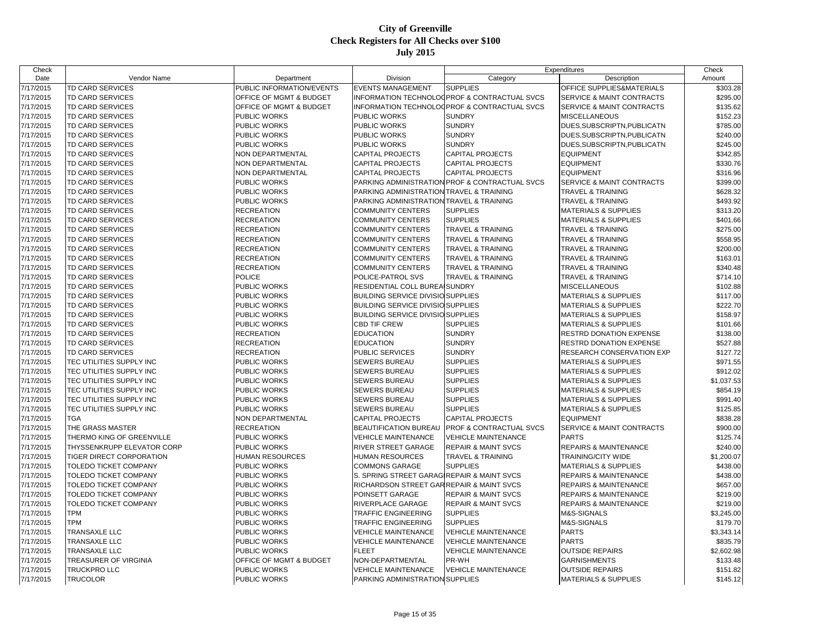| Check     |                              |                                    |                                                     | Expenditures                                   |                                      | Check      |
|-----------|------------------------------|------------------------------------|-----------------------------------------------------|------------------------------------------------|--------------------------------------|------------|
| Date      | Vendor Name                  | Department                         | Division                                            | Category                                       | Description                          | Amount     |
| 7/17/2015 | TD CARD SERVICES             | PUBLIC INFORMATION/EVENTS          | <b>EVENTS MANAGEMENT</b>                            | <b>SUPPLIES</b>                                | OFFICE SUPPLIES&MATERIALS            | \$303.28   |
| 7/17/2015 | TD CARD SERVICES             | OFFICE OF MGMT & BUDGET            |                                                     | INFORMATION TECHNOLOGPROF & CONTRACTUAL SVCS   | SERVICE & MAINT CONTRACTS            | \$295.00   |
| 7/17/2015 | <b>TD CARD SERVICES</b>      | <b>OFFICE OF MGMT &amp; BUDGET</b> |                                                     | INFORMATION TECHNOLOGPROF & CONTRACTUAL SVCS   | SERVICE & MAINT CONTRACTS            | \$135.62   |
| 7/17/2015 | TD CARD SERVICES             | PUBLIC WORKS                       | <b>PUBLIC WORKS</b>                                 | <b>SUNDRY</b>                                  | <b>MISCELLANEOUS</b>                 | \$152.23   |
| 7/17/2015 | TD CARD SERVICES             | PUBLIC WORKS                       | PUBLIC WORKS                                        | <b>SUNDRY</b>                                  | DUES, SUBSCRIPTN, PUBLICATN          | \$785.00   |
| 7/17/2015 | <b>TD CARD SERVICES</b>      | PUBLIC WORKS                       | <b>PUBLIC WORKS</b>                                 | <b>SUNDRY</b>                                  | DUES SUBSCRIPTN, PUBLICATN           | \$240.00   |
| 7/17/2015 | <b>TD CARD SERVICES</b>      | PUBLIC WORKS                       | <b>PUBLIC WORKS</b>                                 | <b>SUNDRY</b>                                  | DUES, SUBSCRIPTN, PUBLICATN          | \$245.00   |
| 7/17/2015 | TD CARD SERVICES             | NON DEPARTMENTAL                   | <b>CAPITAL PROJECTS</b>                             | <b>CAPITAL PROJECTS</b>                        | <b>EQUIPMENT</b>                     | \$342.85   |
| 7/17/2015 | TD CARD SERVICES             | NON DEPARTMENTAL                   | <b>CAPITAL PROJECTS</b>                             | <b>CAPITAL PROJECTS</b>                        | <b>EQUIPMENT</b>                     | \$330.76   |
| 7/17/2015 | TD CARD SERVICES             | NON DEPARTMENTAL                   | <b>CAPITAL PROJECTS</b>                             | <b>CAPITAL PROJECTS</b>                        | <b>EQUIPMENT</b>                     | \$316.96   |
| 7/17/2015 | <b>TD CARD SERVICES</b>      | PUBLIC WORKS                       |                                                     | PARKING ADMINISTRATION PROF & CONTRACTUAL SVCS | SERVICE & MAINT CONTRACTS            | \$399.00   |
| 7/17/2015 | <b>TD CARD SERVICES</b>      | PUBLIC WORKS                       | PARKING ADMINISTRATION                              | <b>TRAVEL &amp; TRAINING</b>                   | <b>TRAVEL &amp; TRAINING</b>         | \$628.32   |
| 7/17/2015 | TD CARD SERVICES             | PUBLIC WORKS                       | PARKING ADMINISTRATION TRAVEL & TRAINING            |                                                | TRAVEL & TRAINING                    | \$493.92   |
| 7/17/2015 | TD CARD SERVICES             | <b>RECREATION</b>                  | <b>COMMUNITY CENTERS</b>                            | <b>SUPPLIES</b>                                | MATERIALS & SUPPLIES                 | \$313.20   |
| 7/17/2015 | <b>TD CARD SERVICES</b>      | <b>RECREATION</b>                  | <b>COMMUNITY CENTERS</b>                            | <b>SUPPLIES</b>                                | <b>MATERIALS &amp; SUPPLIES</b>      | \$401.66   |
| 7/17/2015 | <b>TD CARD SERVICES</b>      | <b>RECREATION</b>                  | <b>COMMUNITY CENTERS</b>                            | <b>TRAVEL &amp; TRAINING</b>                   | <b>TRAVEL &amp; TRAINING</b>         | \$275.00   |
| 7/17/2015 | <b>TD CARD SERVICES</b>      | <b>RECREATION</b>                  | <b>COMMUNITY CENTERS</b>                            | <b>TRAVEL &amp; TRAINING</b>                   | <b>TRAVEL &amp; TRAINING</b>         | \$558.95   |
| 7/17/2015 | TD CARD SERVICES             | <b>RECREATION</b>                  | <b>COMMUNITY CENTERS</b>                            | <b>TRAVEL &amp; TRAINING</b>                   | <b>TRAVEL &amp; TRAINING</b>         | \$200.00   |
| 7/17/2015 | <b>TD CARD SERVICES</b>      | <b>RECREATION</b>                  | <b>COMMUNITY CENTERS</b>                            | <b>TRAVEL &amp; TRAINING</b>                   | <b>TRAVEL &amp; TRAINING</b>         | \$163.01   |
| 7/17/2015 | <b>TD CARD SERVICES</b>      | <b>RECREATION</b>                  | <b>COMMUNITY CENTERS</b>                            | <b>TRAVEL &amp; TRAINING</b>                   | TRAVEL & TRAINING                    | \$340.48   |
| 7/17/2015 | <b>TD CARD SERVICES</b>      | <b>POLICE</b>                      | POLICE-PATROL SVS                                   | <b>TRAVEL &amp; TRAINING</b>                   | <b>TRAVEL &amp; TRAINING</b>         | \$714.10   |
| 7/17/2015 | <b>TD CARD SERVICES</b>      | PUBLIC WORKS                       | RESIDENTIAL COLL BUREAISUNDRY                       |                                                | <b>MISCELLANEOUS</b>                 | \$102.88   |
| 7/17/2015 | TD CARD SERVICES             | PUBLIC WORKS                       | <b>BUILDING SERVICE DIVISIO SUPPLIES</b>            |                                                | <b>MATERIALS &amp; SUPPLIES</b>      | \$117.00   |
|           |                              | PUBLIC WORKS                       |                                                     |                                                |                                      |            |
| 7/17/2015 | TD CARD SERVICES             |                                    | <b>BUILDING SERVICE DIVISIO SUPPLIES</b>            |                                                | <b>MATERIALS &amp; SUPPLIES</b>      | \$222.70   |
| 7/17/2015 | <b>TD CARD SERVICES</b>      | PUBLIC WORKS                       | <b>BUILDING SERVICE DIVISIO SUPPLIES</b>            |                                                | <b>MATERIALS &amp; SUPPLIES</b>      | \$158.97   |
| 7/17/2015 | TD CARD SERVICES             | PUBLIC WORKS                       | <b>CBD TIF CREW</b>                                 | <b>SUPPLIES</b>                                | <b>MATERIALS &amp; SUPPLIES</b>      | \$101.66   |
| 7/17/2015 | TD CARD SERVICES             | <b>RECREATION</b>                  | <b>EDUCATION</b>                                    | <b>SUNDRY</b>                                  | RESTRD DONATION EXPENSE              | \$138.00   |
| 7/17/2015 | <b>TD CARD SERVICES</b>      | <b>RECREATION</b>                  | <b>EDUCATION</b>                                    | <b>SUNDRY</b>                                  | RESTRD DONATION EXPENSE              | \$527.88   |
| 7/17/2015 | <b>TD CARD SERVICES</b>      | <b>RECREATION</b>                  | <b>PUBLIC SERVICES</b>                              | <b>SUNDRY</b>                                  | RESEARCH CONSERVATION EXP            | \$127.72   |
| 7/17/2015 | TEC UTILITIES SUPPLY INC     | PUBLIC WORKS                       | <b>SEWERS BUREAU</b>                                | <b>SUPPLIES</b>                                | <b>MATERIALS &amp; SUPPLIES</b>      | \$971.55   |
| 7/17/2015 | TEC UTILITIES SUPPLY INC     | PUBLIC WORKS                       | <b>SEWERS BUREAU</b>                                | <b>SUPPLIES</b>                                | <b>MATERIALS &amp; SUPPLIES</b>      | \$912.02   |
| 7/17/2015 | TEC UTILITIES SUPPLY INC     | PUBLIC WORKS                       | <b>SEWERS BUREAU</b>                                | <b>SUPPLIES</b>                                | <b>MATERIALS &amp; SUPPLIES</b>      | \$1,037.53 |
| 7/17/2015 | TEC UTILITIES SUPPLY INC     | PUBLIC WORKS                       | SEWERS BUREAU                                       | <b>SUPPLIES</b>                                | <b>MATERIALS &amp; SUPPLIES</b>      | \$854.19   |
| 7/17/2015 | TEC UTILITIES SUPPLY INC     | PUBLIC WORKS                       | <b>SEWERS BUREAU</b>                                | <b>SUPPLIES</b>                                | <b>MATERIALS &amp; SUPPLIES</b>      | \$991.40   |
| 7/17/2015 | TEC UTILITIES SUPPLY INC     | PUBLIC WORKS                       | <b>SEWERS BUREAU</b>                                | <b>SUPPLIES</b>                                | <b>MATERIALS &amp; SUPPLIES</b>      | \$125.85   |
| 7/17/2015 | <b>TGA</b>                   | NON DEPARTMENTAL                   | <b>CAPITAL PROJECTS</b>                             | <b>CAPITAL PROJECTS</b>                        | <b>EQUIPMENT</b>                     | \$838.28   |
| 7/17/2015 | THE GRASS MASTER             | <b>RECREATION</b>                  | <b>BEAUTIFICATION BUREAU</b>                        | <b>PROF &amp; CONTRACTUAL SVCS</b>             | <b>SERVICE &amp; MAINT CONTRACTS</b> | \$900.00   |
| 7/17/2015 | THERMO KING OF GREENVILLE    | <b>PUBLIC WORKS</b>                | <b>VEHICLE MAINTENANCE</b>                          | <b>VEHICLE MAINTENANCE</b>                     | <b>PARTS</b>                         | \$125.74   |
| 7/17/2015 | THYSSENKRUPP ELEVATOR CORP   | PUBLIC WORKS                       | RIVER STREET GARAGE                                 | <b>REPAIR &amp; MAINT SVCS</b>                 | <b>REPAIRS &amp; MAINTENANCE</b>     | \$240.00   |
| 7/17/2015 | TIGER DIRECT CORPORATION     | <b>HUMAN RESOURCES</b>             | <b>HUMAN RESOURCES</b>                              | <b>TRAVEL &amp; TRAINING</b>                   | TRAINING/CITY WIDE                   | \$1,200.07 |
| 7/17/2015 | TOLEDO TICKET COMPANY        | PUBLIC WORKS                       | <b>COMMONS GARAGE</b>                               | <b>SUPPLIES</b>                                | MATERIALS & SUPPLIES                 | \$438.00   |
| 7/17/2015 | TOLEDO TICKET COMPANY        | PUBLIC WORKS                       | S. SPRING STREET GARAGIREPAIR & MAINT SVCS          |                                                | REPAIRS & MAINTENANCE                | \$438.00   |
| 7/17/2015 | <b>TOLEDO TICKET COMPANY</b> | PUBLIC WORKS                       | <b>RICHARDSON STREET GARREPAIR &amp; MAINT SVCS</b> |                                                | REPAIRS & MAINTENANCE                | \$657.00   |
| 7/17/2015 | TOLEDO TICKET COMPANY        | PUBLIC WORKS                       | POINSETT GARAGE                                     | <b>REPAIR &amp; MAINT SVCS</b>                 | <b>REPAIRS &amp; MAINTENANCE</b>     | \$219.00   |
| 7/17/2015 | TOLEDO TICKET COMPANY        | PUBLIC WORKS                       | <b>RIVERPLACE GARAGE</b>                            | <b>REPAIR &amp; MAINT SVCS</b>                 | <b>REPAIRS &amp; MAINTENANCE</b>     | \$219.00   |
| 7/17/2015 | <b>TPM</b>                   | PUBLIC WORKS                       | <b>TRAFFIC ENGINEERING</b>                          | <b>SUPPLIES</b>                                | M&S-SIGNALS                          | \$3,245.00 |
| 7/17/2015 | <b>TPM</b>                   | PUBLIC WORKS                       | <b>TRAFFIC ENGINEERING</b>                          | <b>SUPPLIES</b>                                | M&S-SIGNALS                          | \$179.70   |
| 7/17/2015 | <b>TRANSAXLE LLC</b>         | PUBLIC WORKS                       | <b>VEHICLE MAINTENANCE</b>                          | <b>VEHICLE MAINTENANCE</b>                     | <b>PARTS</b>                         | \$3,343.14 |
| 7/17/2015 | <b>TRANSAXLE LLC</b>         | <b>PUBLIC WORKS</b>                | <b>VEHICLE MAINTENANCE</b>                          | <b>VEHICLE MAINTENANCE</b>                     | <b>PARTS</b>                         | \$835.79   |
| 7/17/2015 | <b>TRANSAXLE LLC</b>         | <b>PUBLIC WORKS</b>                | <b>FLEET</b>                                        | <b>VEHICLE MAINTENANCE</b>                     | <b>OUTSIDE REPAIRS</b>               | \$2,602.98 |
| 7/17/2015 | TREASURER OF VIRGINIA        | OFFICE OF MGMT & BUDGET            | NON-DEPARTMENTAL                                    | PR-WH                                          | <b>GARNISHMENTS</b>                  | \$133.48   |
| 7/17/2015 | TRUCKPRO LLC                 | <b>PUBLIC WORKS</b>                | <b>VEHICLE MAINTENANCE</b>                          | <b>VEHICLE MAINTENANCE</b>                     | <b>OUTSIDE REPAIRS</b>               | \$151.82   |
| 7/17/2015 | <b>TRUCOLOR</b>              | <b>PUBLIC WORKS</b>                | PARKING ADMINISTRATION SUPPLIES                     |                                                | <b>MATERIALS &amp; SUPPLIES</b>      | \$145.12   |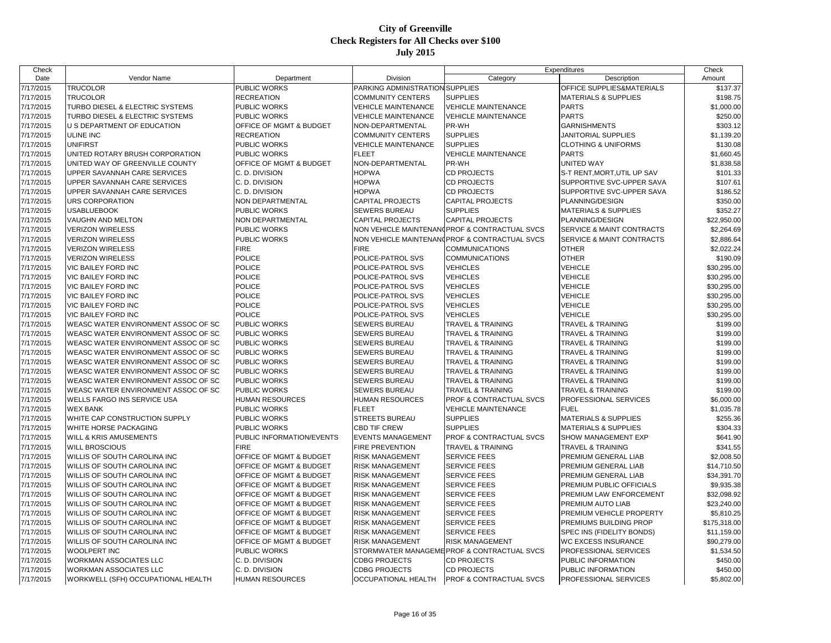| Check                  |                                     |                           |                                 | Expenditures                                  |                                 | Check                     |
|------------------------|-------------------------------------|---------------------------|---------------------------------|-----------------------------------------------|---------------------------------|---------------------------|
| Date                   | Vendor Name                         | Department                | Division                        | Category                                      | Description                     | Amount                    |
| 7/17/2015              | <b>TRUCOLOR</b>                     | PUBLIC WORKS              | PARKING ADMINISTRATION SUPPLIES |                                               | OFFICE SUPPLIES&MATERIALS       | $\overline{$}137.37$      |
| 7/17/2015              | TRUCOLOR                            | <b>RECREATION</b>         | <b>COMMUNITY CENTERS</b>        | <b>SUPPLIES</b>                               | <b>MATERIALS &amp; SUPPLIES</b> | \$198.75                  |
| 7/17/2015              | TURBO DIESEL & ELECTRIC SYSTEMS     | PUBLIC WORKS              | <b>VEHICLE MAINTENANCE</b>      | <b>VEHICLE MAINTENANCE</b>                    | <b>PARTS</b>                    | \$1,000.00                |
| 7/17/2015              | TURBO DIESEL & ELECTRIC SYSTEMS     | <b>PUBLIC WORKS</b>       | <b>VEHICLE MAINTENANCE</b>      | <b>VEHICLE MAINTENANCE</b>                    | <b>PARTS</b>                    | \$250.00                  |
| 7/17/2015              | U S DEPARTMENT OF EDUCATION         | OFFICE OF MGMT & BUDGET   | NON-DEPARTMENTAL                | PR-WH                                         | <b>GARNISHMENTS</b>             | \$303.12                  |
| 7/17/2015              | ULINE INC                           | <b>RECREATION</b>         | <b>COMMUNITY CENTERS</b>        | <b>SUPPLIES</b>                               | JANITORIAL SUPPLIES             | \$1,139.20                |
| 7/17/2015              | <b>UNIFIRST</b>                     | PUBLIC WORKS              | <b>VEHICLE MAINTENANCE</b>      | <b>SUPPLIES</b>                               | <b>CLOTHING &amp; UNIFORMS</b>  | \$130.08                  |
| 7/17/2015              | UNITED ROTARY BRUSH CORPORATION     | PUBLIC WORKS              | <b>FLEET</b>                    | <b>VEHICLE MAINTENANCE</b>                    | <b>PARTS</b>                    | \$1,660.45                |
| 7/17/2015              | UNITED WAY OF GREENVILLE COUNTY     | OFFICE OF MGMT & BUDGET   | NON-DEPARTMENTAL                | PR-WH                                         | UNITED WAY                      | \$1,838.58                |
| 7/17/2015              | UPPER SAVANNAH CARE SERVICES        | C. D. DIVISION            | <b>HOPWA</b>                    | CD PROJECTS                                   | S-T RENT, MORT, UTIL UP SAV     | \$101.33                  |
| 7/17/2015              | UPPER SAVANNAH CARE SERVICES        | C. D. DIVISION            | <b>HOPWA</b>                    | <b>CD PROJECTS</b>                            | SUPPORTIVE SVC-UPPER SAVA       | \$107.61                  |
| 7/17/2015              | UPPER SAVANNAH CARE SERVICES        | C. D. DIVISION            | <b>HOPWA</b>                    | <b>CD PROJECTS</b>                            | SUPPORTIVE SVC-UPPER SAVA       | \$186.52                  |
| 7/17/2015              | URS CORPORATION                     | NON DEPARTMENTAL          | <b>CAPITAL PROJECTS</b>         | <b>CAPITAL PROJECTS</b>                       | PLANNING/DESIGN                 | \$350.00                  |
| 7/17/2015              | <b>USABLUEBOOK</b>                  | PUBLIC WORKS              | SEWERS BUREAU                   | <b>SUPPLIES</b>                               | MATERIALS & SUPPLIES            | \$352.27                  |
| 7/17/2015              | VAUGHN AND MELTON                   | NON DEPARTMENTAL          | <b>CAPITAL PROJECTS</b>         | <b>CAPITAL PROJECTS</b>                       | PLANNING/DESIGN                 | \$22,950.00               |
| 7/17/2015              | <b>VERIZON WIRELESS</b>             | PUBLIC WORKS              |                                 | NON VEHICLE MAINTENAN(PROF & CONTRACTUAL SVCS | SERVICE & MAINT CONTRACTS       | \$2,264.69                |
| 7/17/2015              | <b>VERIZON WIRELESS</b>             | PUBLIC WORKS              |                                 | NON VEHICLE MAINTENAN(PROF & CONTRACTUAL SVCS | SERVICE & MAINT CONTRACTS       | \$2,886.64                |
| 7/17/2015              | <b>VERIZON WIRELESS</b>             | <b>FIRE</b>               | <b>FIRE</b>                     | COMMUNICATIONS                                | <b>OTHER</b>                    | \$2,022.24                |
| 7/17/2015              | <b>VERIZON WIRELESS</b>             | <b>POLICE</b>             | POLICE-PATROL SVS               | <b>COMMUNICATIONS</b>                         | <b>OTHER</b>                    | \$190.09                  |
| 7/17/2015              | VIC BAILEY FORD INC                 | <b>POLICE</b>             | POLICE-PATROL SVS               | <b>VEHICLES</b>                               | <b>VEHICLE</b>                  | \$30,295.00               |
| 7/17/2015              | VIC BAILEY FORD INC                 | <b>POLICE</b>             | POLICE-PATROL SVS               | <b>VEHICLES</b>                               | <b>VEHICLE</b>                  | \$30,295.00               |
| 7/17/2015              | VIC BAILEY FORD INC                 | <b>POLICE</b>             | POLICE-PATROL SVS               | <b>VEHICLES</b>                               | <b>VEHICLE</b>                  | \$30,295.00               |
| 7/17/2015              | VIC BAILEY FORD INC                 | <b>POLICE</b>             | POLICE-PATROL SVS               | <b>VEHICLES</b>                               | <b>VEHICLE</b>                  | \$30,295.00               |
| 7/17/2015              | VIC BAILEY FORD INC                 | <b>POLICE</b>             | POLICE-PATROL SVS               | <b>VEHICLES</b>                               | <b>VEHICLE</b>                  | \$30,295.00               |
| 7/17/2015              | VIC BAILEY FORD INC                 | POLICE                    | POLICE-PATROL SVS               | <b>VEHICLES</b>                               | <b>VEHICLE</b>                  | \$30,295.00               |
| 7/17/2015              | WEASC WATER ENVIRONMENT ASSOC OF SC | PUBLIC WORKS              | <b>SEWERS BUREAU</b>            | <b>TRAVEL &amp; TRAINING</b>                  | <b>TRAVEL &amp; TRAINING</b>    | \$199.00                  |
| 7/17/2015              | WEASC WATER ENVIRONMENT ASSOC OF SC | PUBLIC WORKS              | <b>SEWERS BUREAU</b>            | TRAVEL & TRAINING                             | <b>TRAVEL &amp; TRAINING</b>    | \$199.00                  |
| 7/17/2015              | WEASC WATER ENVIRONMENT ASSOC OF SC | PUBLIC WORKS              | <b>SEWERS BUREAU</b>            | TRAVEL & TRAINING                             | <b>TRAVEL &amp; TRAINING</b>    | \$199.00                  |
| 7/17/2015              | WEASC WATER ENVIRONMENT ASSOC OF SC | PUBLIC WORKS              | SEWERS BUREAU                   | TRAVEL & TRAINING                             | TRAVEL & TRAINING               | \$199.00                  |
| 7/17/2015              | WEASC WATER ENVIRONMENT ASSOC OF SC | PUBLIC WORKS              | <b>SEWERS BUREAU</b>            | <b>TRAVEL &amp; TRAINING</b>                  | <b>TRAVEL &amp; TRAINING</b>    | \$199.00                  |
| 7/17/2015              | WEASC WATER ENVIRONMENT ASSOC OF SC | PUBLIC WORKS              | <b>SEWERS BUREAU</b>            | TRAVEL & TRAINING                             | <b>TRAVEL &amp; TRAINING</b>    | \$199.00                  |
| 7/17/2015              | WEASC WATER ENVIRONMENT ASSOC OF SC | PUBLIC WORKS              | SEWERS BUREAU                   | TRAVEL & TRAINING                             | TRAVEL & TRAINING               | \$199.00                  |
| 7/17/2015              | WEASC WATER ENVIRONMENT ASSOC OF SC | PUBLIC WORKS              | <b>SEWERS BUREAU</b>            | <b>TRAVEL &amp; TRAINING</b>                  | TRAVEL & TRAINING               | \$199.00                  |
| 7/17/2015              | WELLS FARGO INS SERVICE USA         | HUMAN RESOURCES           | HUMAN RESOURCES                 | PROF & CONTRACTUAL SVCS                       | PROFESSIONAL SERVICES           | \$6,000.00                |
| 7/17/2015              | <b>WEX BANK</b>                     | PUBLIC WORKS              | <b>FLEET</b>                    | <b>VEHICLE MAINTENANCE</b>                    | <b>FUEL</b>                     | \$1,035.78                |
| 7/17/2015              | WHITE CAP CONSTRUCTION SUPPLY       | PUBLIC WORKS              | <b>STREETS BUREAU</b>           | <b>SUPPLIES</b>                               | <b>MATERIALS &amp; SUPPLIES</b> | \$255.36                  |
| 7/17/2015              | WHITE HORSE PACKAGING               | PUBLIC WORKS              | CBD TIF CREW                    | <b>SUPPLIES</b>                               | <b>MATERIALS &amp; SUPPLIES</b> | \$304.33                  |
| 7/17/2015              | WILL & KRIS AMUSEMENTS              | PUBLIC INFORMATION/EVENTS | <b>EVENTS MANAGEMENT</b>        | PROF & CONTRACTUAL SVCS                       | SHOW MANAGEMENT EXP             | \$641.90                  |
| 7/17/2015              | <b>WILL BROSCIOUS</b>               | <b>FIRE</b>               | FIRE PREVENTION                 | TRAVEL & TRAINING                             | <b>TRAVEL &amp; TRAINING</b>    | \$341.55                  |
|                        | WILLIS OF SOUTH CAROLINA INC        | OFFICE OF MGMT & BUDGET   | <b>RISK MANAGEMENT</b>          | <b>SERVICE FEES</b>                           | PREMIUM GENERAL LIAB            | \$2,008.50                |
| 7/17/2015<br>7/17/2015 | WILLIS OF SOUTH CAROLINA INC        | OFFICE OF MGMT & BUDGET   | <b>RISK MANAGEMENT</b>          | <b>SERVICE FEES</b>                           | PREMIUM GENERAL LIAB            | \$14,710.50               |
|                        | WILLIS OF SOUTH CAROLINA INC        | OFFICE OF MGMT & BUDGET   | <b>RISK MANAGEMENT</b>          | <b>SERVICE FEES</b>                           | PREMIUM GENERAL LIAB            |                           |
| 7/17/2015<br>7/17/2015 | WILLIS OF SOUTH CAROLINA INC        | OFFICE OF MGMT & BUDGET   | <b>RISK MANAGEMENT</b>          | SERVICE FEES                                  | PREMIUM PUBLIC OFFICIALS        | \$34,391.70<br>\$9,935.38 |
|                        |                                     |                           |                                 |                                               |                                 |                           |
| 7/17/2015              | WILLIS OF SOUTH CAROLINA INC        | OFFICE OF MGMT & BUDGET   | <b>RISK MANAGEMENT</b>          | <b>SERVICE FEES</b>                           | PREMIUM LAW ENFORCEMENT         | \$32,098.92               |
| 7/17/2015              | WILLIS OF SOUTH CAROLINA INC        | OFFICE OF MGMT & BUDGET   | <b>RISK MANAGEMENT</b>          | <b>SERVICE FEES</b>                           | PREMIUM AUTO LIAB               | \$23,240.00               |
| 7/17/2015              | WILLIS OF SOUTH CAROLINA INC        | OFFICE OF MGMT & BUDGET   | <b>RISK MANAGEMENT</b>          | SERVICE FEES                                  | PREMIUM VEHICLE PROPERTY        | \$5,810.25                |
| 7/17/2015              | WILLIS OF SOUTH CAROLINA INC        | OFFICE OF MGMT & BUDGET   | <b>RISK MANAGEMENT</b>          | <b>SERVICE FEES</b>                           | PREMIUMS BUILDING PROP          | \$175,318.00              |
| 7/17/2015              | WILLIS OF SOUTH CAROLINA INC        | OFFICE OF MGMT & BUDGET   | RISK MANAGEMENT                 | <b>SERVICE FEES</b>                           | SPEC INS (FIDELITY BONDS)       | \$11,159.00               |
| 7/17/2015              | WILLIS OF SOUTH CAROLINA INC        | OFFICE OF MGMT & BUDGET   | <b>RISK MANAGEMENT</b>          | <b>RISK MANAGEMENT</b>                        | <b>WC EXCESS INSURANCE</b>      | \$90,279.00               |
| 7/17/2015              | <b>WOOLPERT INC</b>                 | PUBLIC WORKS              |                                 | STORMWATER MANAGEMEPROF & CONTRACTUAL SVCS    | PROFESSIONAL SERVICES           | \$1,534.50                |
| 7/17/2015              | WORKMAN ASSOCIATES LLC              | C. D. DIVISION            | <b>CDBG PROJECTS</b>            | CD PROJECTS                                   | PUBLIC INFORMATION              | \$450.00                  |
| 7/17/2015              | <b>WORKMAN ASSOCIATES LLC</b>       | C. D. DIVISION            | <b>CDBG PROJECTS</b>            | CD PROJECTS                                   | PUBLIC INFORMATION              | \$450.00                  |
| 7/17/2015              | WORKWELL (SFH) OCCUPATIONAL HEALTH  | <b>HUMAN RESOURCES</b>    | OCCUPATIONAL HEALTH             | <b>PROF &amp; CONTRACTUAL SVCS</b>            | PROFESSIONAL SERVICES           | \$5,802.00                |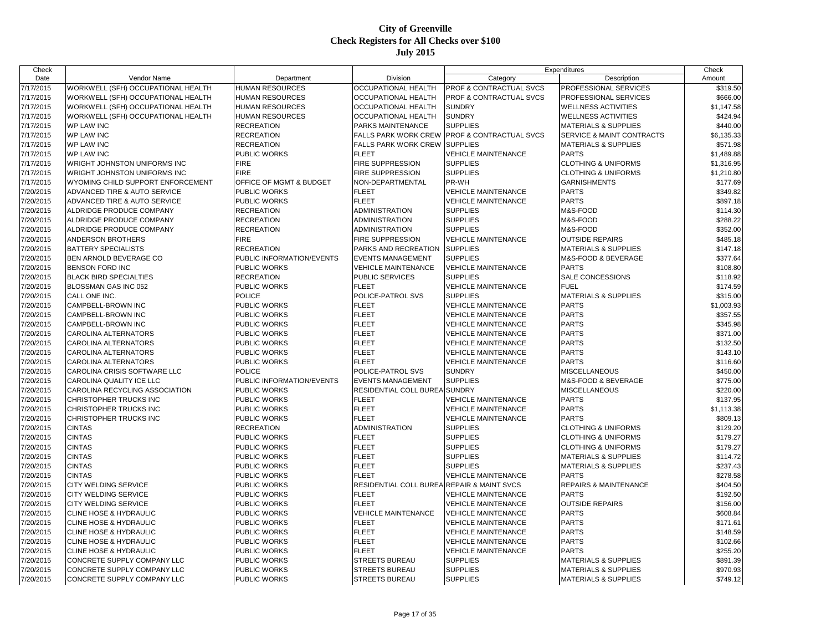| Check     |                                         |                           |                                            | Expenditures                       |                                 | Check      |
|-----------|-----------------------------------------|---------------------------|--------------------------------------------|------------------------------------|---------------------------------|------------|
| Date      | Vendor Name                             | Department                | Division                                   | Category                           | Description                     | Amount     |
| 7/17/2015 | WORKWELL (SFH) OCCUPATIONAL HEALTH      | <b>HUMAN RESOURCES</b>    | OCCUPATIONAL HEALTH                        | PROF & CONTRACTUAL SVCS            | PROFESSIONAL SERVICES           | \$319.50   |
| 7/17/2015 | WORKWELL (SFH) OCCUPATIONAL HEALTH      | <b>HUMAN RESOURCES</b>    | OCCUPATIONAL HEALTH                        | <b>PROF &amp; CONTRACTUAL SVCS</b> | PROFESSIONAL SERVICES           | \$666.00   |
| 7/17/2015 | WORKWELL (SFH) OCCUPATIONAL HEALTH      | <b>HUMAN RESOURCES</b>    | <b>OCCUPATIONAL HEALTH</b>                 | <b>SUNDRY</b>                      | <b>WELLNESS ACTIVITIES</b>      | \$1,147.58 |
| 7/17/2015 | WORKWELL (SFH) OCCUPATIONAL HEALTH      | <b>HUMAN RESOURCES</b>    | OCCUPATIONAL HEALTH                        | <b>SUNDRY</b>                      | <b>WELLNESS ACTIVITIES</b>      | \$424.94   |
| 7/17/2015 | <b>WP LAW INC</b>                       | <b>RECREATION</b>         | PARKS MAINTENANCE                          | <b>SUPPLIES</b>                    | MATERIALS & SUPPLIES            | \$440.00   |
| 7/17/2015 | <b>WP LAW INC</b>                       | <b>RECREATION</b>         | FALLS PARK WORK CREW                       | <b>PROF &amp; CONTRACTUAL SVCS</b> | SERVICE & MAINT CONTRACTS       | \$6,135.33 |
| 7/17/2015 | <b>WP LAW INC</b>                       | <b>RECREATION</b>         | FALLS PARK WORK CREW                       | <b>SUPPLIES</b>                    | <b>MATERIALS &amp; SUPPLIES</b> | \$571.98   |
| 7/17/2015 | <b>WP LAW INC</b>                       | PUBLIC WORKS              | FLEET                                      | <b>VEHICLE MAINTENANCE</b>         | <b>PARTS</b>                    | \$1,489.88 |
| 7/17/2015 | <b>WRIGHT JOHNSTON UNIFORMS INC</b>     | <b>FIRE</b>               | FIRE SUPPRESSION                           | <b>SUPPLIES</b>                    | <b>CLOTHING &amp; UNIFORMS</b>  | \$1,316.95 |
| 7/17/2015 | <b>WRIGHT JOHNSTON UNIFORMS INC</b>     | <b>FIRE</b>               | <b>FIRE SUPPRESSION</b>                    | <b>SUPPLIES</b>                    | <b>CLOTHING &amp; UNIFORMS</b>  | \$1,210.80 |
| 7/17/2015 | WYOMING CHILD SUPPORT ENFORCEMENT       | OFFICE OF MGMT & BUDGET   | NON-DEPARTMENTAL                           | PR-WH                              | <b>GARNISHMENTS</b>             | \$177.69   |
| 7/20/2015 | <b>ADVANCED TIRE &amp; AUTO SERVICE</b> | PUBLIC WORKS              | <b>FLEET</b>                               | <b>VEHICLE MAINTENANCE</b>         | <b>PARTS</b>                    | \$349.82   |
| 7/20/2015 | ADVANCED TIRE & AUTO SERVICE            | PUBLIC WORKS              | <b>FLEET</b>                               | <b>VEHICLE MAINTENANCE</b>         | <b>PARTS</b>                    | \$897.18   |
| 7/20/2015 | ALDRIDGE PRODUCE COMPANY                | <b>RECREATION</b>         | <b>ADMINISTRATION</b>                      | <b>SUPPLIES</b>                    | M&S-FOOD                        | \$114.30   |
| 7/20/2015 | ALDRIDGE PRODUCE COMPANY                | <b>RECREATION</b>         | <b>ADMINISTRATION</b>                      | <b>SUPPLIES</b>                    | M&S-FOOD                        | \$288.22   |
| 7/20/2015 | <b>ALDRIDGE PRODUCE COMPANY</b>         | <b>RECREATION</b>         | <b>ADMINISTRATION</b>                      | <b>SUPPLIES</b>                    | M&S-FOOD                        | \$352.00   |
| 7/20/2015 | <b>ANDERSON BROTHERS</b>                | <b>FIRE</b>               | FIRE SUPPRESSION                           | <b>VEHICLE MAINTENANCE</b>         | <b>OUTSIDE REPAIRS</b>          | \$485.18   |
| 7/20/2015 | <b>BATTERY SPECIALISTS</b>              | <b>RECREATION</b>         | PARKS AND RECREATION                       | <b>SUPPLIES</b>                    | <b>MATERIALS &amp; SUPPLIES</b> | \$147.18   |
| 7/20/2015 | BEN ARNOLD BEVERAGE CO                  | PUBLIC INFORMATION/EVENTS | <b>EVENTS MANAGEMENT</b>                   | <b>SUPPLIES</b>                    | M&S-FOOD & BEVERAGE             | \$377.64   |
| 7/20/2015 | <b>BENSON FORD INC</b>                  | PUBLIC WORKS              | <b>VEHICLE MAINTENANCE</b>                 | <b>VEHICLE MAINTENANCE</b>         | <b>PARTS</b>                    | \$108.80   |
| 7/20/2015 | <b>BLACK BIRD SPECIALTIES</b>           | <b>RECREATION</b>         | PUBLIC SERVICES                            | <b>SUPPLIES</b>                    | SALE CONCESSIONS                | \$118.92   |
| 7/20/2015 | BLOSSMAN GAS INC 052                    | PUBLIC WORKS              | <b>FLEET</b>                               | <b>VEHICLE MAINTENANCE</b>         | <b>FUEL</b>                     | \$174.59   |
| 7/20/2015 | CALL ONE INC.                           | <b>POLICE</b>             | POLICE-PATROL SVS                          | <b>SUPPLIES</b>                    | <b>MATERIALS &amp; SUPPLIES</b> | \$315.00   |
| 7/20/2015 | CAMPBELL-BROWN INC                      | PUBLIC WORKS              | <b>FLEET</b>                               | <b>VEHICLE MAINTENANCE</b>         | <b>PARTS</b>                    | \$1,003.93 |
| 7/20/2015 | CAMPBELL-BROWN INC                      | PUBLIC WORKS              | <b>FLEET</b>                               | <b>VEHICLE MAINTENANCE</b>         | <b>PARTS</b>                    | \$357.55   |
| 7/20/2015 | CAMPBELL-BROWN INC                      | PUBLIC WORKS              | <b>FLEET</b>                               | <b>VEHICLE MAINTENANCE</b>         | <b>PARTS</b>                    | \$345.98   |
| 7/20/2015 | <b>CAROLINA ALTERNATORS</b>             | PUBLIC WORKS              | <b>FLEET</b>                               | <b>VEHICLE MAINTENANCE</b>         | <b>PARTS</b>                    | \$371.00   |
| 7/20/2015 | <b>CAROLINA ALTERNATORS</b>             | PUBLIC WORKS              | <b>FLEET</b>                               | <b>VEHICLE MAINTENANCE</b>         | <b>PARTS</b>                    | \$132.50   |
| 7/20/2015 | <b>CAROLINA ALTERNATORS</b>             | <b>PUBLIC WORKS</b>       | <b>FLEET</b>                               | <b>VEHICLE MAINTENANCE</b>         | <b>PARTS</b>                    | \$143.10   |
| 7/20/2015 | CAROLINA ALTERNATORS                    | PUBLIC WORKS              | FLEET                                      | VEHICLE MAINTENANCE                | <b>PARTS</b>                    | \$116.60   |
| 7/20/2015 | CAROLINA CRISIS SOFTWARE LLC            | <b>POLICE</b>             | POLICE-PATROL SVS                          | <b>SUNDRY</b>                      | <b>MISCELLANEOUS</b>            | \$450.00   |
| 7/20/2015 | CAROLINA QUALITY ICE LLC                | PUBLIC INFORMATION/EVENTS | <b>EVENTS MANAGEMENT</b>                   | <b>SUPPLIES</b>                    | M&S-FOOD & BEVERAGE             | \$775.00   |
| 7/20/2015 | CAROLINA RECYCLING ASSOCIATION          | PUBLIC WORKS              | RESIDENTIAL COLL BUREAISUNDRY              |                                    | <b>MISCELLANEOUS</b>            | \$220.00   |
| 7/20/2015 | CHRISTOPHER TRUCKS INC                  | PUBLIC WORKS              | <b>FLEET</b>                               | <b>VEHICLE MAINTENANCE</b>         | <b>PARTS</b>                    | \$137.95   |
| 7/20/2015 | <b>CHRISTOPHER TRUCKS INC</b>           | PUBLIC WORKS              | <b>FLEET</b>                               | <b>VEHICLE MAINTENANCE</b>         | <b>PARTS</b>                    | \$1,113.38 |
| 7/20/2015 | <b>CHRISTOPHER TRUCKS INC</b>           | PUBLIC WORKS              | FLEET                                      | <b>VEHICLE MAINTENANCE</b>         | <b>PARTS</b>                    | \$809.13   |
| 7/20/2015 | <b>CINTAS</b>                           | <b>RECREATION</b>         | <b>ADMINISTRATION</b>                      | <b>SUPPLIES</b>                    | <b>CLOTHING &amp; UNIFORMS</b>  | \$129.20   |
| 7/20/2015 | <b>CINTAS</b>                           | PUBLIC WORKS              | <b>FLEET</b>                               | <b>SUPPLIES</b>                    | <b>CLOTHING &amp; UNIFORMS</b>  | \$179.27   |
| 7/20/2015 | <b>CINTAS</b>                           | PUBLIC WORKS              | <b>FLEET</b>                               | <b>SUPPLIES</b>                    | <b>CLOTHING &amp; UNIFORMS</b>  | \$179.27   |
| 7/20/2015 | <b>CINTAS</b>                           | PUBLIC WORKS              | <b>FLEET</b>                               | <b>SUPPLIES</b>                    | <b>MATERIALS &amp; SUPPLIES</b> | \$114.72   |
| 7/20/2015 | <b>CINTAS</b>                           | PUBLIC WORKS              | <b>FLEET</b>                               | <b>SUPPLIES</b>                    | <b>MATERIALS &amp; SUPPLIES</b> | \$237.43   |
| 7/20/2015 | <b>CINTAS</b>                           | PUBLIC WORKS              | <b>FLEET</b>                               | <b>VEHICLE MAINTENANCE</b>         | <b>PARTS</b>                    | \$278.58   |
| 7/20/2015 | <b>CITY WELDING SERVICE</b>             | PUBLIC WORKS              | RESIDENTIAL COLL BUREAIREPAIR & MAINT SVCS |                                    | REPAIRS & MAINTENANCE           | \$404.50   |
| 7/20/2015 | <b>CITY WELDING SERVICE</b>             | PUBLIC WORKS              | <b>FLEET</b>                               | <b>VEHICLE MAINTENANCE</b>         | <b>PARTS</b>                    | \$192.50   |
| 7/20/2015 | <b>CITY WELDING SERVICE</b>             | PUBLIC WORKS              | FLEET                                      | <b>VEHICLE MAINTENANCE</b>         | <b>OUTSIDE REPAIRS</b>          | \$156.00   |
| 7/20/2015 | <b>CLINE HOSE &amp; HYDRAULIC</b>       | PUBLIC WORKS              | <b>VEHICLE MAINTENANCE</b>                 | <b>VEHICLE MAINTENANCE</b>         | <b>PARTS</b>                    | \$608.84   |
| 7/20/2015 | <b>CLINE HOSE &amp; HYDRAULIC</b>       | PUBLIC WORKS              | <b>FLEET</b>                               | <b>VEHICLE MAINTENANCE</b>         | <b>PARTS</b>                    | \$171.61   |
| 7/20/2015 | <b>CLINE HOSE &amp; HYDRAULIC</b>       | PUBLIC WORKS              | <b>FLEET</b>                               | <b>VEHICLE MAINTENANCE</b>         | <b>PARTS</b>                    | \$148.59   |
| 7/20/2015 | <b>CLINE HOSE &amp; HYDRAULIC</b>       | PUBLIC WORKS              | <b>FLEET</b>                               | <b>VEHICLE MAINTENANCE</b>         | <b>PARTS</b>                    | \$102.66   |
| 7/20/2015 | <b>CLINE HOSE &amp; HYDRAULIC</b>       | PUBLIC WORKS              | <b>FLEET</b>                               | <b>VEHICLE MAINTENANCE</b>         | <b>PARTS</b>                    | \$255.20   |
| 7/20/2015 | CONCRETE SUPPLY COMPANY LLC             | PUBLIC WORKS              | <b>STREETS BUREAU</b>                      | <b>SUPPLIES</b>                    | <b>MATERIALS &amp; SUPPLIES</b> | \$891.39   |
| 7/20/2015 | CONCRETE SUPPLY COMPANY LLC             | PUBLIC WORKS              | <b>STREETS BUREAU</b>                      | <b>SUPPLIES</b>                    | <b>MATERIALS &amp; SUPPLIES</b> | \$970.93   |
| 7/20/2015 | CONCRETE SUPPLY COMPANY LLC             | <b>PUBLIC WORKS</b>       | STREETS BUREAU                             | <b>SUPPLIES</b>                    | <b>MATERIALS &amp; SUPPLIES</b> | \$749.12   |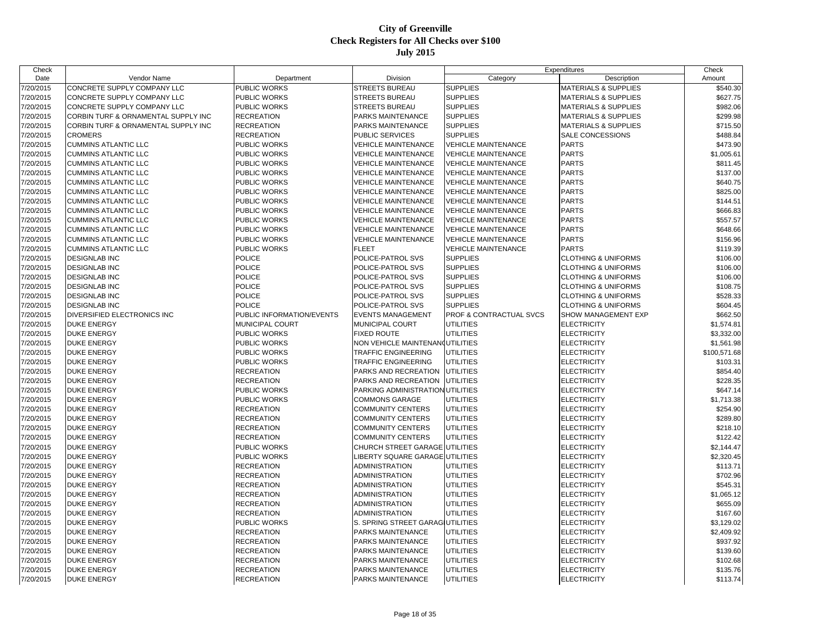| Check     |                                          |                           |                                                          |                                    | Expenditures                    | Check                |
|-----------|------------------------------------------|---------------------------|----------------------------------------------------------|------------------------------------|---------------------------------|----------------------|
| Date      | Vendor Name                              | Department                | Division                                                 | Category                           | Description                     | Amount               |
| 7/20/2015 | CONCRETE SUPPLY COMPANY LLC              | PUBLIC WORKS              | <b>STREETS BUREAU</b>                                    | <b>SUPPLIES</b>                    | <b>MATERIALS &amp; SUPPLIES</b> | \$540.30             |
| 7/20/2015 | CONCRETE SUPPLY COMPANY LLC              | PUBLIC WORKS              | <b>STREETS BUREAU</b>                                    | <b>SUPPLIES</b>                    | <b>MATERIALS &amp; SUPPLIES</b> | \$627.75             |
| 7/20/2015 | CONCRETE SUPPLY COMPANY LLC              | PUBLIC WORKS              | <b>STREETS BUREAU</b>                                    | <b>SUPPLIES</b>                    | <b>MATERIALS &amp; SUPPLIES</b> | \$982.06             |
| 7/20/2015 | CORBIN TURF & ORNAMENTAL SUPPLY INC      | <b>RECREATION</b>         | PARKS MAINTENANCE                                        | <b>SUPPLIES</b>                    | <b>MATERIALS &amp; SUPPLIES</b> | \$299.98             |
| 7/20/2015 | CORBIN TURF & ORNAMENTAL SUPPLY INC      | <b>RECREATION</b>         | PARKS MAINTENANCE                                        | <b>SUPPLIES</b>                    | <b>MATERIALS &amp; SUPPLIES</b> | \$715.50             |
| 7/20/2015 | <b>CROMERS</b>                           | RECREATION                | PUBLIC SERVICES                                          | <b>SUPPLIES</b>                    | SALE CONCESSIONS                | \$488.84             |
| 7/20/2015 | <b>CUMMINS ATLANTIC LLC</b>              | PUBLIC WORKS              | <b>VEHICLE MAINTENANCE</b>                               | <b>VEHICLE MAINTENANCE</b>         | <b>PARTS</b>                    | \$473.90             |
| 7/20/2015 | <b>CUMMINS ATLANTIC LLC</b>              | PUBLIC WORKS              | <b>VEHICLE MAINTENANCE</b>                               | <b>VEHICLE MAINTENANCE</b>         | <b>PARTS</b>                    | \$1,005.61           |
| 7/20/2015 | <b>CUMMINS ATLANTIC LLC</b>              | PUBLIC WORKS              | <b>VEHICLE MAINTENANCE</b>                               | <b>VEHICLE MAINTENANCE</b>         | <b>PARTS</b>                    | \$811.45             |
| 7/20/2015 | <b>CUMMINS ATLANTIC LLC</b>              | PUBLIC WORKS              | <b>VEHICLE MAINTENANCE</b>                               | <b>VEHICLE MAINTENANCE</b>         | <b>PARTS</b>                    | \$137.00             |
| 7/20/2015 | <b>CUMMINS ATLANTIC LLC</b>              | PUBLIC WORKS              | <b>VEHICLE MAINTENANCE</b>                               | <b>VEHICLE MAINTENANCE</b>         | <b>PARTS</b>                    | \$640.75             |
| 7/20/2015 | <b>CUMMINS ATLANTIC LLC</b>              | <b>PUBLIC WORKS</b>       | <b>VEHICLE MAINTENANCE</b>                               | <b>VEHICLE MAINTENANCE</b>         | <b>PARTS</b>                    | \$825.00             |
| 7/20/2015 | <b>CUMMINS ATLANTIC LLC</b>              | PUBLIC WORKS              | <b>VEHICLE MAINTENANCE</b>                               | <b>VEHICLE MAINTENANCE</b>         | <b>PARTS</b>                    | \$144.51             |
| 7/20/2015 | <b>CUMMINS ATLANTIC LLC</b>              | PUBLIC WORKS              | <b>VEHICLE MAINTENANCE</b>                               | <b>VEHICLE MAINTENANCE</b>         | <b>PARTS</b>                    | \$666.83             |
| 7/20/2015 | <b>CUMMINS ATLANTIC LLC</b>              | PUBLIC WORKS              | <b>VEHICLE MAINTENANCE</b>                               | <b>VEHICLE MAINTENANCE</b>         | <b>PARTS</b>                    | \$557.57             |
| 7/20/2015 | <b>CUMMINS ATLANTIC LLC</b>              | <b>PUBLIC WORKS</b>       | <b>VEHICLE MAINTENANCE</b>                               | <b>VEHICLE MAINTENANCE</b>         | <b>PARTS</b>                    | \$648.66             |
| 7/20/2015 | <b>CUMMINS ATLANTIC LLC</b>              | PUBLIC WORKS              | <b>VEHICLE MAINTENANCE</b>                               | <b>VEHICLE MAINTENANCE</b>         | <b>PARTS</b>                    | \$156.96             |
| 7/20/2015 | <b>CUMMINS ATLANTIC LLC</b>              | PUBLIC WORKS              | <b>FLEET</b>                                             | <b>VEHICLE MAINTENANCE</b>         | <b>PARTS</b>                    | \$119.39             |
| 7/20/2015 | <b>DESIGNLAB INC</b>                     | <b>POLICE</b>             | POLICE-PATROL SVS                                        | <b>SUPPLIES</b>                    | <b>CLOTHING &amp; UNIFORMS</b>  | \$106.00             |
| 7/20/2015 | <b>DESIGNLAB INC</b>                     | POLICE                    | POLICE-PATROL SVS                                        | <b>SUPPLIES</b>                    | <b>CLOTHING &amp; UNIFORMS</b>  | \$106.00             |
| 7/20/2015 | <b>DESIGNLAB INC</b>                     | <b>POLICE</b>             | POLICE-PATROL SVS                                        | <b>SUPPLIES</b>                    | <b>CLOTHING &amp; UNIFORMS</b>  | \$106.00             |
| 7/20/2015 | <b>DESIGNLAB INC</b>                     | <b>POLICE</b>             | POLICE-PATROL SVS                                        | <b>SUPPLIES</b>                    | <b>CLOTHING &amp; UNIFORMS</b>  | \$108.75             |
| 7/20/2015 | <b>DESIGNLAB INC</b>                     | <b>POLICE</b>             | POLICE-PATROL SVS                                        | <b>SUPPLIES</b>                    | <b>CLOTHING &amp; UNIFORMS</b>  | \$528.33             |
| 7/20/2015 | <b>DESIGNLAB INC</b>                     | <b>POLICE</b>             | POLICE-PATROL SVS                                        | <b>SUPPLIES</b>                    | <b>CLOTHING &amp; UNIFORMS</b>  | \$604.45             |
| 7/20/2015 | DIVERSIFIED ELECTRONICS INC              | PUBLIC INFORMATION/EVENTS | <b>EVENTS MANAGEMENT</b>                                 | <b>PROF &amp; CONTRACTUAL SVCS</b> | SHOW MANAGEMENT EXP             | \$662.50             |
| 7/20/2015 | <b>DUKE ENERGY</b>                       | MUNICIPAL COURT           | MUNICIPAL COURT                                          | <b>UTILITIES</b>                   | <b>ELECTRICITY</b>              | \$1,574.81           |
| 7/20/2015 | <b>DUKE ENERGY</b>                       | PUBLIC WORKS              | <b>FIXED ROUTE</b>                                       | <b>UTILITIES</b>                   | <b>ELECTRICITY</b>              | \$3,332.00           |
| 7/20/2015 | <b>DUKE ENERGY</b>                       | PUBLIC WORKS              | NON VEHICLE MAINTENAN(UTILITIES                          |                                    | <b>ELECTRICITY</b>              | \$1,561.98           |
| 7/20/2015 | <b>DUKE ENERGY</b>                       | PUBLIC WORKS              | <b>TRAFFIC ENGINEERING</b>                               | <b>UTILITIES</b>                   | <b>ELECTRICITY</b>              | \$100,571.68         |
| 7/20/2015 |                                          | PUBLIC WORKS              | TRAFFIC ENGINEERING                                      | <b>UTILITIES</b>                   | <b>ELECTRICITY</b>              | \$103.31             |
|           | <b>DUKE ENERGY</b><br><b>DUKE ENERGY</b> | <b>RECREATION</b>         | PARKS AND RECREATION                                     | <b>UTILITIES</b>                   | <b>ELECTRICITY</b>              |                      |
| 7/20/2015 |                                          |                           |                                                          |                                    |                                 | \$854.40             |
| 7/20/2015 | <b>DUKE ENERGY</b>                       | <b>RECREATION</b>         | PARKS AND RECREATION<br>PARKING ADMINISTRATION UTILITIES | <b>UTILITIES</b>                   | <b>ELECTRICITY</b>              | \$228.35<br>\$647.14 |
| 7/20/2015 | <b>DUKE ENERGY</b>                       | PUBLIC WORKS              |                                                          |                                    | <b>ELECTRICITY</b>              |                      |
| 7/20/2015 | <b>DUKE ENERGY</b>                       | PUBLIC WORKS              | <b>COMMONS GARAGE</b>                                    | <b>UTILITIES</b>                   | <b>ELECTRICITY</b>              | \$1,713.38           |
| 7/20/2015 | <b>DUKE ENERGY</b>                       | <b>RECREATION</b>         | <b>COMMUNITY CENTERS</b>                                 | <b>UTILITIES</b>                   | <b>ELECTRICITY</b>              | \$254.90             |
| 7/20/2015 | <b>DUKE ENERGY</b>                       | <b>RECREATION</b>         | <b>COMMUNITY CENTERS</b>                                 | <b>UTILITIES</b>                   | <b>ELECTRICITY</b>              | \$289.80             |
| 7/20/2015 | <b>DUKE ENERGY</b>                       | <b>RECREATION</b>         | <b>COMMUNITY CENTERS</b>                                 | <b>UTILITIES</b>                   | <b>ELECTRICITY</b>              | \$218.10             |
| 7/20/2015 | <b>DUKE ENERGY</b>                       | <b>RECREATION</b>         | <b>COMMUNITY CENTERS</b>                                 | <b>UTILITIES</b>                   | <b>ELECTRICITY</b>              | \$122.42             |
| 7/20/2015 | <b>DUKE ENERGY</b>                       | PUBLIC WORKS              | CHURCH STREET GARAGE UTILITIES                           |                                    | <b>ELECTRICITY</b>              | \$2,144.47           |
| 7/20/2015 | <b>DUKE ENERGY</b>                       | PUBLIC WORKS              | LIBERTY SQUARE GARAGE UTILITIES                          |                                    | <b>ELECTRICITY</b>              | \$2,320.45           |
| 7/20/2015 | <b>DUKE ENERGY</b>                       | <b>RECREATION</b>         | <b>ADMINISTRATION</b>                                    | <b>UTILITIES</b>                   | <b>ELECTRICITY</b>              | \$113.71             |
| 7/20/2015 | <b>DUKE ENERGY</b>                       | <b>RECREATION</b>         | ADMINISTRATION                                           | <b>UTILITIES</b>                   | <b>ELECTRICITY</b>              | \$702.96             |
| 7/20/2015 | <b>DUKE ENERGY</b>                       | <b>RECREATION</b>         | <b>ADMINISTRATION</b>                                    | <b>UTILITIES</b>                   | <b>ELECTRICITY</b>              | \$545.31             |
| 7/20/2015 | <b>DUKE ENERGY</b>                       | <b>RECREATION</b>         | <b>ADMINISTRATION</b>                                    | <b>UTILITIES</b>                   | <b>ELECTRICITY</b>              | \$1,065.12           |
| 7/20/2015 | <b>DUKE ENERGY</b>                       | <b>RECREATION</b>         | <b>ADMINISTRATION</b>                                    | <b>UTILITIES</b>                   | <b>ELECTRICITY</b>              | \$655.09             |
| 7/20/2015 | <b>DUKE ENERGY</b>                       | <b>RECREATION</b>         | <b>ADMINISTRATION</b>                                    | <b>UTILITIES</b>                   | <b>ELECTRICITY</b>              | \$167.60             |
| 7/20/2015 | <b>DUKE ENERGY</b>                       | <b>PUBLIC WORKS</b>       | S. SPRING STREET GARAGIUTILITIES                         |                                    | <b>ELECTRICITY</b>              | \$3,129.02           |
| 7/20/2015 | <b>DUKE ENERGY</b>                       | <b>RECREATION</b>         | PARKS MAINTENANCE                                        | <b>UTILITIES</b>                   | <b>ELECTRICITY</b>              | \$2,409.92           |
| 7/20/2015 | <b>DUKE ENERGY</b>                       | <b>RECREATION</b>         | PARKS MAINTENANCE                                        | <b>UTILITIES</b>                   | <b>ELECTRICITY</b>              | \$937.92             |
| 7/20/2015 | <b>DUKE ENERGY</b>                       | <b>RECREATION</b>         | PARKS MAINTENANCE                                        | <b>UTILITIES</b>                   | <b>ELECTRICITY</b>              | \$139.60             |
| 7/20/2015 | <b>DUKE ENERGY</b>                       | <b>RECREATION</b>         | <b>PARKS MAINTENANCE</b>                                 | <b>UTILITIES</b>                   | <b>ELECTRICITY</b>              | \$102.68             |
| 7/20/2015 | <b>DUKE ENERGY</b>                       | <b>RECREATION</b>         | PARKS MAINTENANCE                                        | <b>UTILITIES</b>                   | <b>ELECTRICITY</b>              | \$135.76             |
| 7/20/2015 | <b>DUKE ENERGY</b>                       | <b>RECREATION</b>         | PARKS MAINTENANCE                                        | <b>UTILITIES</b>                   | <b>ELECTRICITY</b>              | \$113.74             |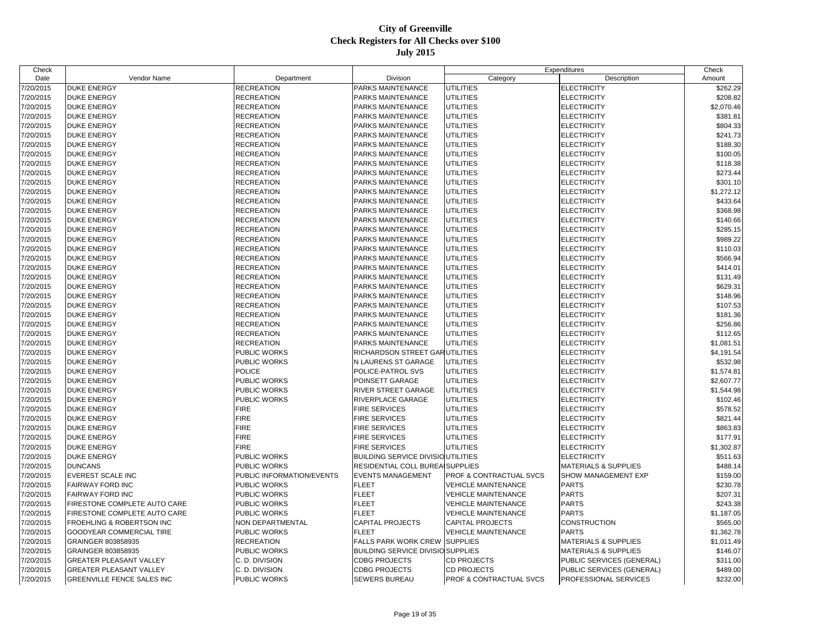| Check     |                                          |                           |                                           | Expenditures               |                                 | Check      |
|-----------|------------------------------------------|---------------------------|-------------------------------------------|----------------------------|---------------------------------|------------|
| Date      | Vendor Name                              | Department                | Division                                  | Category                   | Description                     | Amount     |
| 7/20/2015 | <b>DUKE ENERGY</b>                       | <b>RECREATION</b>         | PARKS MAINTENANCE                         | <b>UTILITIES</b>           | <b>ELECTRICITY</b>              | \$262.29   |
| 7/20/2015 | <b>DUKE ENERGY</b>                       | <b>RECREATION</b>         | PARKS MAINTENANCE                         | <b>UTILITIES</b>           | <b>ELECTRICITY</b>              | \$208.82   |
| 7/20/2015 | <b>DUKE ENERGY</b>                       | <b>RECREATION</b>         | PARKS MAINTENANCE                         | <b>UTILITIES</b>           | <b>ELECTRICITY</b>              | \$2,070.46 |
| 7/20/2015 | <b>DUKE ENERGY</b>                       | <b>RECREATION</b>         | PARKS MAINTENANCE                         | <b>UTILITIES</b>           | <b>ELECTRICITY</b>              | \$381.81   |
| 7/20/2015 | DUKE ENERGY                              | <b>RECREATION</b>         | PARKS MAINTENANCE                         | <b>UTILITIES</b>           | <b>ELECTRICITY</b>              | \$804.33   |
| 7/20/2015 | <b>DUKE ENERGY</b>                       | <b>RECREATION</b>         | PARKS MAINTENANCE                         | UTILITIES                  | <b>ELECTRICITY</b>              | \$241.73   |
| 7/20/2015 | <b>DUKE ENERGY</b>                       | <b>RECREATION</b>         | PARKS MAINTENANCE                         | <b>UTILITIES</b>           | <b>ELECTRICITY</b>              | \$188.30   |
| 7/20/2015 | <b>DUKE ENERGY</b>                       | <b>RECREATION</b>         | PARKS MAINTENANCE                         | <b>UTILITIES</b>           | <b>ELECTRICITY</b>              | \$100.05   |
| 7/20/2015 | <b>DUKE ENERGY</b>                       | <b>RECREATION</b>         | PARKS MAINTENANCE                         | <b>UTILITIES</b>           | <b>ELECTRICITY</b>              | \$118.38   |
| 7/20/2015 | <b>DUKE ENERGY</b>                       | <b>RECREATION</b>         | PARKS MAINTENANCE                         | <b>UTILITIES</b>           | <b>ELECTRICITY</b>              | \$273.44   |
| 7/20/2015 | <b>DUKE ENERGY</b>                       | RECREATION                | PARKS MAINTENANCE                         | <b>UTILITIES</b>           | <b>ELECTRICITY</b>              | \$301.10   |
| 7/20/2015 | <b>DUKE ENERGY</b>                       | <b>RECREATION</b>         | PARKS MAINTENANCE                         | <b>UTILITIES</b>           | <b>ELECTRICITY</b>              | \$1,272.12 |
| 7/20/2015 | <b>DUKE ENERGY</b>                       | <b>RECREATION</b>         | PARKS MAINTENANCE                         | <b>UTILITIES</b>           | <b>ELECTRICITY</b>              | \$433.64   |
| 7/20/2015 | <b>DUKE ENERGY</b>                       | <b>RECREATION</b>         | PARKS MAINTENANCE                         | <b>UTILITIES</b>           | <b>ELECTRICITY</b>              | \$368.98   |
| 7/20/2015 | <b>DUKE ENERGY</b>                       | <b>RECREATION</b>         | PARKS MAINTENANCE                         | <b>UTILITIES</b>           | <b>ELECTRICITY</b>              | \$140.66   |
| 7/20/2015 | <b>DUKE ENERGY</b>                       | <b>RECREATION</b>         | PARKS MAINTENANCE                         | <b>UTILITIES</b>           | ELECTRICITY                     | \$285.15   |
| 7/20/2015 | <b>DUKE ENERGY</b>                       | <b>RECREATION</b>         | PARKS MAINTENANCE                         | UTILITIES                  | <b>ELECTRICITY</b>              | \$989.22   |
| 7/20/2015 | <b>DUKE ENERGY</b>                       | <b>RECREATION</b>         | PARKS MAINTENANCE                         | <b>UTILITIES</b>           | <b>ELECTRICITY</b>              | \$110.03   |
| 7/20/2015 | <b>DUKE ENERGY</b>                       | <b>RECREATION</b>         | PARKS MAINTENANCE                         | <b>UTILITIES</b>           | <b>ELECTRICITY</b>              | \$566.94   |
| 7/20/2015 | <b>DUKE ENERGY</b>                       | <b>RECREATION</b>         | PARKS MAINTENANCE                         | <b>UTILITIES</b>           | <b>ELECTRICITY</b>              | \$414.01   |
| 7/20/2015 | <b>DUKE ENERGY</b>                       | <b>RECREATION</b>         | PARKS MAINTENANCE                         | <b>UTILITIES</b>           | <b>ELECTRICITY</b>              | \$131.49   |
| 7/20/2015 | <b>DUKE ENERGY</b>                       | <b>RECREATION</b>         | PARKS MAINTENANCE                         | <b>UTILITIES</b>           | <b>ELECTRICITY</b>              | \$629.31   |
| 7/20/2015 | <b>DUKE ENERGY</b>                       | <b>RECREATION</b>         | PARKS MAINTENANCE                         | <b>UTILITIES</b>           | ELECTRICITY                     | \$148.96   |
| 7/20/2015 | <b>DUKE ENERGY</b>                       | <b>RECREATION</b>         | PARKS MAINTENANCE                         | <b>UTILITIES</b>           | <b>ELECTRICITY</b>              | \$107.53   |
| 7/20/2015 | <b>DUKE ENERGY</b>                       | <b>RECREATION</b>         | PARKS MAINTENANCE                         | <b>UTILITIES</b>           | <b>ELECTRICITY</b>              | \$181.36   |
| 7/20/2015 | <b>DUKE ENERGY</b>                       | <b>RECREATION</b>         | PARKS MAINTENANCE                         | <b>UTILITIES</b>           | <b>ELECTRICITY</b>              | \$256.86   |
| 7/20/2015 | <b>DUKE ENERGY</b>                       | <b>RECREATION</b>         | PARKS MAINTENANCE                         | <b>UTILITIES</b>           | <b>ELECTRICITY</b>              | \$112.65   |
|           |                                          | <b>RECREATION</b>         | PARKS MAINTENANCE                         | UTILITIES                  |                                 |            |
| 7/20/2015 | <b>DUKE ENERGY</b><br><b>DUKE ENERGY</b> | PUBLIC WORKS              | RICHARDSON STREET GARUTILITIES            |                            | <b>ELECTRICITY</b>              | \$1,081.51 |
| 7/20/2015 |                                          |                           |                                           |                            | <b>ELECTRICITY</b>              | \$4,191.54 |
| 7/20/2015 | <b>DUKE ENERGY</b>                       | PUBLIC WORKS              | N LAURENS ST GARAGE                       | <b>UTILITIES</b>           | <b>ELECTRICITY</b>              | \$532.98   |
| 7/20/2015 | <b>DUKE ENERGY</b>                       | <b>POLICE</b>             | POLICE-PATROL SVS                         | <b>UTILITIES</b>           | <b>ELECTRICITY</b>              | \$1,574.81 |
| 7/20/2015 | <b>DUKE ENERGY</b>                       | PUBLIC WORKS              | POINSETT GARAGE                           | <b>UTILITIES</b>           | <b>ELECTRICITY</b>              | \$2,607.77 |
| 7/20/2015 | <b>DUKE ENERGY</b>                       | PUBLIC WORKS              | RIVER STREET GARAGE                       | <b>UTILITIES</b>           | <b>ELECTRICITY</b>              | \$1,544.98 |
| 7/20/2015 | DUKE ENERGY                              | PUBLIC WORKS              | RIVERPLACE GARAGE                         | <b>UTILITIES</b>           | <b>ELECTRICITY</b>              | \$102.46   |
| 7/20/2015 | <b>DUKE ENERGY</b>                       | <b>FIRE</b>               | <b>FIRE SERVICES</b>                      | UTILITIES                  | <b>ELECTRICITY</b>              | \$578.52   |
| 7/20/2015 | <b>DUKE ENERGY</b>                       | <b>FIRE</b>               | <b>FIRE SERVICES</b>                      | <b>UTILITIES</b>           | <b>ELECTRICITY</b>              | \$821.44   |
| 7/20/2015 | <b>DUKE ENERGY</b>                       | <b>FIRE</b>               | FIRE SERVICES                             | UTILITIES                  | <b>ELECTRICITY</b>              | \$863.83   |
| 7/20/2015 | <b>DUKE ENERGY</b>                       | <b>FIRE</b>               | FIRE SERVICES                             | <b>UTILITIES</b>           | <b>ELECTRICITY</b>              | \$177.91   |
| 7/20/2015 | <b>DUKE ENERGY</b>                       | <b>FIRE</b>               | <b>FIRE SERVICES</b>                      | UTILITIES                  | <b>ELECTRICITY</b>              | \$1,302.87 |
| 7/20/2015 | <b>DUKE ENERGY</b>                       | PUBLIC WORKS              | <b>BUILDING SERVICE DIVISIO UTILITIES</b> |                            | <b>ELECTRICITY</b>              | \$511.63   |
| 7/20/2015 | <b>DUNCANS</b>                           | PUBLIC WORKS              | RESIDENTIAL COLL BUREA SUPPLIES           |                            | <b>MATERIALS &amp; SUPPLIES</b> | \$488.14   |
| 7/20/2015 | EVEREST SCALE INC                        | PUBLIC INFORMATION/EVENTS | <b>EVENTS MANAGEMENT</b>                  | PROF & CONTRACTUAL SVCS    | SHOW MANAGEMENT EXP             | \$159.00   |
| 7/20/2015 | FAIRWAY FORD INC                         | PUBLIC WORKS              | <b>FLEET</b>                              | <b>VEHICLE MAINTENANCE</b> | <b>PARTS</b>                    | \$230.78   |
| 7/20/2015 | FAIRWAY FORD INC                         | PUBLIC WORKS              | <b>FLEET</b>                              | <b>VEHICLE MAINTENANCE</b> | <b>PARTS</b>                    | \$207.31   |
| 7/20/2015 | FIRESTONE COMPLETE AUTO CARE             | PUBLIC WORKS              | <b>FLEET</b>                              | <b>VEHICLE MAINTENANCE</b> | <b>PARTS</b>                    | \$243.38   |
| 7/20/2015 | FIRESTONE COMPLETE AUTO CARE             | PUBLIC WORKS              | <b>FLEET</b>                              | <b>VEHICLE MAINTENANCE</b> | <b>PARTS</b>                    | \$1,187.05 |
| 7/20/2015 | FROEHLING & ROBERTSON INC                | NON DEPARTMENTAL          | CAPITAL PROJECTS                          | <b>CAPITAL PROJECTS</b>    | CONSTRUCTION                    | \$565.00   |
| 7/20/2015 | GOODYEAR COMMERCIAL TIRE                 | PUBLIC WORKS              | <b>FLEET</b>                              | <b>VEHICLE MAINTENANCE</b> | <b>PARTS</b>                    | \$1,362.78 |
| 7/20/2015 | GRAINGER 803858935                       | <b>RECREATION</b>         | <b>FALLS PARK WORK CREW</b>               | <b>SUPPLIES</b>            | <b>MATERIALS &amp; SUPPLIES</b> | \$1,011.49 |
| 7/20/2015 | GRAINGER 803858935                       | PUBLIC WORKS              | BUILDING SERVICE DIVISIO SUPPLIES         |                            | <b>MATERIALS &amp; SUPPLIES</b> | \$146.07   |
| 7/20/2015 | GREATER PLEASANT VALLEY                  | C. D. DIVISION            | <b>CDBG PROJECTS</b>                      | CD PROJECTS                | PUBLIC SERVICES (GENERAL)       | \$311.00   |
| 7/20/2015 | GREATER PLEASANT VALLEY                  | C. D. DIVISION            | <b>CDBG PROJECTS</b>                      | <b>CD PROJECTS</b>         | PUBLIC SERVICES (GENERAL)       | \$489.00   |
| 7/20/2015 | <b>GREENVILLE FENCE SALES INC</b>        | <b>PUBLIC WORKS</b>       | SEWERS BUREAU                             | PROF & CONTRACTUAL SVCS    | <b>PROFESSIONAL SERVICES</b>    | \$232.00   |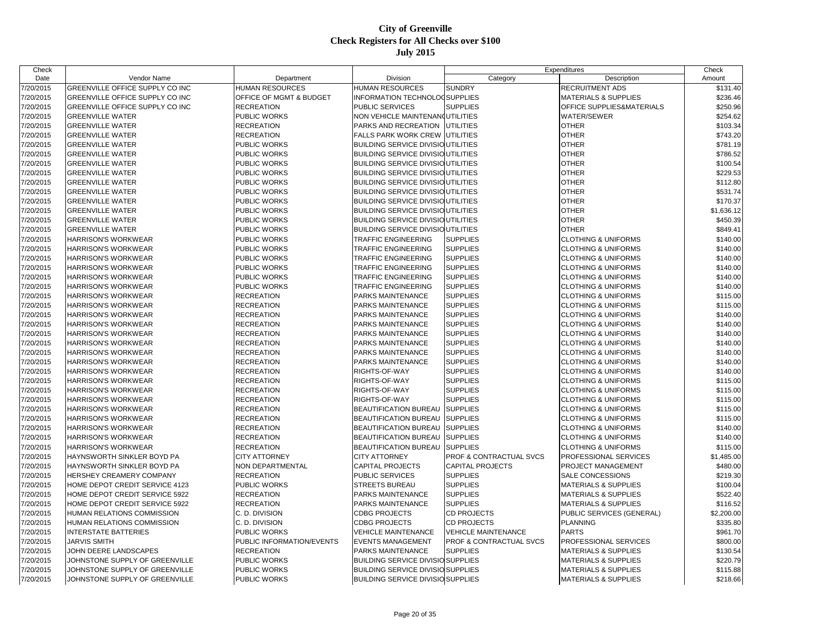| Check     |                                 |                           |                                           |                                    | Expenditures                         |            |
|-----------|---------------------------------|---------------------------|-------------------------------------------|------------------------------------|--------------------------------------|------------|
| Date      | Vendor Name                     | Department                | Division                                  | Category                           | Description                          | Amount     |
| 7/20/2015 | GREENVILLE OFFICE SUPPLY CO INC | HUMAN RESOURCES           | HUMAN RESOURCES                           | <b>SUNDRY</b>                      | <b>RECRUITMENT ADS</b>               | \$131.40   |
| 7/20/2015 | GREENVILLE OFFICE SUPPLY CO INC | OFFICE OF MGMT & BUDGET   | INFORMATION TECHNOLOGSUPPLIES             |                                    | <b>MATERIALS &amp; SUPPLIES</b>      | \$236.46   |
| 7/20/2015 | GREENVILLE OFFICE SUPPLY CO INC | RECREATION                | PUBLIC SERVICES                           | <b>SUPPLIES</b>                    | <b>OFFICE SUPPLIES&amp;MATERIALS</b> | \$250.96   |
| 7/20/2015 | <b>GREENVILLE WATER</b>         | PUBLIC WORKS              | NON VEHICLE MAINTENAN(UTILITIES           |                                    | <b>WATER/SEWER</b>                   | \$254.62   |
| 7/20/2015 | <b>GREENVILLE WATER</b>         | <b>RECREATION</b>         | PARKS AND RECREATION                      | <b>UTILITIES</b>                   | <b>OTHER</b>                         | \$103.34   |
| 7/20/2015 | <b>GREENVILLE WATER</b>         | RECREATION                | <b>FALLS PARK WORK CREW UTILITIES</b>     |                                    | <b>OTHER</b>                         | \$743.20   |
| 7/20/2015 | <b>GREENVILLE WATER</b>         | PUBLIC WORKS              | <b>BUILDING SERVICE DIVISIO UTILITIES</b> |                                    | <b>OTHER</b>                         | \$781.19   |
| 7/20/2015 | <b>GREENVILLE WATER</b>         | PUBLIC WORKS              | <b>BUILDING SERVICE DIVISIO UTILITIES</b> |                                    | <b>OTHER</b>                         | \$786.52   |
| 7/20/2015 | <b>GREENVILLE WATER</b>         | PUBLIC WORKS              | <b>BUILDING SERVICE DIVISIO UTILITIES</b> |                                    | <b>OTHER</b>                         | \$100.54   |
| 7/20/2015 | <b>GREENVILLE WATER</b>         | <b>PUBLIC WORKS</b>       | <b>BUILDING SERVICE DIVISIO UTILITIES</b> |                                    | <b>OTHER</b>                         | \$229.53   |
| 7/20/2015 | <b>GREENVILLE WATER</b>         | PUBLIC WORKS              | <b>BUILDING SERVICE DIVISIO UTILITIES</b> |                                    | <b>OTHER</b>                         | \$112.80   |
| 7/20/2015 | <b>GREENVILLE WATER</b>         | PUBLIC WORKS              | <b>BUILDING SERVICE DIVISIO UTILITIES</b> |                                    | <b>OTHER</b>                         | \$531.74   |
| 7/20/2015 | <b>GREENVILLE WATER</b>         | PUBLIC WORKS              | <b>BUILDING SERVICE DIVISIO UTILITIES</b> |                                    | <b>OTHER</b>                         | \$170.37   |
| 7/20/2015 | <b>GREENVILLE WATER</b>         | PUBLIC WORKS              | <b>BUILDING SERVICE DIVISIO UTILITIES</b> |                                    | <b>OTHER</b>                         | \$1,636.12 |
| 7/20/2015 | <b>GREENVILLE WATER</b>         | PUBLIC WORKS              | <b>BUILDING SERVICE DIVISIO UTILITIES</b> |                                    | <b>OTHER</b>                         | \$450.39   |
| 7/20/2015 | <b>GREENVILLE WATER</b>         | PUBLIC WORKS              | <b>BUILDING SERVICE DIVISIO UTILITIES</b> |                                    | <b>OTHER</b>                         | \$849.41   |
| 7/20/2015 | <b>HARRISON'S WORKWEAR</b>      | PUBLIC WORKS              | <b>TRAFFIC ENGINEERING</b>                | <b>SUPPLIES</b>                    | <b>CLOTHING &amp; UNIFORMS</b>       | \$140.00   |
| 7/20/2015 | HARRISON'S WORKWEAR             | PUBLIC WORKS              | TRAFFIC ENGINEERING                       | <b>SUPPLIES</b>                    | <b>CLOTHING &amp; UNIFORMS</b>       | \$140.00   |
| 7/20/2015 | <b>HARRISON'S WORKWEAR</b>      | PUBLIC WORKS              | <b>TRAFFIC ENGINEERING</b>                | <b>SUPPLIES</b>                    | <b>CLOTHING &amp; UNIFORMS</b>       | \$140.00   |
| 7/20/2015 | <b>HARRISON'S WORKWEAR</b>      | <b>PUBLIC WORKS</b>       | TRAFFIC ENGINEERING                       | <b>SUPPLIES</b>                    | <b>CLOTHING &amp; UNIFORMS</b>       | \$140.00   |
| 7/20/2015 | HARRISON'S WORKWEAR             | PUBLIC WORKS              | TRAFFIC ENGINEERING                       | <b>SUPPLIES</b>                    | <b>CLOTHING &amp; UNIFORMS</b>       | \$140.00   |
| 7/20/2015 | HARRISON'S WORKWEAR             | PUBLIC WORKS              | TRAFFIC ENGINEERING                       | <b>SUPPLIES</b>                    | <b>CLOTHING &amp; UNIFORMS</b>       | \$140.00   |
| 7/20/2015 | HARRISON'S WORKWEAR             | <b>RECREATION</b>         | PARKS MAINTENANCE                         | <b>SUPPLIES</b>                    | <b>CLOTHING &amp; UNIFORMS</b>       | \$115.00   |
| 7/20/2015 | <b>HARRISON'S WORKWEAR</b>      | <b>RECREATION</b>         | PARKS MAINTENANCE                         | <b>SUPPLIES</b>                    | <b>CLOTHING &amp; UNIFORMS</b>       | \$115.00   |
| 7/20/2015 | <b>HARRISON'S WORKWEAR</b>      | RECREATION                | PARKS MAINTENANCE                         | <b>SUPPLIES</b>                    | <b>CLOTHING &amp; UNIFORMS</b>       | \$140.00   |
| 7/20/2015 | <b>HARRISON'S WORKWEAR</b>      | RECREATION                | PARKS MAINTENANCE                         | <b>SUPPLIES</b>                    | <b>CLOTHING &amp; UNIFORMS</b>       | \$140.00   |
| 7/20/2015 | <b>HARRISON'S WORKWEAR</b>      | <b>RECREATION</b>         | PARKS MAINTENANCE                         | <b>SUPPLIES</b>                    | <b>CLOTHING &amp; UNIFORMS</b>       | \$140.00   |
| 7/20/2015 | <b>HARRISON'S WORKWEAR</b>      | RECREATION                | PARKS MAINTENANCE                         | <b>SUPPLIES</b>                    | <b>CLOTHING &amp; UNIFORMS</b>       | \$140.00   |
| 7/20/2015 | HARRISON'S WORKWEAR             | <b>RECREATION</b>         | PARKS MAINTENANCE                         | <b>SUPPLIES</b>                    | <b>CLOTHING &amp; UNIFORMS</b>       | \$140.00   |
| 7/20/2015 | <b>HARRISON'S WORKWEAR</b>      | <b>RECREATION</b>         | PARKS MAINTENANCE                         | <b>SUPPLIES</b>                    | <b>CLOTHING &amp; UNIFORMS</b>       | \$140.00   |
| 7/20/2015 | HARRISON'S WORKWEAR             | <b>RECREATION</b>         | RIGHTS-OF-WAY                             | <b>SUPPLIES</b>                    | <b>CLOTHING &amp; UNIFORMS</b>       | \$140.00   |
| 7/20/2015 | HARRISON'S WORKWEAR             | <b>RECREATION</b>         | RIGHTS-OF-WAY                             | <b>SUPPLIES</b>                    | <b>CLOTHING &amp; UNIFORMS</b>       | \$115.00   |
| 7/20/2015 | HARRISON'S WORKWEAR             | <b>RECREATION</b>         | RIGHTS-OF-WAY                             | <b>SUPPLIES</b>                    | <b>CLOTHING &amp; UNIFORMS</b>       | \$115.00   |
| 7/20/2015 | <b>HARRISON'S WORKWEAR</b>      | <b>RECREATION</b>         | RIGHTS-OF-WAY                             | <b>SUPPLIES</b>                    | <b>CLOTHING &amp; UNIFORMS</b>       | \$115.00   |
| 7/20/2015 | HARRISON'S WORKWEAR             | <b>RECREATION</b>         | BEAUTIFICATION BUREAU                     | <b>SUPPLIES</b>                    | <b>CLOTHING &amp; UNIFORMS</b>       | \$115.00   |
| 7/20/2015 | HARRISON'S WORKWEAR             | RECREATION                | BEAUTIFICATION BUREAU                     | <b>SUPPLIES</b>                    | <b>CLOTHING &amp; UNIFORMS</b>       | \$115.00   |
| 7/20/2015 | HARRISON'S WORKWEAR             | RECREATION                | BEAUTIFICATION BUREAU                     | <b>SUPPLIES</b>                    | <b>CLOTHING &amp; UNIFORMS</b>       | \$140.00   |
| 7/20/2015 | HARRISON'S WORKWEAR             | <b>RECREATION</b>         | BEAUTIFICATION BUREAU                     | <b>SUPPLIES</b>                    | <b>CLOTHING &amp; UNIFORMS</b>       | \$140.00   |
| 7/20/2015 | <b>HARRISON'S WORKWEAR</b>      | RECREATION                | BEAUTIFICATION BUREAU                     | <b>SUPPLIES</b>                    | <b>CLOTHING &amp; UNIFORMS</b>       | \$115.00   |
| 7/20/2015 | HAYNSWORTH SINKLER BOYD PA      | <b>CITY ATTORNEY</b>      | <b>CITY ATTORNEY</b>                      | PROF & CONTRACTUAL SVCS            | PROFESSIONAL SERVICES                | \$1,485.00 |
| 7/20/2015 | HAYNSWORTH SINKLER BOYD PA      | NON DEPARTMENTAL          | <b>CAPITAL PROJECTS</b>                   | <b>CAPITAL PROJECTS</b>            | <b>PROJECT MANAGEMENT</b>            | \$480.00   |
| 7/20/2015 | HERSHEY CREAMERY COMPANY        | RECREATION                | PUBLIC SERVICES                           | <b>SUPPLIES</b>                    | <b>SALE CONCESSIONS</b>              | \$219.30   |
| 7/20/2015 | HOME DEPOT CREDIT SERVICE 4123  | PUBLIC WORKS              | <b>STREETS BUREAU</b>                     | <b>SUPPLIES</b>                    | <b>MATERIALS &amp; SUPPLIES</b>      | \$100.04   |
| 7/20/2015 | HOME DEPOT CREDIT SERVICE 5922  | <b>RECREATION</b>         | PARKS MAINTENANCE                         | <b>SUPPLIES</b>                    | <b>MATERIALS &amp; SUPPLIES</b>      | \$522.40   |
| 7/20/2015 | HOME DEPOT CREDIT SERVICE 5922  | <b>RECREATION</b>         | PARKS MAINTENANCE                         | <b>SUPPLIES</b>                    | <b>MATERIALS &amp; SUPPLIES</b>      | \$116.52   |
| 7/20/2015 | HUMAN RELATIONS COMMISSION      | C. D. DIVISION            | <b>CDBG PROJECTS</b>                      | <b>CD PROJECTS</b>                 | PUBLIC SERVICES (GENERAL)            | \$2,200.00 |
| 7/20/2015 | HUMAN RELATIONS COMMISSION      | C. D. DIVISION            | <b>CDBG PROJECTS</b>                      | <b>CD PROJECTS</b>                 | <b>PLANNING</b>                      | \$335.80   |
| 7/20/2015 | <b>INTERSTATE BATTERIES</b>     | PUBLIC WORKS              | VEHICLE MAINTENANCE                       | <b>VEHICLE MAINTENANCE</b>         | <b>PARTS</b>                         | \$961.70   |
| 7/20/2015 | <b>JARVIS SMITH</b>             | PUBLIC INFORMATION/EVENTS | <b>EVENTS MANAGEMENT</b>                  | <b>PROF &amp; CONTRACTUAL SVCS</b> | PROFESSIONAL SERVICES                | \$800.00   |
| 7/20/2015 | JOHN DEERE LANDSCAPES           | RECREATION                | PARKS MAINTENANCE                         | <b>SUPPLIES</b>                    | <b>MATERIALS &amp; SUPPLIES</b>      | \$130.54   |
| 7/20/2015 | JOHNSTONE SUPPLY OF GREENVILLE  | PUBLIC WORKS              | BUILDING SERVICE DIVISIO SUPPLIES         |                                    | <b>MATERIALS &amp; SUPPLIES</b>      | \$220.79   |
| 7/20/2015 | JOHNSTONE SUPPLY OF GREENVILLE  | PUBLIC WORKS              | <b>BUILDING SERVICE DIVISIO SUPPLIES</b>  |                                    | <b>MATERIALS &amp; SUPPLIES</b>      | \$115.88   |
| 7/20/2015 | JOHNSTONE SUPPLY OF GREENVILLE  | PUBLIC WORKS              | <b>BUILDING SERVICE DIVISIO SUPPLIES</b>  |                                    | <b>MATERIALS &amp; SUPPLIES</b>      | \$218.66   |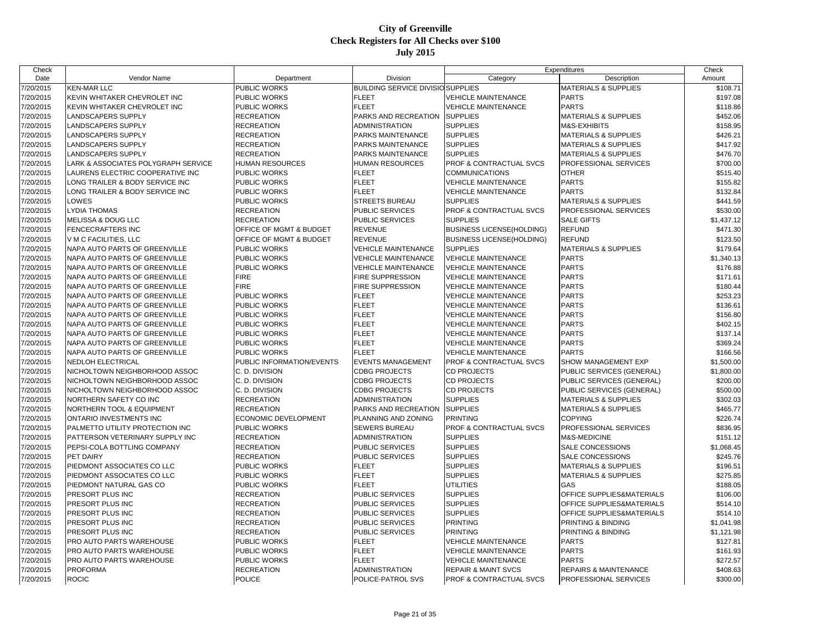| Check     |                                     |                           |                                          |                                    | Expenditures                         | Check      |
|-----------|-------------------------------------|---------------------------|------------------------------------------|------------------------------------|--------------------------------------|------------|
| Date      | Vendor Name                         | Department                | Division                                 | Category                           | Description                          | Amount     |
| 7/20/2015 | <b>KEN-MAR LLC</b>                  | PUBLIC WORKS              | <b>BUILDING SERVICE DIVISIO SUPPLIES</b> |                                    | <b>MATERIALS &amp; SUPPLIES</b>      | \$108.71   |
| 7/20/2015 | KEVIN WHITAKER CHEVROLET INC        | PUBLIC WORKS              | <b>FLEET</b>                             | <b>VEHICLE MAINTENANCE</b>         | <b>PARTS</b>                         | \$197.08   |
| 7/20/2015 | KEVIN WHITAKER CHEVROLET INC        | PUBLIC WORKS              | <b>FLEET</b>                             | <b>VEHICLE MAINTENANCE</b>         | <b>PARTS</b>                         | \$118.86   |
| 7/20/2015 | <b>LANDSCAPERS SUPPLY</b>           | <b>RECREATION</b>         | <b>PARKS AND RECREATION</b>              | <b>SUPPLIES</b>                    | <b>MATERIALS &amp; SUPPLIES</b>      | \$452.06   |
| 7/20/2015 | LANDSCAPERS SUPPLY                  | <b>RECREATION</b>         | <b>ADMINISTRATION</b>                    | <b>SUPPLIES</b>                    | M&S-EXHIBITS                         | \$158.95   |
| 7/20/2015 | LANDSCAPERS SUPPLY                  | <b>RECREATION</b>         | PARKS MAINTENANCE                        | <b>SUPPLIES</b>                    | <b>MATERIALS &amp; SUPPLIES</b>      | \$426.21   |
| 7/20/2015 | LANDSCAPERS SUPPLY                  | <b>RECREATION</b>         | PARKS MAINTENANCE                        | <b>SUPPLIES</b>                    | <b>MATERIALS &amp; SUPPLIES</b>      | \$417.92   |
| 7/20/2015 | <b>LANDSCAPERS SUPPLY</b>           | <b>RECREATION</b>         | <b>PARKS MAINTENANCE</b>                 | <b>SUPPLIES</b>                    | <b>MATERIALS &amp; SUPPLIES</b>      | \$476.70   |
| 7/20/2015 | LARK & ASSOCIATES POLYGRAPH SERVICE | HUMAN RESOURCES           | <b>HUMAN RESOURCES</b>                   | <b>PROF &amp; CONTRACTUAL SVCS</b> | PROFESSIONAL SERVICES                | \$700.00   |
| 7/20/2015 | LAURENS ELECTRIC COOPERATIVE INC    | PUBLIC WORKS              | <b>FLEET</b>                             | <b>COMMUNICATIONS</b>              | <b>OTHER</b>                         | \$515.40   |
| 7/20/2015 | LONG TRAILER & BODY SERVICE INC     | PUBLIC WORKS              | <b>FLEET</b>                             | <b>VEHICLE MAINTENANCE</b>         | <b>PARTS</b>                         | \$155.82   |
| 7/20/2015 | LONG TRAILER & BODY SERVICE INC     | PUBLIC WORKS              | <b>FLEET</b>                             | <b>VEHICLE MAINTENANCE</b>         | <b>PARTS</b>                         | \$132.84   |
| 7/20/2015 | LOWES                               | <b>PUBLIC WORKS</b>       | <b>STREETS BUREAU</b>                    | <b>SUPPLIES</b>                    | <b>MATERIALS &amp; SUPPLIES</b>      | \$441.59   |
| 7/20/2015 | <b>LYDIA THOMAS</b>                 | <b>RECREATION</b>         | PUBLIC SERVICES                          | <b>PROF &amp; CONTRACTUAL SVCS</b> | PROFESSIONAL SERVICES                | \$530.00   |
| 7/20/2015 | MELISSA & DOUG LLC                  | <b>RECREATION</b>         | PUBLIC SERVICES                          | <b>SUPPLIES</b>                    | <b>SALE GIFTS</b>                    | \$1,437.12 |
| 7/20/2015 | <b>FENCECRAFTERS INC</b>            | OFFICE OF MGMT & BUDGET   | <b>REVENUE</b>                           | <b>BUSINESS LICENSE(HOLDING)</b>   | <b>REFUND</b>                        | \$471.30   |
| 7/20/2015 | V M C FACILITIES. LLC               | OFFICE OF MGMT & BUDGET   | <b>REVENUE</b>                           | <b>BUSINESS LICENSE(HOLDING)</b>   | <b>REFUND</b>                        | \$123.50   |
| 7/20/2015 | NAPA AUTO PARTS OF GREENVILLE       | PUBLIC WORKS              | <b>VEHICLE MAINTENANCE</b>               | <b>SUPPLIES</b>                    | <b>MATERIALS &amp; SUPPLIES</b>      | \$179.64   |
| 7/20/2015 | NAPA AUTO PARTS OF GREENVILLE       | PUBLIC WORKS              | <b>VEHICLE MAINTENANCE</b>               | <b>VEHICLE MAINTENANCE</b>         | <b>PARTS</b>                         | \$1,340.13 |
| 7/20/2015 | NAPA AUTO PARTS OF GREENVILLE       | PUBLIC WORKS              | <b>VEHICLE MAINTENANCE</b>               | <b>VEHICLE MAINTENANCE</b>         | <b>PARTS</b>                         | \$176.88   |
| 7/20/2015 | NAPA AUTO PARTS OF GREENVILLE       | <b>FIRE</b>               | <b>FIRE SUPPRESSION</b>                  | <b>VEHICLE MAINTENANCE</b>         | <b>PARTS</b>                         | \$171.61   |
| 7/20/2015 | NAPA AUTO PARTS OF GREENVILLE       | <b>FIRE</b>               | <b>FIRE SUPPRESSION</b>                  | <b>VEHICLE MAINTENANCE</b>         | <b>PARTS</b>                         | \$180.44   |
| 7/20/2015 | NAPA AUTO PARTS OF GREENVILLE       | PUBLIC WORKS              | <b>FLEET</b>                             | <b>VEHICLE MAINTENANCE</b>         | <b>PARTS</b>                         | \$253.23   |
| 7/20/2015 | NAPA AUTO PARTS OF GREENVILLE       | PUBLIC WORKS              | <b>FLEET</b>                             | <b>VEHICLE MAINTENANCE</b>         | <b>PARTS</b>                         | \$136.61   |
| 7/20/2015 | NAPA AUTO PARTS OF GREENVILLE       | PUBLIC WORKS              | <b>FLEET</b>                             | <b>VEHICLE MAINTENANCE</b>         | <b>PARTS</b>                         | \$156.80   |
| 7/20/2015 | NAPA AUTO PARTS OF GREENVILLE       | PUBLIC WORKS              | <b>FLEET</b>                             | <b>VEHICLE MAINTENANCE</b>         | <b>PARTS</b>                         | \$402.15   |
| 7/20/2015 | NAPA AUTO PARTS OF GREENVILLE       | PUBLIC WORKS              | <b>FLEET</b>                             | <b>VEHICLE MAINTENANCE</b>         | <b>PARTS</b>                         | \$137.14   |
| 7/20/2015 | NAPA AUTO PARTS OF GREENVILLE       | PUBLIC WORKS              | <b>FLEET</b>                             | <b>VEHICLE MAINTENANCE</b>         | <b>PARTS</b>                         | \$369.24   |
| 7/20/2015 | NAPA AUTO PARTS OF GREENVILLE       | PUBLIC WORKS              | <b>FLEET</b>                             | <b>VEHICLE MAINTENANCE</b>         | <b>PARTS</b>                         | \$166.56   |
| 7/20/2015 | <b>NEDLOH ELECTRICAL</b>            | PUBLIC INFORMATION/EVENTS | <b>EVENTS MANAGEMENT</b>                 | <b>PROF &amp; CONTRACTUAL SVCS</b> | SHOW MANAGEMENT EXP                  | \$1,500.00 |
| 7/20/2015 | NICHOLTOWN NEIGHBORHOOD ASSOC       | C. D. DIVISION            | <b>CDBG PROJECTS</b>                     | <b>CD PROJECTS</b>                 | PUBLIC SERVICES (GENERAL)            | \$1,800.00 |
| 7/20/2015 | NICHOLTOWN NEIGHBORHOOD ASSOC       | C. D. DIVISION            | <b>CDBG PROJECTS</b>                     | <b>CD PROJECTS</b>                 | PUBLIC SERVICES (GENERAL)            | \$200.00   |
| 7/20/2015 | NICHOLTOWN NEIGHBORHOOD ASSOC       | C. D. DIVISION            | <b>CDBG PROJECTS</b>                     | <b>CD PROJECTS</b>                 | PUBLIC SERVICES (GENERAL)            | \$500.00   |
| 7/20/2015 | NORTHERN SAFETY CO INC              | <b>RECREATION</b>         | <b>ADMINISTRATION</b>                    | <b>SUPPLIES</b>                    | <b>MATERIALS &amp; SUPPLIES</b>      | \$302.03   |
| 7/20/2015 | NORTHERN TOOL & EQUIPMENT           | <b>RECREATION</b>         | PARKS AND RECREATION                     | <b>SUPPLIES</b>                    | <b>MATERIALS &amp; SUPPLIES</b>      | \$465.77   |
| 7/20/2015 | ONTARIO INVESTMENTS INC             | ECONOMIC DEVELOPMENT      | PLANNING AND ZONING                      | <b>PRINTING</b>                    | <b>COPYING</b>                       | \$226.74   |
| 7/20/2015 | PALMETTO UTILITY PROTECTION INC     | PUBLIC WORKS              | <b>SEWERS BUREAU</b>                     | <b>PROF &amp; CONTRACTUAL SVCS</b> | PROFESSIONAL SERVICES                | \$836.95   |
| 7/20/2015 | PATTERSON VETERINARY SUPPLY INC     | <b>RECREATION</b>         | <b>ADMINISTRATION</b>                    | <b>SUPPLIES</b>                    | M&S-MEDICINE                         | \$151.12   |
| 7/20/2015 | PEPSI-COLA BOTTLING COMPANY         | <b>RECREATION</b>         | <b>PUBLIC SERVICES</b>                   | <b>SUPPLIES</b>                    | <b>SALE CONCESSIONS</b>              | \$1,068.45 |
| 7/20/2015 | PET DAIRY                           | <b>RECREATION</b>         | <b>PUBLIC SERVICES</b>                   | <b>SUPPLIES</b>                    | SALE CONCESSIONS                     | \$245.76   |
| 7/20/2015 | PIEDMONT ASSOCIATES CO LLC          | PUBLIC WORKS              | <b>FLEET</b>                             | <b>SUPPLIES</b>                    | <b>MATERIALS &amp; SUPPLIES</b>      | \$196.51   |
| 7/20/2015 | PIEDMONT ASSOCIATES CO LLC          | PUBLIC WORKS              | <b>FLEET</b>                             | <b>SUPPLIES</b>                    | <b>MATERIALS &amp; SUPPLIES</b>      | \$275.85   |
| 7/20/2015 | PIEDMONT NATURAL GAS CO             | PUBLIC WORKS              | <b>FLEET</b>                             | <b>UTILITIES</b>                   | GAS                                  | \$188.05   |
| 7/20/2015 | PRESORT PLUS INC                    | <b>RECREATION</b>         | PUBLIC SERVICES                          | <b>SUPPLIES</b>                    | OFFICE SUPPLIES&MATERIALS            | \$106.00   |
| 7/20/2015 | PRESORT PLUS INC                    | <b>RECREATION</b>         | <b>PUBLIC SERVICES</b>                   | <b>SUPPLIES</b>                    | OFFICE SUPPLIES&MATERIALS            | \$514.10   |
| 7/20/2015 | PRESORT PLUS INC                    | <b>RECREATION</b>         | <b>PUBLIC SERVICES</b>                   | <b>SUPPLIES</b>                    | <b>OFFICE SUPPLIES&amp;MATERIALS</b> | \$514.10   |
| 7/20/2015 | PRESORT PLUS INC                    | <b>RECREATION</b>         | PUBLIC SERVICES                          | <b>PRINTING</b>                    | PRINTING & BINDING                   | \$1,041.98 |
| 7/20/2015 | PRESORT PLUS INC                    | <b>RECREATION</b>         | PUBLIC SERVICES                          | <b>PRINTING</b>                    | PRINTING & BINDING                   | \$1,121.98 |
| 7/20/2015 | PRO AUTO PARTS WAREHOUSE            | PUBLIC WORKS              | <b>FLEET</b>                             | <b>VEHICLE MAINTENANCE</b>         | <b>PARTS</b>                         | \$127.81   |
| 7/20/2015 | PRO AUTO PARTS WAREHOUSE            | PUBLIC WORKS              | <b>FLEET</b>                             | <b>VEHICLE MAINTENANCE</b>         | <b>PARTS</b>                         | \$161.93   |
| 7/20/2015 | PRO AUTO PARTS WAREHOUSE            | PUBLIC WORKS              | <b>FLEET</b>                             | <b>VEHICLE MAINTENANCE</b>         | <b>PARTS</b>                         | \$272.57   |
| 7/20/2015 | <b>PROFORMA</b>                     | <b>RECREATION</b>         | <b>ADMINISTRATION</b>                    | <b>REPAIR &amp; MAINT SVCS</b>     | <b>REPAIRS &amp; MAINTENANCE</b>     | \$408.63   |
| 7/20/2015 | <b>ROCIC</b>                        | <b>POLICE</b>             | <b>POLICE-PATROL SVS</b>                 | <b>PROF &amp; CONTRACTUAL SVCS</b> | <b>PROFESSIONAL SERVICES</b>         | \$300.00   |
|           |                                     |                           |                                          |                                    |                                      |            |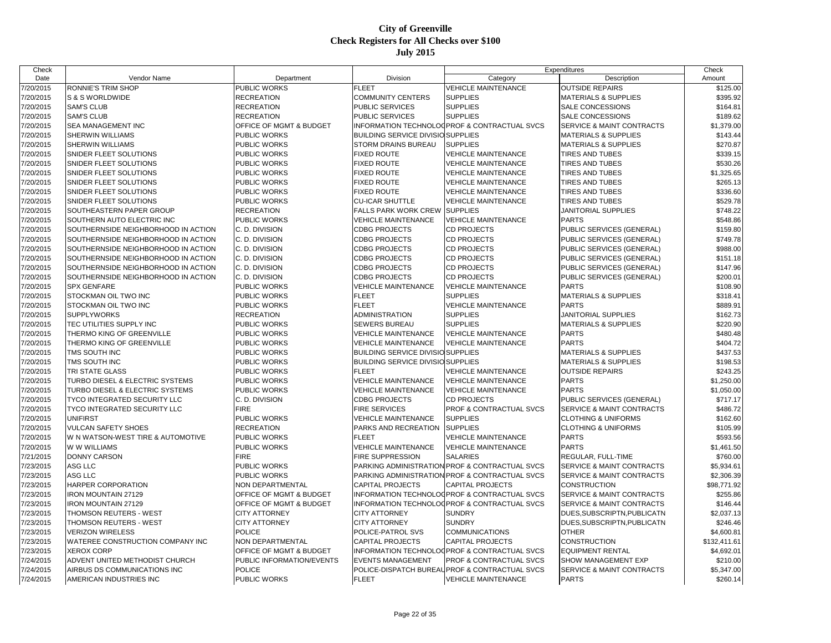| Check     |                                     |                                    |                                          |                                                | Expenditures                         | Check                  |
|-----------|-------------------------------------|------------------------------------|------------------------------------------|------------------------------------------------|--------------------------------------|------------------------|
| Date      | Vendor Name                         | Department                         | Division                                 | Category                                       | Description                          | Amount                 |
| 7/20/2015 | RONNIE'S TRIM SHOP                  | PUBLIC WORKS                       | <b>FLEET</b>                             | <b>VEHICLE MAINTENANCE</b>                     | <b>OUTSIDE REPAIRS</b>               | \$125.00               |
| 7/20/2015 | S & S WORLDWIDE                     | <b>RECREATION</b>                  | <b>COMMUNITY CENTERS</b>                 | <b>SUPPLIES</b>                                | <b>MATERIALS &amp; SUPPLIES</b>      | \$395.92               |
| 7/20/2015 | <b>SAM'S CLUB</b>                   | <b>RECREATION</b>                  | PUBLIC SERVICES                          | <b>SUPPLIES</b>                                | <b>SALE CONCESSIONS</b>              | \$164.81               |
| 7/20/2015 | <b>SAM'S CLUB</b>                   | <b>RECREATION</b>                  | PUBLIC SERVICES                          | <b>SUPPLIES</b>                                | <b>SALE CONCESSIONS</b>              | \$189.62               |
| 7/20/2015 | SEA MANAGEMENT INC                  | OFFICE OF MGMT & BUDGET            |                                          | INFORMATION TECHNOLOGPROF & CONTRACTUAL SVCS   | <b>SERVICE &amp; MAINT CONTRACTS</b> | \$1,379.00             |
| 7/20/2015 | <b>SHERWIN WILLIAMS</b>             | PUBLIC WORKS                       | <b>BUILDING SERVICE DIVISIO SUPPLIES</b> |                                                | <b>MATERIALS &amp; SUPPLIES</b>      | \$143.44               |
| 7/20/2015 | SHERWIN WILLIAMS                    | <b>PUBLIC WORKS</b>                | STORM DRAINS BUREAU                      | <b>SUPPLIES</b>                                | <b>MATERIALS &amp; SUPPLIES</b>      | \$270.87               |
| 7/20/2015 | SNIDER FLEET SOLUTIONS              | <b>PUBLIC WORKS</b>                | <b>FIXED ROUTE</b>                       | <b>VEHICLE MAINTENANCE</b>                     | <b>TIRES AND TUBES</b>               | \$339.15               |
| 7/20/2015 | SNIDER FLEET SOLUTIONS              | <b>PUBLIC WORKS</b>                | <b>FIXED ROUTE</b>                       | <b>VEHICLE MAINTENANCE</b>                     | <b>TIRES AND TUBES</b>               | \$530.26               |
| 7/20/2015 | SNIDER FLEET SOLUTIONS              | <b>PUBLIC WORKS</b>                | <b>FIXED ROUTE</b>                       | <b>VEHICLE MAINTENANCE</b>                     | <b>TIRES AND TUBES</b>               | \$1,325.65             |
| 7/20/2015 | SNIDER FLEET SOLUTIONS              | <b>PUBLIC WORKS</b>                | <b>FIXED ROUTE</b>                       | <b>VEHICLE MAINTENANCE</b>                     | TIRES AND TUBES                      | \$265.13               |
| 7/20/2015 | SNIDER FLEET SOLUTIONS              | <b>PUBLIC WORKS</b>                | <b>FIXED ROUTE</b>                       | <b>VEHICLE MAINTENANCE</b>                     | <b>TIRES AND TUBES</b>               | \$336.60               |
| 7/20/2015 | SNIDER FLEET SOLUTIONS              | <b>PUBLIC WORKS</b>                | <b>CU-ICAR SHUTTLE</b>                   | <b>VEHICLE MAINTENANCE</b>                     | <b>TIRES AND TUBES</b>               | \$529.78               |
| 7/20/2015 | SOUTHEASTERN PAPER GROUP            | <b>RECREATION</b>                  | <b>FALLS PARK WORK CREW</b>              | <b>SUPPLIES</b>                                | <b>JANITORIAL SUPPLIES</b>           | \$748.22               |
| 7/20/2015 | SOUTHERN AUTO ELECTRIC INC          | <b>PUBLIC WORKS</b>                | <b>VEHICLE MAINTENANCE</b>               | <b>VEHICLE MAINTENANCE</b>                     | <b>PARTS</b>                         | \$548.86               |
| 7/20/2015 | SOUTHERNSIDE NEIGHBORHOOD IN ACTION | C. D. DIVISION                     | <b>CDBG PROJECTS</b>                     | <b>CD PROJECTS</b>                             | PUBLIC SERVICES (GENERAL)            | \$159.80               |
| 7/20/2015 | SOUTHERNSIDE NEIGHBORHOOD IN ACTION | C. D. DIVISION                     | <b>CDBG PROJECTS</b>                     | <b>CD PROJECTS</b>                             | PUBLIC SERVICES (GENERAL)            | \$749.78               |
| 7/20/2015 | SOUTHERNSIDE NEIGHBORHOOD IN ACTION | C. D. DIVISION                     | <b>CDBG PROJECTS</b>                     | <b>CD PROJECTS</b>                             | PUBLIC SERVICES (GENERAL)            | \$988.00               |
| 7/20/2015 | SOUTHERNSIDE NEIGHBORHOOD IN ACTION | C. D. DIVISION                     | <b>CDBG PROJECTS</b>                     | <b>CD PROJECTS</b>                             | PUBLIC SERVICES (GENERAL)            | \$151.18               |
| 7/20/2015 | SOUTHERNSIDE NEIGHBORHOOD IN ACTION | C. D. DIVISION                     | <b>CDBG PROJECTS</b>                     | <b>CD PROJECTS</b>                             | PUBLIC SERVICES (GENERAL)            | \$147.96               |
| 7/20/2015 | SOUTHERNSIDE NEIGHBORHOOD IN ACTION | C. D. DIVISION                     | <b>CDBG PROJECTS</b>                     | CD PROJECTS                                    | PUBLIC SERVICES (GENERAL)            | \$200.01               |
| 7/20/2015 | <b>SPX GENFARE</b>                  | <b>PUBLIC WORKS</b>                | <b>VEHICLE MAINTENANCE</b>               | <b>VEHICLE MAINTENANCE</b>                     | <b>PARTS</b>                         | \$108.90               |
| 7/20/2015 | STOCKMAN OIL TWO INC                | <b>PUBLIC WORKS</b>                | <b>FLEET</b>                             | <b>SUPPLIES</b>                                | <b>MATERIALS &amp; SUPPLIES</b>      | \$318.41               |
| 7/20/2015 | STOCKMAN OIL TWO INC                | <b>PUBLIC WORKS</b>                | <b>FLEET</b>                             | <b>VEHICLE MAINTENANCE</b>                     | <b>PARTS</b>                         | \$889.91               |
| 7/20/2015 | <b>SUPPLYWORKS</b>                  | <b>RECREATION</b>                  | <b>ADMINISTRATION</b>                    | <b>SUPPLIES</b>                                | <b>JANITORIAL SUPPLIES</b>           | \$162.73               |
| 7/20/2015 | TEC UTILITIES SUPPLY INC            | <b>PUBLIC WORKS</b>                | <b>SEWERS BUREAU</b>                     | <b>SUPPLIES</b>                                | <b>MATERIALS &amp; SUPPLIES</b>      | \$220.90               |
| 7/20/2015 | THERMO KING OF GREENVILLE           | <b>PUBLIC WORKS</b>                | <b>VEHICLE MAINTENANCE</b>               | <b>VEHICLE MAINTENANCE</b>                     | <b>PARTS</b>                         | \$480.48               |
| 7/20/2015 | THERMO KING OF GREENVILLE           | <b>PUBLIC WORKS</b>                | <b>VEHICLE MAINTENANCE</b>               | <b>VEHICLE MAINTENANCE</b>                     | <b>PARTS</b>                         | \$404.72               |
| 7/20/2015 | TMS SOUTH INC                       | <b>PUBLIC WORKS</b>                | <b>BUILDING SERVICE DIVISIO SUPPLIES</b> |                                                | <b>MATERIALS &amp; SUPPLIES</b>      | \$437.53               |
| 7/20/2015 | TMS SOUTH INC                       | <b>PUBLIC WORKS</b>                | <b>BUILDING SERVICE DIVISIO SUPPLIES</b> |                                                | <b>MATERIALS &amp; SUPPLIES</b>      | \$198.53               |
| 7/20/2015 | TRI STATE GLASS                     | <b>PUBLIC WORKS</b>                | <b>FLEET</b>                             | <b>VEHICLE MAINTENANCE</b>                     | <b>OUTSIDE REPAIRS</b>               | \$243.25               |
| 7/20/2015 | TURBO DIESEL & ELECTRIC SYSTEMS     | <b>PUBLIC WORKS</b>                | <b>VEHICLE MAINTENANCE</b>               | <b>VEHICLE MAINTENANCE</b>                     | <b>PARTS</b>                         | \$1,250.00             |
| 7/20/2015 | TURBO DIESEL & ELECTRIC SYSTEMS     | <b>PUBLIC WORKS</b>                | <b>VEHICLE MAINTENANCE</b>               | <b>VEHICLE MAINTENANCE</b>                     | <b>PARTS</b>                         | \$1,050.00             |
| 7/20/2015 | TYCO INTEGRATED SECURITY LLC        | C. D. DIVISION                     | <b>CDBG PROJECTS</b>                     | <b>CD PROJECTS</b>                             | PUBLIC SERVICES (GENERAL)            | \$717.17               |
| 7/20/2015 | TYCO INTEGRATED SECURITY LLC        | <b>FIRE</b>                        | FIRE SERVICES                            | PROF & CONTRACTUAL SVCS                        | <b>SERVICE &amp; MAINT CONTRACTS</b> | \$486.72               |
| 7/20/2015 | <b>UNIFIRST</b>                     | <b>PUBLIC WORKS</b>                | <b>VEHICLE MAINTENANCE</b>               | <b>SUPPLIES</b>                                | <b>CLOTHING &amp; UNIFORMS</b>       | \$162.60               |
| 7/20/2015 | <b>VULCAN SAFETY SHOES</b>          | <b>RECREATION</b>                  | PARKS AND RECREATION                     | <b>SUPPLIES</b>                                | <b>CLOTHING &amp; UNIFORMS</b>       | \$105.99               |
| 7/20/2015 | W N WATSON-WEST TIRE & AUTOMOTIVE   | <b>PUBLIC WORKS</b>                | <b>FLEET</b>                             | <b>VEHICLE MAINTENANCE</b>                     | <b>PARTS</b>                         | \$593.56               |
| 7/20/2015 | W W WILLIAMS                        | <b>PUBLIC WORKS</b>                | <b>VEHICLE MAINTENANCE</b>               | <b>VEHICLE MAINTENANCE</b>                     | <b>PARTS</b>                         | \$1,461.50             |
| 7/21/2015 | <b>DONNY CARSON</b>                 | <b>FIRE</b>                        | <b>FIRE SUPPRESSION</b>                  | <b>SALARIES</b>                                | <b>REGULAR, FULL-TIME</b>            | \$760.00               |
| 7/23/2015 | ASG LLC                             | PUBLIC WORKS                       |                                          | PARKING ADMINISTRATION PROF & CONTRACTUAL SVCS | SERVICE & MAINT CONTRACTS            | \$5,934.61             |
| 7/23/2015 | ASG LLC                             | <b>PUBLIC WORKS</b>                |                                          | PARKING ADMINISTRATION PROF & CONTRACTUAL SVCS | <b>SERVICE &amp; MAINT CONTRACTS</b> | \$2,306.39             |
| 7/23/2015 | HARPER CORPORATION                  | <b>NON DEPARTMENTAL</b>            | <b>CAPITAL PROJECTS</b>                  | <b>CAPITAL PROJECTS</b>                        | <b>CONSTRUCTION</b>                  | \$98,771.92            |
| 7/23/2015 | <b>IRON MOUNTAIN 27129</b>          | <b>OFFICE OF MGMT &amp; BUDGET</b> |                                          | INFORMATION TECHNOLOGPROF & CONTRACTUAL SVCS   | <b>SERVICE &amp; MAINT CONTRACTS</b> | \$255.86               |
|           | <b>IRON MOUNTAIN 27129</b>          | OFFICE OF MGMT & BUDGET            |                                          | INFORMATION TECHNOLOGPROF & CONTRACTUAL SVCS   | <b>SERVICE &amp; MAINT CONTRACTS</b> |                        |
| 7/23/2015 |                                     | <b>CITY ATTORNEY</b>               | <b>CITY ATTORNEY</b>                     | <b>SUNDRY</b>                                  |                                      | \$146.44<br>\$2,037.13 |
| 7/23/2015 | THOMSON REUTERS - WEST              |                                    |                                          |                                                | DUES, SUBSCRIPTN, PUBLICATN          |                        |
| 7/23/2015 | THOMSON REUTERS - WEST              | <b>CITY ATTORNEY</b>               | <b>CITY ATTORNEY</b>                     | <b>SUNDRY</b>                                  | DUES.SUBSCRIPTN, PUBLICATN           | \$246.46               |
| 7/23/2015 | <b>VERIZON WIRELESS</b>             | <b>POLICE</b>                      | POLICE-PATROL SVS                        | COMMUNICATIONS                                 | <b>OTHER</b>                         | \$4,600.81             |
| 7/23/2015 | WATEREE CONSTRUCTION COMPANY INC    | <b>NON DEPARTMENTAL</b>            | <b>CAPITAL PROJECTS</b>                  | <b>CAPITAL PROJECTS</b>                        | <b>CONSTRUCTION</b>                  | \$132,411.61           |
| 7/23/2015 | <b>XEROX CORP</b>                   | OFFICE OF MGMT & BUDGET            |                                          | INFORMATION TECHNOLOGPROF & CONTRACTUAL SVCS   | <b>EQUIPMENT RENTAL</b>              | \$4,692.01             |
| 7/24/2015 | ADVENT UNITED METHODIST CHURCH      | PUBLIC INFORMATION/EVENTS          | <b>EVENTS MANAGEMENT</b>                 | <b>PROF &amp; CONTRACTUAL SVCS</b>             | <b>SHOW MANAGEMENT EXP</b>           | \$210.00               |
| 7/24/2015 | AIRBUS DS COMMUNICATIONS INC        | <b>POLICE</b>                      |                                          | POLICE-DISPATCH BUREAUPROF & CONTRACTUAL SVCS  | <b>SERVICE &amp; MAINT CONTRACTS</b> | \$5,347.00             |
| 7/24/2015 | AMERICAN INDUSTRIES INC             | PUBLIC WORKS                       | <b>FLEET</b>                             | <b>VEHICLE MAINTENANCE</b>                     | <b>PARTS</b>                         | \$260.14               |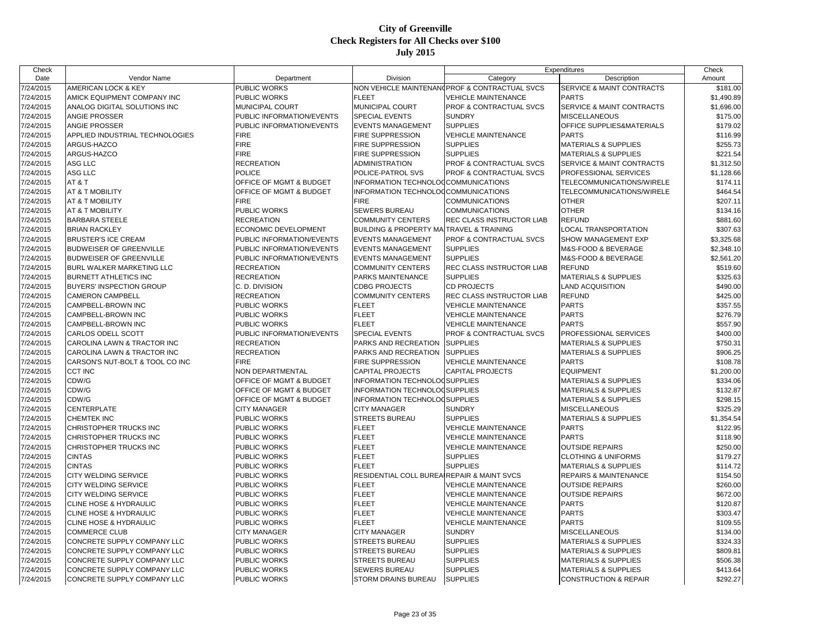| Check                  |                                         |                                     |                                            |                                               | Expenditures                     | Check                |
|------------------------|-----------------------------------------|-------------------------------------|--------------------------------------------|-----------------------------------------------|----------------------------------|----------------------|
| Date                   | Vendor Name                             | Department                          | Division                                   | Category                                      | Description                      | Amount               |
| 7/24/2015              | AMERICAN LOCK & KEY                     | PUBLIC WORKS                        |                                            | NON VEHICLE MAINTENAN(PROF & CONTRACTUAL SVCS | SERVICE & MAINT CONTRACTS        | \$181.00             |
| 7/24/2015              | AMICK EQUIPMENT COMPANY INC             | PUBLIC WORKS                        | <b>FLEET</b>                               | <b>VEHICLE MAINTENANCE</b>                    | <b>PARTS</b>                     | \$1,490.89           |
| 7/24/2015              | ANALOG DIGITAL SOLUTIONS INC            | MUNICIPAL COURT                     | MUNICIPAL COURT                            | PROF & CONTRACTUAL SVCS                       | SERVICE & MAINT CONTRACTS        | \$1,696.00           |
| 7/24/2015              | ANGIE PROSSER                           | PUBLIC INFORMATION/EVENTS           | SPECIAL EVENTS                             | <b>SUNDRY</b>                                 | <b>MISCELLANEOUS</b>             | \$175.00             |
| 7/24/2015              | <b>ANGIE PROSSER</b>                    | PUBLIC INFORMATION/EVENTS           | <b>EVENTS MANAGEMENT</b>                   | <b>SUPPLIES</b>                               | OFFICE SUPPLIES&MATERIALS        | \$179.02             |
| 7/24/2015              | APPLIED INDUSTRIAL TECHNOLOGIES         | <b>FIRE</b>                         | <b>FIRE SUPPRESSION</b>                    | <b>VEHICLE MAINTENANCE</b>                    | <b>PARTS</b>                     | \$116.99             |
| 7/24/2015              | ARGUS-HAZCO                             | <b>FIRE</b>                         | <b>FIRE SUPPRESSION</b>                    | <b>SUPPLIES</b>                               | <b>MATERIALS &amp; SUPPLIES</b>  | \$255.73             |
| 7/24/2015              | ARGUS-HAZCO                             | <b>FIRE</b>                         | FIRE SUPPRESSION                           | <b>SUPPLIES</b>                               | <b>MATERIALS &amp; SUPPLIES</b>  | \$221.54             |
| 7/24/2015              | ASG LLC                                 | <b>RECREATION</b>                   | ADMINISTRATION                             | PROF & CONTRACTUAL SVCS                       | SERVICE & MAINT CONTRACTS        | \$1,312.50           |
| 7/24/2015              | ASG LLC                                 | <b>POLICE</b>                       | POLICE-PATROL SVS                          | PROF & CONTRACTUAL SVCS                       | <b>PROFESSIONAL SERVICES</b>     | \$1,128.66           |
| 7/24/2015              | AT&T                                    | OFFICE OF MGMT & BUDGET             | INFORMATION TECHNOLOGCOMMUNICATIONS        |                                               | TELECOMMUNICATIONS/WIRELE        | \$174.11             |
| 7/24/2015              | AT & T MOBILITY                         | OFFICE OF MGMT & BUDGET             | INFORMATION TECHNOLOGCOMMUNICATIONS        |                                               | TELECOMMUNICATIONS/WIRELE        | \$464.54             |
| 7/24/2015              | AT & T MOBILITY                         | <b>FIRE</b>                         | <b>FIRE</b>                                | <b>COMMUNICATIONS</b>                         | <b>OTHER</b>                     | \$207.11             |
| 7/24/2015              | AT & T MOBILITY                         | PUBLIC WORKS                        | SEWERS BUREAU                              | COMMUNICATIONS                                | <b>OTHER</b>                     | \$134.16             |
| 7/24/2015              | <b>BARBARA STEELE</b>                   | <b>RECREATION</b>                   | <b>COMMUNITY CENTERS</b>                   | REC CLASS INSTRUCTOR LIAB                     | <b>REFUND</b>                    | \$881.60             |
| 7/24/2015              | <b>BRIAN RACKLEY</b>                    | ECONOMIC DEVELOPMENT                | <b>BUILDING &amp; PROPERTY MA</b>          | <b>TRAVEL &amp; TRAINING</b>                  | <b>LOCAL TRANSPORTATION</b>      | \$307.63             |
| 7/24/2015              | <b>BRUSTER'S ICE CREAM</b>              | PUBLIC INFORMATION/EVENTS           | <b>EVENTS MANAGEMENT</b>                   | PROF & CONTRACTUAL SVCS                       | SHOW MANAGEMENT EXP              | \$3,325.68           |
| 7/24/2015              | <b>BUDWEISER OF GREENVILLE</b>          | PUBLIC INFORMATION/EVENTS           | <b>EVENTS MANAGEMENT</b>                   | <b>SUPPLIES</b>                               | M&S-FOOD & BEVERAGE              | \$2,348.10           |
| 7/24/2015              | <b>BUDWEISER OF GREENVILLE</b>          | PUBLIC INFORMATION/EVENTS           | <b>EVENTS MANAGEMENT</b>                   | <b>SUPPLIES</b>                               | M&S-FOOD & BEVERAGE              | \$2,561.20           |
| 7/24/2015              | BURL WALKER MARKETING LLC               | <b>RECREATION</b>                   | <b>COMMUNITY CENTERS</b>                   | REC CLASS INSTRUCTOR LIAB                     | <b>REFUND</b>                    | \$519.60             |
| 7/24/2015              | <b>BURNETT ATHLETICS INC</b>            | <b>RECREATION</b>                   | PARKS MAINTENANCE                          | <b>SUPPLIES</b>                               | <b>MATERIALS &amp; SUPPLIES</b>  | \$325.63             |
| 7/24/2015              | <b>BUYERS' INSPECTION GROUP</b>         | C. D. DIVISION                      | <b>CDBG PROJECTS</b>                       | <b>CD PROJECTS</b>                            | <b>LAND ACQUISITION</b>          | \$490.00             |
| 7/24/2015              | <b>CAMERON CAMPBELL</b>                 | <b>RECREATION</b>                   | <b>COMMUNITY CENTERS</b>                   | REC CLASS INSTRUCTOR LIAB                     | <b>REFUND</b>                    | \$425.00             |
| 7/24/2015              | CAMPBELL-BROWN INC                      | PUBLIC WORKS                        | <b>FLEET</b>                               | <b>VEHICLE MAINTENANCE</b>                    | <b>PARTS</b>                     | \$357.55             |
| 7/24/2015              | CAMPBELL-BROWN INC                      | PUBLIC WORKS                        | <b>FLEET</b>                               | <b>VEHICLE MAINTENANCE</b>                    | <b>PARTS</b>                     | \$276.79             |
| 7/24/2015              | CAMPBELL-BROWN INC                      | PUBLIC WORKS                        | <b>FLEET</b>                               | <b>VEHICLE MAINTENANCE</b>                    | <b>PARTS</b>                     | \$557.90             |
| 7/24/2015              | CARLOS ODELL SCOTT                      | PUBLIC INFORMATION/EVENTS           | SPECIAL EVENTS                             | PROF & CONTRACTUAL SVCS                       | PROFESSIONAL SERVICES            | \$400.00             |
| 7/24/2015              | CAROLINA LAWN & TRACTOR INC             | <b>RECREATION</b>                   | PARKS AND RECREATION                       | <b>SUPPLIES</b>                               | <b>MATERIALS &amp; SUPPLIES</b>  | \$750.31             |
| 7/24/2015              | CAROLINA LAWN & TRACTOR INC             | <b>RECREATION</b>                   | PARKS AND RECREATION                       | <b>SUPPLIES</b>                               | <b>MATERIALS &amp; SUPPLIES</b>  | \$906.25             |
| 7/24/2015              | CARSON'S NUT-BOLT & TOOL CO INC         | <b>FIRE</b>                         | FIRE SUPPRESSION                           | <b>VEHICLE MAINTENANCE</b>                    | <b>PARTS</b>                     | \$108.78             |
| 7/24/2015              | <b>CCT INC</b>                          | NON DEPARTMENTAL                    | <b>CAPITAL PROJECTS</b>                    | <b>CAPITAL PROJECTS</b>                       | <b>EQUIPMENT</b>                 | \$1,200.00           |
| 7/24/2015              | CDW/G                                   | OFFICE OF MGMT & BUDGET             | INFORMATION TECHNOLOGSUPPLIES              |                                               | <b>MATERIALS &amp; SUPPLIES</b>  | \$334.06             |
| 7/24/2015              | CDW/G                                   | OFFICE OF MGMT & BUDGET             | INFORMATION TECHNOLOGSUPPLIES              |                                               | <b>MATERIALS &amp; SUPPLIES</b>  | \$132.87             |
| 7/24/2015              | CDW/G                                   | OFFICE OF MGMT & BUDGET             | INFORMATION TECHNOLOGSUPPLIES              |                                               | <b>MATERIALS &amp; SUPPLIES</b>  | \$298.15             |
| 7/24/2015              | <b>CENTERPLATE</b>                      | <b>CITY MANAGER</b>                 | <b>CITY MANAGER</b>                        | <b>SUNDRY</b>                                 | <b>MISCELLANEOUS</b>             | \$325.29             |
| 7/24/2015              | CHEMTEK INC                             | PUBLIC WORKS                        | STREETS BUREAU                             | <b>SUPPLIES</b>                               | <b>MATERIALS &amp; SUPPLIES</b>  | \$1,354.54           |
|                        |                                         | PUBLIC WORKS                        | <b>FLEET</b>                               | <b>VEHICLE MAINTENANCE</b>                    | <b>PARTS</b>                     |                      |
| 7/24/2015<br>7/24/2015 | CHRISTOPHER TRUCKS INC                  |                                     | <b>FLEET</b>                               |                                               | <b>PARTS</b>                     | \$122.95<br>\$118.90 |
|                        | CHRISTOPHER TRUCKS INC                  | PUBLIC WORKS<br><b>PUBLIC WORKS</b> | <b>FLEET</b>                               | <b>VEHICLE MAINTENANCE</b>                    |                                  |                      |
| 7/24/2015              | CHRISTOPHER TRUCKS INC<br><b>CINTAS</b> | PUBLIC WORKS                        | <b>FLEET</b>                               | <b>VEHICLE MAINTENANCE</b>                    | <b>OUTSIDE REPAIRS</b>           | \$250.00             |
| 7/24/2015              |                                         |                                     | <b>FLEET</b>                               | <b>SUPPLIES</b>                               | <b>CLOTHING &amp; UNIFORMS</b>   | \$179.27             |
| 7/24/2015              | <b>CINTAS</b>                           | PUBLIC WORKS                        |                                            | <b>SUPPLIES</b>                               | <b>MATERIALS &amp; SUPPLIES</b>  | \$114.72             |
| 7/24/2015              | <b>CITY WELDING SERVICE</b>             | PUBLIC WORKS                        | RESIDENTIAL COLL BUREAIREPAIR & MAINT SVCS |                                               | <b>REPAIRS &amp; MAINTENANCE</b> | \$154.50             |
| 7/24/2015              | CITY WELDING SERVICE                    | PUBLIC WORKS                        | <b>FLEET</b>                               | <b>VEHICLE MAINTENANCE</b>                    | <b>OUTSIDE REPAIRS</b>           | \$260.00             |
| 7/24/2015              | CITY WELDING SERVICE                    | PUBLIC WORKS                        | <b>FLEET</b>                               | <b>VEHICLE MAINTENANCE</b>                    | <b>OUTSIDE REPAIRS</b>           | \$672.00             |
| 7/24/2015              | CLINE HOSE & HYDRAULIC                  | PUBLIC WORKS                        | <b>FLEET</b>                               | <b>VEHICLE MAINTENANCE</b>                    | <b>PARTS</b>                     | \$120.87             |
| 7/24/2015              | CLINE HOSE & HYDRAULIC                  | PUBLIC WORKS                        | <b>FLEET</b>                               | <b>VEHICLE MAINTENANCE</b>                    | <b>PARTS</b>                     | \$303.47             |
| 7/24/2015              | CLINE HOSE & HYDRAULIC                  | PUBLIC WORKS                        | <b>FLEET</b>                               | <b>VEHICLE MAINTENANCE</b>                    | <b>PARTS</b>                     | \$109.55             |
| 7/24/2015              | <b>COMMERCE CLUB</b>                    | <b>CITY MANAGER</b>                 | <b>CITY MANAGER</b>                        | <b>SUNDRY</b>                                 | <b>MISCELLANEOUS</b>             | \$134.00             |
| 7/24/2015              | CONCRETE SUPPLY COMPANY LLC             | PUBLIC WORKS                        | <b>STREETS BUREAU</b>                      | <b>SUPPLIES</b>                               | <b>MATERIALS &amp; SUPPLIES</b>  | \$324.33             |
| 7/24/2015              | CONCRETE SUPPLY COMPANY LLC             | PUBLIC WORKS                        | <b>STREETS BUREAU</b>                      | <b>SUPPLIES</b>                               | <b>MATERIALS &amp; SUPPLIES</b>  | \$809.81             |
| 7/24/2015              | CONCRETE SUPPLY COMPANY LLC             | PUBLIC WORKS                        | STREETS BUREAU                             | <b>SUPPLIES</b>                               | <b>MATERIALS &amp; SUPPLIES</b>  | \$506.38             |
| 7/24/2015              | CONCRETE SUPPLY COMPANY LLC             | <b>PUBLIC WORKS</b>                 | <b>SEWERS BUREAU</b>                       | <b>SUPPLIES</b>                               | <b>MATERIALS &amp; SUPPLIES</b>  | \$413.64             |
| 7/24/2015              | CONCRETE SUPPLY COMPANY LLC             | <b>PUBLIC WORKS</b>                 | STORM DRAINS BUREAU                        | <b>SUPPLIES</b>                               | <b>CONSTRUCTION &amp; REPAIR</b> | \$292.27             |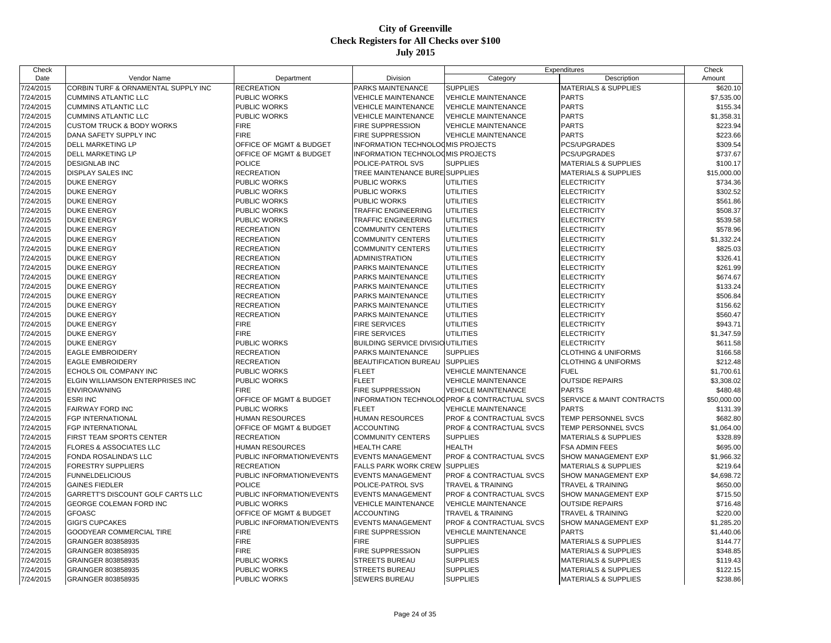| Check     |                                         |                           |                                           |                                              | Expenditures                    | Check       |
|-----------|-----------------------------------------|---------------------------|-------------------------------------------|----------------------------------------------|---------------------------------|-------------|
| Date      | Vendor Name                             | Department                | Division                                  | Category                                     | Description                     | Amount      |
| 7/24/2015 | CORBIN TURF & ORNAMENTAL SUPPLY INC     | <b>RECREATION</b>         | PARKS MAINTENANCE                         | <b>SUPPLIES</b>                              | <b>MATERIALS &amp; SUPPLIES</b> | \$620.10    |
| 7/24/2015 | <b>CUMMINS ATLANTIC LLC</b>             | PUBLIC WORKS              | <b>VEHICLE MAINTENANCE</b>                | <b>VEHICLE MAINTENANCE</b>                   | <b>PARTS</b>                    | \$7,535.00  |
| 7/24/2015 | <b>CUMMINS ATLANTIC LLC</b>             | PUBLIC WORKS              | <b>VEHICLE MAINTENANCE</b>                | <b>VEHICLE MAINTENANCE</b>                   | <b>PARTS</b>                    | \$155.34    |
| 7/24/2015 | <b>CUMMINS ATLANTIC LLC</b>             | <b>PUBLIC WORKS</b>       | <b>VEHICLE MAINTENANCE</b>                | <b>VEHICLE MAINTENANCE</b>                   | <b>PARTS</b>                    | \$1,358.31  |
| 7/24/2015 | <b>CUSTOM TRUCK &amp; BODY WORKS</b>    | <b>FIRE</b>               | <b>FIRE SUPPRESSION</b>                   | <b>VEHICLE MAINTENANCE</b>                   | <b>PARTS</b>                    | \$223.94    |
| 7/24/2015 | DANA SAFETY SUPPLY INC                  | <b>FIRE</b>               | <b>FIRE SUPPRESSION</b>                   | <b>VEHICLE MAINTENANCE</b>                   | <b>PARTS</b>                    | \$223.66    |
| 7/24/2015 | DELL MARKETING LP                       | OFFICE OF MGMT & BUDGET   | INFORMATION TECHNOLOOMIS PROJECTS         |                                              | PCS/UPGRADES                    | \$309.54    |
| 7/24/2015 | <b>DELL MARKETING LP</b>                | OFFICE OF MGMT & BUDGET   | INFORMATION TECHNOLOOMIS PROJECTS         |                                              | <b>PCS/UPGRADES</b>             | \$737.67    |
| 7/24/2015 | <b>DESIGNLAB INC</b>                    | <b>POLICE</b>             | POLICE-PATROL SVS                         | <b>SUPPLIES</b>                              | <b>MATERIALS &amp; SUPPLIES</b> | \$100.17    |
| 7/24/2015 | <b>DISPLAY SALES INC</b>                | <b>RECREATION</b>         | TREE MAINTENANCE BURE SUPPLIES            |                                              | <b>MATERIALS &amp; SUPPLIES</b> | \$15,000.00 |
| 7/24/2015 | <b>DUKE ENERGY</b>                      | PUBLIC WORKS              | <b>PUBLIC WORKS</b>                       | <b>UTILITIES</b>                             | <b>ELECTRICITY</b>              | \$734.36    |
| 7/24/2015 | <b>DUKE ENERGY</b>                      | PUBLIC WORKS              | <b>PUBLIC WORKS</b>                       | <b>UTILITIES</b>                             | <b>ELECTRICITY</b>              | \$302.52    |
| 7/24/2015 | <b>DUKE ENERGY</b>                      | PUBLIC WORKS              | <b>PUBLIC WORKS</b>                       | UTILITIES                                    | <b>ELECTRICITY</b>              | \$561.86    |
| 7/24/2015 | <b>DUKE ENERGY</b>                      | PUBLIC WORKS              | TRAFFIC ENGINEERING                       | UTILITIES                                    | <b>ELECTRICITY</b>              | \$508.37    |
| 7/24/2015 | <b>DUKE ENERGY</b>                      | <b>PUBLIC WORKS</b>       | <b>TRAFFIC ENGINEERING</b>                | <b>UTILITIES</b>                             | <b>ELECTRICITY</b>              | \$539.58    |
| 7/24/2015 | <b>DUKE ENERGY</b>                      | <b>RECREATION</b>         | <b>COMMUNITY CENTERS</b>                  | <b>UTILITIES</b>                             | <b>ELECTRICITY</b>              | \$578.96    |
| 7/24/2015 | <b>DUKE ENERGY</b>                      | <b>RECREATION</b>         | <b>COMMUNITY CENTERS</b>                  | <b>UTILITIES</b>                             | <b>ELECTRICITY</b>              | \$1,332.24  |
| 7/24/2015 | <b>DUKE ENERGY</b>                      | <b>RECREATION</b>         | <b>COMMUNITY CENTERS</b>                  | <b>UTILITIES</b>                             | <b>ELECTRICITY</b>              | \$825.03    |
| 7/24/2015 | <b>DUKE ENERGY</b>                      | <b>RECREATION</b>         | <b>ADMINISTRATION</b>                     | <b>UTILITIES</b>                             | <b>ELECTRICITY</b>              | \$326.41    |
| 7/24/2015 | <b>DUKE ENERGY</b>                      | <b>RECREATION</b>         | PARKS MAINTENANCE                         | UTILITIES                                    | <b>ELECTRICITY</b>              | \$261.99    |
| 7/24/2015 | <b>DUKE ENERGY</b>                      | <b>RECREATION</b>         | <b>PARKS MAINTENANCE</b>                  | UTILITIES                                    | <b>ELECTRICITY</b>              | \$674.67    |
| 7/24/2015 | <b>DUKE ENERGY</b>                      | <b>RECREATION</b>         | PARKS MAINTENANCE                         | <b>UTILITIES</b>                             | <b>ELECTRICITY</b>              | \$133.24    |
| 7/24/2015 | <b>DUKE ENERGY</b>                      | <b>RECREATION</b>         | PARKS MAINTENANCE                         | <b>UTILITIES</b>                             | <b>ELECTRICITY</b>              | \$506.84    |
| 7/24/2015 | <b>DUKE ENERGY</b>                      | <b>RECREATION</b>         | PARKS MAINTENANCE                         | UTILITIES                                    | <b>ELECTRICITY</b>              | \$156.62    |
| 7/24/2015 | <b>DUKE ENERGY</b>                      | <b>RECREATION</b>         | PARKS MAINTENANCE                         | UTILITIES                                    | <b>ELECTRICITY</b>              | \$560.47    |
| 7/24/2015 | <b>DUKE ENERGY</b>                      | <b>FIRE</b>               | <b>FIRE SERVICES</b>                      | <b>UTILITIES</b>                             | <b>ELECTRICITY</b>              | \$943.7     |
|           |                                         | <b>FIRE</b>               |                                           | UTILITIES                                    |                                 |             |
| 7/24/2015 | <b>DUKE ENERGY</b>                      |                           | <b>FIRE SERVICES</b>                      |                                              | <b>ELECTRICITY</b>              | \$1,347.59  |
| 7/24/2015 | <b>DUKE ENERGY</b>                      | PUBLIC WORKS              | <b>BUILDING SERVICE DIVISIO UTILITIES</b> |                                              | <b>ELECTRICITY</b>              | \$611.58    |
| 7/24/2015 | <b>EAGLE EMBROIDERY</b>                 | <b>RECREATION</b>         | PARKS MAINTENANCE                         | <b>SUPPLIES</b>                              | <b>CLOTHING &amp; UNIFORMS</b>  | \$166.58    |
| 7/24/2015 | <b>EAGLE EMBROIDERY</b>                 | <b>RECREATION</b>         | <b>BEAUTIFICATION BUREAU</b>              | <b>SUPPLIES</b>                              | <b>CLOTHING &amp; UNIFORMS</b>  | \$212.48    |
| 7/24/2015 | ECHOLS OIL COMPANY INC                  | PUBLIC WORKS              | <b>FLEET</b>                              | <b>VEHICLE MAINTENANCE</b>                   | <b>FUEL</b>                     | \$1,700.61  |
| 7/24/2015 | <b>ELGIN WILLIAMSON ENTERPRISES INC</b> | <b>PUBLIC WORKS</b>       | <b>FLEET</b>                              | <b>VEHICLE MAINTENANCE</b>                   | <b>OUTSIDE REPAIRS</b>          | \$3,308.02  |
| 7/24/2015 | <b>ENVIROAWNING</b>                     | <b>FIRE</b>               | FIRE SUPPRESSION                          | <b>VEHICLE MAINTENANCE</b>                   | <b>PARTS</b>                    | \$480.48    |
| 7/24/2015 | <b>ESRI INC</b>                         | OFFICE OF MGMT & BUDGET   |                                           | INFORMATION TECHNOLOGPROF & CONTRACTUAL SVCS | SERVICE & MAINT CONTRACTS       | \$50,000.00 |
| 7/24/2015 | <b>FAIRWAY FORD INC</b>                 | PUBLIC WORKS              | <b>FLEET</b>                              | <b>VEHICLE MAINTENANCE</b>                   | <b>PARTS</b>                    | \$131.39    |
| 7/24/2015 | <b>FGP INTERNATIONAL</b>                | <b>HUMAN RESOURCES</b>    | <b>HUMAN RESOURCES</b>                    | <b>PROF &amp; CONTRACTUAL SVCS</b>           | TEMP PERSONNEL SVCS             | \$682.80    |
| 7/24/2015 | <b>FGP INTERNATIONAL</b>                | OFFICE OF MGMT & BUDGET   | <b>ACCOUNTING</b>                         | <b>PROF &amp; CONTRACTUAL SVCS</b>           | <b>TEMP PERSONNEL SVCS</b>      | \$1,064.00  |
| 7/24/2015 | FIRST TEAM SPORTS CENTER                | <b>RECREATION</b>         | <b>COMMUNITY CENTERS</b>                  | <b>SUPPLIES</b>                              | <b>MATERIALS &amp; SUPPLIES</b> | \$328.89    |
| 7/24/2015 | <b>FLORES &amp; ASSOCIATES LLC</b>      | <b>HUMAN RESOURCES</b>    | <b>HEALTH CARE</b>                        | <b>HEALTH</b>                                | <b>FSA ADMIN FEES</b>           | \$695.00    |
| 7/24/2015 | FONDA ROSALINDA'S LLC                   | PUBLIC INFORMATION/EVENTS | <b>EVENTS MANAGEMENT</b>                  | <b>PROF &amp; CONTRACTUAL SVCS</b>           | SHOW MANAGEMENT EXP             | \$1,966.32  |
| 7/24/2015 | FORESTRY SUPPLIERS                      | <b>RECREATION</b>         | <b>FALLS PARK WORK CREW</b>               | <b>SUPPLIES</b>                              | <b>MATERIALS &amp; SUPPLIES</b> | \$219.64    |
| 7/24/2015 | <b>FUNNELDELICIOUS</b>                  | PUBLIC INFORMATION/EVENTS | <b>EVENTS MANAGEMENT</b>                  | <b>PROF &amp; CONTRACTUAL SVCS</b>           | SHOW MANAGEMENT EXP             | \$4,698.72  |
| 7/24/2015 | <b>GAINES FIEDLER</b>                   | <b>POLICE</b>             | <b>POLICE-PATROL SVS</b>                  | TRAVEL & TRAINING                            | <b>TRAVEL &amp; TRAINING</b>    | \$650.00    |
| 7/24/2015 | GARRETT'S DISCOUNT GOLF CARTS LLC       | PUBLIC INFORMATION/EVENTS | <b>EVENTS MANAGEMENT</b>                  | <b>PROF &amp; CONTRACTUAL SVCS</b>           | SHOW MANAGEMENT EXP             | \$715.50    |
| 7/24/2015 | GEORGE COLEMAN FORD INC                 | PUBLIC WORKS              | <b>VEHICLE MAINTENANCE</b>                | <b>VEHICLE MAINTENANCE</b>                   | <b>OUTSIDE REPAIRS</b>          | \$716.48    |
| 7/24/2015 | <b>GFOASC</b>                           | OFFICE OF MGMT & BUDGET   | <b>ACCOUNTING</b>                         | <b>TRAVEL &amp; TRAINING</b>                 | TRAVEL & TRAINING               | \$220.00    |
| 7/24/2015 | GIGI'S CUPCAKES                         | PUBLIC INFORMATION/EVENTS | <b>EVENTS MANAGEMENT</b>                  | <b>PROF &amp; CONTRACTUAL SVCS</b>           | SHOW MANAGEMENT EXP             | \$1,285.20  |
| 7/24/2015 | <b>GOODYEAR COMMERCIAL TIRE</b>         | <b>FIRE</b>               | <b>FIRE SUPPRESSION</b>                   | <b>VEHICLE MAINTENANCE</b>                   | <b>PARTS</b>                    | \$1,440.06  |
| 7/24/2015 | GRAINGER 803858935                      | <b>FIRE</b>               | <b>FIRE</b>                               | <b>SUPPLIES</b>                              | <b>MATERIALS &amp; SUPPLIES</b> | \$144.77    |
| 7/24/2015 | GRAINGER 803858935                      | <b>FIRE</b>               | <b>FIRE SUPPRESSION</b>                   | <b>SUPPLIES</b>                              | <b>MATERIALS &amp; SUPPLIES</b> | \$348.85    |
| 7/24/2015 | GRAINGER 803858935                      | PUBLIC WORKS              | <b>STREETS BUREAU</b>                     | <b>SUPPLIES</b>                              | <b>MATERIALS &amp; SUPPLIES</b> | \$119.43    |
| 7/24/2015 | GRAINGER 803858935                      | <b>PUBLIC WORKS</b>       | <b>STREETS BUREAU</b>                     | <b>SUPPLIES</b>                              | <b>MATERIALS &amp; SUPPLIES</b> | \$122.15    |
| 7/24/2015 | GRAINGER 803858935                      | <b>PUBLIC WORKS</b>       | <b>SEWERS BUREAU</b>                      | <b>SUPPLIES</b>                              | <b>MATERIALS &amp; SUPPLIES</b> | \$238.86    |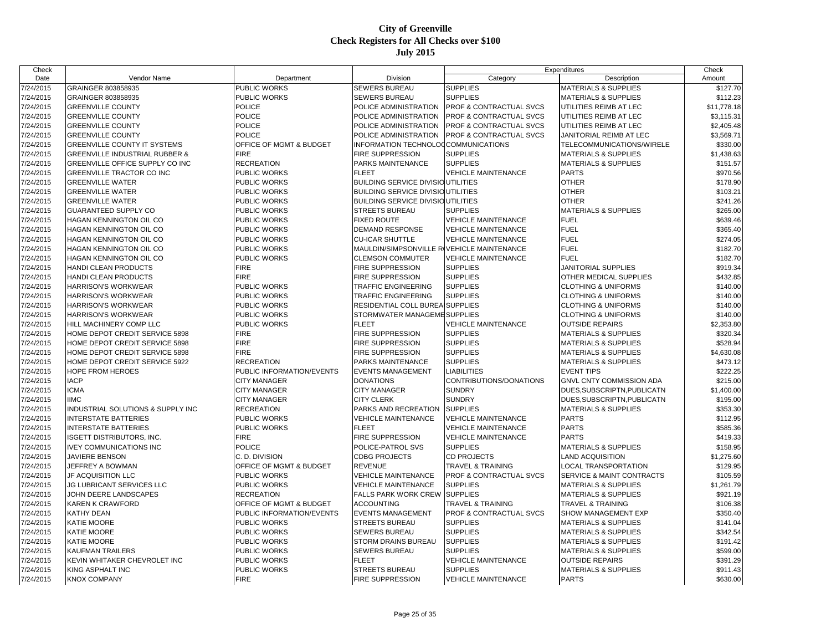| Check     |                                           |                           |                                            |                              | Expenditures                    | Check       |
|-----------|-------------------------------------------|---------------------------|--------------------------------------------|------------------------------|---------------------------------|-------------|
| Date      | Vendor Name                               | Department                | Division                                   | Category                     | Description                     | Amount      |
| 7/24/2015 | GRAINGER 803858935                        | PUBLIC WORKS              | SEWERS BUREAU                              | <b>SUPPLIES</b>              | <b>MATERIALS &amp; SUPPLIES</b> | \$127.70    |
| 7/24/2015 | GRAINGER 803858935                        | PUBLIC WORKS              | SEWERS BUREAU                              | <b>SUPPLIES</b>              | <b>MATERIALS &amp; SUPPLIES</b> | \$112.23    |
| 7/24/2015 | <b>GREENVILLE COUNTY</b>                  | POLICE                    | POLICE ADMINISTRATION                      | PROF & CONTRACTUAL SVCS      | UTILITIES REIMB AT LEC          | \$11,778.18 |
| 7/24/2015 | <b>GREENVILLE COUNTY</b>                  | <b>POLICE</b>             | POLICE ADMINISTRATION                      | PROF & CONTRACTUAL SVCS      | UTILITIES REIMB AT LEC          | \$3,115.31  |
| 7/24/2015 | <b>GREENVILLE COUNTY</b>                  | <b>POLICE</b>             | POLICE ADMINISTRATION                      | PROF & CONTRACTUAL SVCS      | UTILITIES REIMB AT LEC          | \$2,405.48  |
| 7/24/2015 | <b>GREENVILLE COUNTY</b>                  | <b>POLICE</b>             | POLICE ADMINISTRATION                      | PROF & CONTRACTUAL SVCS      | JANITORIAL REIMB AT LEC         | \$3,569.71  |
| 7/24/2015 | <b>GREENVILLE COUNTY IT SYSTEMS</b>       | OFFICE OF MGMT & BUDGET   | INFORMATION TECHNOLOCCOMMUNICATIONS        |                              | TELECOMMUNICATIONS/WIRELE       | \$330.00    |
| 7/24/2015 | <b>GREENVILLE INDUSTRIAL RUBBER &amp;</b> | <b>FIRE</b>               | FIRE SUPPRESSION                           | <b>SUPPLIES</b>              | <b>MATERIALS &amp; SUPPLIES</b> | \$1,438.63  |
| 7/24/2015 | GREENVILLE OFFICE SUPPLY CO INC           | RECREATION                | PARKS MAINTENANCE                          | <b>SUPPLIES</b>              | <b>MATERIALS &amp; SUPPLIES</b> | \$151.57    |
| 7/24/2015 | GREENVILLE TRACTOR CO INC                 | PUBLIC WORKS              | <b>FLEET</b>                               | <b>VEHICLE MAINTENANCE</b>   | <b>PARTS</b>                    | \$970.56    |
| 7/24/2015 | <b>GREENVILLE WATER</b>                   | PUBLIC WORKS              | <b>BUILDING SERVICE DIVISIO UTILITIES</b>  |                              | <b>OTHER</b>                    | \$178.90    |
| 7/24/2015 | <b>GREENVILLE WATER</b>                   | PUBLIC WORKS              | <b>BUILDING SERVICE DIVISIO UTILITIES</b>  |                              | <b>OTHER</b>                    | \$103.21    |
| 7/24/2015 | <b>GREENVILLE WATER</b>                   | <b>PUBLIC WORKS</b>       | <b>BUILDING SERVICE DIVISIOUTILITIES</b>   |                              | <b>OTHER</b>                    | \$241.26    |
| 7/24/2015 | <b>GUARANTEED SUPPLY CO</b>               | PUBLIC WORKS              | <b>STREETS BUREAU</b>                      | <b>SUPPLIES</b>              | <b>MATERIALS &amp; SUPPLIES</b> | \$265.00    |
| 7/24/2015 | HAGAN KENNINGTON OIL CO                   | PUBLIC WORKS              | <b>FIXED ROUTE</b>                         | <b>VEHICLE MAINTENANCE</b>   | <b>FUEL</b>                     | \$639.46    |
| 7/24/2015 | HAGAN KENNINGTON OIL CO                   | PUBLIC WORKS              | DEMAND RESPONSE                            | <b>VEHICLE MAINTENANCE</b>   | <b>FUEL</b>                     | \$365.40    |
| 7/24/2015 | <b>HAGAN KENNINGTON OIL CO</b>            | PUBLIC WORKS              | <b>CU-ICAR SHUTTLE</b>                     | <b>VEHICLE MAINTENANCE</b>   | <b>FUEL</b>                     | \$274.05    |
| 7/24/2015 | <b>HAGAN KENNINGTON OIL CO</b>            | PUBLIC WORKS              | MAULDIN/SIMPSONVILLE ROVEHICLE MAINTENANCE |                              | <b>FUEL</b>                     | \$182.70    |
| 7/24/2015 | HAGAN KENNINGTON OIL CO                   | PUBLIC WORKS              | <b>CLEMSON COMMUTER</b>                    | <b>VEHICLE MAINTENANCE</b>   | <b>FUEL</b>                     | \$182.70    |
| 7/24/2015 | HANDI CLEAN PRODUCTS                      | <b>FIRE</b>               | FIRE SUPPRESSION                           | <b>SUPPLIES</b>              | <b>JANITORIAL SUPPLIES</b>      | \$919.34    |
| 7/24/2015 | HANDI CLEAN PRODUCTS                      | <b>FIRE</b>               | FIRE SUPPRESSION                           | <b>SUPPLIES</b>              | OTHER MEDICAL SUPPLIES          | \$432.85    |
| 7/24/2015 | <b>HARRISON'S WORKWEAR</b>                | PUBLIC WORKS              | <b>TRAFFIC ENGINEERING</b>                 | <b>SUPPLIES</b>              | <b>CLOTHING &amp; UNIFORMS</b>  | \$140.00    |
| 7/24/2015 | <b>HARRISON'S WORKWEAR</b>                | <b>PUBLIC WORKS</b>       | <b>TRAFFIC ENGINEERING</b>                 | <b>SUPPLIES</b>              | <b>CLOTHING &amp; UNIFORMS</b>  | \$140.00    |
| 7/24/2015 | <b>HARRISON'S WORKWEAR</b>                | PUBLIC WORKS              | RESIDENTIAL COLL BUREAISUPPLIES            |                              | <b>CLOTHING &amp; UNIFORMS</b>  | \$140.00    |
| 7/24/2015 | <b>HARRISON'S WORKWEAR</b>                | <b>PUBLIC WORKS</b>       | STORMWATER MANAGEME SUPPLIES               |                              | <b>CLOTHING &amp; UNIFORMS</b>  | \$140.00    |
| 7/24/2015 | HILL MACHINERY COMP LLC                   | <b>PUBLIC WORKS</b>       | <b>FLEET</b>                               | <b>VEHICLE MAINTENANCE</b>   | <b>OUTSIDE REPAIRS</b>          | \$2,353.80  |
| 7/24/2015 | HOME DEPOT CREDIT SERVICE 5898            | <b>FIRE</b>               | FIRE SUPPRESSION                           | <b>SUPPLIES</b>              | <b>MATERIALS &amp; SUPPLIES</b> | \$320.34    |
| 7/24/2015 | HOME DEPOT CREDIT SERVICE 5898            | <b>FIRE</b>               | FIRE SUPPRESSION                           | <b>SUPPLIES</b>              | <b>MATERIALS &amp; SUPPLIES</b> | \$528.94    |
| 7/24/2015 | HOME DEPOT CREDIT SERVICE 5898            | <b>FIRE</b>               | FIRE SUPPRESSION                           | <b>SUPPLIES</b>              | <b>MATERIALS &amp; SUPPLIES</b> | \$4,630.08  |
| 7/24/2015 | HOME DEPOT CREDIT SERVICE 5922            | <b>RECREATION</b>         | PARKS MAINTENANCE                          | <b>SUPPLIES</b>              | <b>MATERIALS &amp; SUPPLIES</b> | \$473.12    |
|           | <b>HOPE FROM HEROES</b>                   | PUBLIC INFORMATION/EVENTS | <b>EVENTS MANAGEMENT</b>                   | <b>LIABILITIES</b>           | <b>EVENT TIPS</b>               | \$222.25    |
| 7/24/2015 | <b>IACP</b>                               |                           | <b>DONATIONS</b>                           | CONTRIBUTIONS/DONATIONS      |                                 |             |
| 7/24/2015 |                                           | <b>CITY MANAGER</b>       |                                            | <b>SUNDRY</b>                | GNVL CNTY COMMISSION ADA        | \$215.00    |
| 7/24/2015 | <b>ICMA</b>                               | <b>CITY MANAGER</b>       | <b>CITY MANAGER</b>                        |                              | DUES SUBSCRIPTN, PUBLICATN      | \$1,400.00  |
| 7/24/2015 | <b>IIMC</b>                               | <b>CITY MANAGER</b>       | <b>CITY CLERK</b>                          | <b>SUNDRY</b>                | DUES SUBSCRIPTN, PUBLICATN      | \$195.00    |
| 7/24/2015 | INDUSTRIAL SOLUTIONS & SUPPLY INC         | <b>RECREATION</b>         | PARKS AND RECREATION                       | <b>SUPPLIES</b>              | <b>MATERIALS &amp; SUPPLIES</b> | \$353.30    |
| 7/24/2015 | <b>INTERSTATE BATTERIES</b>               | PUBLIC WORKS              | <b>VEHICLE MAINTENANCE</b>                 | <b>VEHICLE MAINTENANCE</b>   | <b>PARTS</b>                    | \$112.95    |
| 7/24/2015 | <b>INTERSTATE BATTERIES</b>               | <b>PUBLIC WORKS</b>       | <b>FLEET</b>                               | <b>VEHICLE MAINTENANCE</b>   | <b>PARTS</b>                    | \$585.36    |
| 7/24/2015 | <b>ISGETT DISTRIBUTORS, INC.</b>          | <b>FIRE</b>               | FIRE SUPPRESSION                           | <b>VEHICLE MAINTENANCE</b>   | <b>PARTS</b>                    | \$419.33    |
| 7/24/2015 | <b>IVEY COMMUNICATIONS INC</b>            | POLICE                    | POLICE-PATROL SVS                          | <b>SUPPLIES</b>              | <b>MATERIALS &amp; SUPPLIES</b> | \$158.95    |
| 7/24/2015 | <b>JAVIERE BENSON</b>                     | C. D. DIVISION            | <b>CDBG PROJECTS</b>                       | <b>CD PROJECTS</b>           | <b>LAND ACQUISITION</b>         | \$1,275.60  |
| 7/24/2015 | JEFFREY A BOWMAN                          | OFFICE OF MGMT & BUDGET   | <b>REVENUE</b>                             | TRAVEL & TRAINING            | <b>LOCAL TRANSPORTATION</b>     | \$129.95    |
| 7/24/2015 | <b>JF ACQUISITION LLC</b>                 | <b>PUBLIC WORKS</b>       | <b>VEHICLE MAINTENANCE</b>                 | PROF & CONTRACTUAL SVCS      | SERVICE & MAINT CONTRACTS       | \$105.59    |
| 7/24/2015 | JG LUBRICANT SERVICES LLC                 | PUBLIC WORKS              | <b>VEHICLE MAINTENANCE</b>                 | <b>SUPPLIES</b>              | <b>MATERIALS &amp; SUPPLIES</b> | \$1,261.79  |
| 7/24/2015 | JOHN DEERE LANDSCAPES                     | <b>RECREATION</b>         | FALLS PARK WORK CREW                       | <b>SUPPLIES</b>              | <b>MATERIALS &amp; SUPPLIES</b> | \$921.19    |
| 7/24/2015 | <b>KAREN K CRAWFORD</b>                   | OFFICE OF MGMT & BUDGET   | <b>ACCOUNTING</b>                          | <b>TRAVEL &amp; TRAINING</b> | TRAVEL & TRAINING               | \$106.38    |
| 7/24/2015 | KATHY DEAN                                | PUBLIC INFORMATION/EVENTS | <b>EVENTS MANAGEMENT</b>                   | PROF & CONTRACTUAL SVCS      | SHOW MANAGEMENT EXP             | \$350.40    |
| 7/24/2015 | KATIE MOORE                               | PUBLIC WORKS              | <b>STREETS BUREAU</b>                      | <b>SUPPLIES</b>              | <b>MATERIALS &amp; SUPPLIES</b> | \$141.04    |
| 7/24/2015 | KATIE MOORE                               | PUBLIC WORKS              | <b>SEWERS BUREAU</b>                       | <b>SUPPLIES</b>              | <b>MATERIALS &amp; SUPPLIES</b> | \$342.54    |
| 7/24/2015 | KATIE MOORE                               | <b>PUBLIC WORKS</b>       | STORM DRAINS BUREAU                        | <b>SUPPLIES</b>              | <b>MATERIALS &amp; SUPPLIES</b> | \$191.42    |
| 7/24/2015 | <b>KAUFMAN TRAILERS</b>                   | PUBLIC WORKS              | <b>SEWERS BUREAU</b>                       | <b>SUPPLIES</b>              | <b>MATERIALS &amp; SUPPLIES</b> | \$599.00    |
| 7/24/2015 | KEVIN WHITAKER CHEVROLET INC              | PUBLIC WORKS              | <b>FLEET</b>                               | <b>VEHICLE MAINTENANCE</b>   | <b>OUTSIDE REPAIRS</b>          | \$391.29    |
| 7/24/2015 | KING ASPHALT INC                          | PUBLIC WORKS              | <b>STREETS BUREAU</b>                      | <b>SUPPLIES</b>              | <b>MATERIALS &amp; SUPPLIES</b> | \$911.43    |
| 7/24/2015 | <b>KNOX COMPANY</b>                       | <b>FIRE</b>               | <b>FIRE SUPPRESSION</b>                    | <b>VEHICLE MAINTENANCE</b>   | <b>PARTS</b>                    | \$630.00    |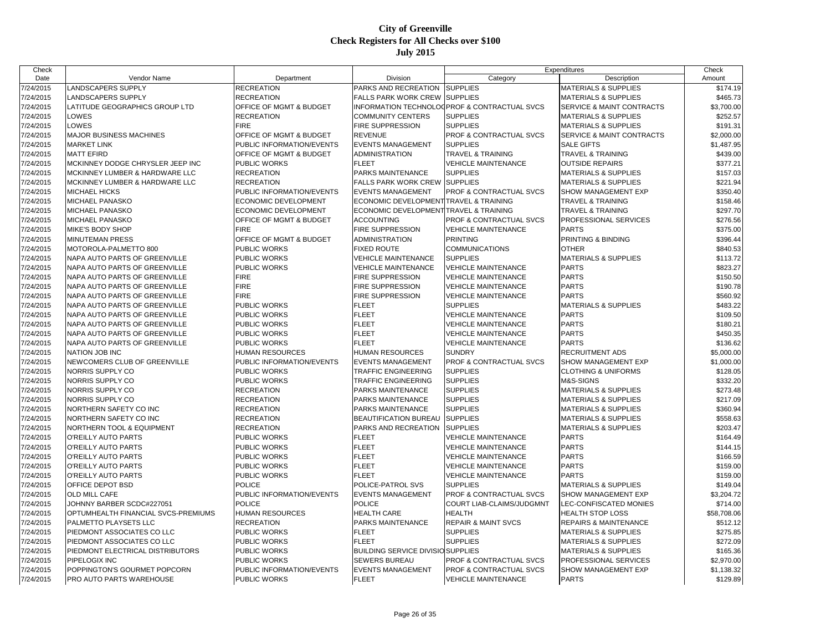| Check     |                                      |                           |                                          |                                              | Expenditures                                 | Check       |
|-----------|--------------------------------------|---------------------------|------------------------------------------|----------------------------------------------|----------------------------------------------|-------------|
| Date      | Vendor Name                          | Department                | Division                                 | Category                                     | Description                                  | Amount      |
| 7/24/2015 | ANDSCAPERS SUPPLY                    | <b>RECREATION</b>         | PARKS AND RECREATION                     | <b>SUPPLIES</b>                              | <b>MATERIALS &amp; SUPPLIES</b>              | \$174.19    |
| 7/24/2015 | LANDSCAPERS SUPPLY                   | <b>RECREATION</b>         | <b>FALLS PARK WORK CREW</b>              | <b>SUPPLIES</b>                              | <b>MATERIALS &amp; SUPPLIES</b>              | \$465.73    |
| 7/24/2015 | LATITUDE GEOGRAPHICS GROUP LTD       | OFFICE OF MGMT & BUDGET   |                                          | INFORMATION TECHNOLOGPROF & CONTRACTUAL SVCS | SERVICE & MAINT CONTRACTS                    | \$3,700.00  |
| 7/24/2015 | LOWES                                | <b>RECREATION</b>         | <b>COMMUNITY CENTERS</b>                 | <b>SUPPLIES</b>                              | <b>MATERIALS &amp; SUPPLIES</b>              | \$252.57    |
| 7/24/2015 | LOWES                                | <b>FIRE</b>               | FIRE SUPPRESSION                         | <b>SUPPLIES</b>                              | <b>MATERIALS &amp; SUPPLIES</b>              | \$191.31    |
| 7/24/2015 | <b>MAJOR BUSINESS MACHINES</b>       | OFFICE OF MGMT & BUDGET   | <b>REVENUE</b>                           | PROF & CONTRACTUAL SVCS                      | SERVICE & MAINT CONTRACTS                    | \$2,000.00  |
| 7/24/2015 | <b>MARKET LINK</b>                   | PUBLIC INFORMATION/EVENTS | <b>EVENTS MANAGEMENT</b>                 | <b>SUPPLIES</b>                              | <b>SALE GIFTS</b>                            | \$1,487.95  |
| 7/24/2015 | <b>MATT EFIRD</b>                    | OFFICE OF MGMT & BUDGET   | <b>ADMINISTRATION</b>                    | <b>TRAVEL &amp; TRAINING</b>                 | <b>TRAVEL &amp; TRAINING</b>                 | \$439.00    |
| 7/24/2015 | MCKINNEY DODGE CHRYSLER JEEP INC     | PUBLIC WORKS              | <b>FLEET</b>                             | <b>VEHICLE MAINTENANCE</b>                   | <b>OUTSIDE REPAIRS</b>                       | \$377.21    |
| 7/24/2015 | MCKINNEY LUMBER & HARDWARE LLC       | <b>RECREATION</b>         | PARKS MAINTENANCE                        | <b>SUPPLIES</b>                              | <b>MATERIALS &amp; SUPPLIES</b>              | \$157.03    |
| 7/24/2015 | MCKINNEY LUMBER & HARDWARE LLC       | <b>RECREATION</b>         | <b>FALLS PARK WORK CREW</b>              | <b>SUPPLIES</b>                              | <b>MATERIALS &amp; SUPPLIES</b>              | \$221.94    |
| 7/24/2015 | <b>MICHAEL HICKS</b>                 | PUBLIC INFORMATION/EVENTS | <b>EVENTS MANAGEMENT</b>                 | PROF & CONTRACTUAL SVCS                      | SHOW MANAGEMENT EXP                          | \$350.40    |
| 7/24/2015 | MICHAEL PANASKO                      | ECONOMIC DEVELOPMENT      | ECONOMIC DEVELOPMENT TRAVEL & TRAINING   |                                              | <b>TRAVEL &amp; TRAINING</b>                 | \$158.46    |
| 7/24/2015 | MICHAEL PANASKO                      | ECONOMIC DEVELOPMENT      | ECONOMIC DEVELOPMENT TRAVEL & TRAINING   |                                              | <b>TRAVEL &amp; TRAINING</b>                 | \$297.70    |
| 7/24/2015 | MICHAEL PANASKO                      | OFFICE OF MGMT & BUDGET   | <b>ACCOUNTING</b>                        | <b>PROF &amp; CONTRACTUAL SVCS</b>           | PROFESSIONAL SERVICES                        | \$276.56    |
| 7/24/2015 | MIKE'S BODY SHOP                     | <b>FIRE</b>               | FIRE SUPPRESSION                         | <b>VEHICLE MAINTENANCE</b>                   | <b>PARTS</b>                                 | \$375.00    |
| 7/24/2015 | <b>MINUTEMAN PRESS</b>               | OFFICE OF MGMT & BUDGET   | ADMINISTRATION                           | <b>PRINTING</b>                              | PRINTING & BINDING                           | \$396.44    |
| 7/24/2015 | MOTOROLA-PALMETTO 800                | PUBLIC WORKS              | <b>FIXED ROUTE</b>                       | <b>COMMUNICATIONS</b>                        | <b>OTHER</b>                                 | \$840.53    |
| 7/24/2015 | NAPA AUTO PARTS OF GREENVILLE        | PUBLIC WORKS              | <b>VEHICLE MAINTENANCE</b>               | <b>SUPPLIES</b>                              | <b>MATERIALS &amp; SUPPLIES</b>              | \$113.72    |
| 7/24/2015 | NAPA AUTO PARTS OF GREENVILLE        | PUBLIC WORKS              | <b>VEHICLE MAINTENANCE</b>               | <b>VEHICLE MAINTENANCE</b>                   | <b>PARTS</b>                                 | \$823.27    |
| 7/24/2015 | NAPA AUTO PARTS OF GREENVILLE        | <b>FIRE</b>               | FIRE SUPPRESSION                         | <b>VEHICLE MAINTENANCE</b>                   | <b>PARTS</b>                                 | \$150.50    |
| 7/24/2015 | NAPA AUTO PARTS OF GREENVILLE        | <b>FIRE</b>               | <b>FIRE SUPPRESSION</b>                  | <b>VEHICLE MAINTENANCE</b>                   | <b>PARTS</b>                                 | \$190.78    |
| 7/24/2015 | NAPA AUTO PARTS OF GREENVILLE        | <b>FIRE</b>               | <b>FIRE SUPPRESSION</b>                  | <b>VEHICLE MAINTENANCE</b>                   | <b>PARTS</b>                                 | \$560.92    |
| 7/24/2015 | NAPA AUTO PARTS OF GREENVILLE        | PUBLIC WORKS              | <b>FLEET</b>                             | <b>SUPPLIES</b>                              | <b>MATERIALS &amp; SUPPLIES</b>              | \$483.22    |
| 7/24/2015 | NAPA AUTO PARTS OF GREENVILLE        | PUBLIC WORKS              | <b>FLEET</b>                             | <b>VEHICLE MAINTENANCE</b>                   | <b>PARTS</b>                                 | \$109.50    |
| 7/24/2015 | NAPA AUTO PARTS OF GREENVILLE        | PUBLIC WORKS              | <b>FLEET</b>                             | <b>VEHICLE MAINTENANCE</b>                   | <b>PARTS</b>                                 | \$180.21    |
| 7/24/2015 | NAPA AUTO PARTS OF GREENVILLE        | PUBLIC WORKS              | <b>FLEET</b>                             | <b>VEHICLE MAINTENANCE</b>                   | <b>PARTS</b>                                 | \$450.35    |
| 7/24/2015 | NAPA AUTO PARTS OF GREENVILLE        | PUBLIC WORKS              | <b>FLEET</b>                             | <b>VEHICLE MAINTENANCE</b>                   | <b>PARTS</b>                                 | \$136.62    |
| 7/24/2015 | <b>NATION JOB INC</b>                | <b>HUMAN RESOURCES</b>    | HUMAN RESOURCES                          | <b>SUNDRY</b>                                | <b>RECRUITMENT ADS</b>                       | \$5,000.00  |
| 7/24/2015 | NEWCOMERS CLUB OF GREENVILLE         | PUBLIC INFORMATION/EVENTS | <b>EVENTS MANAGEMENT</b>                 | PROF & CONTRACTUAL SVCS                      | SHOW MANAGEMENT EXP                          | \$1,000.00  |
| 7/24/2015 | NORRIS SUPPLY CO                     | <b>PUBLIC WORKS</b>       | <b>TRAFFIC ENGINEERING</b>               | <b>SUPPLIES</b>                              | <b>CLOTHING &amp; UNIFORMS</b>               |             |
|           |                                      | PUBLIC WORKS              |                                          |                                              |                                              | \$128.05    |
| 7/24/2015 | NORRIS SUPPLY CO<br>NORRIS SUPPLY CO | <b>RECREATION</b>         | TRAFFIC ENGINEERING<br>PARKS MAINTENANCE | <b>SUPPLIES</b><br><b>SUPPLIES</b>           | M&S-SIGNS<br><b>MATERIALS &amp; SUPPLIES</b> | \$332.20    |
| 7/24/2015 |                                      |                           |                                          |                                              |                                              | \$273.48    |
| 7/24/2015 | NORRIS SUPPLY CO                     | <b>RECREATION</b>         | PARKS MAINTENANCE                        | <b>SUPPLIES</b>                              | <b>MATERIALS &amp; SUPPLIES</b>              | \$217.09    |
| 7/24/2015 | NORTHERN SAFETY CO INC               | <b>RECREATION</b>         | PARKS MAINTENANCE                        | <b>SUPPLIES</b>                              | <b>MATERIALS &amp; SUPPLIES</b>              | \$360.94    |
| 7/24/2015 | NORTHERN SAFETY CO INC               | <b>RECREATION</b>         | <b>BEAUTIFICATION BUREAU</b>             | <b>SUPPLIES</b>                              | <b>MATERIALS &amp; SUPPLIES</b>              | \$558.63    |
| 7/24/2015 | NORTHERN TOOL & EQUIPMENT            | <b>RECREATION</b>         | PARKS AND RECREATION                     | <b>SUPPLIES</b>                              | <b>MATERIALS &amp; SUPPLIES</b>              | \$203.47    |
| 7/24/2015 | O'REILLY AUTO PARTS                  | PUBLIC WORKS              | <b>FLEET</b>                             | <b>VEHICLE MAINTENANCE</b>                   | <b>PARTS</b>                                 | \$164.49    |
| 7/24/2015 | O'REILLY AUTO PARTS                  | PUBLIC WORKS              | <b>FLEET</b>                             | <b>VEHICLE MAINTENANCE</b>                   | <b>PARTS</b>                                 | \$144.15    |
| 7/24/2015 | O'REILLY AUTO PARTS                  | PUBLIC WORKS              | <b>FLEET</b>                             | <b>VEHICLE MAINTENANCE</b>                   | <b>PARTS</b>                                 | \$166.59    |
| 7/24/2015 | O'REILLY AUTO PARTS                  | PUBLIC WORKS              | <b>FLEET</b>                             | <b>VEHICLE MAINTENANCE</b>                   | <b>PARTS</b>                                 | \$159.00    |
| 7/24/2015 | O'REILLY AUTO PARTS                  | PUBLIC WORKS              | <b>FLEET</b>                             | <b>VEHICLE MAINTENANCE</b>                   | <b>PARTS</b>                                 | \$159.00    |
| 7/24/2015 | OFFICE DEPOT BSD                     | <b>POLICE</b>             | POLICE-PATROL SVS                        | <b>SUPPLIES</b>                              | <b>MATERIALS &amp; SUPPLIES</b>              | \$149.04    |
| 7/24/2015 | OLD MILL CAFE                        | PUBLIC INFORMATION/EVENTS | <b>EVENTS MANAGEMENT</b>                 | PROF & CONTRACTUAL SVCS                      | SHOW MANAGEMENT EXP                          | \$3,204.72  |
| 7/24/2015 | JOHNNY BARBER SCDC#227051            | <b>POLICE</b>             | <b>POLICE</b>                            | COURT LIAB-CLAIMS/JUDGMNT                    | LEC-CONFISCATED MONIES                       | \$714.00    |
| 7/24/2015 | OPTUMHEALTH FINANCIAL SVCS-PREMIUMS  | <b>HUMAN RESOURCES</b>    | <b>HEALTH CARE</b>                       | <b>HEALTH</b>                                | <b>HEALTH STOP LOSS</b>                      | \$58,708.06 |
| 7/24/2015 | PALMETTO PLAYSETS LLC                | <b>RECREATION</b>         | PARKS MAINTENANCE                        | <b>REPAIR &amp; MAINT SVCS</b>               | <b>REPAIRS &amp; MAINTENANCE</b>             | \$512.12    |
| 7/24/2015 | PIEDMONT ASSOCIATES CO LLC           | PUBLIC WORKS              | <b>FLEET</b>                             | <b>SUPPLIES</b>                              | <b>MATERIALS &amp; SUPPLIES</b>              | \$275.85    |
| 7/24/2015 | PIEDMONT ASSOCIATES CO LLC           | PUBLIC WORKS              | <b>FLEET</b>                             | <b>SUPPLIES</b>                              | <b>MATERIALS &amp; SUPPLIES</b>              | \$272.09    |
| 7/24/2015 | PIEDMONT ELECTRICAL DISTRIBUTORS     | PUBLIC WORKS              | <b>BUILDING SERVICE DIVISIO SUPPLIES</b> |                                              | <b>MATERIALS &amp; SUPPLIES</b>              | \$165.36    |
| 7/24/2015 | PIPELOGIX INC                        | PUBLIC WORKS              | <b>SEWERS BUREAU</b>                     | PROF & CONTRACTUAL SVCS                      | PROFESSIONAL SERVICES                        | \$2,970.00  |
| 7/24/2015 | POPPINGTON'S GOURMET POPCORN         | PUBLIC INFORMATION/EVENTS | <b>EVENTS MANAGEMENT</b>                 | PROF & CONTRACTUAL SVCS                      | SHOW MANAGEMENT EXP                          | \$1,138.32  |
| 7/24/2015 | PRO AUTO PARTS WAREHOUSE             | <b>PUBLIC WORKS</b>       | <b>FLEET</b>                             | <b>VEHICLE MAINTENANCE</b>                   | <b>PARTS</b>                                 | \$129.89    |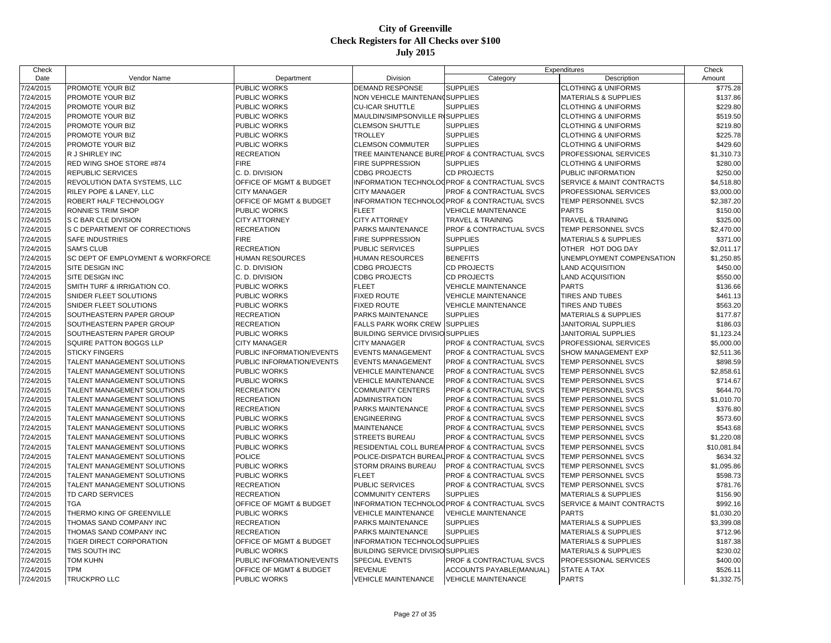| Check     |                                   |                           |                                          |                                               | Expenditures                         | Check       |
|-----------|-----------------------------------|---------------------------|------------------------------------------|-----------------------------------------------|--------------------------------------|-------------|
| Date      | Vendor Name                       | Department                | Division                                 | Category                                      | Description                          | Amount      |
| 7/24/2015 | PROMOTE YOUR BIZ                  | PUBLIC WORKS              | <b>DEMAND RESPONSE</b>                   | <b>SUPPLIES</b>                               | <b>CLOTHING &amp; UNIFORMS</b>       | \$775.28    |
| 7/24/2015 | PROMOTE YOUR BIZ                  | PUBLIC WORKS              | NON VEHICLE MAINTENAN(SUPPLIES           |                                               | <b>MATERIALS &amp; SUPPLIES</b>      | \$137.86    |
| 7/24/2015 | PROMOTE YOUR BIZ                  | <b>PUBLIC WORKS</b>       | <b>CU-ICAR SHUTTLE</b>                   | <b>SUPPLIES</b>                               | <b>CLOTHING &amp; UNIFORMS</b>       | \$229.80    |
| 7/24/2015 | PROMOTE YOUR BIZ                  | PUBLIC WORKS              | MAULDIN/SIMPSONVILLE RISUPPLIES          |                                               | <b>CLOTHING &amp; UNIFORMS</b>       | \$519.50    |
| 7/24/2015 | PROMOTE YOUR BIZ                  | PUBLIC WORKS              | <b>CLEMSON SHUTTLE</b>                   | <b>SUPPLIES</b>                               | <b>CLOTHING &amp; UNIFORMS</b>       | \$219.80    |
| 7/24/2015 | PROMOTE YOUR BIZ                  | PUBLIC WORKS              | <b>TROLLEY</b>                           | <b>SUPPLIES</b>                               | <b>CLOTHING &amp; UNIFORMS</b>       | \$225.78    |
| 7/24/2015 | PROMOTE YOUR BIZ                  | PUBLIC WORKS              | <b>CLEMSON COMMUTER</b>                  | <b>SUPPLIES</b>                               | <b>CLOTHING &amp; UNIFORMS</b>       | \$429.60    |
| 7/24/2015 | R J SHIRLEY INC                   | <b>RECREATION</b>         |                                          | TREE MAINTENANCE BURE PROF & CONTRACTUAL SVCS | PROFESSIONAL SERVICES                | \$1,310.73  |
| 7/24/2015 | RED WING SHOE STORE #874          | <b>FIRE</b>               | <b>FIRE SUPPRESSION</b>                  | <b>SUPPLIES</b>                               | <b>CLOTHING &amp; UNIFORMS</b>       | \$280.00    |
| 7/24/2015 | <b>REPUBLIC SERVICES</b>          | C. D. DIVISION            | <b>CDBG PROJECTS</b>                     | <b>CD PROJECTS</b>                            | PUBLIC INFORMATION                   | \$250.00    |
| 7/24/2015 | REVOLUTION DATA SYSTEMS, LLC      | OFFICE OF MGMT & BUDGET   |                                          | INFORMATION TECHNOLOGPROF & CONTRACTUAL SVCS  | <b>SERVICE &amp; MAINT CONTRACTS</b> | \$4,518.80  |
| 7/24/2015 | RILEY POPE & LANEY, LLC           | <b>CITY MANAGER</b>       | <b>CITY MANAGER</b>                      | <b>PROF &amp; CONTRACTUAL SVCS</b>            | PROFESSIONAL SERVICES                | \$3,000.00  |
| 7/24/2015 | ROBERT HALF TECHNOLOGY            | OFFICE OF MGMT & BUDGET   |                                          | INFORMATION TECHNOLOGPROF & CONTRACTUAL SVCS  | TEMP PERSONNEL SVCS                  | \$2,387.20  |
| 7/24/2015 | RONNIE'S TRIM SHOP                | <b>PUBLIC WORKS</b>       | <b>FLEET</b>                             | <b>VEHICLE MAINTENANCE</b>                    | <b>PARTS</b>                         | \$150.00    |
| 7/24/2015 | S C BAR CLE DIVISION              | <b>CITY ATTORNEY</b>      | <b>CITY ATTORNEY</b>                     | <b>TRAVEL &amp; TRAINING</b>                  | <b>TRAVEL &amp; TRAINING</b>         | \$325.00    |
| 7/24/2015 | S C DEPARTMENT OF CORRECTIONS     | <b>RECREATION</b>         | PARKS MAINTENANCE                        | <b>PROF &amp; CONTRACTUAL SVCS</b>            | TEMP PERSONNEL SVCS                  | \$2,470.00  |
| 7/24/2015 | <b>SAFE INDUSTRIES</b>            | <b>FIRE</b>               | FIRE SUPPRESSION                         | <b>SUPPLIES</b>                               | <b>MATERIALS &amp; SUPPLIES</b>      | \$371.00    |
| 7/24/2015 | <b>SAM'S CLUB</b>                 | <b>RECREATION</b>         | PUBLIC SERVICES                          | <b>SUPPLIES</b>                               | OTHER HOT DOG DAY                    | \$2,011.17  |
| 7/24/2015 | SC DEPT OF EMPLOYMENT & WORKFORCE | <b>HUMAN RESOURCES</b>    | <b>HUMAN RESOURCES</b>                   | <b>BENEFITS</b>                               | UNEMPLOYMENT COMPENSATION            | \$1,250.85  |
| 7/24/2015 | SITE DESIGN INC                   | C. D. DIVISION            | <b>CDBG PROJECTS</b>                     | <b>CD PROJECTS</b>                            | <b>LAND ACQUISITION</b>              | \$450.00    |
| 7/24/2015 | SITE DESIGN INC                   | C. D. DIVISION            | <b>CDBG PROJECTS</b>                     | <b>CD PROJECTS</b>                            | <b>LAND ACQUISITION</b>              | \$550.00    |
| 7/24/2015 | SMITH TURF & IRRIGATION CO.       | <b>PUBLIC WORKS</b>       | <b>FLEET</b>                             | <b>VEHICLE MAINTENANCE</b>                    | <b>PARTS</b>                         | \$136.66    |
| 7/24/2015 | SNIDER FLEET SOLUTIONS            | PUBLIC WORKS              | <b>FIXED ROUTE</b>                       | <b>VEHICLE MAINTENANCE</b>                    | <b>TIRES AND TUBES</b>               | \$461.13    |
| 7/24/2015 | SNIDER FLEET SOLUTIONS            | PUBLIC WORKS              | <b>FIXED ROUTE</b>                       | <b>VEHICLE MAINTENANCE</b>                    | <b>TIRES AND TUBES</b>               | \$563.20    |
| 7/24/2015 | SOUTHEASTERN PAPER GROUP          | <b>RECREATION</b>         | PARKS MAINTENANCE                        | <b>SUPPLIES</b>                               | <b>MATERIALS &amp; SUPPLIES</b>      | \$177.87    |
| 7/24/2015 | SOUTHEASTERN PAPER GROUP          | <b>RECREATION</b>         | <b>FALLS PARK WORK CREW</b>              | <b>SUPPLIES</b>                               | <b>JANITORIAL SUPPLIES</b>           | \$186.03    |
| 7/24/2015 | SOUTHEASTERN PAPER GROUP          | <b>PUBLIC WORKS</b>       | <b>BUILDING SERVICE DIVISIO SUPPLIES</b> |                                               | <b>JANITORIAL SUPPLIES</b>           | \$1,123.24  |
| 7/24/2015 | SQUIRE PATTON BOGGS LLP           | <b>CITY MANAGER</b>       | <b>CITY MANAGER</b>                      | <b>PROF &amp; CONTRACTUAL SVCS</b>            | PROFESSIONAL SERVICES                | \$5,000.00  |
| 7/24/2015 | <b>STICKY FINGERS</b>             | PUBLIC INFORMATION/EVENTS | <b>EVENTS MANAGEMENT</b>                 | <b>PROF &amp; CONTRACTUAL SVCS</b>            | SHOW MANAGEMENT EXP                  | \$2,511.36  |
| 7/24/2015 | TALENT MANAGEMENT SOLUTIONS       | PUBLIC INFORMATION/EVENTS | <b>EVENTS MANAGEMENT</b>                 | <b>PROF &amp; CONTRACTUAL SVCS</b>            | TEMP PERSONNEL SVCS                  | \$898.59    |
| 7/24/2015 | TALENT MANAGEMENT SOLUTIONS       | <b>PUBLIC WORKS</b>       | <b>VEHICLE MAINTENANCE</b>               | <b>PROF &amp; CONTRACTUAL SVCS</b>            | <b>TEMP PERSONNEL SVCS</b>           | \$2,858.61  |
| 7/24/2015 | TALENT MANAGEMENT SOLUTIONS       | PUBLIC WORKS              | <b>VEHICLE MAINTENANCE</b>               | PROF & CONTRACTUAL SVCS                       | TEMP PERSONNEL SVCS                  | \$714.67    |
| 7/24/2015 | TALENT MANAGEMENT SOLUTIONS       | <b>RECREATION</b>         | <b>COMMUNITY CENTERS</b>                 | <b>PROF &amp; CONTRACTUAL SVCS</b>            | TEMP PERSONNEL SVCS                  | \$644.70    |
| 7/24/2015 | TALENT MANAGEMENT SOLUTIONS       | <b>RECREATION</b>         | <b>ADMINISTRATION</b>                    | <b>PROF &amp; CONTRACTUAL SVCS</b>            | TEMP PERSONNEL SVCS                  | \$1,010.70  |
| 7/24/2015 | TALENT MANAGEMENT SOLUTIONS       | <b>RECREATION</b>         | PARKS MAINTENANCE                        | <b>PROF &amp; CONTRACTUAL SVCS</b>            | TEMP PERSONNEL SVCS                  | \$376.80    |
| 7/24/2015 | TALENT MANAGEMENT SOLUTIONS       | PUBLIC WORKS              | <b>ENGINEERING</b>                       | <b>PROF &amp; CONTRACTUAL SVCS</b>            | TEMP PERSONNEL SVCS                  | \$573.60    |
| 7/24/2015 | TALENT MANAGEMENT SOLUTIONS       | PUBLIC WORKS              | <b>MAINTENANCE</b>                       | <b>PROF &amp; CONTRACTUAL SVCS</b>            | TEMP PERSONNEL SVCS                  | \$543.68    |
| 7/24/2015 | TALENT MANAGEMENT SOLUTIONS       | <b>PUBLIC WORKS</b>       | <b>STREETS BUREAU</b>                    | <b>PROF &amp; CONTRACTUAL SVCS</b>            | TEMP PERSONNEL SVCS                  | \$1,220.08  |
| 7/24/2015 | TALENT MANAGEMENT SOLUTIONS       | PUBLIC WORKS              | RESIDENTIAL COLL BUREA                   | <b>IPROF &amp; CONTRACTUAL SVCS</b>           | TEMP PERSONNEL SVCS                  | \$10,081.84 |
| 7/24/2015 | TALENT MANAGEMENT SOLUTIONS       | <b>POLICE</b>             | POLICE-DISPATCH BUREA                    | <b>PROF &amp; CONTRACTUAL SVCS</b>            | TEMP PERSONNEL SVCS                  | \$634.32    |
| 7/24/2015 | TALENT MANAGEMENT SOLUTIONS       | PUBLIC WORKS              | <b>STORM DRAINS BUREAU</b>               | <b>PROF &amp; CONTRACTUAL SVCS</b>            | TEMP PERSONNEL SVCS                  | \$1,095.86  |
| 7/24/2015 | TALENT MANAGEMENT SOLUTIONS       | PUBLIC WORKS              | <b>FLEET</b>                             | <b>PROF &amp; CONTRACTUAL SVCS</b>            | TEMP PERSONNEL SVCS                  | \$598.73    |
| 7/24/2015 | TALENT MANAGEMENT SOLUTIONS       | <b>RECREATION</b>         | PUBLIC SERVICES                          | <b>PROF &amp; CONTRACTUAL SVCS</b>            | TEMP PERSONNEL SVCS                  | \$781.76    |
| 7/24/2015 | TD CARD SERVICES                  | <b>RECREATION</b>         | <b>COMMUNITY CENTERS</b>                 | <b>SUPPLIES</b>                               | <b>MATERIALS &amp; SUPPLIES</b>      | \$156.90    |
| 7/24/2015 | <b>TGA</b>                        | OFFICE OF MGMT & BUDGET   |                                          | INFORMATION TECHNOLOGPROF & CONTRACTUAL SVCS  | SERVICE & MAINT CONTRACTS            | \$992.16    |
| 7/24/2015 | THERMO KING OF GREENVILLE         | PUBLIC WORKS              | <b>VEHICLE MAINTENANCE</b>               | <b>VEHICLE MAINTENANCE</b>                    | <b>PARTS</b>                         | \$1,030.20  |
| 7/24/2015 | THOMAS SAND COMPANY INC           | <b>RECREATION</b>         | <b>PARKS MAINTENANCE</b>                 | <b>SUPPLIES</b>                               | <b>MATERIALS &amp; SUPPLIES</b>      | \$3,399.08  |
|           |                                   |                           |                                          | <b>SUPPLIES</b>                               |                                      |             |
| 7/24/2015 | THOMAS SAND COMPANY INC           | <b>RECREATION</b>         | PARKS MAINTENANCE                        |                                               | <b>MATERIALS &amp; SUPPLIES</b>      | \$712.96    |
| 7/24/2015 | <b>TIGER DIRECT CORPORATION</b>   | OFFICE OF MGMT & BUDGET   | INFORMATION TECHNOLOGSUPPLIES            |                                               | <b>MATERIALS &amp; SUPPLIES</b>      | \$187.38    |
| 7/24/2015 | TMS SOUTH INC                     | PUBLIC WORKS              | <b>BUILDING SERVICE DIVISIO SUPPLIES</b> |                                               | <b>MATERIALS &amp; SUPPLIES</b>      | \$230.02    |
| 7/24/2015 | <b>TOM KUHN</b><br><b>TPM</b>     | PUBLIC INFORMATION/EVENTS | <b>SPECIAL EVENTS</b>                    | <b>PROF &amp; CONTRACTUAL SVCS</b>            | PROFESSIONAL SERVICES                | \$400.00    |
| 7/24/2015 |                                   | OFFICE OF MGMT & BUDGET   | <b>REVENUE</b>                           | ACCOUNTS PAYABLE(MANUAL)                      | <b>STATE A TAX</b>                   | \$526.11    |
| 7/24/2015 | TRUCKPRO LLC                      | <b>PUBLIC WORKS</b>       | <b>VEHICLE MAINTENANCE</b>               | <b>VEHICLE MAINTENANCE</b>                    | <b>PARTS</b>                         | \$1,332.75  |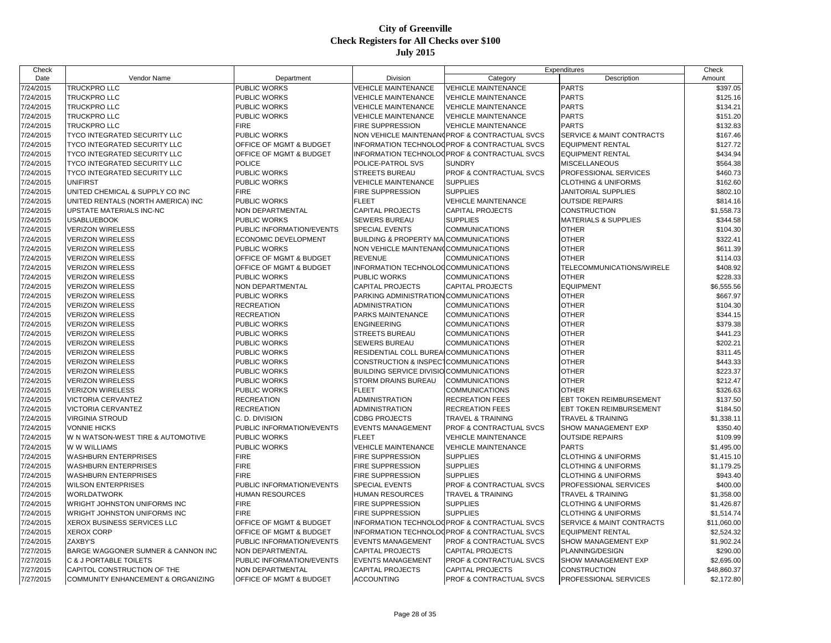| Check     |                                    |                           |                                         |                                               | Expenditures                    | Check       |
|-----------|------------------------------------|---------------------------|-----------------------------------------|-----------------------------------------------|---------------------------------|-------------|
| Date      | Vendor Name                        | Department                | Division                                | Category                                      | Description                     | Amount      |
| 7/24/2015 | <b>TRUCKPRO LLC</b>                | PUBLIC WORKS              | <b>VEHICLE MAINTENANCE</b>              | <b>VEHICLE MAINTENANCE</b>                    | <b>PARTS</b>                    | \$397.05    |
| 7/24/2015 | <b>TRUCKPRO LLC</b>                | <b>PUBLIC WORKS</b>       | <b>VEHICLE MAINTENANCE</b>              | <b>VEHICLE MAINTENANCE</b>                    | <b>PARTS</b>                    | \$125.16    |
| 7/24/2015 | <b>TRUCKPRO LLC</b>                | <b>PUBLIC WORKS</b>       | <b>VEHICLE MAINTENANCE</b>              | <b>VEHICLE MAINTENANCE</b>                    | <b>PARTS</b>                    | \$134.21    |
| 7/24/2015 | <b>TRUCKPRO LLC</b>                | PUBLIC WORKS              | <b>VEHICLE MAINTENANCE</b>              | <b>VEHICLE MAINTENANCE</b>                    | <b>PARTS</b>                    | \$151.20    |
| 7/24/2015 | <b>TRUCKPRO LLC</b>                | <b>FIRE</b>               | FIRE SUPPRESSION                        | <b>VEHICLE MAINTENANCE</b>                    | <b>PARTS</b>                    | \$132.83    |
| 7/24/2015 | TYCO INTEGRATED SECURITY LLC       | PUBLIC WORKS              |                                         | NON VEHICLE MAINTENAN(PROF & CONTRACTUAL SVCS | SERVICE & MAINT CONTRACTS       | \$167.46    |
| 7/24/2015 | TYCO INTEGRATED SECURITY LLC       | OFFICE OF MGMT & BUDGET   |                                         | INFORMATION TECHNOLOGPROF & CONTRACTUAL SVCS  | <b>EQUIPMENT RENTAL</b>         | \$127.72    |
| 7/24/2015 | TYCO INTEGRATED SECURITY LLC       | OFFICE OF MGMT & BUDGET   |                                         | INFORMATION TECHNOLOGPROF & CONTRACTUAL SVCS  | <b>EQUIPMENT RENTAL</b>         | \$434.94    |
| 7/24/2015 | TYCO INTEGRATED SECURITY LLC       | <b>POLICE</b>             | POLICE-PATROL SVS                       | <b>SUNDRY</b>                                 | <b>MISCELLANEOUS</b>            | \$564.38    |
| 7/24/2015 | TYCO INTEGRATED SECURITY LLC       | PUBLIC WORKS              | <b>STREETS BUREAU</b>                   | <b>PROF &amp; CONTRACTUAL SVCS</b>            | PROFESSIONAL SERVICES           | \$460.73    |
| 7/24/2015 | <b>UNIFIRST</b>                    | PUBLIC WORKS              | <b>VEHICLE MAINTENANCE</b>              | <b>SUPPLIES</b>                               | <b>CLOTHING &amp; UNIFORMS</b>  | \$162.60    |
| 7/24/2015 | UNITED CHEMICAL & SUPPLY CO INC    | <b>FIRE</b>               | FIRE SUPPRESSION                        | <b>SUPPLIES</b>                               | JANITORIAL SUPPLIES             | \$802.10    |
| 7/24/2015 | UNITED RENTALS (NORTH AMERICA) INC | PUBLIC WORKS              | <b>FLEET</b>                            | <b>VEHICLE MAINTENANCE</b>                    | <b>OUTSIDE REPAIRS</b>          | \$814.16    |
| 7/24/2015 | UPSTATE MATERIALS INC-NC           | NON DEPARTMENTAL          | <b>CAPITAL PROJECTS</b>                 | <b>CAPITAL PROJECTS</b>                       | <b>CONSTRUCTION</b>             | \$1,558.73  |
| 7/24/2015 | <b>USABLUEBOOK</b>                 | <b>PUBLIC WORKS</b>       | SEWERS BUREAU                           | <b>SUPPLIES</b>                               | <b>MATERIALS &amp; SUPPLIES</b> | \$344.58    |
| 7/24/2015 | <b>VERIZON WIRELESS</b>            | PUBLIC INFORMATION/EVENTS | SPECIAL EVENTS                          | <b>COMMUNICATIONS</b>                         | <b>OTHER</b>                    | \$104.30    |
| 7/24/2015 | <b>VERIZON WIRELESS</b>            | ECONOMIC DEVELOPMENT      | <b>BUILDING &amp; PROPERTY MA</b>       | <b>COMMUNICATIONS</b>                         | <b>OTHER</b>                    | \$322.41    |
| 7/24/2015 | <b>VERIZON WIRELESS</b>            | PUBLIC WORKS              | NON VEHICLE MAINTENAN0COMMUNICATIONS    |                                               | <b>OTHER</b>                    | \$611.39    |
| 7/24/2015 | <b>VERIZON WIRELESS</b>            | OFFICE OF MGMT & BUDGET   | <b>REVENUE</b>                          | COMMUNICATIONS                                | <b>OTHER</b>                    | \$114.03    |
| 7/24/2015 | <b>VERIZON WIRELESS</b>            | OFFICE OF MGMT & BUDGET   | INFORMATION TECHNOLOGCOMMUNICATIONS     |                                               | TELECOMMUNICATIONS/WIRELE       | \$408.92    |
| 7/24/2015 | <b>VERIZON WIRELESS</b>            | PUBLIC WORKS              | PUBLIC WORKS                            | <b>COMMUNICATIONS</b>                         | <b>OTHER</b>                    | \$228.33    |
| 7/24/2015 | <b>VERIZON WIRELESS</b>            | NON DEPARTMENTAL          | <b>CAPITAL PROJECTS</b>                 | <b>CAPITAL PROJECTS</b>                       | <b>EQUIPMENT</b>                | \$6,555.56  |
| 7/24/2015 | <b>VERIZON WIRELESS</b>            | PUBLIC WORKS              | PARKING ADMINISTRATION COMMUNICATIONS   |                                               | <b>OTHER</b>                    | \$667.97    |
| 7/24/2015 | <b>VERIZON WIRELESS</b>            | <b>RECREATION</b>         | <b>ADMINISTRATION</b>                   | <b>COMMUNICATIONS</b>                         | <b>OTHER</b>                    | \$104.30    |
| 7/24/2015 | <b>VERIZON WIRELESS</b>            | <b>RECREATION</b>         | PARKS MAINTENANCE                       | <b>COMMUNICATIONS</b>                         | <b>OTHER</b>                    | \$344.15    |
| 7/24/2015 | <b>VERIZON WIRELESS</b>            | PUBLIC WORKS              | <b>ENGINEERING</b>                      | <b>COMMUNICATIONS</b>                         | <b>OTHER</b>                    | \$379.38    |
| 7/24/2015 | <b>VERIZON WIRELESS</b>            | PUBLIC WORKS              | <b>STREETS BUREAU</b>                   | <b>COMMUNICATIONS</b>                         | <b>OTHER</b>                    | \$441.23    |
| 7/24/2015 | <b>VERIZON WIRELESS</b>            | PUBLIC WORKS              | <b>SEWERS BUREAU</b>                    | <b>COMMUNICATIONS</b>                         | <b>OTHER</b>                    | \$202.21    |
| 7/24/2015 | <b>VERIZON WIRELESS</b>            | PUBLIC WORKS              | RESIDENTIAL COLL BUREAICOMMUNICATIONS   |                                               | <b>OTHER</b>                    | \$311.45    |
| 7/24/2015 | <b>VERIZON WIRELESS</b>            | PUBLIC WORKS              | CONSTRUCTION & INSPECTCOMMUNICATIONS    |                                               | <b>OTHER</b>                    | \$443.33    |
| 7/24/2015 | <b>VERIZON WIRELESS</b>            | PUBLIC WORKS              | BUILDING SERVICE DIVISIO COMMUNICATIONS |                                               | <b>OTHER</b>                    | \$223.37    |
| 7/24/2015 | <b>VERIZON WIRELESS</b>            | PUBLIC WORKS              | STORM DRAINS BUREAU                     | <b>COMMUNICATIONS</b>                         | <b>OTHER</b>                    | \$212.47    |
| 7/24/2015 | <b>VERIZON WIRELESS</b>            | PUBLIC WORKS              | <b>FLEET</b>                            | COMMUNICATIONS                                | <b>OTHER</b>                    | \$326.63    |
| 7/24/2015 | <b>VICTORIA CERVANTEZ</b>          | <b>RECREATION</b>         | <b>ADMINISTRATION</b>                   | <b>RECREATION FEES</b>                        | <b>EBT TOKEN REIMBURSEMENT</b>  | \$137.50    |
| 7/24/2015 | <b>VICTORIA CERVANTEZ</b>          | <b>RECREATION</b>         | <b>ADMINISTRATION</b>                   | <b>RECREATION FEES</b>                        | <b>EBT TOKEN REIMBURSEMENT</b>  | \$184.50    |
| 7/24/2015 | <b>VIRGINIA STROUD</b>             | C. D. DIVISION            | <b>CDBG PROJECTS</b>                    | TRAVEL & TRAINING                             | TRAVEL & TRAINING               | \$1,338.11  |
| 7/24/2015 | <b>VONNIE HICKS</b>                | PUBLIC INFORMATION/EVENTS | <b>EVENTS MANAGEMENT</b>                | PROF & CONTRACTUAL SVCS                       | SHOW MANAGEMENT EXP             | \$350.40    |
| 7/24/2015 | W N WATSON-WEST TIRE & AUTOMOTIVE  | PUBLIC WORKS              | <b>FLEET</b>                            | <b>VEHICLE MAINTENANCE</b>                    | <b>OUTSIDE REPAIRS</b>          | \$109.99    |
| 7/24/2015 | W W WILLIAMS                       | PUBLIC WORKS              | <b>VEHICLE MAINTENANCE</b>              | <b>VEHICLE MAINTENANCE</b>                    | <b>PARTS</b>                    | \$1,495.00  |
| 7/24/2015 | <b>WASHBURN ENTERPRISES</b>        | <b>FIRE</b>               | FIRE SUPPRESSION                        | <b>SUPPLIES</b>                               | <b>CLOTHING &amp; UNIFORMS</b>  | \$1,415.10  |
| 7/24/2015 | <b>WASHBURN ENTERPRISES</b>        | <b>FIRE</b>               | FIRE SUPPRESSION                        | <b>SUPPLIES</b>                               | <b>CLOTHING &amp; UNIFORMS</b>  | \$1,179.25  |
| 7/24/2015 | <b>WASHBURN ENTERPRISES</b>        | <b>FIRE</b>               | FIRE SUPPRESSION                        | <b>SUPPLIES</b>                               | <b>CLOTHING &amp; UNIFORMS</b>  | \$943.40    |
| 7/24/2015 | <b>WILSON ENTERPRISES</b>          | PUBLIC INFORMATION/EVENTS | <b>SPECIAL EVENTS</b>                   | <b>PROF &amp; CONTRACTUAL SVCS</b>            | PROFESSIONAL SERVICES           | \$400.00    |
| 7/24/2015 | WORLDATWORK                        | HUMAN RESOURCES           | <b>HUMAN RESOURCES</b>                  | <b>TRAVEL &amp; TRAINING</b>                  | TRAVEL & TRAINING               | \$1,358.00  |
| 7/24/2015 | WRIGHT JOHNSTON UNIFORMS INC       | <b>FIRE</b>               | FIRE SUPPRESSION                        | <b>SUPPLIES</b>                               | <b>CLOTHING &amp; UNIFORMS</b>  | \$1,426.87  |
| 7/24/2015 | WRIGHT JOHNSTON UNIFORMS INC       | <b>FIRE</b>               | <b>FIRE SUPPRESSION</b>                 | <b>SUPPLIES</b>                               | <b>CLOTHING &amp; UNIFORMS</b>  | \$1,514.74  |
| 7/24/2015 | XEROX BUSINESS SERVICES LLC        | OFFICE OF MGMT & BUDGET   |                                         | INFORMATION TECHNOLOGPROF & CONTRACTUAL SVCS  | SERVICE & MAINT CONTRACTS       | \$11,060.00 |
| 7/24/2015 | <b>XEROX CORP</b>                  | OFFICE OF MGMT & BUDGET   |                                         | INFORMATION TECHNOLOGPROF & CONTRACTUAL SVCS  | <b>EQUIPMENT RENTAL</b>         | \$2,524.32  |
| 7/24/2015 | ZAXBY'S                            | PUBLIC INFORMATION/EVENTS | <b>EVENTS MANAGEMENT</b>                | <b>PROF &amp; CONTRACTUAL SVCS</b>            | <b>SHOW MANAGEMENT EXP</b>      | \$1,902.24  |
| 7/27/2015 | BARGE WAGGONER SUMNER & CANNON INC | NON DEPARTMENTAL          | <b>CAPITAL PROJECTS</b>                 | <b>CAPITAL PROJECTS</b>                       | PLANNING/DESIGN                 | \$290.00    |
| 7/27/2015 | C & J PORTABLE TOILETS             | PUBLIC INFORMATION/EVENTS | <b>EVENTS MANAGEMENT</b>                | <b>PROF &amp; CONTRACTUAL SVCS</b>            | SHOW MANAGEMENT EXP             | \$2,695.00  |
| 7/27/2015 | CAPITOL CONSTRUCTION OF THE        | NON DEPARTMENTAL          | <b>CAPITAL PROJECTS</b>                 | <b>CAPITAL PROJECTS</b>                       | <b>CONSTRUCTION</b>             | \$48,860.37 |
| 7/27/2015 | COMMUNITY ENHANCEMENT & ORGANIZING | OFFICE OF MGMT & BUDGET   | <b>ACCOUNTING</b>                       | PROF & CONTRACTUAL SVCS                       | PROFESSIONAL SERVICES           | \$2,172.80  |
|           |                                    |                           |                                         |                                               |                                 |             |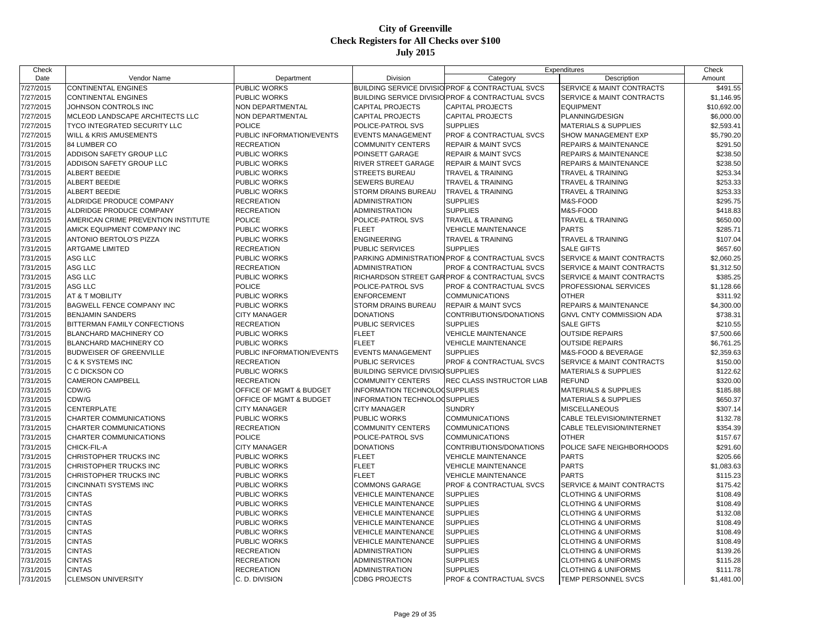| Check     |                                     |                           |                                          |                                                  | Expenditures                     | Check       |
|-----------|-------------------------------------|---------------------------|------------------------------------------|--------------------------------------------------|----------------------------------|-------------|
| Date      | Vendor Name                         | Department                | Division                                 | Category                                         | Description                      | Amount      |
| 7/27/2015 | <b>CONTINENTAL ENGINES</b>          | PUBLIC WORKS              |                                          | BUILDING SERVICE DIVISIO PROF & CONTRACTUAL SVCS | SERVICE & MAINT CONTRACTS        | \$491.55    |
| 7/27/2015 | <b>CONTINENTAL ENGINES</b>          | PUBLIC WORKS              |                                          | BUILDING SERVICE DIVISIO PROF & CONTRACTUAL SVCS | SERVICE & MAINT CONTRACTS        | \$1,146.95  |
| 7/27/2015 | JOHNSON CONTROLS INC                | <b>NON DEPARTMENTAL</b>   | <b>CAPITAL PROJECTS</b>                  | <b>CAPITAL PROJECTS</b>                          | <b>EQUIPMENT</b>                 | \$10,692.00 |
| 7/27/2015 | MCLEOD LANDSCAPE ARCHITECTS LLC     | NON DEPARTMENTAL          | <b>CAPITAL PROJECTS</b>                  | <b>CAPITAL PROJECTS</b>                          | PLANNING/DESIGN                  | \$6,000.00  |
| 7/27/2015 | TYCO INTEGRATED SECURITY LLC        | <b>POLICE</b>             | POLICE-PATROL SVS                        | <b>SUPPLIES</b>                                  | <b>MATERIALS &amp; SUPPLIES</b>  | \$2,593.41  |
| 7/27/2015 | WILL & KRIS AMUSEMENTS              | PUBLIC INFORMATION/EVENTS | <b>EVENTS MANAGEMENT</b>                 | <b>PROF &amp; CONTRACTUAL SVCS</b>               | SHOW MANAGEMENT EXP              | \$5,790.20  |
| 7/31/2015 | 84 LUMBER CO                        | <b>RECREATION</b>         | <b>COMMUNITY CENTERS</b>                 | <b>REPAIR &amp; MAINT SVCS</b>                   | REPAIRS & MAINTENANCE            | \$291.50    |
| 7/31/2015 | ADDISON SAFETY GROUP LLC            | <b>PUBLIC WORKS</b>       | POINSETT GARAGE                          | <b>REPAIR &amp; MAINT SVCS</b>                   | REPAIRS & MAINTENANCE            | \$238.50    |
| 7/31/2015 | ADDISON SAFETY GROUP LLC            | PUBLIC WORKS              | <b>RIVER STREET GARAGE</b>               | <b>REPAIR &amp; MAINT SVCS</b>                   | <b>REPAIRS &amp; MAINTENANCE</b> | \$238.50    |
| 7/31/2015 | ALBERT BEEDIE                       | PUBLIC WORKS              | <b>STREETS BUREAU</b>                    | <b>TRAVEL &amp; TRAINING</b>                     | <b>TRAVEL &amp; TRAINING</b>     | \$253.34    |
| 7/31/2015 | ALBERT BEEDIE                       | PUBLIC WORKS              | <b>SEWERS BUREAU</b>                     | <b>TRAVEL &amp; TRAINING</b>                     | <b>TRAVEL &amp; TRAINING</b>     | \$253.33    |
| 7/31/2015 | <b>ALBERT BEEDIE</b>                | PUBLIC WORKS              | STORM DRAINS BUREAU                      | <b>TRAVEL &amp; TRAINING</b>                     | TRAVEL & TRAINING                | \$253.33    |
| 7/31/2015 | ALDRIDGE PRODUCE COMPANY            | <b>RECREATION</b>         | <b>ADMINISTRATION</b>                    | <b>SUPPLIES</b>                                  | M&S-FOOD                         | \$295.75    |
| 7/31/2015 | ALDRIDGE PRODUCE COMPANY            | <b>RECREATION</b>         | <b>ADMINISTRATION</b>                    | <b>SUPPLIES</b>                                  | M&S-FOOD                         | \$418.83    |
| 7/31/2015 | AMERICAN CRIME PREVENTION INSTITUTE | <b>POLICE</b>             | POLICE-PATROL SVS                        | TRAVEL & TRAINING                                | TRAVEL & TRAINING                | \$650.00    |
| 7/31/2015 | AMICK EQUIPMENT COMPANY INC         | <b>PUBLIC WORKS</b>       | <b>FLEET</b>                             | <b>VEHICLE MAINTENANCE</b>                       | <b>PARTS</b>                     | \$285.71    |
| 7/31/2015 | ANTONIO BERTOLO'S PIZZA             | PUBLIC WORKS              | <b>ENGINEERING</b>                       | <b>TRAVEL &amp; TRAINING</b>                     | <b>TRAVEL &amp; TRAINING</b>     | \$107.04    |
| 7/31/2015 | <b>ARTGAME LIMITED</b>              | <b>RECREATION</b>         | <b>PUBLIC SERVICES</b>                   | <b>SUPPLIES</b>                                  | <b>SALE GIFTS</b>                | \$657.60    |
| 7/31/2015 | ASG LLC                             | <b>PUBLIC WORKS</b>       |                                          | PARKING ADMINISTRATION PROF & CONTRACTUAL SVCS   | SERVICE & MAINT CONTRACTS        | \$2,060.25  |
| 7/31/2015 | ASG LLC                             | <b>RECREATION</b>         | <b>ADMINISTRATION</b>                    | PROF & CONTRACTUAL SVCS                          | SERVICE & MAINT CONTRACTS        | \$1,312.50  |
| 7/31/2015 | ASG LLC                             | PUBLIC WORKS              |                                          | RICHARDSON STREET GAR PROF & CONTRACTUAL SVCS    | SERVICE & MAINT CONTRACTS        | \$385.25    |
| 7/31/2015 | ASG LLC                             | POLICE                    | POLICE-PATROL SVS                        | PROF & CONTRACTUAL SVCS                          | PROFESSIONAL SERVICES            | \$1,128.66  |
| 7/31/2015 | AT & T MOBILITY                     | PUBLIC WORKS              | <b>ENFORCEMENT</b>                       | <b>COMMUNICATIONS</b>                            | <b>OTHER</b>                     | \$311.92    |
| 7/31/2015 | BAGWELL FENCE COMPANY INC           | <b>PUBLIC WORKS</b>       | STORM DRAINS BUREAU                      | <b>REPAIR &amp; MAINT SVCS</b>                   | REPAIRS & MAINTENANCE            | \$4,300.00  |
| 7/31/2015 | <b>BENJAMIN SANDERS</b>             | <b>CITY MANAGER</b>       | <b>DONATIONS</b>                         | CONTRIBUTIONS/DONATIONS                          | GNVL CNTY COMMISSION ADA         | \$738.31    |
| 7/31/2015 | BITTERMAN FAMILY CONFECTIONS        | <b>RECREATION</b>         | <b>PUBLIC SERVICES</b>                   | <b>SUPPLIES</b>                                  | <b>SALE GIFTS</b>                | \$210.55    |
| 7/31/2015 | <b>BLANCHARD MACHINERY CO</b>       | <b>PUBLIC WORKS</b>       | <b>FLEET</b>                             | <b>VEHICLE MAINTENANCE</b>                       | <b>OUTSIDE REPAIRS</b>           | \$7,500.66  |
| 7/31/2015 | <b>BLANCHARD MACHINERY CO</b>       | PUBLIC WORKS              | <b>FLEET</b>                             | <b>VEHICLE MAINTENANCE</b>                       | <b>OUTSIDE REPAIRS</b>           | \$6,761.25  |
| 7/31/2015 | <b>BUDWEISER OF GREENVILLE</b>      | PUBLIC INFORMATION/EVENTS | <b>EVENTS MANAGEMENT</b>                 | <b>SUPPLIES</b>                                  | M&S-FOOD & BEVERAGE              | \$2,359.63  |
| 7/31/2015 | <b>C &amp; K SYSTEMS INC</b>        | <b>RECREATION</b>         | <b>PUBLIC SERVICES</b>                   | PROF & CONTRACTUAL SVCS                          | SERVICE & MAINT CONTRACTS        | \$150.00    |
| 7/31/2015 | C C DICKSON CO                      | PUBLIC WORKS              | <b>BUILDING SERVICE DIVISIO SUPPLIES</b> |                                                  | <b>MATERIALS &amp; SUPPLIES</b>  | \$122.62    |
| 7/31/2015 | <b>CAMERON CAMPBELL</b>             | <b>RECREATION</b>         | <b>COMMUNITY CENTERS</b>                 | REC CLASS INSTRUCTOR LIAB                        | <b>REFUND</b>                    | \$320.00    |
| 7/31/2015 | CDW/G                               | OFFICE OF MGMT & BUDGET   | INFORMATION TECHNOLOGSUPPLIES            |                                                  | <b>MATERIALS &amp; SUPPLIES</b>  | \$185.88    |
| 7/31/2015 | CDW/G                               | OFFICE OF MGMT & BUDGET   | INFORMATION TECHNOLOGSUPPLIES            |                                                  | <b>MATERIALS &amp; SUPPLIES</b>  | \$650.37    |
| 7/31/2015 | CENTERPLATE                         | <b>CITY MANAGER</b>       | <b>CITY MANAGER</b>                      | <b>SUNDRY</b>                                    | <b>MISCELLANEOUS</b>             | \$307.14    |
| 7/31/2015 | CHARTER COMMUNICATIONS              | PUBLIC WORKS              | PUBLIC WORKS                             | <b>COMMUNICATIONS</b>                            | CABLE TELEVISION/INTERNET        | \$132.78    |
| 7/31/2015 | CHARTER COMMUNICATIONS              | <b>RECREATION</b>         | <b>COMMUNITY CENTERS</b>                 | <b>COMMUNICATIONS</b>                            | CABLE TELEVISION/INTERNET        | \$354.39    |
| 7/31/2015 | <b>CHARTER COMMUNICATIONS</b>       | <b>POLICE</b>             | POLICE-PATROL SVS                        | <b>COMMUNICATIONS</b>                            | <b>OTHER</b>                     | \$157.67    |
| 7/31/2015 | CHICK-FIL-A                         | <b>CITY MANAGER</b>       | <b>DONATIONS</b>                         | CONTRIBUTIONS/DONATIONS                          | POLICE SAFE NEIGHBORHOODS        | \$291.60    |
| 7/31/2015 | CHRISTOPHER TRUCKS INC              | PUBLIC WORKS              | <b>FLEET</b>                             | <b>VEHICLE MAINTENANCE</b>                       | <b>PARTS</b>                     | \$205.66    |
| 7/31/2015 | CHRISTOPHER TRUCKS INC              | PUBLIC WORKS              | <b>FLEET</b>                             | <b>VEHICLE MAINTENANCE</b>                       | <b>PARTS</b>                     | \$1,083.63  |
| 7/31/2015 | CHRISTOPHER TRUCKS INC              | PUBLIC WORKS              | <b>FLEET</b>                             | <b>VEHICLE MAINTENANCE</b>                       | <b>PARTS</b>                     | \$115.23    |
| 7/31/2015 | <b>CINCINNATI SYSTEMS INC</b>       | PUBLIC WORKS              | <b>COMMONS GARAGE</b>                    | <b>PROF &amp; CONTRACTUAL SVCS</b>               | SERVICE & MAINT CONTRACTS        | \$175.42    |
| 7/31/2015 | <b>CINTAS</b>                       | <b>PUBLIC WORKS</b>       | <b>VEHICLE MAINTENANCE</b>               | <b>SUPPLIES</b>                                  | <b>CLOTHING &amp; UNIFORMS</b>   | \$108.49    |
| 7/31/2015 | <b>CINTAS</b>                       | PUBLIC WORKS              | <b>VEHICLE MAINTENANCE</b>               | <b>SUPPLIES</b>                                  | <b>CLOTHING &amp; UNIFORMS</b>   | \$108.49    |
| 7/31/2015 | <b>CINTAS</b>                       | PUBLIC WORKS              | <b>VEHICLE MAINTENANCE</b>               | <b>SUPPLIES</b>                                  | <b>CLOTHING &amp; UNIFORMS</b>   | \$132.08    |
| 7/31/2015 | <b>CINTAS</b>                       | PUBLIC WORKS              | <b>VEHICLE MAINTENANCE</b>               | <b>SUPPLIES</b>                                  | <b>CLOTHING &amp; UNIFORMS</b>   | \$108.49    |
| 7/31/2015 | <b>CINTAS</b>                       | PUBLIC WORKS              | <b>VEHICLE MAINTENANCE</b>               | <b>SUPPLIES</b>                                  | <b>CLOTHING &amp; UNIFORMS</b>   | \$108.49    |
| 7/31/2015 | <b>CINTAS</b>                       | <b>PUBLIC WORKS</b>       | <b>VEHICLE MAINTENANCE</b>               | <b>SUPPLIES</b>                                  | <b>CLOTHING &amp; UNIFORMS</b>   | \$108.49    |
| 7/31/2015 | <b>CINTAS</b>                       | <b>RECREATION</b>         | ADMINISTRATION                           | <b>SUPPLIES</b>                                  | <b>CLOTHING &amp; UNIFORMS</b>   | \$139.26    |
| 7/31/2015 | <b>CINTAS</b>                       | <b>RECREATION</b>         | <b>ADMINISTRATION</b>                    | <b>SUPPLIES</b>                                  | <b>CLOTHING &amp; UNIFORMS</b>   | \$115.28    |
| 7/31/2015 | <b>CINTAS</b>                       | <b>RECREATION</b>         | <b>ADMINISTRATION</b>                    | <b>SUPPLIES</b>                                  | <b>CLOTHING &amp; UNIFORMS</b>   | \$111.78    |
| 7/31/2015 | <b>CLEMSON UNIVERSITY</b>           | C. D. DIVISION            | <b>CDBG PROJECTS</b>                     | <b>PROF &amp; CONTRACTUAL SVCS</b>               | TEMP PERSONNEL SVCS              | \$1,481.00  |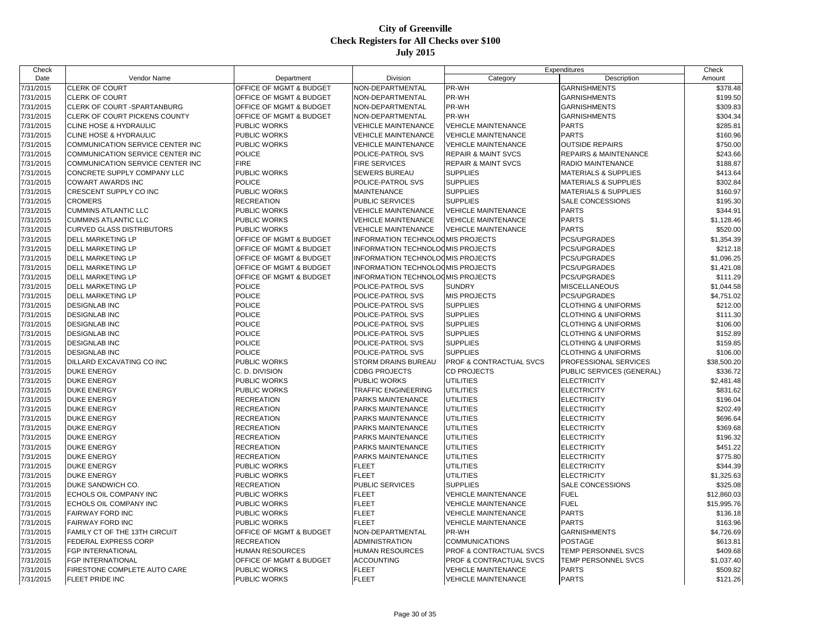| Check     |                                         |                                    |                                          |                                    | Expenditures                     | Check       |
|-----------|-----------------------------------------|------------------------------------|------------------------------------------|------------------------------------|----------------------------------|-------------|
| Date      | Vendor Name                             | Department                         | Division                                 | Category                           | Description                      | Amount      |
| 7/31/2015 | CLERK OF COURT                          | OFFICE OF MGMT & BUDGET            | NON-DEPARTMENTAL                         | PR-WH                              | <b>GARNISHMENTS</b>              | \$378.48    |
| 7/31/2015 | <b>CLERK OF COURT</b>                   | <b>OFFICE OF MGMT &amp; BUDGET</b> | NON-DEPARTMENTAL                         | PR-WH                              | <b>GARNISHMENTS</b>              | \$199.50    |
| 7/31/2015 | CLERK OF COURT -SPARTANBURG             | OFFICE OF MGMT & BUDGET            | NON-DEPARTMENTAL                         | PR-WH                              | <b>GARNISHMENTS</b>              | \$309.83    |
| 7/31/2015 | <b>CLERK OF COURT PICKENS COUNTY</b>    | <b>OFFICE OF MGMT &amp; BUDGET</b> | NON-DEPARTMENTAL                         | PR-WH                              | <b>GARNISHMENTS</b>              | \$304.34    |
| 7/31/2015 | CLINE HOSE & HYDRAULIC                  | <b>PUBLIC WORKS</b>                | <b>VEHICLE MAINTENANCE</b>               | <b>VEHICLE MAINTENANCE</b>         | <b>PARTS</b>                     | \$285.81    |
| 7/31/2015 | <b>CLINE HOSE &amp; HYDRAULIC</b>       | <b>PUBLIC WORKS</b>                | <b>VEHICLE MAINTENANCE</b>               | <b>VEHICLE MAINTENANCE</b>         | <b>PARTS</b>                     | \$160.96    |
| 7/31/2015 | COMMUNICATION SERVICE CENTER INC        | <b>PUBLIC WORKS</b>                | <b>VEHICLE MAINTENANCE</b>               | <b>VEHICLE MAINTENANCE</b>         | <b>OUTSIDE REPAIRS</b>           | \$750.00    |
| 7/31/2015 | <b>COMMUNICATION SERVICE CENTER INC</b> | <b>POLICE</b>                      | POLICE-PATROL SVS                        | <b>REPAIR &amp; MAINT SVCS</b>     | <b>REPAIRS &amp; MAINTENANCE</b> | \$243.66    |
| 7/31/2015 | COMMUNICATION SERVICE CENTER INC        | <b>FIRE</b>                        | <b>FIRE SERVICES</b>                     | <b>REPAIR &amp; MAINT SVCS</b>     | RADIO MAINTENANCE                | \$188.87    |
| 7/31/2015 | CONCRETE SUPPLY COMPANY LLC             | <b>PUBLIC WORKS</b>                | <b>SEWERS BUREAU</b>                     | <b>SUPPLIES</b>                    | <b>MATERIALS &amp; SUPPLIES</b>  | \$413.64    |
| 7/31/2015 | COWART AWARDS INC                       | <b>POLICE</b>                      | POLICE-PATROL SVS                        | <b>SUPPLIES</b>                    | <b>MATERIALS &amp; SUPPLIES</b>  | \$302.84    |
| 7/31/2015 | CRESCENT SUPPLY CO INC                  | PUBLIC WORKS                       | <b>MAINTENANCE</b>                       | <b>SUPPLIES</b>                    | <b>MATERIALS &amp; SUPPLIES</b>  | \$160.97    |
| 7/31/2015 | <b>CROMERS</b>                          | <b>RECREATION</b>                  | <b>PUBLIC SERVICES</b>                   | <b>SUPPLIES</b>                    | SALE CONCESSIONS                 | \$195.30    |
| 7/31/2015 | <b>CUMMINS ATLANTIC LLC</b>             | <b>PUBLIC WORKS</b>                | <b>VEHICLE MAINTENANCE</b>               | <b>VEHICLE MAINTENANCE</b>         | <b>PARTS</b>                     | \$344.91    |
| 7/31/2015 | <b>CUMMINS ATLANTIC LLC</b>             | <b>PUBLIC WORKS</b>                | <b>VEHICLE MAINTENANCE</b>               | <b>VEHICLE MAINTENANCE</b>         | <b>PARTS</b>                     | \$1,128.46  |
| 7/31/2015 | <b>CURVED GLASS DISTRIBUTORS</b>        | <b>PUBLIC WORKS</b>                | <b>VEHICLE MAINTENANCE</b>               | <b>VEHICLE MAINTENANCE</b>         | <b>PARTS</b>                     | \$520.00    |
| 7/31/2015 | <b>DELL MARKETING LP</b>                | OFFICE OF MGMT & BUDGET            | INFORMATION TECHNOLOOMIS PROJECTS        |                                    | PCS/UPGRADES                     | \$1,354.39  |
| 7/31/2015 | <b>DELL MARKETING LP</b>                | <b>OFFICE OF MGMT &amp; BUDGET</b> | <b>INFORMATION TECHNOLOGMIS PROJECTS</b> |                                    | PCS/UPGRADES                     | \$212.18    |
| 7/31/2015 | <b>DELL MARKETING LP</b>                | <b>OFFICE OF MGMT &amp; BUDGET</b> | <b>INFORMATION TECHNOLOGMIS PROJECTS</b> |                                    | <b>PCS/UPGRADES</b>              | \$1,096.25  |
| 7/31/2015 | <b>DELL MARKETING LP</b>                | <b>OFFICE OF MGMT &amp; BUDGET</b> | INFORMATION TECHNOLOGMIS PROJECTS        |                                    | <b>PCS/UPGRADES</b>              | \$1,421.08  |
| 7/31/2015 | <b>DELL MARKETING LP</b>                | <b>OFFICE OF MGMT &amp; BUDGET</b> | <b>INFORMATION TECHNOLOGMIS PROJECTS</b> |                                    | PCS/UPGRADES                     | \$111.29    |
| 7/31/2015 | DELL MARKETING LP                       | <b>POLICE</b>                      | POLICE-PATROL SVS                        | <b>SUNDRY</b>                      | <b>MISCELLANEOUS</b>             | \$1,044.58  |
| 7/31/2015 | <b>DELL MARKETING LP</b>                | <b>POLICE</b>                      | POLICE-PATROL SVS                        | <b>MIS PROJECTS</b>                | PCS/UPGRADES                     | \$4,751.02  |
| 7/31/2015 | <b>DESIGNLAB INC</b>                    | <b>POLICE</b>                      | POLICE-PATROL SVS                        | <b>SUPPLIES</b>                    | <b>CLOTHING &amp; UNIFORMS</b>   | \$212.00    |
|           |                                         | <b>POLICE</b>                      | POLICE-PATROL SVS                        | <b>SUPPLIES</b>                    |                                  |             |
| 7/31/2015 | <b>DESIGNLAB INC</b>                    | <b>POLICE</b>                      | POLICE-PATROL SVS                        | <b>SUPPLIES</b>                    | <b>CLOTHING &amp; UNIFORMS</b>   | \$111.30    |
| 7/31/2015 | <b>DESIGNLAB INC</b>                    | <b>POLICE</b>                      |                                          |                                    | <b>CLOTHING &amp; UNIFORMS</b>   | \$106.00    |
| 7/31/2015 | <b>DESIGNLAB INC</b>                    |                                    | POLICE-PATROL SVS                        | <b>SUPPLIES</b>                    | <b>CLOTHING &amp; UNIFORMS</b>   | \$152.89    |
| 7/31/2015 | <b>DESIGNLAB INC</b>                    | <b>POLICE</b>                      | POLICE-PATROL SVS                        | <b>SUPPLIES</b>                    | <b>CLOTHING &amp; UNIFORMS</b>   | \$159.85    |
| 7/31/2015 | <b>DESIGNLAB INC</b>                    | <b>POLICE</b>                      | POLICE-PATROL SVS                        | <b>SUPPLIES</b>                    | <b>CLOTHING &amp; UNIFORMS</b>   | \$106.00    |
| 7/31/2015 | DILLARD EXCAVATING CO INC               | <b>PUBLIC WORKS</b>                | <b>STORM DRAINS BUREAU</b>               | <b>PROF &amp; CONTRACTUAL SVCS</b> | PROFESSIONAL SERVICES            | \$38,500.20 |
| 7/31/2015 | <b>DUKE ENERGY</b>                      | C. D. DIVISION                     | <b>CDBG PROJECTS</b>                     | <b>CD PROJECTS</b>                 | PUBLIC SERVICES (GENERAL)        | \$336.72    |
| 7/31/2015 | <b>DUKE ENERGY</b>                      | PUBLIC WORKS                       | PUBLIC WORKS                             | <b>UTILITIES</b>                   | <b>ELECTRICITY</b>               | \$2,481.48  |
| 7/31/2015 | <b>DUKE ENERGY</b>                      | <b>PUBLIC WORKS</b>                | <b>TRAFFIC ENGINEERING</b>               | <b>UTILITIES</b>                   | <b>ELECTRICITY</b>               | \$831.62    |
| 7/31/2015 | <b>DUKE ENERGY</b>                      | <b>RECREATION</b>                  | PARKS MAINTENANCE                        | <b>UTILITIES</b>                   | <b>ELECTRICITY</b>               | \$196.04    |
| 7/31/2015 | <b>DUKE ENERGY</b>                      | <b>RECREATION</b>                  | PARKS MAINTENANCE                        | <b>UTILITIES</b>                   | <b>ELECTRICITY</b>               | \$202.49    |
| 7/31/2015 | <b>DUKE ENERGY</b>                      | <b>RECREATION</b>                  | PARKS MAINTENANCE                        | <b>UTILITIES</b>                   | <b>ELECTRICITY</b>               | \$696.64    |
| 7/31/2015 | <b>DUKE ENERGY</b>                      | <b>RECREATION</b>                  | PARKS MAINTENANCE                        | <b>UTILITIES</b>                   | <b>ELECTRICITY</b>               | \$369.68    |
| 7/31/2015 | <b>DUKE ENERGY</b>                      | <b>RECREATION</b>                  | PARKS MAINTENANCE                        | <b>UTILITIES</b>                   | <b>ELECTRICITY</b>               | \$196.32    |
| 7/31/2015 | <b>DUKE ENERGY</b>                      | <b>RECREATION</b>                  | PARKS MAINTENANCE                        | <b>UTILITIES</b>                   | <b>ELECTRICITY</b>               | \$451.22    |
| 7/31/2015 | <b>DUKE ENERGY</b>                      | <b>RECREATION</b>                  | PARKS MAINTENANCE                        | <b>UTILITIES</b>                   | <b>ELECTRICITY</b>               | \$775.80    |
| 7/31/2015 | <b>DUKE ENERGY</b>                      | <b>PUBLIC WORKS</b>                | <b>FLEET</b>                             | <b>UTILITIES</b>                   | <b>ELECTRICITY</b>               | \$344.39    |
| 7/31/2015 | <b>DUKE ENERGY</b>                      | <b>PUBLIC WORKS</b>                | <b>FLEET</b>                             | <b>UTILITIES</b>                   | <b>ELECTRICITY</b>               | \$1,325.63  |
| 7/31/2015 | DUKE SANDWICH CO.                       | <b>RECREATION</b>                  | PUBLIC SERVICES                          | <b>SUPPLIES</b>                    | SALE CONCESSIONS                 | \$325.08    |
| 7/31/2015 | ECHOLS OIL COMPANY INC                  | <b>PUBLIC WORKS</b>                | <b>FLEET</b>                             | <b>VEHICLE MAINTENANCE</b>         | <b>FUEL</b>                      | \$12,860.03 |
| 7/31/2015 | ECHOLS OIL COMPANY INC                  | PUBLIC WORKS                       | <b>FLEET</b>                             | VEHICLE MAINTENANCE                | <b>FUEL</b>                      | \$15,995.76 |
| 7/31/2015 | <b>FAIRWAY FORD INC</b>                 | <b>PUBLIC WORKS</b>                | <b>FLEET</b>                             | <b>VEHICLE MAINTENANCE</b>         | <b>PARTS</b>                     | \$136.18    |
| 7/31/2015 | <b>FAIRWAY FORD INC</b>                 | <b>PUBLIC WORKS</b>                | <b>FLEET</b>                             | <b>VEHICLE MAINTENANCE</b>         | <b>PARTS</b>                     | \$163.96    |
| 7/31/2015 | FAMILY CT OF THE 13TH CIRCUIT           | <b>OFFICE OF MGMT &amp; BUDGET</b> | NON-DEPARTMENTAL                         | PR-WH                              | <b>GARNISHMENTS</b>              | \$4,726.69  |
| 7/31/2015 | FEDERAL EXPRESS CORP                    | <b>RECREATION</b>                  | <b>ADMINISTRATION</b>                    | <b>COMMUNICATIONS</b>              | <b>POSTAGE</b>                   | \$613.81    |
| 7/31/2015 | <b>FGP INTERNATIONAL</b>                | <b>HUMAN RESOURCES</b>             | <b>HUMAN RESOURCES</b>                   | <b>PROF &amp; CONTRACTUAL SVCS</b> | TEMP PERSONNEL SVCS              | \$409.68    |
| 7/31/2015 | FGP INTERNATIONAL                       | OFFICE OF MGMT & BUDGET            | <b>ACCOUNTING</b>                        | PROF & CONTRACTUAL SVCS            | TEMP PERSONNEL SVCS              | \$1,037.40  |
| 7/31/2015 | FIRESTONE COMPLETE AUTO CARE            | PUBLIC WORKS                       | <b>FLEET</b>                             | <b>VEHICLE MAINTENANCE</b>         | <b>PARTS</b>                     | \$509.82    |
| 7/31/2015 | <b>FLEET PRIDE INC</b>                  | <b>PUBLIC WORKS</b>                | <b>FLEET</b>                             | <b>VEHICLE MAINTENANCE</b>         | <b>PARTS</b>                     | \$121.26    |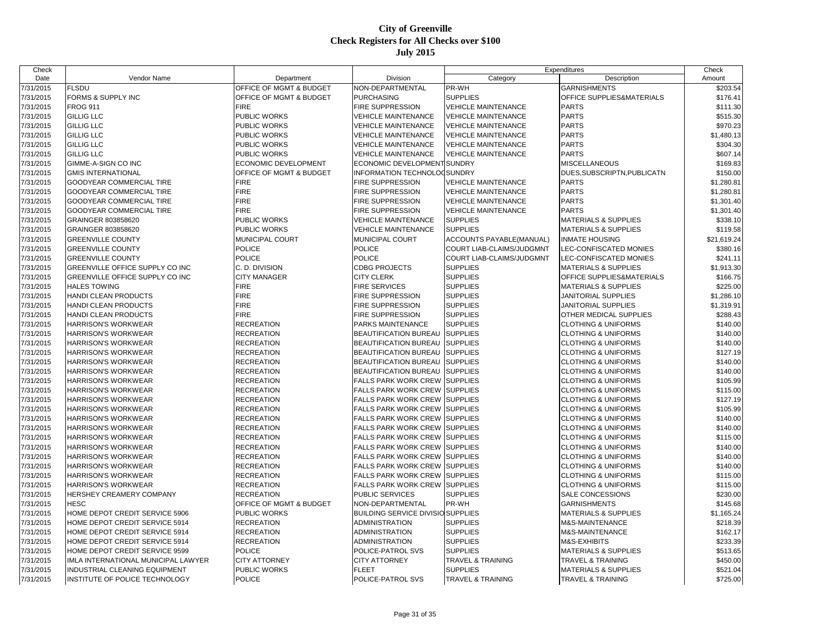| Check     |                                     |                             |                                          |                              | Expenditures                    | Check       |
|-----------|-------------------------------------|-----------------------------|------------------------------------------|------------------------------|---------------------------------|-------------|
| Date      | Vendor Name                         | Department                  | Division                                 | Category                     | Description                     | Amount      |
| 7/31/2015 | <b>FLSDU</b>                        | OFFICE OF MGMT & BUDGET     | NON-DEPARTMENTAL                         | PR-WH                        | <b>GARNISHMENTS</b>             | \$203.54    |
| 7/31/2015 | FORMS & SUPPLY INC                  | OFFICE OF MGMT & BUDGET     | <b>PURCHASING</b>                        | <b>SUPPLIES</b>              | OFFICE SUPPLIES&MATERIALS       | \$176.41    |
| 7/31/2015 | <b>FROG 911</b>                     | <b>FIRE</b>                 | <b>FIRE SUPPRESSION</b>                  | <b>VEHICLE MAINTENANCE</b>   | <b>PARTS</b>                    | \$111.30    |
| 7/31/2015 | <b>GILLIG LLC</b>                   | <b>PUBLIC WORKS</b>         | <b>VEHICLE MAINTENANCE</b>               | <b>VEHICLE MAINTENANCE</b>   | <b>PARTS</b>                    | \$515.30    |
| 7/31/2015 | <b>GILLIG LLC</b>                   | PUBLIC WORKS                | <b>VEHICLE MAINTENANCE</b>               | <b>VEHICLE MAINTENANCE</b>   | <b>PARTS</b>                    | \$970.23    |
| 7/31/2015 | <b>GILLIG LLC</b>                   | PUBLIC WORKS                | <b>VEHICLE MAINTENANCE</b>               | <b>VEHICLE MAINTENANCE</b>   | <b>PARTS</b>                    | \$1,480.13  |
| 7/31/2015 | <b>GILLIG LLC</b>                   | PUBLIC WORKS                | <b>VEHICLE MAINTENANCE</b>               | VEHICLE MAINTENANCE          | <b>PARTS</b>                    | \$304.30    |
| 7/31/2015 | <b>GILLIG LLC</b>                   | <b>PUBLIC WORKS</b>         | <b>VEHICLE MAINTENANCE</b>               | <b>VEHICLE MAINTENANCE</b>   | <b>PARTS</b>                    | \$607.14    |
| 7/31/2015 | GIMME-A-SIGN CO INC                 | <b>ECONOMIC DEVELOPMENT</b> | ECONOMIC DEVELOPMENT SUNDRY              |                              | <b>MISCELLANEOUS</b>            | \$169.83    |
| 7/31/2015 | <b>GMIS INTERNATIONAL</b>           | OFFICE OF MGMT & BUDGET     | INFORMATION TECHNOLOGSUNDRY              |                              | DUES, SUBSCRIPTN, PUBLICATN     | \$150.00    |
| 7/31/2015 | GOODYEAR COMMERCIAL TIRE            | <b>FIRE</b>                 | <b>FIRE SUPPRESSION</b>                  | <b>VEHICLE MAINTENANCE</b>   | <b>PARTS</b>                    | \$1,280.81  |
| 7/31/2015 | GOODYEAR COMMERCIAL TIRE            | <b>FIRE</b>                 | <b>FIRE SUPPRESSION</b>                  | <b>VEHICLE MAINTENANCE</b>   | <b>PARTS</b>                    | \$1,280.81  |
| 7/31/2015 | GOODYEAR COMMERCIAL TIRE            | <b>FIRE</b>                 | <b>FIRE SUPPRESSION</b>                  | <b>VEHICLE MAINTENANCE</b>   | <b>PARTS</b>                    | \$1,301.40  |
| 7/31/2015 | <b>GOODYEAR COMMERCIAL TIRE</b>     | <b>FIRE</b>                 | <b>FIRE SUPPRESSION</b>                  | <b>VEHICLE MAINTENANCE</b>   | <b>PARTS</b>                    | \$1,301.40  |
| 7/31/2015 | GRAINGER 803858620                  | <b>PUBLIC WORKS</b>         | <b>VEHICLE MAINTENANCE</b>               | <b>SUPPLIES</b>              | <b>MATERIALS &amp; SUPPLIES</b> | \$338.10    |
| 7/31/2015 | GRAINGER 803858620                  | PUBLIC WORKS                | <b>VEHICLE MAINTENANCE</b>               | <b>SUPPLIES</b>              | <b>MATERIALS &amp; SUPPLIES</b> | \$119.58    |
| 7/31/2015 | <b>GREENVILLE COUNTY</b>            | MUNICIPAL COURT             | MUNICIPAL COURT                          | ACCOUNTS PAYABLE(MANUAL)     | <b>INMATE HOUSING</b>           | \$21,619.24 |
| 7/31/2015 | <b>GREENVILLE COUNTY</b>            | <b>POLICE</b>               | <b>POLICE</b>                            | COURT LIAB-CLAIMS/JUDGMNT    | LEC-CONFISCATED MONIES          | \$380.16    |
| 7/31/2015 | <b>GREENVILLE COUNTY</b>            | <b>POLICE</b>               | <b>POLICE</b>                            | COURT LIAB-CLAIMS/JUDGMNT    | LEC-CONFISCATED MONIES          | \$241.11    |
| 7/31/2015 | GREENVILLE OFFICE SUPPLY CO INC     | C. D. DIVISION              | <b>CDBG PROJECTS</b>                     | <b>SUPPLIES</b>              | <b>MATERIALS &amp; SUPPLIES</b> | \$1,913.30  |
| 7/31/2015 | GREENVILLE OFFICE SUPPLY CO INC     | <b>CITY MANAGER</b>         | <b>CITY CLERK</b>                        | <b>SUPPLIES</b>              | OFFICE SUPPLIES&MATERIALS       | \$166.75    |
| 7/31/2015 | <b>HALES TOWING</b>                 | <b>FIRE</b>                 | <b>FIRE SERVICES</b>                     | <b>SUPPLIES</b>              | <b>MATERIALS &amp; SUPPLIES</b> | \$225.00    |
| 7/31/2015 | <b>HANDI CLEAN PRODUCTS</b>         | <b>FIRE</b>                 | <b>FIRE SUPPRESSION</b>                  | <b>SUPPLIES</b>              | JANITORIAL SUPPLIES             | \$1,286.10  |
| 7/31/2015 | HANDI CLEAN PRODUCTS                | <b>FIRE</b>                 | <b>FIRE SUPPRESSION</b>                  | <b>SUPPLIES</b>              | JANITORIAL SUPPLIES             | \$1,319.91  |
| 7/31/2015 | HANDI CLEAN PRODUCTS                | <b>FIRE</b>                 | <b>FIRE SUPPRESSION</b>                  | <b>SUPPLIES</b>              | OTHER MEDICAL SUPPLIES          | \$288.43    |
| 7/31/2015 | <b>HARRISON'S WORKWEAR</b>          | <b>RECREATION</b>           | <b>PARKS MAINTENANCE</b>                 | <b>SUPPLIES</b>              | <b>CLOTHING &amp; UNIFORMS</b>  | \$140.00    |
| 7/31/2015 | <b>HARRISON'S WORKWEAR</b>          | <b>RECREATION</b>           | <b>BEAUTIFICATION BUREAU</b>             | <b>SUPPLIES</b>              | <b>CLOTHING &amp; UNIFORMS</b>  | \$140.00    |
| 7/31/2015 | HARRISON'S WORKWEAR                 | <b>RECREATION</b>           | BEAUTIFICATION BUREAU                    | <b>SUPPLIES</b>              | <b>CLOTHING &amp; UNIFORMS</b>  | \$140.00    |
| 7/31/2015 | HARRISON'S WORKWEAR                 | <b>RECREATION</b>           | <b>BEAUTIFICATION BUREAU</b>             | <b>SUPPLIES</b>              | <b>CLOTHING &amp; UNIFORMS</b>  | \$127.19    |
| 7/31/2015 | <b>HARRISON'S WORKWEAR</b>          | <b>RECREATION</b>           | <b>BEAUTIFICATION BUREAU</b>             | <b>SUPPLIES</b>              | <b>CLOTHING &amp; UNIFORMS</b>  | \$140.00    |
| 7/31/2015 | HARRISON'S WORKWEAR                 | <b>RECREATION</b>           | <b>BEAUTIFICATION BUREAU</b>             | <b>SUPPLIES</b>              | <b>CLOTHING &amp; UNIFORMS</b>  | \$140.00    |
| 7/31/2015 | HARRISON'S WORKWEAR                 | <b>RECREATION</b>           | <b>FALLS PARK WORK CREW</b>              | <b>SUPPLIES</b>              | <b>CLOTHING &amp; UNIFORMS</b>  | \$105.99    |
| 7/31/2015 | HARRISON'S WORKWEAR                 | <b>RECREATION</b>           | <b>FALLS PARK WORK CREW</b>              | <b>SUPPLIES</b>              | <b>CLOTHING &amp; UNIFORMS</b>  | \$115.00    |
| 7/31/2015 | HARRISON'S WORKWEAR                 | <b>RECREATION</b>           | <b>FALLS PARK WORK CREW</b>              | <b>SUPPLIES</b>              | <b>CLOTHING &amp; UNIFORMS</b>  | \$127.19    |
| 7/31/2015 | <b>HARRISON'S WORKWEAR</b>          | <b>RECREATION</b>           | <b>FALLS PARK WORK CREW</b>              | <b>SUPPLIES</b>              | <b>CLOTHING &amp; UNIFORMS</b>  | \$105.99    |
| 7/31/2015 | <b>HARRISON'S WORKWEAR</b>          | <b>RECREATION</b>           | <b>FALLS PARK WORK CREW</b>              | <b>SUPPLIES</b>              | <b>CLOTHING &amp; UNIFORMS</b>  | \$140.00    |
| 7/31/2015 | <b>HARRISON'S WORKWEAR</b>          | <b>RECREATION</b>           | <b>FALLS PARK WORK CREW</b>              | <b>SUPPLIES</b>              | <b>CLOTHING &amp; UNIFORMS</b>  | \$140.00    |
| 7/31/2015 | HARRISON'S WORKWEAR                 | <b>RECREATION</b>           | <b>FALLS PARK WORK CREW</b>              | <b>SUPPLIES</b>              | <b>CLOTHING &amp; UNIFORMS</b>  | \$115.00    |
| 7/31/2015 | HARRISON'S WORKWEAR                 | <b>RECREATION</b>           | <b>FALLS PARK WORK CREW</b>              | <b>SUPPLIES</b>              | <b>CLOTHING &amp; UNIFORMS</b>  | \$140.00    |
| 7/31/2015 | HARRISON'S WORKWEAR                 | <b>RECREATION</b>           | <b>FALLS PARK WORK CREW</b>              | <b>SUPPLIES</b>              | <b>CLOTHING &amp; UNIFORMS</b>  | \$140.00    |
| 7/31/2015 | HARRISON'S WORKWEAR                 | <b>RECREATION</b>           | <b>FALLS PARK WORK CREW</b>              | <b>SUPPLIES</b>              | <b>CLOTHING &amp; UNIFORMS</b>  | \$140.00    |
| 7/31/2015 | HARRISON'S WORKWEAR                 | <b>RECREATION</b>           | <b>FALLS PARK WORK CREW</b>              | <b>SUPPLIES</b>              | <b>CLOTHING &amp; UNIFORMS</b>  | \$115.00    |
| 7/31/2015 | HARRISON'S WORKWEAR                 | <b>RECREATION</b>           | FALLS PARK WORK CREW                     | <b>SUPPLIES</b>              | <b>CLOTHING &amp; UNIFORMS</b>  | \$115.00    |
| 7/31/2015 | HERSHEY CREAMERY COMPANY            | <b>RECREATION</b>           | <b>PUBLIC SERVICES</b>                   | <b>SUPPLIES</b>              | SALE CONCESSIONS                | \$230.00    |
| 7/31/2015 | HESC                                | OFFICE OF MGMT & BUDGET     | NON-DEPARTMENTAL                         | PR-WH                        | <b>GARNISHMENTS</b>             | \$145.68    |
| 7/31/2015 | HOME DEPOT CREDIT SERVICE 5906      | PUBLIC WORKS                | <b>BUILDING SERVICE DIVISIO SUPPLIES</b> |                              | <b>MATERIALS &amp; SUPPLIES</b> | \$1,165.24  |
| 7/31/2015 | HOME DEPOT CREDIT SERVICE 5914      | <b>RECREATION</b>           | <b>ADMINISTRATION</b>                    | <b>SUPPLIES</b>              | <b>M&amp;S-MAINTENANCE</b>      | \$218.39    |
| 7/31/2015 | HOME DEPOT CREDIT SERVICE 5914      | <b>RECREATION</b>           | <b>ADMINISTRATION</b>                    | <b>SUPPLIES</b>              | M&S-MAINTENANCE                 | \$162.17    |
| 7/31/2015 | HOME DEPOT CREDIT SERVICE 5914      | <b>RECREATION</b>           | <b>ADMINISTRATION</b>                    | <b>SUPPLIES</b>              | M&S-EXHIBITS                    | \$233.39    |
| 7/31/2015 | HOME DEPOT CREDIT SERVICE 9599      | <b>POLICE</b>               | POLICE-PATROL SVS                        | <b>SUPPLIES</b>              | <b>MATERIALS &amp; SUPPLIES</b> | \$513.65    |
| 7/31/2015 | IMLA INTERNATIONAL MUNICIPAL LAWYER | <b>CITY ATTORNEY</b>        | <b>CITY ATTORNEY</b>                     | <b>TRAVEL &amp; TRAINING</b> | <b>TRAVEL &amp; TRAINING</b>    | \$450.00    |
| 7/31/2015 | INDUSTRIAL CLEANING EQUIPMENT       | PUBLIC WORKS                | <b>FLEET</b>                             | <b>SUPPLIES</b>              | <b>MATERIALS &amp; SUPPLIES</b> | \$521.04    |
| 7/31/2015 | INSTITUTE OF POLICE TECHNOLOGY      | <b>POLICE</b>               | POLICE-PATROL SVS                        | <b>TRAVEL &amp; TRAINING</b> | TRAVEL & TRAINING               | \$725.00    |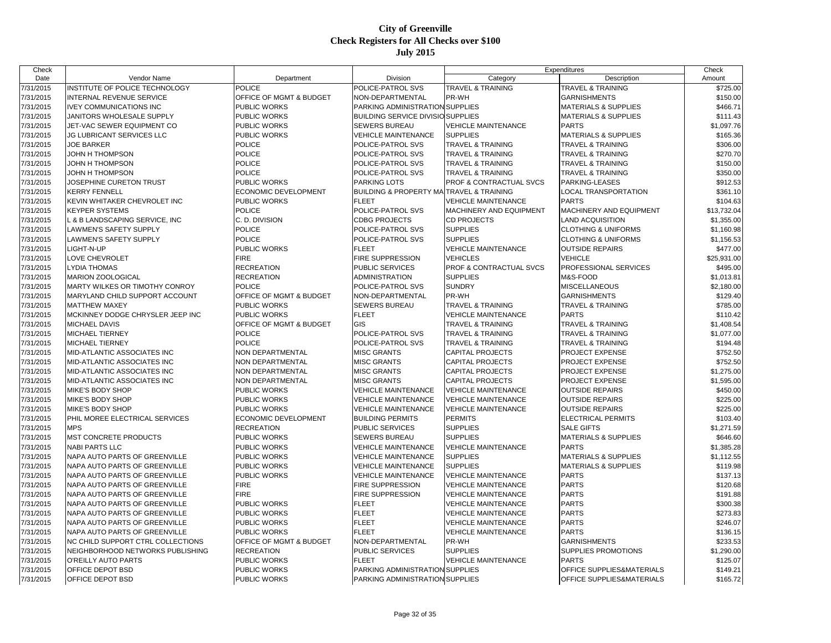| Check     |                                   |                                    |                                          |                                    | Expenditures                    | Check                  |
|-----------|-----------------------------------|------------------------------------|------------------------------------------|------------------------------------|---------------------------------|------------------------|
| Date      | Vendor Name                       | Department                         | Division                                 | Category                           | Description                     | Amount                 |
| 7/31/2015 | INSTITUTE OF POLICE TECHNOLOGY    | <b>POLICE</b>                      | POLICE-PATROL SVS                        | <b>TRAVEL &amp; TRAINING</b>       | <b>TRAVEL &amp; TRAINING</b>    | \$725.00               |
| 7/31/2015 | INTERNAL REVENUE SERVICE          | OFFICE OF MGMT & BUDGET            | NON-DEPARTMENTAL                         | PR-WH                              | <b>GARNISHMENTS</b>             | \$150.00               |
| 7/31/2015 | <b>IVEY COMMUNICATIONS INC</b>    | <b>PUBLIC WORKS</b>                | PARKING ADMINISTRATION SUPPLIES          |                                    | <b>MATERIALS &amp; SUPPLIES</b> | \$466.71               |
| 7/31/2015 | JANITORS WHOLESALE SUPPLY         | <b>PUBLIC WORKS</b>                | <b>BUILDING SERVICE DIVISIO SUPPLIES</b> |                                    | <b>MATERIALS &amp; SUPPLIES</b> | \$111.43               |
| 7/31/2015 | JET-VAC SEWER EQUIPMENT CO        | <b>PUBLIC WORKS</b>                | <b>SEWERS BUREAU</b>                     | <b>VEHICLE MAINTENANCE</b>         | <b>PARTS</b>                    | \$1,097.76             |
| 7/31/2015 | JG LUBRICANT SERVICES LLC         | PUBLIC WORKS                       | <b>VEHICLE MAINTENANCE</b>               | <b>SUPPLIES</b>                    | <b>MATERIALS &amp; SUPPLIES</b> | \$165.36               |
| 7/31/2015 | <b>JOE BARKER</b>                 | <b>POLICE</b>                      | POLICE-PATROL SVS                        | <b>TRAVEL &amp; TRAINING</b>       | <b>TRAVEL &amp; TRAINING</b>    | \$306.00               |
| 7/31/2015 | JOHN H THOMPSON                   | <b>POLICE</b>                      | POLICE-PATROL SVS                        | <b>TRAVEL &amp; TRAINING</b>       | <b>TRAVEL &amp; TRAINING</b>    | \$270.70               |
| 7/31/2015 | JOHN H THOMPSON                   | <b>POLICE</b>                      | POLICE-PATROL SVS                        | <b>TRAVEL &amp; TRAINING</b>       | <b>TRAVEL &amp; TRAINING</b>    | \$150.00               |
| 7/31/2015 | JOHN H THOMPSON                   | <b>POLICE</b>                      | POLICE-PATROL SVS                        | <b>TRAVEL &amp; TRAINING</b>       | <b>TRAVEL &amp; TRAINING</b>    | \$350.00               |
| 7/31/2015 | JOSEPHINE CURETON TRUST           | <b>PUBLIC WORKS</b>                | PARKING LOTS                             | <b>PROF &amp; CONTRACTUAL SVCS</b> | PARKING-LEASES                  | \$912.53               |
| 7/31/2015 | <b>KERRY FENNELL</b>              | <b>ECONOMIC DEVELOPMENT</b>        | <b>BUILDING &amp; PROPERTY MA</b>        | TRAVEL & TRAINING                  | LOCAL TRANSPORTATION            | \$361.10               |
| 7/31/2015 | KEVIN WHITAKER CHEVROLET INC      | <b>PUBLIC WORKS</b>                | <b>FLEET</b>                             | <b>VEHICLE MAINTENANCE</b>         | <b>PARTS</b>                    | \$104.63               |
| 7/31/2015 | <b>KEYPER SYSTEMS</b>             | <b>POLICE</b>                      | POLICE-PATROL SVS                        | MACHINERY AND EQUIPMENT            | MACHINERY AND EQUIPMENT         | \$13,732.04            |
| 7/31/2015 | L & B LANDSCAPING SERVICE, INC    | C. D. DIVISION                     | <b>CDBG PROJECTS</b>                     | <b>CD PROJECTS</b>                 | <b>LAND ACQUISITION</b>         | \$1,355.00             |
| 7/31/2015 | <b>LAWMEN'S SAFETY SUPPLY</b>     | <b>POLICE</b>                      | POLICE-PATROL SVS                        | <b>SUPPLIES</b>                    | <b>CLOTHING &amp; UNIFORMS</b>  | \$1,160.98             |
| 7/31/2015 | <b>LAWMEN'S SAFETY SUPPLY</b>     | <b>POLICE</b>                      | POLICE-PATROL SVS                        | <b>SUPPLIES</b>                    | <b>CLOTHING &amp; UNIFORMS</b>  | \$1,156.53             |
| 7/31/2015 | LIGHT-N-UP                        | PUBLIC WORKS                       | <b>FLEET</b>                             | <b>VEHICLE MAINTENANCE</b>         | <b>OUTSIDE REPAIRS</b>          | \$477.00               |
| 7/31/2015 | LOVE CHEVROLET                    | <b>FIRE</b>                        | <b>FIRE SUPPRESSION</b>                  | <b>VEHICLES</b>                    | <b>VEHICLE</b>                  | \$25,931.00            |
| 7/31/2015 | <b>LYDIA THOMAS</b>               | <b>RECREATION</b>                  | PUBLIC SERVICES                          | PROF & CONTRACTUAL SVCS            | PROFESSIONAL SERVICES           | \$495.00               |
| 7/31/2015 | <b>MARION ZOOLOGICAL</b>          | <b>RECREATION</b>                  | <b>ADMINISTRATION</b>                    | <b>SUPPLIES</b>                    | M&S-FOOD                        | \$1,013.81             |
| 7/31/2015 | MARTY WILKES OR TIMOTHY CONROY    | <b>POLICE</b>                      | POLICE-PATROL SVS                        | <b>SUNDRY</b>                      | <b>MISCELLANEOUS</b>            | \$2,180.00             |
| 7/31/2015 | MARYLAND CHILD SUPPORT ACCOUNT    | OFFICE OF MGMT & BUDGET            | NON-DEPARTMENTAL                         | PR-WH                              | <b>GARNISHMENTS</b>             | \$129.40               |
| 7/31/2015 | <b>MATTHEW MAXEY</b>              | PUBLIC WORKS                       | <b>SEWERS BUREAU</b>                     | <b>TRAVEL &amp; TRAINING</b>       | <b>TRAVEL &amp; TRAINING</b>    | \$785.00               |
| 7/31/2015 | MCKINNEY DODGE CHRYSLER JEEP INC  | <b>PUBLIC WORKS</b>                | <b>FLEET</b>                             | <b>VEHICLE MAINTENANCE</b>         | <b>PARTS</b>                    |                        |
| 7/31/2015 | <b>MICHAEL DAVIS</b>              | <b>OFFICE OF MGMT &amp; BUDGET</b> | <b>GIS</b>                               | <b>TRAVEL &amp; TRAINING</b>       | <b>TRAVEL &amp; TRAINING</b>    | \$110.42<br>\$1,408.54 |
|           |                                   | <b>POLICE</b>                      |                                          |                                    |                                 | \$1,077.00             |
| 7/31/2015 | <b>MICHAEL TIERNEY</b>            |                                    | POLICE-PATROL SVS                        | <b>TRAVEL &amp; TRAINING</b>       | <b>TRAVEL &amp; TRAINING</b>    |                        |
| 7/31/2015 | <b>MICHAEL TIERNEY</b>            | <b>POLICE</b>                      | POLICE-PATROL SVS                        | <b>TRAVEL &amp; TRAINING</b>       | <b>TRAVEL &amp; TRAINING</b>    | \$194.48               |
| 7/31/2015 | MID-ATLANTIC ASSOCIATES INC       | <b>NON DEPARTMENTAL</b>            | <b>MISC GRANTS</b>                       | <b>CAPITAL PROJECTS</b>            | PROJECT EXPENSE                 | \$752.50               |
| 7/31/2015 | MID-ATLANTIC ASSOCIATES INC       | <b>NON DEPARTMENTAL</b>            | <b>MISC GRANTS</b>                       | <b>CAPITAL PROJECTS</b>            | PROJECT EXPENSE                 | \$752.50               |
| 7/31/2015 | MID-ATLANTIC ASSOCIATES INC       | <b>NON DEPARTMENTAL</b>            | <b>MISC GRANTS</b>                       | <b>CAPITAL PROJECTS</b>            | PROJECT EXPENSE                 | \$1,275.00             |
| 7/31/2015 | MID-ATLANTIC ASSOCIATES INC       | NON DEPARTMENTAL                   | <b>MISC GRANTS</b>                       | <b>CAPITAL PROJECTS</b>            | PROJECT EXPENSE                 | \$1,595.00             |
| 7/31/2015 | <b>MIKE'S BODY SHOP</b>           | <b>PUBLIC WORKS</b>                | <b>VEHICLE MAINTENANCE</b>               | <b>VEHICLE MAINTENANCE</b>         | <b>OUTSIDE REPAIRS</b>          | \$450.00               |
| 7/31/2015 | MIKE'S BODY SHOP                  | <b>PUBLIC WORKS</b>                | <b>VEHICLE MAINTENANCE</b>               | VEHICLE MAINTENANCE                | <b>OUTSIDE REPAIRS</b>          | \$225.00               |
| 7/31/2015 | <b>MIKE'S BODY SHOP</b>           | <b>PUBLIC WORKS</b>                | <b>VEHICLE MAINTENANCE</b>               | <b>VEHICLE MAINTENANCE</b>         | <b>OUTSIDE REPAIRS</b>          | \$225.00               |
| 7/31/2015 | PHIL MOREE ELECTRICAL SERVICES    | ECONOMIC DEVELOPMENT               | <b>BUILDING PERMITS</b>                  | <b>PERMITS</b>                     | <b>ELECTRICAL PERMITS</b>       | \$103.40               |
| 7/31/2015 | <b>MPS</b>                        | <b>RECREATION</b>                  | PUBLIC SERVICES                          | <b>SUPPLIES</b>                    | <b>SALE GIFTS</b>               | \$1,271.59             |
| 7/31/2015 | MST CONCRETE PRODUCTS             | <b>PUBLIC WORKS</b>                | <b>SEWERS BUREAU</b>                     | <b>SUPPLIES</b>                    | <b>MATERIALS &amp; SUPPLIES</b> | \$646.60               |
| 7/31/2015 | <b>NABI PARTS LLC</b>             | <b>PUBLIC WORKS</b>                | <b>VEHICLE MAINTENANCE</b>               | <b>VEHICLE MAINTENANCE</b>         | <b>PARTS</b>                    | \$1,385.28             |
| 7/31/2015 | NAPA AUTO PARTS OF GREENVILLE     | <b>PUBLIC WORKS</b>                | <b>VEHICLE MAINTENANCE</b>               | <b>SUPPLIES</b>                    | <b>MATERIALS &amp; SUPPLIES</b> | \$1,112.55             |
| 7/31/2015 | NAPA AUTO PARTS OF GREENVILLE     | <b>PUBLIC WORKS</b>                | <b>VEHICLE MAINTENANCE</b>               | <b>SUPPLIES</b>                    | <b>MATERIALS &amp; SUPPLIES</b> | \$119.98               |
| 7/31/2015 | NAPA AUTO PARTS OF GREENVILLE     | PUBLIC WORKS                       | <b>VEHICLE MAINTENANCE</b>               | <b>VEHICLE MAINTENANCE</b>         | <b>PARTS</b>                    | \$137.13               |
| 7/31/2015 | NAPA AUTO PARTS OF GREENVILLE     | <b>FIRE</b>                        | FIRE SUPPRESSION                         | <b>VEHICLE MAINTENANCE</b>         | <b>PARTS</b>                    | \$120.68               |
| 7/31/2015 | NAPA AUTO PARTS OF GREENVILLE     | <b>FIRE</b>                        | <b>FIRE SUPPRESSION</b>                  | <b>VEHICLE MAINTENANCE</b>         | <b>PARTS</b>                    | \$191.88               |
| 7/31/2015 | NAPA AUTO PARTS OF GREENVILLE     | PUBLIC WORKS                       | <b>FLEET</b>                             | <b>VEHICLE MAINTENANCE</b>         | <b>PARTS</b>                    | \$300.38               |
| 7/31/2015 | NAPA AUTO PARTS OF GREENVILLE     | <b>PUBLIC WORKS</b>                | <b>FLEET</b>                             | <b>VEHICLE MAINTENANCE</b>         | <b>PARTS</b>                    | \$273.83               |
| 7/31/2015 | NAPA AUTO PARTS OF GREENVILLE     | <b>PUBLIC WORKS</b>                | <b>FLEET</b>                             | <b>VEHICLE MAINTENANCE</b>         | <b>PARTS</b>                    | \$246.07               |
| 7/31/2015 | NAPA AUTO PARTS OF GREENVILLE     | <b>PUBLIC WORKS</b>                | <b>FLEET</b>                             | <b>VEHICLE MAINTENANCE</b>         | <b>PARTS</b>                    | \$136.15               |
| 7/31/2015 | NC CHILD SUPPORT CTRL COLLECTIONS | <b>OFFICE OF MGMT &amp; BUDGET</b> | NON-DEPARTMENTAL                         | PR-WH                              | <b>GARNISHMENTS</b>             | \$233.53               |
| 7/31/2015 | NEIGHBORHOOD NETWORKS PUBLISHING  | <b>RECREATION</b>                  | PUBLIC SERVICES                          | <b>SUPPLIES</b>                    | SUPPLIES PROMOTIONS             | \$1,290.00             |
| 7/31/2015 | O'REILLY AUTO PARTS               | <b>PUBLIC WORKS</b>                | <b>FLEET</b>                             | <b>VEHICLE MAINTENANCE</b>         | <b>PARTS</b>                    | \$125.07               |
| 7/31/2015 | OFFICE DEPOT BSD                  | <b>PUBLIC WORKS</b>                | PARKING ADMINISTRATION SUPPLIES          |                                    | OFFICE SUPPLIES&MATERIALS       | \$149.21               |
| 7/31/2015 | OFFICE DEPOT BSD                  | PUBLIC WORKS                       | PARKING ADMINISTRATION SUPPLIES          |                                    | OFFICE SUPPLIES&MATERIALS       | \$165.72               |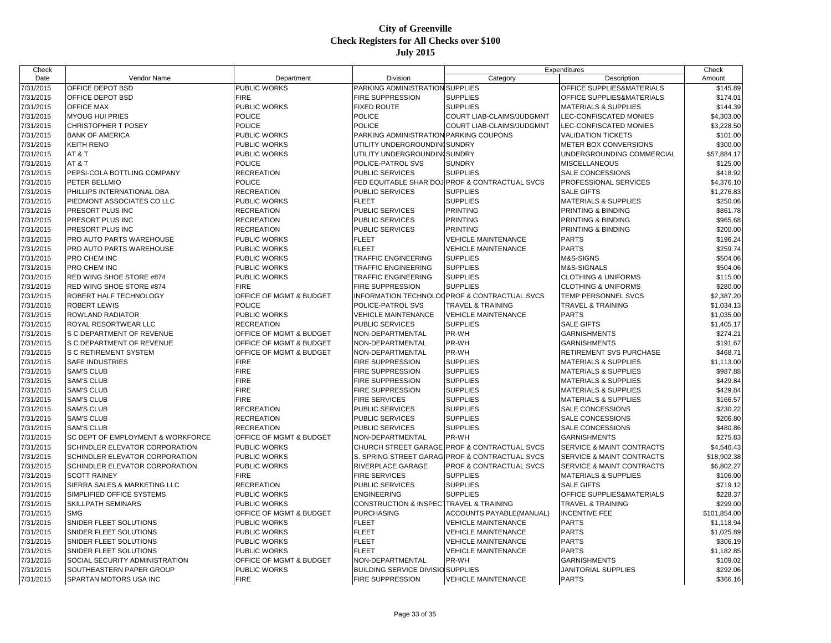| Date<br>Vendor Name<br>Department<br>Division<br>Category<br>Description<br>Amount<br>PUBLIC WORKS<br>7/31/2015<br>OFFICE DEPOT BSD<br>PARKING ADMINISTRATION SUPPLIES<br>OFFICE SUPPLIES&MATERIALS<br>\$145.89<br><b>FIRE</b><br>FIRE SUPPRESSION<br>OFFICE DEPOT BSD<br><b>SUPPLIES</b><br>OFFICE SUPPLIES&MATERIALS<br>\$174.01<br>7/31/2015<br>\$144.39<br>7/31/2015<br><b>OFFICE MAX</b><br>PUBLIC WORKS<br><b>FIXED ROUTE</b><br><b>SUPPLIES</b><br><b>MATERIALS &amp; SUPPLIES</b><br><b>MYOUG HUI PRIES</b><br><b>POLICE</b><br>POLICE<br>\$4,303.00<br>7/31/2015<br>COURT LIAB-CLAIMS/JUDGMNT<br>LEC-CONFISCATED MONIES<br><b>POLICE</b><br><b>POLICE</b><br>7/31/2015<br>CHRISTOPHER T POSEY<br><b>COURT LIAB-CLAIMS/JUDGMNT</b><br>LEC-CONFISCATED MONIES<br>\$3,228.50<br>PUBLIC WORKS<br>PARKING ADMINISTRATION PARKING COUPONS<br>\$101.00<br><b>BANK OF AMERICA</b><br><b>VALIDATION TICKETS</b><br>KEITH RENO<br>PUBLIC WORKS<br>UTILITY UNDERGROUNDIN(SUNDRY<br>\$300.00<br>METER BOX CONVERSIONS<br>7/31/2015<br>AT&T<br>PUBLIC WORKS<br>UTILITY UNDERGROUNDINGSUNDRY<br>UNDERGROUNDING COMMERCIAL<br>\$57,884.17<br>AT&T<br><b>POLICE</b><br>POLICE-PATROL SVS<br>\$125.00<br><b>SUNDRY</b><br><b>MISCELLANEOUS</b><br><b>RECREATION</b><br>PUBLIC SERVICES<br><b>SUPPLIES</b><br>SALE CONCESSIONS<br>\$418.92<br>7/31/2015<br>PEPSI-COLA BOTTLING COMPANY<br>PETER BELLMIO<br><b>POLICE</b><br>FED EQUITABLE SHAR DOJ<br><b>PROF &amp; CONTRACTUAL SVCS</b><br>\$4,376.10<br>PROFESSIONAL SERVICES<br><b>RECREATION</b><br>PUBLIC SERVICES<br><b>SUPPLIES</b><br>\$1,276.83<br>PHILLIPS INTERNATIONAL DBA<br><b>SALE GIFTS</b><br><b>SUPPLIES</b><br>PIEDMONT ASSOCIATES CO LLC<br>PUBLIC WORKS<br><b>FLEET</b><br><b>MATERIALS &amp; SUPPLIES</b><br>\$250.06<br>PRESORT PLUS INC<br><b>RECREATION</b><br>PUBLIC SERVICES<br><b>PRINTING</b><br>PRINTING & BINDING<br>\$861.78<br><b>RECREATION</b><br><b>PRINTING</b><br>PRESORT PLUS INC<br>PUBLIC SERVICES<br>PRINTING & BINDING<br>\$965.68<br>\$200.00<br>PRESORT PLUS INC<br><b>RECREATION</b><br>PUBLIC SERVICES<br><b>PRINTING</b><br>PRINTING & BINDING<br>PUBLIC WORKS<br><b>FLEET</b><br><b>VEHICLE MAINTENANCE</b><br><b>PARTS</b><br>\$196.24<br>PRO AUTO PARTS WAREHOUSE<br>7/31/2015<br>PRO AUTO PARTS WAREHOUSE<br><b>FLEET</b><br><b>VEHICLE MAINTENANCE</b><br><b>PARTS</b><br>\$259.74<br>PUBLIC WORKS<br>\$504.06<br>7/31/2015<br>PRO CHEM INC<br><b>PUBLIC WORKS</b><br><b>TRAFFIC ENGINEERING</b><br><b>SUPPLIES</b><br>M&S-SIGNS<br><b>PRO CHEM INC</b><br><b>TRAFFIC ENGINEERING</b><br><b>SUPPLIES</b><br>M&S-SIGNALS<br>\$504.06<br>7/31/2015<br><b>PUBLIC WORKS</b><br>\$115.00<br>7/31/2015<br>RED WING SHOE STORE #874<br>PUBLIC WORKS<br><b>TRAFFIC ENGINEERING</b><br><b>SUPPLIES</b><br><b>CLOTHING &amp; UNIFORMS</b><br><b>FIRE</b><br>RED WING SHOE STORE #874<br><b>FIRE SUPPRESSION</b><br><b>SUPPLIES</b><br>\$280.00<br><b>CLOTHING &amp; UNIFORMS</b><br>7/31/2015<br>OFFICE OF MGMT & BUDGET<br>INFORMATION TECHNOLOGPROF & CONTRACTUAL SVCS<br>TEMP PERSONNEL SVCS<br>\$2,387.20<br>ROBERT HALF TECHNOLOGY<br><b>POLICE</b><br><b>ROBERT LEWIS</b><br>POLICE-PATROL SVS<br><b>TRAVEL &amp; TRAINING</b><br>7/31/2015<br>TRAVEL & TRAINING<br>\$1,034.13<br>7/31/2015<br>ROWLAND RADIATOR<br>PUBLIC WORKS<br><b>VEHICLE MAINTENANCE</b><br><b>VEHICLE MAINTENANCE</b><br><b>PARTS</b><br>\$1,035.00<br><b>RECREATION</b><br><b>PUBLIC SERVICES</b><br><b>SUPPLIES</b><br><b>SALE GIFTS</b><br>7/31/2015<br>ROYAL RESORTWEAR LLC<br>\$1,405.17<br>\$274.21<br>7/31/2015<br>S C DEPARTMENT OF REVENUE<br>OFFICE OF MGMT & BUDGET<br>NON-DEPARTMENTAL<br>PR-WH<br><b>GARNISHMENTS</b><br>PR-WH<br>\$191.67<br>7/31/2015<br>S C DEPARTMENT OF REVENUE<br>OFFICE OF MGMT & BUDGET<br>NON-DEPARTMENTAL<br><b>GARNISHMENTS</b><br>7/31/2015<br>S C RETIREMENT SYSTEM<br>PR-WH<br>\$468.71<br>OFFICE OF MGMT & BUDGET<br>NON-DEPARTMENTAL<br>RETIREMENT SVS PURCHASE<br><b>FIRE</b><br>7/31/2015<br><b>SAFE INDUSTRIES</b><br>FIRE SUPPRESSION<br><b>SUPPLIES</b><br><b>MATERIALS &amp; SUPPLIES</b><br>\$1,113.00<br><b>FIRE</b><br><b>SAM'S CLUB</b><br><b>FIRE SUPPRESSION</b><br><b>SUPPLIES</b><br>\$987.88<br>7/31/2015<br><b>MATERIALS &amp; SUPPLIES</b><br><b>SAM'S CLUB</b><br><b>FIRE</b><br>\$429.84<br>7/31/2015<br><b>FIRE SUPPRESSION</b><br><b>SUPPLIES</b><br><b>MATERIALS &amp; SUPPLIES</b><br><b>FIRE</b><br>7/31/2015<br><b>SAM'S CLUB</b><br>FIRE SUPPRESSION<br><b>SUPPLIES</b><br>\$429.84<br><b>MATERIALS &amp; SUPPLIES</b><br><b>SAM'S CLUB</b><br><b>FIRE</b><br><b>SUPPLIES</b><br>\$166.57<br>7/31/2015<br>FIRE SERVICES<br><b>MATERIALS &amp; SUPPLIES</b><br><b>SAM'S CLUB</b><br><b>RECREATION</b><br>PUBLIC SERVICES<br><b>SUPPLIES</b><br>SALE CONCESSIONS<br>\$230.22<br>7/31/2015<br>7/31/2015<br><b>SAM'S CLUB</b><br><b>RECREATION</b><br>PUBLIC SERVICES<br><b>SUPPLIES</b><br>SALE CONCESSIONS<br>\$206.80<br><b>SUPPLIES</b><br>\$480.86<br>7/31/2015<br><b>SAM'S CLUB</b><br><b>RECREATION</b><br>PUBLIC SERVICES<br><b>SALE CONCESSIONS</b><br>\$275.83<br>SC DEPT OF EMPLOYMENT & WORKFORCE<br>OFFICE OF MGMT & BUDGET<br>NON-DEPARTMENTAL<br>PR-WH<br><b>GARNISHMENTS</b><br>7/31/2015<br><b>SCHINDLER ELEVATOR CORPORATION</b><br><b>PUBLIC WORKS</b><br>CHURCH STREET GARAGE PROF & CONTRACTUAL SVCS<br>\$4,540.43<br>SERVICE & MAINT CONTRACTS<br>SCHINDLER ELEVATOR CORPORATION<br>S. SPRING STREET GARAGIPROF & CONTRACTUAL SVCS<br>SERVICE & MAINT CONTRACTS<br>\$18,902.38<br>7/31/2015<br><b>PUBLIC WORKS</b><br>\$6,802.27<br>7/31/2015<br>SCHINDLER ELEVATOR CORPORATION<br><b>PUBLIC WORKS</b><br>RIVERPLACE GARAGE<br>PROF & CONTRACTUAL SVCS<br>SERVICE & MAINT CONTRACTS<br><b>SCOTT RAINEY</b><br><b>FIRE</b><br><b>FIRE SERVICES</b><br><b>SUPPLIES</b><br>\$106.00<br>7/31/2015<br><b>MATERIALS &amp; SUPPLIES</b><br><b>SUPPLIES</b><br><b>SALE GIFTS</b><br>7/31/2015<br>SIERRA SALES & MARKETING LLC<br><b>RECREATION</b><br>PUBLIC SERVICES<br>\$719.12<br>7/31/2015<br>SIMPLIFIED OFFICE SYSTEMS<br><b>ENGINEERING</b><br><b>SUPPLIES</b><br>OFFICE SUPPLIES&MATERIALS<br>\$228.37<br><b>PUBLIC WORKS</b><br>SKILLPATH SEMINARS<br>CONSTRUCTION & INSPECTTRAVEL & TRAINING<br>\$299.00<br>7/31/2015<br><b>PUBLIC WORKS</b><br><b>TRAVEL &amp; TRAINING</b><br><b>SMG</b><br>OFFICE OF MGMT & BUDGET<br><b>PURCHASING</b><br>ACCOUNTS PAYABLE(MANUAL)<br>7/31/2015<br><b>INCENTIVE FEE</b><br>\$101,854.00<br>7/31/2015<br>SNIDER FLEET SOLUTIONS<br>PUBLIC WORKS<br><b>FLEET</b><br><b>VEHICLE MAINTENANCE</b><br><b>PARTS</b><br>\$1,118.94<br>PUBLIC WORKS<br><b>FLEET</b><br><b>PARTS</b><br>7/31/2015<br>SNIDER FLEET SOLUTIONS<br><b>VEHICLE MAINTENANCE</b><br>\$1,025.89<br><b>PARTS</b><br>7/31/2015<br>SNIDER FLEET SOLUTIONS<br><b>PUBLIC WORKS</b><br><b>FLEET</b><br><b>VEHICLE MAINTENANCE</b><br>\$306.19<br>PUBLIC WORKS<br><b>FLEET</b><br><b>PARTS</b><br>\$1,182.85<br>7/31/2015<br>SNIDER FLEET SOLUTIONS<br><b>VEHICLE MAINTENANCE</b><br>SOCIAL SECURITY ADMINISTRATION<br>NON-DEPARTMENTAL<br>PR-WH<br>\$109.02<br>7/31/2015<br>OFFICE OF MGMT & BUDGET<br><b>GARNISHMENTS</b><br>\$292.06<br>7/31/2015<br>SOUTHEASTERN PAPER GROUP<br><b>PUBLIC WORKS</b><br><b>BUILDING SERVICE DIVISIO SUPPLIES</b><br><b>JANITORIAL SUPPLIES</b><br><b>FIRE</b><br><b>FIRE SUPPRESSION</b><br><b>PARTS</b><br>SPARTAN MOTORS USA INC<br><b>VEHICLE MAINTENANCE</b><br>\$366.16 | Check     |  |  | Expenditures | Check |
|--------------------------------------------------------------------------------------------------------------------------------------------------------------------------------------------------------------------------------------------------------------------------------------------------------------------------------------------------------------------------------------------------------------------------------------------------------------------------------------------------------------------------------------------------------------------------------------------------------------------------------------------------------------------------------------------------------------------------------------------------------------------------------------------------------------------------------------------------------------------------------------------------------------------------------------------------------------------------------------------------------------------------------------------------------------------------------------------------------------------------------------------------------------------------------------------------------------------------------------------------------------------------------------------------------------------------------------------------------------------------------------------------------------------------------------------------------------------------------------------------------------------------------------------------------------------------------------------------------------------------------------------------------------------------------------------------------------------------------------------------------------------------------------------------------------------------------------------------------------------------------------------------------------------------------------------------------------------------------------------------------------------------------------------------------------------------------------------------------------------------------------------------------------------------------------------------------------------------------------------------------------------------------------------------------------------------------------------------------------------------------------------------------------------------------------------------------------------------------------------------------------------------------------------------------------------------------------------------------------------------------------------------------------------------------------------------------------------------------------------------------------------------------------------------------------------------------------------------------------------------------------------------------------------------------------------------------------------------------------------------------------------------------------------------------------------------------------------------------------------------------------------------------------------------------------------------------------------------------------------------------------------------------------------------------------------------------------------------------------------------------------------------------------------------------------------------------------------------------------------------------------------------------------------------------------------------------------------------------------------------------------------------------------------------------------------------------------------------------------------------------------------------------------------------------------------------------------------------------------------------------------------------------------------------------------------------------------------------------------------------------------------------------------------------------------------------------------------------------------------------------------------------------------------------------------------------------------------------------------------------------------------------------------------------------------------------------------------------------------------------------------------------------------------------------------------------------------------------------------------------------------------------------------------------------------------------------------------------------------------------------------------------------------------------------------------------------------------------------------------------------------------------------------------------------------------------------------------------------------------------------------------------------------------------------------------------------------------------------------------------------------------------------------------------------------------------------------------------------------------------------------------------------------------------------------------------------------------------------------------------------------------------------------------------------------------------------------------------------------------------------------------------------------------------------------------------------------------------------------------------------------------------------------------------------------------------------------------------------------------------------------------------------------------------------------------------------------------------------------------------------------------------------------------------------------------------------------------------------------------------------------------------------------------------------------------------------------------------------------------------------------------------------------------------------------------------------------------------------------------------------------------------------------------------------------------------------------------------------------------------------------------------------------------------------------------------------------------------------------------------------------------------------------------------------------------------------------------------------------------------------------------------------------------------------------------------------------------------------------------------------------------------------------------------------------------------------------------------------------------------------------------------------------------------------------------------------------------------------------------------------------------------------------------------------------------------------------------------------------------------------------------------------------------------------------------------------------------------------------------------------------------------------------------------------------------------------------------------------------------------------------------------------------------------------------------------------------------------------------------------------------------------------------------------------------------------------------------|-----------|--|--|--------------|-------|
|                                                                                                                                                                                                                                                                                                                                                                                                                                                                                                                                                                                                                                                                                                                                                                                                                                                                                                                                                                                                                                                                                                                                                                                                                                                                                                                                                                                                                                                                                                                                                                                                                                                                                                                                                                                                                                                                                                                                                                                                                                                                                                                                                                                                                                                                                                                                                                                                                                                                                                                                                                                                                                                                                                                                                                                                                                                                                                                                                                                                                                                                                                                                                                                                                                                                                                                                                                                                                                                                                                                                                                                                                                                                                                                                                                                                                                                                                                                                                                                                                                                                                                                                                                                                                                                                                                                                                                                                                                                                                                                                                                                                                                                                                                                                                                                                                                                                                                                                                                                                                                                                                                                                                                                                                                                                                                                                                                                                                                                                                                                                                                                                                                                                                                                                                                                                                                                                                                                                                                                                                                                                                                                                                                                                                                                                                                                                                                                                                                                                                                                                                                                                                                                                                                                                                                                                                                                                                                                                                                                                                                                                                                                                                                                                                                                                                                                                                                                                                                                                    |           |  |  |              |       |
|                                                                                                                                                                                                                                                                                                                                                                                                                                                                                                                                                                                                                                                                                                                                                                                                                                                                                                                                                                                                                                                                                                                                                                                                                                                                                                                                                                                                                                                                                                                                                                                                                                                                                                                                                                                                                                                                                                                                                                                                                                                                                                                                                                                                                                                                                                                                                                                                                                                                                                                                                                                                                                                                                                                                                                                                                                                                                                                                                                                                                                                                                                                                                                                                                                                                                                                                                                                                                                                                                                                                                                                                                                                                                                                                                                                                                                                                                                                                                                                                                                                                                                                                                                                                                                                                                                                                                                                                                                                                                                                                                                                                                                                                                                                                                                                                                                                                                                                                                                                                                                                                                                                                                                                                                                                                                                                                                                                                                                                                                                                                                                                                                                                                                                                                                                                                                                                                                                                                                                                                                                                                                                                                                                                                                                                                                                                                                                                                                                                                                                                                                                                                                                                                                                                                                                                                                                                                                                                                                                                                                                                                                                                                                                                                                                                                                                                                                                                                                                                                    |           |  |  |              |       |
|                                                                                                                                                                                                                                                                                                                                                                                                                                                                                                                                                                                                                                                                                                                                                                                                                                                                                                                                                                                                                                                                                                                                                                                                                                                                                                                                                                                                                                                                                                                                                                                                                                                                                                                                                                                                                                                                                                                                                                                                                                                                                                                                                                                                                                                                                                                                                                                                                                                                                                                                                                                                                                                                                                                                                                                                                                                                                                                                                                                                                                                                                                                                                                                                                                                                                                                                                                                                                                                                                                                                                                                                                                                                                                                                                                                                                                                                                                                                                                                                                                                                                                                                                                                                                                                                                                                                                                                                                                                                                                                                                                                                                                                                                                                                                                                                                                                                                                                                                                                                                                                                                                                                                                                                                                                                                                                                                                                                                                                                                                                                                                                                                                                                                                                                                                                                                                                                                                                                                                                                                                                                                                                                                                                                                                                                                                                                                                                                                                                                                                                                                                                                                                                                                                                                                                                                                                                                                                                                                                                                                                                                                                                                                                                                                                                                                                                                                                                                                                                                    |           |  |  |              |       |
|                                                                                                                                                                                                                                                                                                                                                                                                                                                                                                                                                                                                                                                                                                                                                                                                                                                                                                                                                                                                                                                                                                                                                                                                                                                                                                                                                                                                                                                                                                                                                                                                                                                                                                                                                                                                                                                                                                                                                                                                                                                                                                                                                                                                                                                                                                                                                                                                                                                                                                                                                                                                                                                                                                                                                                                                                                                                                                                                                                                                                                                                                                                                                                                                                                                                                                                                                                                                                                                                                                                                                                                                                                                                                                                                                                                                                                                                                                                                                                                                                                                                                                                                                                                                                                                                                                                                                                                                                                                                                                                                                                                                                                                                                                                                                                                                                                                                                                                                                                                                                                                                                                                                                                                                                                                                                                                                                                                                                                                                                                                                                                                                                                                                                                                                                                                                                                                                                                                                                                                                                                                                                                                                                                                                                                                                                                                                                                                                                                                                                                                                                                                                                                                                                                                                                                                                                                                                                                                                                                                                                                                                                                                                                                                                                                                                                                                                                                                                                                                                    |           |  |  |              |       |
|                                                                                                                                                                                                                                                                                                                                                                                                                                                                                                                                                                                                                                                                                                                                                                                                                                                                                                                                                                                                                                                                                                                                                                                                                                                                                                                                                                                                                                                                                                                                                                                                                                                                                                                                                                                                                                                                                                                                                                                                                                                                                                                                                                                                                                                                                                                                                                                                                                                                                                                                                                                                                                                                                                                                                                                                                                                                                                                                                                                                                                                                                                                                                                                                                                                                                                                                                                                                                                                                                                                                                                                                                                                                                                                                                                                                                                                                                                                                                                                                                                                                                                                                                                                                                                                                                                                                                                                                                                                                                                                                                                                                                                                                                                                                                                                                                                                                                                                                                                                                                                                                                                                                                                                                                                                                                                                                                                                                                                                                                                                                                                                                                                                                                                                                                                                                                                                                                                                                                                                                                                                                                                                                                                                                                                                                                                                                                                                                                                                                                                                                                                                                                                                                                                                                                                                                                                                                                                                                                                                                                                                                                                                                                                                                                                                                                                                                                                                                                                                                    |           |  |  |              |       |
|                                                                                                                                                                                                                                                                                                                                                                                                                                                                                                                                                                                                                                                                                                                                                                                                                                                                                                                                                                                                                                                                                                                                                                                                                                                                                                                                                                                                                                                                                                                                                                                                                                                                                                                                                                                                                                                                                                                                                                                                                                                                                                                                                                                                                                                                                                                                                                                                                                                                                                                                                                                                                                                                                                                                                                                                                                                                                                                                                                                                                                                                                                                                                                                                                                                                                                                                                                                                                                                                                                                                                                                                                                                                                                                                                                                                                                                                                                                                                                                                                                                                                                                                                                                                                                                                                                                                                                                                                                                                                                                                                                                                                                                                                                                                                                                                                                                                                                                                                                                                                                                                                                                                                                                                                                                                                                                                                                                                                                                                                                                                                                                                                                                                                                                                                                                                                                                                                                                                                                                                                                                                                                                                                                                                                                                                                                                                                                                                                                                                                                                                                                                                                                                                                                                                                                                                                                                                                                                                                                                                                                                                                                                                                                                                                                                                                                                                                                                                                                                                    |           |  |  |              |       |
|                                                                                                                                                                                                                                                                                                                                                                                                                                                                                                                                                                                                                                                                                                                                                                                                                                                                                                                                                                                                                                                                                                                                                                                                                                                                                                                                                                                                                                                                                                                                                                                                                                                                                                                                                                                                                                                                                                                                                                                                                                                                                                                                                                                                                                                                                                                                                                                                                                                                                                                                                                                                                                                                                                                                                                                                                                                                                                                                                                                                                                                                                                                                                                                                                                                                                                                                                                                                                                                                                                                                                                                                                                                                                                                                                                                                                                                                                                                                                                                                                                                                                                                                                                                                                                                                                                                                                                                                                                                                                                                                                                                                                                                                                                                                                                                                                                                                                                                                                                                                                                                                                                                                                                                                                                                                                                                                                                                                                                                                                                                                                                                                                                                                                                                                                                                                                                                                                                                                                                                                                                                                                                                                                                                                                                                                                                                                                                                                                                                                                                                                                                                                                                                                                                                                                                                                                                                                                                                                                                                                                                                                                                                                                                                                                                                                                                                                                                                                                                                                    | 7/31/2015 |  |  |              |       |
|                                                                                                                                                                                                                                                                                                                                                                                                                                                                                                                                                                                                                                                                                                                                                                                                                                                                                                                                                                                                                                                                                                                                                                                                                                                                                                                                                                                                                                                                                                                                                                                                                                                                                                                                                                                                                                                                                                                                                                                                                                                                                                                                                                                                                                                                                                                                                                                                                                                                                                                                                                                                                                                                                                                                                                                                                                                                                                                                                                                                                                                                                                                                                                                                                                                                                                                                                                                                                                                                                                                                                                                                                                                                                                                                                                                                                                                                                                                                                                                                                                                                                                                                                                                                                                                                                                                                                                                                                                                                                                                                                                                                                                                                                                                                                                                                                                                                                                                                                                                                                                                                                                                                                                                                                                                                                                                                                                                                                                                                                                                                                                                                                                                                                                                                                                                                                                                                                                                                                                                                                                                                                                                                                                                                                                                                                                                                                                                                                                                                                                                                                                                                                                                                                                                                                                                                                                                                                                                                                                                                                                                                                                                                                                                                                                                                                                                                                                                                                                                                    | 7/31/2015 |  |  |              |       |
|                                                                                                                                                                                                                                                                                                                                                                                                                                                                                                                                                                                                                                                                                                                                                                                                                                                                                                                                                                                                                                                                                                                                                                                                                                                                                                                                                                                                                                                                                                                                                                                                                                                                                                                                                                                                                                                                                                                                                                                                                                                                                                                                                                                                                                                                                                                                                                                                                                                                                                                                                                                                                                                                                                                                                                                                                                                                                                                                                                                                                                                                                                                                                                                                                                                                                                                                                                                                                                                                                                                                                                                                                                                                                                                                                                                                                                                                                                                                                                                                                                                                                                                                                                                                                                                                                                                                                                                                                                                                                                                                                                                                                                                                                                                                                                                                                                                                                                                                                                                                                                                                                                                                                                                                                                                                                                                                                                                                                                                                                                                                                                                                                                                                                                                                                                                                                                                                                                                                                                                                                                                                                                                                                                                                                                                                                                                                                                                                                                                                                                                                                                                                                                                                                                                                                                                                                                                                                                                                                                                                                                                                                                                                                                                                                                                                                                                                                                                                                                                                    |           |  |  |              |       |
|                                                                                                                                                                                                                                                                                                                                                                                                                                                                                                                                                                                                                                                                                                                                                                                                                                                                                                                                                                                                                                                                                                                                                                                                                                                                                                                                                                                                                                                                                                                                                                                                                                                                                                                                                                                                                                                                                                                                                                                                                                                                                                                                                                                                                                                                                                                                                                                                                                                                                                                                                                                                                                                                                                                                                                                                                                                                                                                                                                                                                                                                                                                                                                                                                                                                                                                                                                                                                                                                                                                                                                                                                                                                                                                                                                                                                                                                                                                                                                                                                                                                                                                                                                                                                                                                                                                                                                                                                                                                                                                                                                                                                                                                                                                                                                                                                                                                                                                                                                                                                                                                                                                                                                                                                                                                                                                                                                                                                                                                                                                                                                                                                                                                                                                                                                                                                                                                                                                                                                                                                                                                                                                                                                                                                                                                                                                                                                                                                                                                                                                                                                                                                                                                                                                                                                                                                                                                                                                                                                                                                                                                                                                                                                                                                                                                                                                                                                                                                                                                    | 7/31/2015 |  |  |              |       |
|                                                                                                                                                                                                                                                                                                                                                                                                                                                                                                                                                                                                                                                                                                                                                                                                                                                                                                                                                                                                                                                                                                                                                                                                                                                                                                                                                                                                                                                                                                                                                                                                                                                                                                                                                                                                                                                                                                                                                                                                                                                                                                                                                                                                                                                                                                                                                                                                                                                                                                                                                                                                                                                                                                                                                                                                                                                                                                                                                                                                                                                                                                                                                                                                                                                                                                                                                                                                                                                                                                                                                                                                                                                                                                                                                                                                                                                                                                                                                                                                                                                                                                                                                                                                                                                                                                                                                                                                                                                                                                                                                                                                                                                                                                                                                                                                                                                                                                                                                                                                                                                                                                                                                                                                                                                                                                                                                                                                                                                                                                                                                                                                                                                                                                                                                                                                                                                                                                                                                                                                                                                                                                                                                                                                                                                                                                                                                                                                                                                                                                                                                                                                                                                                                                                                                                                                                                                                                                                                                                                                                                                                                                                                                                                                                                                                                                                                                                                                                                                                    |           |  |  |              |       |
|                                                                                                                                                                                                                                                                                                                                                                                                                                                                                                                                                                                                                                                                                                                                                                                                                                                                                                                                                                                                                                                                                                                                                                                                                                                                                                                                                                                                                                                                                                                                                                                                                                                                                                                                                                                                                                                                                                                                                                                                                                                                                                                                                                                                                                                                                                                                                                                                                                                                                                                                                                                                                                                                                                                                                                                                                                                                                                                                                                                                                                                                                                                                                                                                                                                                                                                                                                                                                                                                                                                                                                                                                                                                                                                                                                                                                                                                                                                                                                                                                                                                                                                                                                                                                                                                                                                                                                                                                                                                                                                                                                                                                                                                                                                                                                                                                                                                                                                                                                                                                                                                                                                                                                                                                                                                                                                                                                                                                                                                                                                                                                                                                                                                                                                                                                                                                                                                                                                                                                                                                                                                                                                                                                                                                                                                                                                                                                                                                                                                                                                                                                                                                                                                                                                                                                                                                                                                                                                                                                                                                                                                                                                                                                                                                                                                                                                                                                                                                                                                    | 7/31/2015 |  |  |              |       |
|                                                                                                                                                                                                                                                                                                                                                                                                                                                                                                                                                                                                                                                                                                                                                                                                                                                                                                                                                                                                                                                                                                                                                                                                                                                                                                                                                                                                                                                                                                                                                                                                                                                                                                                                                                                                                                                                                                                                                                                                                                                                                                                                                                                                                                                                                                                                                                                                                                                                                                                                                                                                                                                                                                                                                                                                                                                                                                                                                                                                                                                                                                                                                                                                                                                                                                                                                                                                                                                                                                                                                                                                                                                                                                                                                                                                                                                                                                                                                                                                                                                                                                                                                                                                                                                                                                                                                                                                                                                                                                                                                                                                                                                                                                                                                                                                                                                                                                                                                                                                                                                                                                                                                                                                                                                                                                                                                                                                                                                                                                                                                                                                                                                                                                                                                                                                                                                                                                                                                                                                                                                                                                                                                                                                                                                                                                                                                                                                                                                                                                                                                                                                                                                                                                                                                                                                                                                                                                                                                                                                                                                                                                                                                                                                                                                                                                                                                                                                                                                                    | 7/31/2015 |  |  |              |       |
|                                                                                                                                                                                                                                                                                                                                                                                                                                                                                                                                                                                                                                                                                                                                                                                                                                                                                                                                                                                                                                                                                                                                                                                                                                                                                                                                                                                                                                                                                                                                                                                                                                                                                                                                                                                                                                                                                                                                                                                                                                                                                                                                                                                                                                                                                                                                                                                                                                                                                                                                                                                                                                                                                                                                                                                                                                                                                                                                                                                                                                                                                                                                                                                                                                                                                                                                                                                                                                                                                                                                                                                                                                                                                                                                                                                                                                                                                                                                                                                                                                                                                                                                                                                                                                                                                                                                                                                                                                                                                                                                                                                                                                                                                                                                                                                                                                                                                                                                                                                                                                                                                                                                                                                                                                                                                                                                                                                                                                                                                                                                                                                                                                                                                                                                                                                                                                                                                                                                                                                                                                                                                                                                                                                                                                                                                                                                                                                                                                                                                                                                                                                                                                                                                                                                                                                                                                                                                                                                                                                                                                                                                                                                                                                                                                                                                                                                                                                                                                                                    | 7/31/2015 |  |  |              |       |
|                                                                                                                                                                                                                                                                                                                                                                                                                                                                                                                                                                                                                                                                                                                                                                                                                                                                                                                                                                                                                                                                                                                                                                                                                                                                                                                                                                                                                                                                                                                                                                                                                                                                                                                                                                                                                                                                                                                                                                                                                                                                                                                                                                                                                                                                                                                                                                                                                                                                                                                                                                                                                                                                                                                                                                                                                                                                                                                                                                                                                                                                                                                                                                                                                                                                                                                                                                                                                                                                                                                                                                                                                                                                                                                                                                                                                                                                                                                                                                                                                                                                                                                                                                                                                                                                                                                                                                                                                                                                                                                                                                                                                                                                                                                                                                                                                                                                                                                                                                                                                                                                                                                                                                                                                                                                                                                                                                                                                                                                                                                                                                                                                                                                                                                                                                                                                                                                                                                                                                                                                                                                                                                                                                                                                                                                                                                                                                                                                                                                                                                                                                                                                                                                                                                                                                                                                                                                                                                                                                                                                                                                                                                                                                                                                                                                                                                                                                                                                                                                    | 7/31/2015 |  |  |              |       |
|                                                                                                                                                                                                                                                                                                                                                                                                                                                                                                                                                                                                                                                                                                                                                                                                                                                                                                                                                                                                                                                                                                                                                                                                                                                                                                                                                                                                                                                                                                                                                                                                                                                                                                                                                                                                                                                                                                                                                                                                                                                                                                                                                                                                                                                                                                                                                                                                                                                                                                                                                                                                                                                                                                                                                                                                                                                                                                                                                                                                                                                                                                                                                                                                                                                                                                                                                                                                                                                                                                                                                                                                                                                                                                                                                                                                                                                                                                                                                                                                                                                                                                                                                                                                                                                                                                                                                                                                                                                                                                                                                                                                                                                                                                                                                                                                                                                                                                                                                                                                                                                                                                                                                                                                                                                                                                                                                                                                                                                                                                                                                                                                                                                                                                                                                                                                                                                                                                                                                                                                                                                                                                                                                                                                                                                                                                                                                                                                                                                                                                                                                                                                                                                                                                                                                                                                                                                                                                                                                                                                                                                                                                                                                                                                                                                                                                                                                                                                                                                                    | 7/31/2015 |  |  |              |       |
|                                                                                                                                                                                                                                                                                                                                                                                                                                                                                                                                                                                                                                                                                                                                                                                                                                                                                                                                                                                                                                                                                                                                                                                                                                                                                                                                                                                                                                                                                                                                                                                                                                                                                                                                                                                                                                                                                                                                                                                                                                                                                                                                                                                                                                                                                                                                                                                                                                                                                                                                                                                                                                                                                                                                                                                                                                                                                                                                                                                                                                                                                                                                                                                                                                                                                                                                                                                                                                                                                                                                                                                                                                                                                                                                                                                                                                                                                                                                                                                                                                                                                                                                                                                                                                                                                                                                                                                                                                                                                                                                                                                                                                                                                                                                                                                                                                                                                                                                                                                                                                                                                                                                                                                                                                                                                                                                                                                                                                                                                                                                                                                                                                                                                                                                                                                                                                                                                                                                                                                                                                                                                                                                                                                                                                                                                                                                                                                                                                                                                                                                                                                                                                                                                                                                                                                                                                                                                                                                                                                                                                                                                                                                                                                                                                                                                                                                                                                                                                                                    | 7/31/2015 |  |  |              |       |
|                                                                                                                                                                                                                                                                                                                                                                                                                                                                                                                                                                                                                                                                                                                                                                                                                                                                                                                                                                                                                                                                                                                                                                                                                                                                                                                                                                                                                                                                                                                                                                                                                                                                                                                                                                                                                                                                                                                                                                                                                                                                                                                                                                                                                                                                                                                                                                                                                                                                                                                                                                                                                                                                                                                                                                                                                                                                                                                                                                                                                                                                                                                                                                                                                                                                                                                                                                                                                                                                                                                                                                                                                                                                                                                                                                                                                                                                                                                                                                                                                                                                                                                                                                                                                                                                                                                                                                                                                                                                                                                                                                                                                                                                                                                                                                                                                                                                                                                                                                                                                                                                                                                                                                                                                                                                                                                                                                                                                                                                                                                                                                                                                                                                                                                                                                                                                                                                                                                                                                                                                                                                                                                                                                                                                                                                                                                                                                                                                                                                                                                                                                                                                                                                                                                                                                                                                                                                                                                                                                                                                                                                                                                                                                                                                                                                                                                                                                                                                                                                    | 7/31/2015 |  |  |              |       |
|                                                                                                                                                                                                                                                                                                                                                                                                                                                                                                                                                                                                                                                                                                                                                                                                                                                                                                                                                                                                                                                                                                                                                                                                                                                                                                                                                                                                                                                                                                                                                                                                                                                                                                                                                                                                                                                                                                                                                                                                                                                                                                                                                                                                                                                                                                                                                                                                                                                                                                                                                                                                                                                                                                                                                                                                                                                                                                                                                                                                                                                                                                                                                                                                                                                                                                                                                                                                                                                                                                                                                                                                                                                                                                                                                                                                                                                                                                                                                                                                                                                                                                                                                                                                                                                                                                                                                                                                                                                                                                                                                                                                                                                                                                                                                                                                                                                                                                                                                                                                                                                                                                                                                                                                                                                                                                                                                                                                                                                                                                                                                                                                                                                                                                                                                                                                                                                                                                                                                                                                                                                                                                                                                                                                                                                                                                                                                                                                                                                                                                                                                                                                                                                                                                                                                                                                                                                                                                                                                                                                                                                                                                                                                                                                                                                                                                                                                                                                                                                                    |           |  |  |              |       |
|                                                                                                                                                                                                                                                                                                                                                                                                                                                                                                                                                                                                                                                                                                                                                                                                                                                                                                                                                                                                                                                                                                                                                                                                                                                                                                                                                                                                                                                                                                                                                                                                                                                                                                                                                                                                                                                                                                                                                                                                                                                                                                                                                                                                                                                                                                                                                                                                                                                                                                                                                                                                                                                                                                                                                                                                                                                                                                                                                                                                                                                                                                                                                                                                                                                                                                                                                                                                                                                                                                                                                                                                                                                                                                                                                                                                                                                                                                                                                                                                                                                                                                                                                                                                                                                                                                                                                                                                                                                                                                                                                                                                                                                                                                                                                                                                                                                                                                                                                                                                                                                                                                                                                                                                                                                                                                                                                                                                                                                                                                                                                                                                                                                                                                                                                                                                                                                                                                                                                                                                                                                                                                                                                                                                                                                                                                                                                                                                                                                                                                                                                                                                                                                                                                                                                                                                                                                                                                                                                                                                                                                                                                                                                                                                                                                                                                                                                                                                                                                                    |           |  |  |              |       |
|                                                                                                                                                                                                                                                                                                                                                                                                                                                                                                                                                                                                                                                                                                                                                                                                                                                                                                                                                                                                                                                                                                                                                                                                                                                                                                                                                                                                                                                                                                                                                                                                                                                                                                                                                                                                                                                                                                                                                                                                                                                                                                                                                                                                                                                                                                                                                                                                                                                                                                                                                                                                                                                                                                                                                                                                                                                                                                                                                                                                                                                                                                                                                                                                                                                                                                                                                                                                                                                                                                                                                                                                                                                                                                                                                                                                                                                                                                                                                                                                                                                                                                                                                                                                                                                                                                                                                                                                                                                                                                                                                                                                                                                                                                                                                                                                                                                                                                                                                                                                                                                                                                                                                                                                                                                                                                                                                                                                                                                                                                                                                                                                                                                                                                                                                                                                                                                                                                                                                                                                                                                                                                                                                                                                                                                                                                                                                                                                                                                                                                                                                                                                                                                                                                                                                                                                                                                                                                                                                                                                                                                                                                                                                                                                                                                                                                                                                                                                                                                                    |           |  |  |              |       |
|                                                                                                                                                                                                                                                                                                                                                                                                                                                                                                                                                                                                                                                                                                                                                                                                                                                                                                                                                                                                                                                                                                                                                                                                                                                                                                                                                                                                                                                                                                                                                                                                                                                                                                                                                                                                                                                                                                                                                                                                                                                                                                                                                                                                                                                                                                                                                                                                                                                                                                                                                                                                                                                                                                                                                                                                                                                                                                                                                                                                                                                                                                                                                                                                                                                                                                                                                                                                                                                                                                                                                                                                                                                                                                                                                                                                                                                                                                                                                                                                                                                                                                                                                                                                                                                                                                                                                                                                                                                                                                                                                                                                                                                                                                                                                                                                                                                                                                                                                                                                                                                                                                                                                                                                                                                                                                                                                                                                                                                                                                                                                                                                                                                                                                                                                                                                                                                                                                                                                                                                                                                                                                                                                                                                                                                                                                                                                                                                                                                                                                                                                                                                                                                                                                                                                                                                                                                                                                                                                                                                                                                                                                                                                                                                                                                                                                                                                                                                                                                                    |           |  |  |              |       |
|                                                                                                                                                                                                                                                                                                                                                                                                                                                                                                                                                                                                                                                                                                                                                                                                                                                                                                                                                                                                                                                                                                                                                                                                                                                                                                                                                                                                                                                                                                                                                                                                                                                                                                                                                                                                                                                                                                                                                                                                                                                                                                                                                                                                                                                                                                                                                                                                                                                                                                                                                                                                                                                                                                                                                                                                                                                                                                                                                                                                                                                                                                                                                                                                                                                                                                                                                                                                                                                                                                                                                                                                                                                                                                                                                                                                                                                                                                                                                                                                                                                                                                                                                                                                                                                                                                                                                                                                                                                                                                                                                                                                                                                                                                                                                                                                                                                                                                                                                                                                                                                                                                                                                                                                                                                                                                                                                                                                                                                                                                                                                                                                                                                                                                                                                                                                                                                                                                                                                                                                                                                                                                                                                                                                                                                                                                                                                                                                                                                                                                                                                                                                                                                                                                                                                                                                                                                                                                                                                                                                                                                                                                                                                                                                                                                                                                                                                                                                                                                                    | 7/31/2015 |  |  |              |       |
|                                                                                                                                                                                                                                                                                                                                                                                                                                                                                                                                                                                                                                                                                                                                                                                                                                                                                                                                                                                                                                                                                                                                                                                                                                                                                                                                                                                                                                                                                                                                                                                                                                                                                                                                                                                                                                                                                                                                                                                                                                                                                                                                                                                                                                                                                                                                                                                                                                                                                                                                                                                                                                                                                                                                                                                                                                                                                                                                                                                                                                                                                                                                                                                                                                                                                                                                                                                                                                                                                                                                                                                                                                                                                                                                                                                                                                                                                                                                                                                                                                                                                                                                                                                                                                                                                                                                                                                                                                                                                                                                                                                                                                                                                                                                                                                                                                                                                                                                                                                                                                                                                                                                                                                                                                                                                                                                                                                                                                                                                                                                                                                                                                                                                                                                                                                                                                                                                                                                                                                                                                                                                                                                                                                                                                                                                                                                                                                                                                                                                                                                                                                                                                                                                                                                                                                                                                                                                                                                                                                                                                                                                                                                                                                                                                                                                                                                                                                                                                                                    |           |  |  |              |       |
|                                                                                                                                                                                                                                                                                                                                                                                                                                                                                                                                                                                                                                                                                                                                                                                                                                                                                                                                                                                                                                                                                                                                                                                                                                                                                                                                                                                                                                                                                                                                                                                                                                                                                                                                                                                                                                                                                                                                                                                                                                                                                                                                                                                                                                                                                                                                                                                                                                                                                                                                                                                                                                                                                                                                                                                                                                                                                                                                                                                                                                                                                                                                                                                                                                                                                                                                                                                                                                                                                                                                                                                                                                                                                                                                                                                                                                                                                                                                                                                                                                                                                                                                                                                                                                                                                                                                                                                                                                                                                                                                                                                                                                                                                                                                                                                                                                                                                                                                                                                                                                                                                                                                                                                                                                                                                                                                                                                                                                                                                                                                                                                                                                                                                                                                                                                                                                                                                                                                                                                                                                                                                                                                                                                                                                                                                                                                                                                                                                                                                                                                                                                                                                                                                                                                                                                                                                                                                                                                                                                                                                                                                                                                                                                                                                                                                                                                                                                                                                                                    |           |  |  |              |       |
|                                                                                                                                                                                                                                                                                                                                                                                                                                                                                                                                                                                                                                                                                                                                                                                                                                                                                                                                                                                                                                                                                                                                                                                                                                                                                                                                                                                                                                                                                                                                                                                                                                                                                                                                                                                                                                                                                                                                                                                                                                                                                                                                                                                                                                                                                                                                                                                                                                                                                                                                                                                                                                                                                                                                                                                                                                                                                                                                                                                                                                                                                                                                                                                                                                                                                                                                                                                                                                                                                                                                                                                                                                                                                                                                                                                                                                                                                                                                                                                                                                                                                                                                                                                                                                                                                                                                                                                                                                                                                                                                                                                                                                                                                                                                                                                                                                                                                                                                                                                                                                                                                                                                                                                                                                                                                                                                                                                                                                                                                                                                                                                                                                                                                                                                                                                                                                                                                                                                                                                                                                                                                                                                                                                                                                                                                                                                                                                                                                                                                                                                                                                                                                                                                                                                                                                                                                                                                                                                                                                                                                                                                                                                                                                                                                                                                                                                                                                                                                                                    |           |  |  |              |       |
|                                                                                                                                                                                                                                                                                                                                                                                                                                                                                                                                                                                                                                                                                                                                                                                                                                                                                                                                                                                                                                                                                                                                                                                                                                                                                                                                                                                                                                                                                                                                                                                                                                                                                                                                                                                                                                                                                                                                                                                                                                                                                                                                                                                                                                                                                                                                                                                                                                                                                                                                                                                                                                                                                                                                                                                                                                                                                                                                                                                                                                                                                                                                                                                                                                                                                                                                                                                                                                                                                                                                                                                                                                                                                                                                                                                                                                                                                                                                                                                                                                                                                                                                                                                                                                                                                                                                                                                                                                                                                                                                                                                                                                                                                                                                                                                                                                                                                                                                                                                                                                                                                                                                                                                                                                                                                                                                                                                                                                                                                                                                                                                                                                                                                                                                                                                                                                                                                                                                                                                                                                                                                                                                                                                                                                                                                                                                                                                                                                                                                                                                                                                                                                                                                                                                                                                                                                                                                                                                                                                                                                                                                                                                                                                                                                                                                                                                                                                                                                                                    |           |  |  |              |       |
|                                                                                                                                                                                                                                                                                                                                                                                                                                                                                                                                                                                                                                                                                                                                                                                                                                                                                                                                                                                                                                                                                                                                                                                                                                                                                                                                                                                                                                                                                                                                                                                                                                                                                                                                                                                                                                                                                                                                                                                                                                                                                                                                                                                                                                                                                                                                                                                                                                                                                                                                                                                                                                                                                                                                                                                                                                                                                                                                                                                                                                                                                                                                                                                                                                                                                                                                                                                                                                                                                                                                                                                                                                                                                                                                                                                                                                                                                                                                                                                                                                                                                                                                                                                                                                                                                                                                                                                                                                                                                                                                                                                                                                                                                                                                                                                                                                                                                                                                                                                                                                                                                                                                                                                                                                                                                                                                                                                                                                                                                                                                                                                                                                                                                                                                                                                                                                                                                                                                                                                                                                                                                                                                                                                                                                                                                                                                                                                                                                                                                                                                                                                                                                                                                                                                                                                                                                                                                                                                                                                                                                                                                                                                                                                                                                                                                                                                                                                                                                                                    |           |  |  |              |       |
|                                                                                                                                                                                                                                                                                                                                                                                                                                                                                                                                                                                                                                                                                                                                                                                                                                                                                                                                                                                                                                                                                                                                                                                                                                                                                                                                                                                                                                                                                                                                                                                                                                                                                                                                                                                                                                                                                                                                                                                                                                                                                                                                                                                                                                                                                                                                                                                                                                                                                                                                                                                                                                                                                                                                                                                                                                                                                                                                                                                                                                                                                                                                                                                                                                                                                                                                                                                                                                                                                                                                                                                                                                                                                                                                                                                                                                                                                                                                                                                                                                                                                                                                                                                                                                                                                                                                                                                                                                                                                                                                                                                                                                                                                                                                                                                                                                                                                                                                                                                                                                                                                                                                                                                                                                                                                                                                                                                                                                                                                                                                                                                                                                                                                                                                                                                                                                                                                                                                                                                                                                                                                                                                                                                                                                                                                                                                                                                                                                                                                                                                                                                                                                                                                                                                                                                                                                                                                                                                                                                                                                                                                                                                                                                                                                                                                                                                                                                                                                                                    |           |  |  |              |       |
|                                                                                                                                                                                                                                                                                                                                                                                                                                                                                                                                                                                                                                                                                                                                                                                                                                                                                                                                                                                                                                                                                                                                                                                                                                                                                                                                                                                                                                                                                                                                                                                                                                                                                                                                                                                                                                                                                                                                                                                                                                                                                                                                                                                                                                                                                                                                                                                                                                                                                                                                                                                                                                                                                                                                                                                                                                                                                                                                                                                                                                                                                                                                                                                                                                                                                                                                                                                                                                                                                                                                                                                                                                                                                                                                                                                                                                                                                                                                                                                                                                                                                                                                                                                                                                                                                                                                                                                                                                                                                                                                                                                                                                                                                                                                                                                                                                                                                                                                                                                                                                                                                                                                                                                                                                                                                                                                                                                                                                                                                                                                                                                                                                                                                                                                                                                                                                                                                                                                                                                                                                                                                                                                                                                                                                                                                                                                                                                                                                                                                                                                                                                                                                                                                                                                                                                                                                                                                                                                                                                                                                                                                                                                                                                                                                                                                                                                                                                                                                                                    |           |  |  |              |       |
|                                                                                                                                                                                                                                                                                                                                                                                                                                                                                                                                                                                                                                                                                                                                                                                                                                                                                                                                                                                                                                                                                                                                                                                                                                                                                                                                                                                                                                                                                                                                                                                                                                                                                                                                                                                                                                                                                                                                                                                                                                                                                                                                                                                                                                                                                                                                                                                                                                                                                                                                                                                                                                                                                                                                                                                                                                                                                                                                                                                                                                                                                                                                                                                                                                                                                                                                                                                                                                                                                                                                                                                                                                                                                                                                                                                                                                                                                                                                                                                                                                                                                                                                                                                                                                                                                                                                                                                                                                                                                                                                                                                                                                                                                                                                                                                                                                                                                                                                                                                                                                                                                                                                                                                                                                                                                                                                                                                                                                                                                                                                                                                                                                                                                                                                                                                                                                                                                                                                                                                                                                                                                                                                                                                                                                                                                                                                                                                                                                                                                                                                                                                                                                                                                                                                                                                                                                                                                                                                                                                                                                                                                                                                                                                                                                                                                                                                                                                                                                                                    |           |  |  |              |       |
|                                                                                                                                                                                                                                                                                                                                                                                                                                                                                                                                                                                                                                                                                                                                                                                                                                                                                                                                                                                                                                                                                                                                                                                                                                                                                                                                                                                                                                                                                                                                                                                                                                                                                                                                                                                                                                                                                                                                                                                                                                                                                                                                                                                                                                                                                                                                                                                                                                                                                                                                                                                                                                                                                                                                                                                                                                                                                                                                                                                                                                                                                                                                                                                                                                                                                                                                                                                                                                                                                                                                                                                                                                                                                                                                                                                                                                                                                                                                                                                                                                                                                                                                                                                                                                                                                                                                                                                                                                                                                                                                                                                                                                                                                                                                                                                                                                                                                                                                                                                                                                                                                                                                                                                                                                                                                                                                                                                                                                                                                                                                                                                                                                                                                                                                                                                                                                                                                                                                                                                                                                                                                                                                                                                                                                                                                                                                                                                                                                                                                                                                                                                                                                                                                                                                                                                                                                                                                                                                                                                                                                                                                                                                                                                                                                                                                                                                                                                                                                                                    |           |  |  |              |       |
|                                                                                                                                                                                                                                                                                                                                                                                                                                                                                                                                                                                                                                                                                                                                                                                                                                                                                                                                                                                                                                                                                                                                                                                                                                                                                                                                                                                                                                                                                                                                                                                                                                                                                                                                                                                                                                                                                                                                                                                                                                                                                                                                                                                                                                                                                                                                                                                                                                                                                                                                                                                                                                                                                                                                                                                                                                                                                                                                                                                                                                                                                                                                                                                                                                                                                                                                                                                                                                                                                                                                                                                                                                                                                                                                                                                                                                                                                                                                                                                                                                                                                                                                                                                                                                                                                                                                                                                                                                                                                                                                                                                                                                                                                                                                                                                                                                                                                                                                                                                                                                                                                                                                                                                                                                                                                                                                                                                                                                                                                                                                                                                                                                                                                                                                                                                                                                                                                                                                                                                                                                                                                                                                                                                                                                                                                                                                                                                                                                                                                                                                                                                                                                                                                                                                                                                                                                                                                                                                                                                                                                                                                                                                                                                                                                                                                                                                                                                                                                                                    |           |  |  |              |       |
|                                                                                                                                                                                                                                                                                                                                                                                                                                                                                                                                                                                                                                                                                                                                                                                                                                                                                                                                                                                                                                                                                                                                                                                                                                                                                                                                                                                                                                                                                                                                                                                                                                                                                                                                                                                                                                                                                                                                                                                                                                                                                                                                                                                                                                                                                                                                                                                                                                                                                                                                                                                                                                                                                                                                                                                                                                                                                                                                                                                                                                                                                                                                                                                                                                                                                                                                                                                                                                                                                                                                                                                                                                                                                                                                                                                                                                                                                                                                                                                                                                                                                                                                                                                                                                                                                                                                                                                                                                                                                                                                                                                                                                                                                                                                                                                                                                                                                                                                                                                                                                                                                                                                                                                                                                                                                                                                                                                                                                                                                                                                                                                                                                                                                                                                                                                                                                                                                                                                                                                                                                                                                                                                                                                                                                                                                                                                                                                                                                                                                                                                                                                                                                                                                                                                                                                                                                                                                                                                                                                                                                                                                                                                                                                                                                                                                                                                                                                                                                                                    |           |  |  |              |       |
|                                                                                                                                                                                                                                                                                                                                                                                                                                                                                                                                                                                                                                                                                                                                                                                                                                                                                                                                                                                                                                                                                                                                                                                                                                                                                                                                                                                                                                                                                                                                                                                                                                                                                                                                                                                                                                                                                                                                                                                                                                                                                                                                                                                                                                                                                                                                                                                                                                                                                                                                                                                                                                                                                                                                                                                                                                                                                                                                                                                                                                                                                                                                                                                                                                                                                                                                                                                                                                                                                                                                                                                                                                                                                                                                                                                                                                                                                                                                                                                                                                                                                                                                                                                                                                                                                                                                                                                                                                                                                                                                                                                                                                                                                                                                                                                                                                                                                                                                                                                                                                                                                                                                                                                                                                                                                                                                                                                                                                                                                                                                                                                                                                                                                                                                                                                                                                                                                                                                                                                                                                                                                                                                                                                                                                                                                                                                                                                                                                                                                                                                                                                                                                                                                                                                                                                                                                                                                                                                                                                                                                                                                                                                                                                                                                                                                                                                                                                                                                                                    |           |  |  |              |       |
|                                                                                                                                                                                                                                                                                                                                                                                                                                                                                                                                                                                                                                                                                                                                                                                                                                                                                                                                                                                                                                                                                                                                                                                                                                                                                                                                                                                                                                                                                                                                                                                                                                                                                                                                                                                                                                                                                                                                                                                                                                                                                                                                                                                                                                                                                                                                                                                                                                                                                                                                                                                                                                                                                                                                                                                                                                                                                                                                                                                                                                                                                                                                                                                                                                                                                                                                                                                                                                                                                                                                                                                                                                                                                                                                                                                                                                                                                                                                                                                                                                                                                                                                                                                                                                                                                                                                                                                                                                                                                                                                                                                                                                                                                                                                                                                                                                                                                                                                                                                                                                                                                                                                                                                                                                                                                                                                                                                                                                                                                                                                                                                                                                                                                                                                                                                                                                                                                                                                                                                                                                                                                                                                                                                                                                                                                                                                                                                                                                                                                                                                                                                                                                                                                                                                                                                                                                                                                                                                                                                                                                                                                                                                                                                                                                                                                                                                                                                                                                                                    |           |  |  |              |       |
|                                                                                                                                                                                                                                                                                                                                                                                                                                                                                                                                                                                                                                                                                                                                                                                                                                                                                                                                                                                                                                                                                                                                                                                                                                                                                                                                                                                                                                                                                                                                                                                                                                                                                                                                                                                                                                                                                                                                                                                                                                                                                                                                                                                                                                                                                                                                                                                                                                                                                                                                                                                                                                                                                                                                                                                                                                                                                                                                                                                                                                                                                                                                                                                                                                                                                                                                                                                                                                                                                                                                                                                                                                                                                                                                                                                                                                                                                                                                                                                                                                                                                                                                                                                                                                                                                                                                                                                                                                                                                                                                                                                                                                                                                                                                                                                                                                                                                                                                                                                                                                                                                                                                                                                                                                                                                                                                                                                                                                                                                                                                                                                                                                                                                                                                                                                                                                                                                                                                                                                                                                                                                                                                                                                                                                                                                                                                                                                                                                                                                                                                                                                                                                                                                                                                                                                                                                                                                                                                                                                                                                                                                                                                                                                                                                                                                                                                                                                                                                                                    |           |  |  |              |       |
|                                                                                                                                                                                                                                                                                                                                                                                                                                                                                                                                                                                                                                                                                                                                                                                                                                                                                                                                                                                                                                                                                                                                                                                                                                                                                                                                                                                                                                                                                                                                                                                                                                                                                                                                                                                                                                                                                                                                                                                                                                                                                                                                                                                                                                                                                                                                                                                                                                                                                                                                                                                                                                                                                                                                                                                                                                                                                                                                                                                                                                                                                                                                                                                                                                                                                                                                                                                                                                                                                                                                                                                                                                                                                                                                                                                                                                                                                                                                                                                                                                                                                                                                                                                                                                                                                                                                                                                                                                                                                                                                                                                                                                                                                                                                                                                                                                                                                                                                                                                                                                                                                                                                                                                                                                                                                                                                                                                                                                                                                                                                                                                                                                                                                                                                                                                                                                                                                                                                                                                                                                                                                                                                                                                                                                                                                                                                                                                                                                                                                                                                                                                                                                                                                                                                                                                                                                                                                                                                                                                                                                                                                                                                                                                                                                                                                                                                                                                                                                                                    |           |  |  |              |       |
|                                                                                                                                                                                                                                                                                                                                                                                                                                                                                                                                                                                                                                                                                                                                                                                                                                                                                                                                                                                                                                                                                                                                                                                                                                                                                                                                                                                                                                                                                                                                                                                                                                                                                                                                                                                                                                                                                                                                                                                                                                                                                                                                                                                                                                                                                                                                                                                                                                                                                                                                                                                                                                                                                                                                                                                                                                                                                                                                                                                                                                                                                                                                                                                                                                                                                                                                                                                                                                                                                                                                                                                                                                                                                                                                                                                                                                                                                                                                                                                                                                                                                                                                                                                                                                                                                                                                                                                                                                                                                                                                                                                                                                                                                                                                                                                                                                                                                                                                                                                                                                                                                                                                                                                                                                                                                                                                                                                                                                                                                                                                                                                                                                                                                                                                                                                                                                                                                                                                                                                                                                                                                                                                                                                                                                                                                                                                                                                                                                                                                                                                                                                                                                                                                                                                                                                                                                                                                                                                                                                                                                                                                                                                                                                                                                                                                                                                                                                                                                                                    | 7/31/2015 |  |  |              |       |
|                                                                                                                                                                                                                                                                                                                                                                                                                                                                                                                                                                                                                                                                                                                                                                                                                                                                                                                                                                                                                                                                                                                                                                                                                                                                                                                                                                                                                                                                                                                                                                                                                                                                                                                                                                                                                                                                                                                                                                                                                                                                                                                                                                                                                                                                                                                                                                                                                                                                                                                                                                                                                                                                                                                                                                                                                                                                                                                                                                                                                                                                                                                                                                                                                                                                                                                                                                                                                                                                                                                                                                                                                                                                                                                                                                                                                                                                                                                                                                                                                                                                                                                                                                                                                                                                                                                                                                                                                                                                                                                                                                                                                                                                                                                                                                                                                                                                                                                                                                                                                                                                                                                                                                                                                                                                                                                                                                                                                                                                                                                                                                                                                                                                                                                                                                                                                                                                                                                                                                                                                                                                                                                                                                                                                                                                                                                                                                                                                                                                                                                                                                                                                                                                                                                                                                                                                                                                                                                                                                                                                                                                                                                                                                                                                                                                                                                                                                                                                                                                    |           |  |  |              |       |
|                                                                                                                                                                                                                                                                                                                                                                                                                                                                                                                                                                                                                                                                                                                                                                                                                                                                                                                                                                                                                                                                                                                                                                                                                                                                                                                                                                                                                                                                                                                                                                                                                                                                                                                                                                                                                                                                                                                                                                                                                                                                                                                                                                                                                                                                                                                                                                                                                                                                                                                                                                                                                                                                                                                                                                                                                                                                                                                                                                                                                                                                                                                                                                                                                                                                                                                                                                                                                                                                                                                                                                                                                                                                                                                                                                                                                                                                                                                                                                                                                                                                                                                                                                                                                                                                                                                                                                                                                                                                                                                                                                                                                                                                                                                                                                                                                                                                                                                                                                                                                                                                                                                                                                                                                                                                                                                                                                                                                                                                                                                                                                                                                                                                                                                                                                                                                                                                                                                                                                                                                                                                                                                                                                                                                                                                                                                                                                                                                                                                                                                                                                                                                                                                                                                                                                                                                                                                                                                                                                                                                                                                                                                                                                                                                                                                                                                                                                                                                                                                    |           |  |  |              |       |
|                                                                                                                                                                                                                                                                                                                                                                                                                                                                                                                                                                                                                                                                                                                                                                                                                                                                                                                                                                                                                                                                                                                                                                                                                                                                                                                                                                                                                                                                                                                                                                                                                                                                                                                                                                                                                                                                                                                                                                                                                                                                                                                                                                                                                                                                                                                                                                                                                                                                                                                                                                                                                                                                                                                                                                                                                                                                                                                                                                                                                                                                                                                                                                                                                                                                                                                                                                                                                                                                                                                                                                                                                                                                                                                                                                                                                                                                                                                                                                                                                                                                                                                                                                                                                                                                                                                                                                                                                                                                                                                                                                                                                                                                                                                                                                                                                                                                                                                                                                                                                                                                                                                                                                                                                                                                                                                                                                                                                                                                                                                                                                                                                                                                                                                                                                                                                                                                                                                                                                                                                                                                                                                                                                                                                                                                                                                                                                                                                                                                                                                                                                                                                                                                                                                                                                                                                                                                                                                                                                                                                                                                                                                                                                                                                                                                                                                                                                                                                                                                    |           |  |  |              |       |
|                                                                                                                                                                                                                                                                                                                                                                                                                                                                                                                                                                                                                                                                                                                                                                                                                                                                                                                                                                                                                                                                                                                                                                                                                                                                                                                                                                                                                                                                                                                                                                                                                                                                                                                                                                                                                                                                                                                                                                                                                                                                                                                                                                                                                                                                                                                                                                                                                                                                                                                                                                                                                                                                                                                                                                                                                                                                                                                                                                                                                                                                                                                                                                                                                                                                                                                                                                                                                                                                                                                                                                                                                                                                                                                                                                                                                                                                                                                                                                                                                                                                                                                                                                                                                                                                                                                                                                                                                                                                                                                                                                                                                                                                                                                                                                                                                                                                                                                                                                                                                                                                                                                                                                                                                                                                                                                                                                                                                                                                                                                                                                                                                                                                                                                                                                                                                                                                                                                                                                                                                                                                                                                                                                                                                                                                                                                                                                                                                                                                                                                                                                                                                                                                                                                                                                                                                                                                                                                                                                                                                                                                                                                                                                                                                                                                                                                                                                                                                                                                    |           |  |  |              |       |
|                                                                                                                                                                                                                                                                                                                                                                                                                                                                                                                                                                                                                                                                                                                                                                                                                                                                                                                                                                                                                                                                                                                                                                                                                                                                                                                                                                                                                                                                                                                                                                                                                                                                                                                                                                                                                                                                                                                                                                                                                                                                                                                                                                                                                                                                                                                                                                                                                                                                                                                                                                                                                                                                                                                                                                                                                                                                                                                                                                                                                                                                                                                                                                                                                                                                                                                                                                                                                                                                                                                                                                                                                                                                                                                                                                                                                                                                                                                                                                                                                                                                                                                                                                                                                                                                                                                                                                                                                                                                                                                                                                                                                                                                                                                                                                                                                                                                                                                                                                                                                                                                                                                                                                                                                                                                                                                                                                                                                                                                                                                                                                                                                                                                                                                                                                                                                                                                                                                                                                                                                                                                                                                                                                                                                                                                                                                                                                                                                                                                                                                                                                                                                                                                                                                                                                                                                                                                                                                                                                                                                                                                                                                                                                                                                                                                                                                                                                                                                                                                    |           |  |  |              |       |
|                                                                                                                                                                                                                                                                                                                                                                                                                                                                                                                                                                                                                                                                                                                                                                                                                                                                                                                                                                                                                                                                                                                                                                                                                                                                                                                                                                                                                                                                                                                                                                                                                                                                                                                                                                                                                                                                                                                                                                                                                                                                                                                                                                                                                                                                                                                                                                                                                                                                                                                                                                                                                                                                                                                                                                                                                                                                                                                                                                                                                                                                                                                                                                                                                                                                                                                                                                                                                                                                                                                                                                                                                                                                                                                                                                                                                                                                                                                                                                                                                                                                                                                                                                                                                                                                                                                                                                                                                                                                                                                                                                                                                                                                                                                                                                                                                                                                                                                                                                                                                                                                                                                                                                                                                                                                                                                                                                                                                                                                                                                                                                                                                                                                                                                                                                                                                                                                                                                                                                                                                                                                                                                                                                                                                                                                                                                                                                                                                                                                                                                                                                                                                                                                                                                                                                                                                                                                                                                                                                                                                                                                                                                                                                                                                                                                                                                                                                                                                                                                    |           |  |  |              |       |
|                                                                                                                                                                                                                                                                                                                                                                                                                                                                                                                                                                                                                                                                                                                                                                                                                                                                                                                                                                                                                                                                                                                                                                                                                                                                                                                                                                                                                                                                                                                                                                                                                                                                                                                                                                                                                                                                                                                                                                                                                                                                                                                                                                                                                                                                                                                                                                                                                                                                                                                                                                                                                                                                                                                                                                                                                                                                                                                                                                                                                                                                                                                                                                                                                                                                                                                                                                                                                                                                                                                                                                                                                                                                                                                                                                                                                                                                                                                                                                                                                                                                                                                                                                                                                                                                                                                                                                                                                                                                                                                                                                                                                                                                                                                                                                                                                                                                                                                                                                                                                                                                                                                                                                                                                                                                                                                                                                                                                                                                                                                                                                                                                                                                                                                                                                                                                                                                                                                                                                                                                                                                                                                                                                                                                                                                                                                                                                                                                                                                                                                                                                                                                                                                                                                                                                                                                                                                                                                                                                                                                                                                                                                                                                                                                                                                                                                                                                                                                                                                    |           |  |  |              |       |
|                                                                                                                                                                                                                                                                                                                                                                                                                                                                                                                                                                                                                                                                                                                                                                                                                                                                                                                                                                                                                                                                                                                                                                                                                                                                                                                                                                                                                                                                                                                                                                                                                                                                                                                                                                                                                                                                                                                                                                                                                                                                                                                                                                                                                                                                                                                                                                                                                                                                                                                                                                                                                                                                                                                                                                                                                                                                                                                                                                                                                                                                                                                                                                                                                                                                                                                                                                                                                                                                                                                                                                                                                                                                                                                                                                                                                                                                                                                                                                                                                                                                                                                                                                                                                                                                                                                                                                                                                                                                                                                                                                                                                                                                                                                                                                                                                                                                                                                                                                                                                                                                                                                                                                                                                                                                                                                                                                                                                                                                                                                                                                                                                                                                                                                                                                                                                                                                                                                                                                                                                                                                                                                                                                                                                                                                                                                                                                                                                                                                                                                                                                                                                                                                                                                                                                                                                                                                                                                                                                                                                                                                                                                                                                                                                                                                                                                                                                                                                                                                    |           |  |  |              |       |
|                                                                                                                                                                                                                                                                                                                                                                                                                                                                                                                                                                                                                                                                                                                                                                                                                                                                                                                                                                                                                                                                                                                                                                                                                                                                                                                                                                                                                                                                                                                                                                                                                                                                                                                                                                                                                                                                                                                                                                                                                                                                                                                                                                                                                                                                                                                                                                                                                                                                                                                                                                                                                                                                                                                                                                                                                                                                                                                                                                                                                                                                                                                                                                                                                                                                                                                                                                                                                                                                                                                                                                                                                                                                                                                                                                                                                                                                                                                                                                                                                                                                                                                                                                                                                                                                                                                                                                                                                                                                                                                                                                                                                                                                                                                                                                                                                                                                                                                                                                                                                                                                                                                                                                                                                                                                                                                                                                                                                                                                                                                                                                                                                                                                                                                                                                                                                                                                                                                                                                                                                                                                                                                                                                                                                                                                                                                                                                                                                                                                                                                                                                                                                                                                                                                                                                                                                                                                                                                                                                                                                                                                                                                                                                                                                                                                                                                                                                                                                                                                    |           |  |  |              |       |
|                                                                                                                                                                                                                                                                                                                                                                                                                                                                                                                                                                                                                                                                                                                                                                                                                                                                                                                                                                                                                                                                                                                                                                                                                                                                                                                                                                                                                                                                                                                                                                                                                                                                                                                                                                                                                                                                                                                                                                                                                                                                                                                                                                                                                                                                                                                                                                                                                                                                                                                                                                                                                                                                                                                                                                                                                                                                                                                                                                                                                                                                                                                                                                                                                                                                                                                                                                                                                                                                                                                                                                                                                                                                                                                                                                                                                                                                                                                                                                                                                                                                                                                                                                                                                                                                                                                                                                                                                                                                                                                                                                                                                                                                                                                                                                                                                                                                                                                                                                                                                                                                                                                                                                                                                                                                                                                                                                                                                                                                                                                                                                                                                                                                                                                                                                                                                                                                                                                                                                                                                                                                                                                                                                                                                                                                                                                                                                                                                                                                                                                                                                                                                                                                                                                                                                                                                                                                                                                                                                                                                                                                                                                                                                                                                                                                                                                                                                                                                                                                    |           |  |  |              |       |
|                                                                                                                                                                                                                                                                                                                                                                                                                                                                                                                                                                                                                                                                                                                                                                                                                                                                                                                                                                                                                                                                                                                                                                                                                                                                                                                                                                                                                                                                                                                                                                                                                                                                                                                                                                                                                                                                                                                                                                                                                                                                                                                                                                                                                                                                                                                                                                                                                                                                                                                                                                                                                                                                                                                                                                                                                                                                                                                                                                                                                                                                                                                                                                                                                                                                                                                                                                                                                                                                                                                                                                                                                                                                                                                                                                                                                                                                                                                                                                                                                                                                                                                                                                                                                                                                                                                                                                                                                                                                                                                                                                                                                                                                                                                                                                                                                                                                                                                                                                                                                                                                                                                                                                                                                                                                                                                                                                                                                                                                                                                                                                                                                                                                                                                                                                                                                                                                                                                                                                                                                                                                                                                                                                                                                                                                                                                                                                                                                                                                                                                                                                                                                                                                                                                                                                                                                                                                                                                                                                                                                                                                                                                                                                                                                                                                                                                                                                                                                                                                    |           |  |  |              |       |
|                                                                                                                                                                                                                                                                                                                                                                                                                                                                                                                                                                                                                                                                                                                                                                                                                                                                                                                                                                                                                                                                                                                                                                                                                                                                                                                                                                                                                                                                                                                                                                                                                                                                                                                                                                                                                                                                                                                                                                                                                                                                                                                                                                                                                                                                                                                                                                                                                                                                                                                                                                                                                                                                                                                                                                                                                                                                                                                                                                                                                                                                                                                                                                                                                                                                                                                                                                                                                                                                                                                                                                                                                                                                                                                                                                                                                                                                                                                                                                                                                                                                                                                                                                                                                                                                                                                                                                                                                                                                                                                                                                                                                                                                                                                                                                                                                                                                                                                                                                                                                                                                                                                                                                                                                                                                                                                                                                                                                                                                                                                                                                                                                                                                                                                                                                                                                                                                                                                                                                                                                                                                                                                                                                                                                                                                                                                                                                                                                                                                                                                                                                                                                                                                                                                                                                                                                                                                                                                                                                                                                                                                                                                                                                                                                                                                                                                                                                                                                                                                    |           |  |  |              |       |
|                                                                                                                                                                                                                                                                                                                                                                                                                                                                                                                                                                                                                                                                                                                                                                                                                                                                                                                                                                                                                                                                                                                                                                                                                                                                                                                                                                                                                                                                                                                                                                                                                                                                                                                                                                                                                                                                                                                                                                                                                                                                                                                                                                                                                                                                                                                                                                                                                                                                                                                                                                                                                                                                                                                                                                                                                                                                                                                                                                                                                                                                                                                                                                                                                                                                                                                                                                                                                                                                                                                                                                                                                                                                                                                                                                                                                                                                                                                                                                                                                                                                                                                                                                                                                                                                                                                                                                                                                                                                                                                                                                                                                                                                                                                                                                                                                                                                                                                                                                                                                                                                                                                                                                                                                                                                                                                                                                                                                                                                                                                                                                                                                                                                                                                                                                                                                                                                                                                                                                                                                                                                                                                                                                                                                                                                                                                                                                                                                                                                                                                                                                                                                                                                                                                                                                                                                                                                                                                                                                                                                                                                                                                                                                                                                                                                                                                                                                                                                                                                    |           |  |  |              |       |
|                                                                                                                                                                                                                                                                                                                                                                                                                                                                                                                                                                                                                                                                                                                                                                                                                                                                                                                                                                                                                                                                                                                                                                                                                                                                                                                                                                                                                                                                                                                                                                                                                                                                                                                                                                                                                                                                                                                                                                                                                                                                                                                                                                                                                                                                                                                                                                                                                                                                                                                                                                                                                                                                                                                                                                                                                                                                                                                                                                                                                                                                                                                                                                                                                                                                                                                                                                                                                                                                                                                                                                                                                                                                                                                                                                                                                                                                                                                                                                                                                                                                                                                                                                                                                                                                                                                                                                                                                                                                                                                                                                                                                                                                                                                                                                                                                                                                                                                                                                                                                                                                                                                                                                                                                                                                                                                                                                                                                                                                                                                                                                                                                                                                                                                                                                                                                                                                                                                                                                                                                                                                                                                                                                                                                                                                                                                                                                                                                                                                                                                                                                                                                                                                                                                                                                                                                                                                                                                                                                                                                                                                                                                                                                                                                                                                                                                                                                                                                                                                    |           |  |  |              |       |
|                                                                                                                                                                                                                                                                                                                                                                                                                                                                                                                                                                                                                                                                                                                                                                                                                                                                                                                                                                                                                                                                                                                                                                                                                                                                                                                                                                                                                                                                                                                                                                                                                                                                                                                                                                                                                                                                                                                                                                                                                                                                                                                                                                                                                                                                                                                                                                                                                                                                                                                                                                                                                                                                                                                                                                                                                                                                                                                                                                                                                                                                                                                                                                                                                                                                                                                                                                                                                                                                                                                                                                                                                                                                                                                                                                                                                                                                                                                                                                                                                                                                                                                                                                                                                                                                                                                                                                                                                                                                                                                                                                                                                                                                                                                                                                                                                                                                                                                                                                                                                                                                                                                                                                                                                                                                                                                                                                                                                                                                                                                                                                                                                                                                                                                                                                                                                                                                                                                                                                                                                                                                                                                                                                                                                                                                                                                                                                                                                                                                                                                                                                                                                                                                                                                                                                                                                                                                                                                                                                                                                                                                                                                                                                                                                                                                                                                                                                                                                                                                    | 7/31/2015 |  |  |              |       |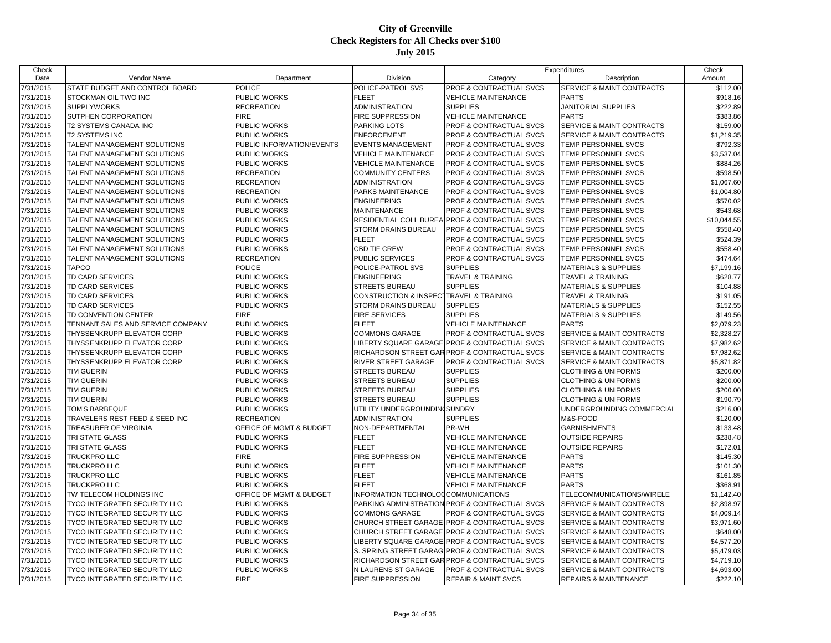| Check                  |                                     |                                    |                                     |                                                | Expenditures                         | Check       |
|------------------------|-------------------------------------|------------------------------------|-------------------------------------|------------------------------------------------|--------------------------------------|-------------|
| Date                   | Vendor Name                         | Department                         | Division                            | Category                                       | Description                          | Amount      |
| 7/31/2015              | STATE BUDGET AND CONTROL BOARD      | <b>POLICE</b>                      | POLICE-PATROL SVS                   | PROF & CONTRACTUAL SVCS                        | <b>SERVICE &amp; MAINT CONTRACTS</b> | \$112.00    |
| 7/31/2015              | STOCKMAN OIL TWO INC                | PUBLIC WORKS                       | <b>FLEET</b>                        | <b>VEHICLE MAINTENANCE</b>                     | <b>PARTS</b>                         | \$918.16    |
| 7/31/2015              | <b>SUPPLYWORKS</b>                  | <b>RECREATION</b>                  | ADMINISTRATION                      | <b>SUPPLIES</b>                                | <b>JANITORIAL SUPPLIES</b>           | \$222.89    |
| 7/31/2015              | SUTPHEN CORPORATION                 | <b>FIRE</b>                        | FIRE SUPPRESSION                    | <b>VEHICLE MAINTENANCE</b>                     | <b>PARTS</b>                         | \$383.86    |
| 7/31/2015              | T2 SYSTEMS CANADA INC               | <b>PUBLIC WORKS</b>                | <b>PARKING LOTS</b>                 | PROF & CONTRACTUAL SVCS                        | SERVICE & MAINT CONTRACTS            | \$159.00    |
| 7/31/2015              | <b>T2 SYSTEMS INC</b>               | <b>PUBLIC WORKS</b>                | <b>ENFORCEMENT</b>                  | <b>PROF &amp; CONTRACTUAL SVCS</b>             | SERVICE & MAINT CONTRACTS            | \$1,219.35  |
| 7/31/2015              | TALENT MANAGEMENT SOLUTIONS         | PUBLIC INFORMATION/EVENTS          | <b>EVENTS MANAGEMENT</b>            | PROF & CONTRACTUAL SVCS                        | TEMP PERSONNEL SVCS                  | \$792.33    |
| 7/31/2015              | TALENT MANAGEMENT SOLUTIONS         | <b>PUBLIC WORKS</b>                | <b>VEHICLE MAINTENANCE</b>          | PROF & CONTRACTUAL SVCS                        | TEMP PERSONNEL SVCS                  | \$3,537.04  |
| 7/31/2015              | TALENT MANAGEMENT SOLUTIONS         | <b>PUBLIC WORKS</b>                | <b>VEHICLE MAINTENANCE</b>          | PROF & CONTRACTUAL SVCS                        | TEMP PERSONNEL SVCS                  | \$884.26    |
| 7/31/2015              | TALENT MANAGEMENT SOLUTIONS         | <b>RECREATION</b>                  | <b>COMMUNITY CENTERS</b>            | PROF & CONTRACTUAL SVCS                        | <b>TEMP PERSONNEL SVCS</b>           | \$598.50    |
| 7/31/2015              | TALENT MANAGEMENT SOLUTIONS         | <b>RECREATION</b>                  | ADMINISTRATION                      | PROF & CONTRACTUAL SVCS                        | TEMP PERSONNEL SVCS                  | \$1,067.60  |
| 7/31/2015              | TALENT MANAGEMENT SOLUTIONS         | <b>RECREATION</b>                  | PARKS MAINTENANCE                   | PROF & CONTRACTUAL SVCS                        | <b>TEMP PERSONNEL SVCS</b>           | \$1,004.80  |
| 7/31/2015              | TALENT MANAGEMENT SOLUTIONS         | PUBLIC WORKS                       | <b>ENGINEERING</b>                  | PROF & CONTRACTUAL SVCS                        | TEMP PERSONNEL SVCS                  | \$570.02    |
| 7/31/2015              | TALENT MANAGEMENT SOLUTIONS         | <b>PUBLIC WORKS</b>                | <b>MAINTENANCE</b>                  | PROF & CONTRACTUAL SVCS                        | TEMP PERSONNEL SVCS                  | \$543.68    |
| 7/31/2015              | TALENT MANAGEMENT SOLUTIONS         | <b>PUBLIC WORKS</b>                | RESIDENTIAL COLL BUREA              | PROF & CONTRACTUAL SVCS                        | TEMP PERSONNEL SVCS                  | \$10,044.55 |
| 7/31/2015              | TALENT MANAGEMENT SOLUTIONS         | <b>PUBLIC WORKS</b>                | STORM DRAINS BUREAU                 | PROF & CONTRACTUAL SVCS                        | TEMP PERSONNEL SVCS                  | \$558.40    |
| 7/31/2015              | TALENT MANAGEMENT SOLUTIONS         | <b>PUBLIC WORKS</b>                | <b>FLEET</b>                        | PROF & CONTRACTUAL SVCS                        | <b>TEMP PERSONNEL SVCS</b>           | \$524.39    |
| 7/31/2015              | TALENT MANAGEMENT SOLUTIONS         | PUBLIC WORKS                       | CBD TIF CREW                        | PROF & CONTRACTUAL SVCS                        | TEMP PERSONNEL SVCS                  | \$558.40    |
| 7/31/2015              | TALENT MANAGEMENT SOLUTIONS         | <b>RECREATION</b>                  | PUBLIC SERVICES                     | PROF & CONTRACTUAL SVCS                        | TEMP PERSONNEL SVCS                  | \$474.64    |
| 7/31/2015              | <b>TAPCO</b>                        | <b>POLICE</b>                      | POLICE-PATROL SVS                   | <b>SUPPLIES</b>                                | <b>MATERIALS &amp; SUPPLIES</b>      | \$7,199.16  |
| 7/31/2015              | TD CARD SERVICES                    | <b>PUBLIC WORKS</b>                | <b>ENGINEERING</b>                  | <b>TRAVEL &amp; TRAINING</b>                   | TRAVEL & TRAINING                    | \$628.77    |
| 7/31/2015              | TD CARD SERVICES                    | <b>PUBLIC WORKS</b>                | <b>STREETS BUREAU</b>               | <b>SUPPLIES</b>                                | <b>MATERIALS &amp; SUPPLIES</b>      | \$104.88    |
| 7/31/2015              | TD CARD SERVICES                    | <b>PUBLIC WORKS</b>                | <b>CONSTRUCTION &amp; INSPEC</b>    | <b>TRAVEL &amp; TRAINING</b>                   | <b>TRAVEL &amp; TRAINING</b>         | \$191.05    |
| 7/31/2015              | TD CARD SERVICES                    | <b>PUBLIC WORKS</b>                | <b>STORM DRAINS BUREAU</b>          | <b>SUPPLIES</b>                                | MATERIALS & SUPPLIES                 | \$152.55    |
| 7/31/2015              | TD CONVENTION CENTER                | <b>FIRE</b>                        | <b>FIRE SERVICES</b>                | <b>SUPPLIES</b>                                | <b>MATERIALS &amp; SUPPLIES</b>      | \$149.56    |
| 7/31/2015              | TENNANT SALES AND SERVICE COMPANY   | PUBLIC WORKS                       | <b>FLEET</b>                        | <b>VEHICLE MAINTENANCE</b>                     | <b>PARTS</b>                         | \$2,079.23  |
| 7/31/2015              | THYSSENKRUPP ELEVATOR CORP          | <b>PUBLIC WORKS</b>                | <b>COMMONS GARAGE</b>               | PROF & CONTRACTUAL SVCS                        | SERVICE & MAINT CONTRACTS            | \$2,328.27  |
| 7/31/2015              | THYSSENKRUPP ELEVATOR CORP          | <b>PUBLIC WORKS</b>                | LIBERTY SQUARE GARAGE               | <b>PROF &amp; CONTRACTUAL SVCS</b>             | SERVICE & MAINT CONTRACTS            | \$7,982.62  |
| 7/31/2015              | THYSSENKRUPP ELEVATOR CORP          | <b>PUBLIC WORKS</b>                |                                     | RICHARDSON STREET GAR PROF & CONTRACTUAL SVCS  | SERVICE & MAINT CONTRACTS            | \$7,982.62  |
| 7/31/2015              | THYSSENKRUPP ELEVATOR CORP          | <b>PUBLIC WORKS</b>                | <b>RIVER STREET GARAGE</b>          | <b>PROF &amp; CONTRACTUAL SVCS</b>             | <b>SERVICE &amp; MAINT CONTRACTS</b> | \$5,871.82  |
| 7/31/2015              | TIM GUERIN                          | <b>PUBLIC WORKS</b>                | STREETS BUREAU                      | <b>SUPPLIES</b>                                | <b>CLOTHING &amp; UNIFORMS</b>       | \$200.00    |
| 7/31/2015              | <b>TIM GUERIN</b>                   | <b>PUBLIC WORKS</b>                | <b>STREETS BUREAU</b>               | <b>SUPPLIES</b>                                | <b>CLOTHING &amp; UNIFORMS</b>       | \$200.00    |
| 7/31/2015              | TIM GUERIN                          | <b>PUBLIC WORKS</b>                | <b>STREETS BUREAU</b>               | <b>SUPPLIES</b>                                | <b>CLOTHING &amp; UNIFORMS</b>       | \$200.00    |
| 7/31/2015              | <b>TIM GUERIN</b>                   | <b>PUBLIC WORKS</b>                | <b>STREETS BUREAU</b>               | <b>SUPPLIES</b>                                | <b>CLOTHING &amp; UNIFORMS</b>       | \$190.79    |
| 7/31/2015              | TOM'S BARBEQUE                      | <b>PUBLIC WORKS</b>                | UTILITY UNDERGROUNDIN               | <b>SUNDRY</b>                                  | UNDERGROUNDING COMMERCIAL            | \$216.00    |
| 7/31/2015              | TRAVELERS REST FEED & SEED INC      | <b>RECREATION</b>                  | ADMINISTRATION                      | <b>SUPPLIES</b>                                | M&S-FOOD                             | \$120.00    |
| 7/31/2015              | TREASURER OF VIRGINIA               | OFFICE OF MGMT & BUDGET            | NON-DEPARTMENTAL                    | PR-WH                                          | <b>GARNISHMENTS</b>                  | \$133.48    |
| 7/31/2015              | TRI STATE GLASS                     | <b>PUBLIC WORKS</b>                | <b>FLEET</b>                        | <b>VEHICLE MAINTENANCE</b>                     | <b>OUTSIDE REPAIRS</b>               | \$238.48    |
| 7/31/2015              | TRI STATE GLASS                     | <b>PUBLIC WORKS</b>                | <b>FLEET</b>                        | <b>VEHICLE MAINTENANCE</b>                     | <b>OUTSIDE REPAIRS</b>               | \$172.01    |
| 7/31/2015              | TRUCKPRO LLC                        | <b>FIRE</b>                        | <b>FIRE SUPPRESSION</b>             | <b>VEHICLE MAINTENANCE</b>                     | <b>PARTS</b>                         | \$145.30    |
| 7/31/2015              | TRUCKPRO LLC                        | <b>PUBLIC WORKS</b>                | <b>FLEET</b>                        | <b>VEHICLE MAINTENANCE</b>                     | <b>PARTS</b>                         | \$101.30    |
| 7/31/2015              | TRUCKPRO LLC                        | PUBLIC WORKS                       | <b>FLEET</b>                        | <b>VEHICLE MAINTENANCE</b>                     | <b>PARTS</b>                         | \$161.85    |
| 7/31/2015              | TRUCKPRO LLC                        | <b>PUBLIC WORKS</b>                | <b>FLEET</b>                        | <b>VEHICLE MAINTENANCE</b>                     | <b>PARTS</b>                         | \$368.91    |
| 7/31/2015              | TW TELECOM HOLDINGS INC             | OFFICE OF MGMT & BUDGET            | INFORMATION TECHNOLOCCOMMUNICATIONS |                                                | TELECOMMUNICATIONS/WIRELE            | \$1,142.40  |
| 7/31/2015              | TYCO INTEGRATED SECURITY LLC        | <b>PUBLIC WORKS</b>                |                                     | PARKING ADMINISTRATION PROF & CONTRACTUAL SVCS | SERVICE & MAINT CONTRACTS            | \$2,898.97  |
| 7/31/2015              | <b>TYCO INTEGRATED SECURITY LLC</b> | <b>PUBLIC WORKS</b>                | <b>COMMONS GARAGE</b>               | PROF & CONTRACTUAL SVCS                        | SERVICE & MAINT CONTRACTS            | \$4,009.14  |
|                        | <b>TYCO INTEGRATED SECURITY LLC</b> | <b>PUBLIC WORKS</b>                | <b>CHURCH STREET GARAGE</b>         | <b>PROF &amp; CONTRACTUAL SVCS</b>             | SERVICE & MAINT CONTRACTS            | \$3,971.60  |
| 7/31/2015<br>7/31/2015 | <b>TYCO INTEGRATED SECURITY LLC</b> | <b>PUBLIC WORKS</b>                | CHURCH STREET GARAGE                | <b>PROF &amp; CONTRACTUAL SVCS</b>             | SERVICE & MAINT CONTRACTS            | \$648.00    |
| 7/31/2015              |                                     | <b>PUBLIC WORKS</b>                |                                     |                                                |                                      |             |
|                        | TYCO INTEGRATED SECURITY LLC        | <b>PUBLIC WORKS</b>                |                                     | LIBERTY SQUARE GARAGE PROF & CONTRACTUAL SVCS  | SERVICE & MAINT CONTRACTS            | \$4,577.20  |
| 7/31/2015              | TYCO INTEGRATED SECURITY LLC        |                                    |                                     | S. SPRING STREET GARAGIPROF & CONTRACTUAL SVCS | SERVICE & MAINT CONTRACTS            | \$5,479.03  |
| 7/31/2015              | <b>TYCO INTEGRATED SECURITY LLC</b> | <b>PUBLIC WORKS</b>                |                                     | RICHARDSON STREET GAR PROF & CONTRACTUAL SVCS  | SERVICE & MAINT CONTRACTS            | \$4,719.10  |
| 7/31/2015              | TYCO INTEGRATED SECURITY LLC        | <b>PUBLIC WORKS</b><br><b>FIRE</b> | N LAURENS ST GARAGE                 | PROF & CONTRACTUAL SVCS                        | SERVICE & MAINT CONTRACTS            | \$4,693.00  |
| 7/31/2015              | <b>TYCO INTEGRATED SECURITY LLC</b> |                                    | <b>FIRE SUPPRESSION</b>             | <b>REPAIR &amp; MAINT SVCS</b>                 | <b>REPAIRS &amp; MAINTENANCE</b>     | \$222.10    |